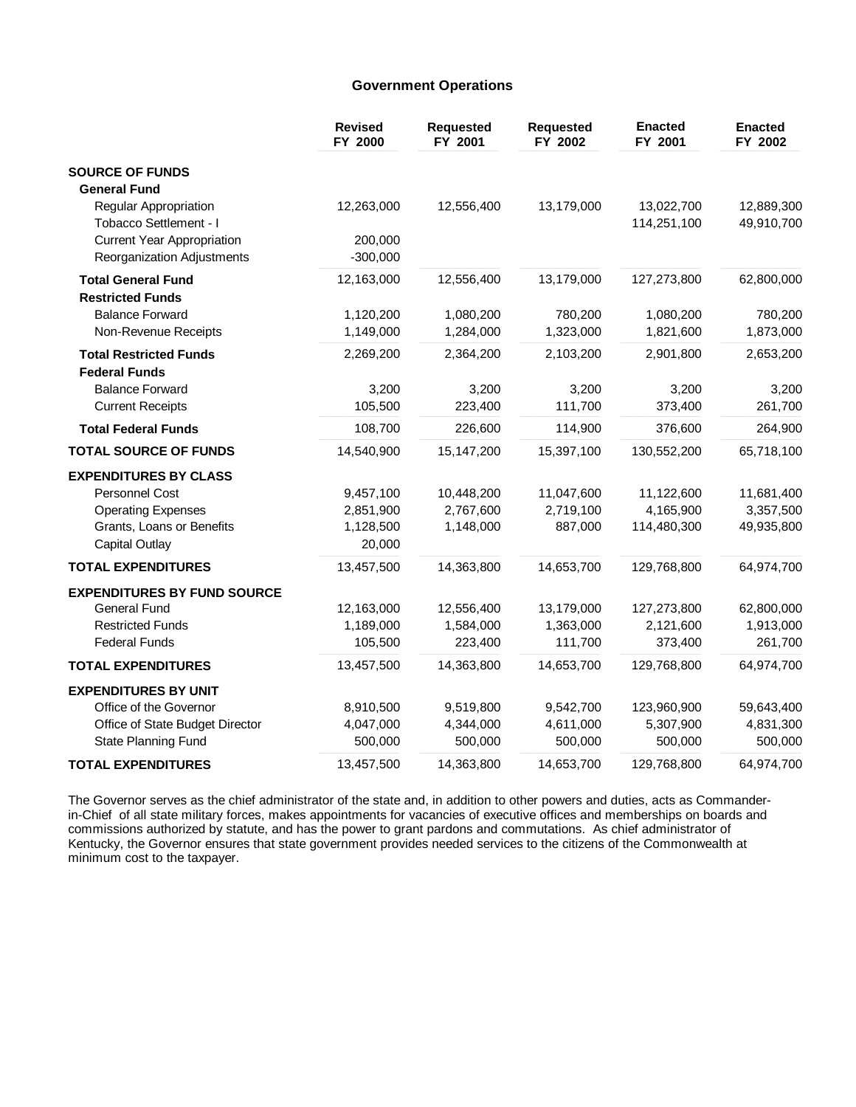### **Government Operations**

|                                                                 | <b>Revised</b><br>FY 2000 | <b>Requested</b><br>FY 2001 | <b>Requested</b><br>FY 2002 | <b>Enacted</b><br>FY 2001 | <b>Enacted</b><br>FY 2002 |
|-----------------------------------------------------------------|---------------------------|-----------------------------|-----------------------------|---------------------------|---------------------------|
| <b>SOURCE OF FUNDS</b>                                          |                           |                             |                             |                           |                           |
| <b>General Fund</b>                                             |                           |                             |                             |                           |                           |
| Regular Appropriation<br>Tobacco Settlement - I                 | 12,263,000                | 12,556,400                  | 13,179,000                  | 13,022,700<br>114,251,100 | 12,889,300<br>49,910,700  |
| <b>Current Year Appropriation</b><br>Reorganization Adjustments | 200,000<br>$-300,000$     |                             |                             |                           |                           |
| <b>Total General Fund</b>                                       | 12,163,000                | 12,556,400                  | 13,179,000                  | 127,273,800               | 62,800,000                |
| <b>Restricted Funds</b>                                         |                           |                             |                             |                           |                           |
| <b>Balance Forward</b>                                          | 1,120,200                 | 1,080,200                   | 780,200                     | 1,080,200                 | 780,200                   |
| Non-Revenue Receipts                                            | 1,149,000                 | 1,284,000                   | 1,323,000                   | 1,821,600                 | 1,873,000                 |
| <b>Total Restricted Funds</b>                                   | 2,269,200                 | 2,364,200                   | 2,103,200                   | 2,901,800                 | 2,653,200                 |
| <b>Federal Funds</b>                                            |                           |                             |                             |                           |                           |
| <b>Balance Forward</b>                                          | 3,200                     | 3,200                       | 3,200                       | 3,200                     | 3,200                     |
| <b>Current Receipts</b>                                         | 105,500                   | 223,400                     | 111,700                     | 373,400                   | 261,700                   |
| <b>Total Federal Funds</b>                                      | 108,700                   | 226,600                     | 114,900                     | 376,600                   | 264,900                   |
| <b>TOTAL SOURCE OF FUNDS</b>                                    | 14,540,900                | 15,147,200                  | 15,397,100                  | 130,552,200               | 65,718,100                |
| <b>EXPENDITURES BY CLASS</b>                                    |                           |                             |                             |                           |                           |
| Personnel Cost                                                  | 9,457,100                 | 10,448,200                  | 11,047,600                  | 11,122,600                | 11,681,400                |
| <b>Operating Expenses</b>                                       | 2,851,900                 | 2,767,600                   | 2,719,100                   | 4,165,900                 | 3,357,500                 |
| Grants, Loans or Benefits                                       | 1,128,500                 | 1,148,000                   | 887,000                     | 114,480,300               | 49,935,800                |
| <b>Capital Outlay</b>                                           | 20,000                    |                             |                             |                           |                           |
| <b>TOTAL EXPENDITURES</b>                                       | 13,457,500                | 14,363,800                  | 14,653,700                  | 129,768,800               | 64,974,700                |
| <b>EXPENDITURES BY FUND SOURCE</b>                              |                           |                             |                             |                           |                           |
| <b>General Fund</b>                                             | 12,163,000                | 12,556,400                  | 13,179,000                  | 127,273,800               | 62,800,000                |
| <b>Restricted Funds</b>                                         | 1,189,000                 | 1,584,000                   | 1,363,000                   | 2,121,600                 | 1,913,000                 |
| <b>Federal Funds</b>                                            | 105,500                   | 223,400                     | 111,700                     | 373,400                   | 261,700                   |
| <b>TOTAL EXPENDITURES</b>                                       | 13,457,500                | 14,363,800                  | 14,653,700                  | 129,768,800               | 64,974,700                |
| <b>EXPENDITURES BY UNIT</b>                                     |                           |                             |                             |                           |                           |
| Office of the Governor                                          | 8,910,500                 | 9,519,800                   | 9,542,700                   | 123,960,900               | 59,643,400                |
| Office of State Budget Director                                 | 4,047,000                 | 4,344,000                   | 4,611,000                   | 5,307,900                 | 4,831,300                 |
| State Planning Fund                                             | 500,000                   | 500,000                     | 500,000                     | 500,000                   | 500,000                   |
| <b>TOTAL EXPENDITURES</b>                                       | 13,457,500                | 14,363,800                  | 14,653,700                  | 129,768,800               | 64,974,700                |

The Governor serves as the chief administrator of the state and, in addition to other powers and duties, acts as Commanderin-Chief of all state military forces, makes appointments for vacancies of executive offices and memberships on boards and commissions authorized by statute, and has the power to grant pardons and commutations. As chief administrator of Kentucky, the Governor ensures that state government provides needed services to the citizens of the Commonwealth at minimum cost to the taxpayer.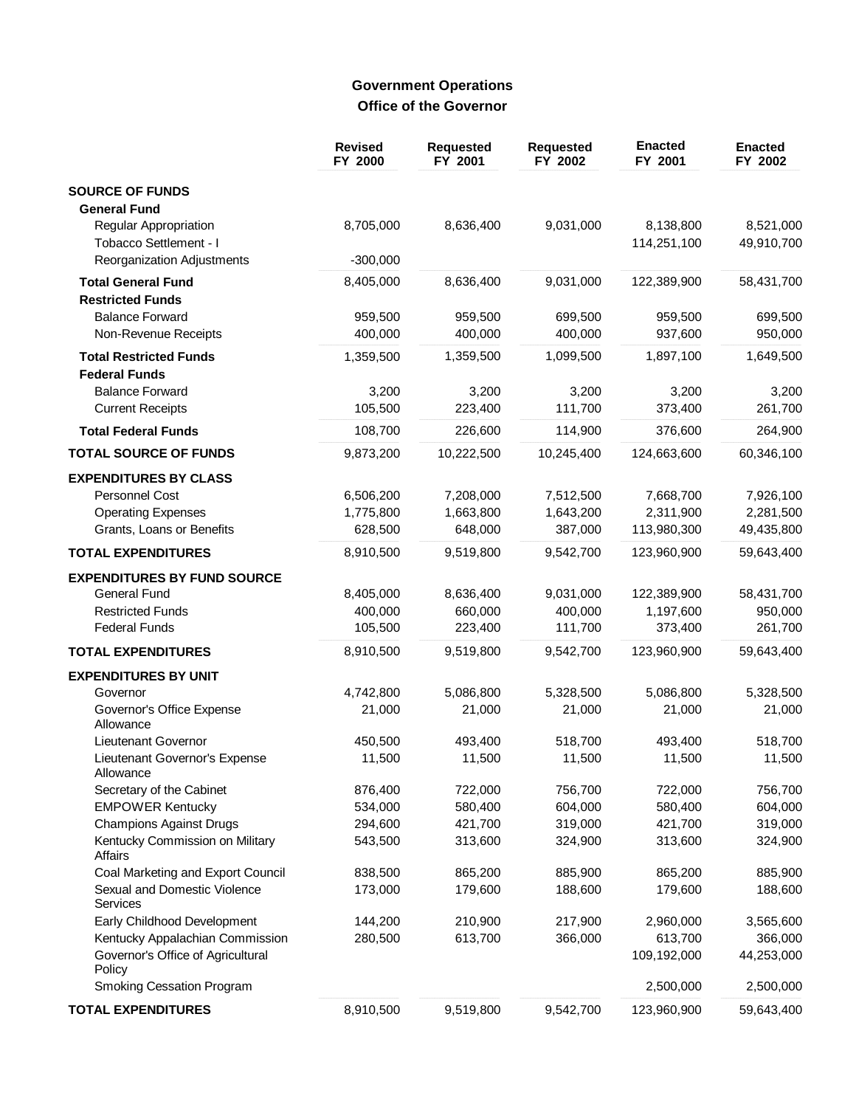# **Government Operations** Office of the Governor

|                                                                                | <b>Revised</b><br>FY 2000 | <b>Requested</b><br>FY 2001 | <b>Requested</b><br>FY 2002 | <b>Enacted</b><br>FY 2001 | <b>Enacted</b><br>FY 2002 |
|--------------------------------------------------------------------------------|---------------------------|-----------------------------|-----------------------------|---------------------------|---------------------------|
| <b>SOURCE OF FUNDS</b><br><b>General Fund</b>                                  |                           |                             |                             |                           |                           |
| Regular Appropriation<br>Tobacco Settlement - I                                | 8,705,000                 | 8,636,400                   | 9,031,000                   | 8,138,800<br>114,251,100  | 8,521,000<br>49,910,700   |
| Reorganization Adjustments                                                     | $-300,000$                |                             |                             |                           |                           |
| <b>Total General Fund</b><br><b>Restricted Funds</b>                           | 8,405,000                 | 8,636,400                   | 9,031,000                   | 122,389,900               | 58,431,700                |
| <b>Balance Forward</b><br>Non-Revenue Receipts                                 | 959,500<br>400,000        | 959,500<br>400,000          | 699,500<br>400,000          | 959,500<br>937,600        | 699,500<br>950,000        |
| <b>Total Restricted Funds</b><br><b>Federal Funds</b>                          | 1,359,500                 | 1,359,500                   | 1,099,500                   | 1,897,100                 | 1,649,500                 |
| <b>Balance Forward</b>                                                         | 3,200                     | 3,200                       | 3,200                       | 3,200                     | 3,200                     |
| <b>Current Receipts</b>                                                        | 105,500                   | 223,400                     | 111,700                     | 373,400                   | 261,700                   |
| <b>Total Federal Funds</b>                                                     | 108,700                   | 226,600                     | 114,900                     | 376,600                   | 264,900                   |
| <b>TOTAL SOURCE OF FUNDS</b>                                                   | 9,873,200                 | 10,222,500                  | 10,245,400                  | 124,663,600               | 60,346,100                |
| <b>EXPENDITURES BY CLASS</b>                                                   |                           |                             |                             |                           |                           |
| Personnel Cost                                                                 | 6,506,200                 | 7,208,000                   | 7,512,500                   | 7,668,700                 | 7,926,100                 |
| <b>Operating Expenses</b><br>Grants, Loans or Benefits                         | 1,775,800<br>628,500      | 1,663,800<br>648,000        | 1,643,200<br>387,000        | 2,311,900<br>113,980,300  | 2,281,500<br>49,435,800   |
| <b>TOTAL EXPENDITURES</b>                                                      | 8,910,500                 | 9,519,800                   | 9,542,700                   | 123,960,900               | 59,643,400                |
|                                                                                |                           |                             |                             |                           |                           |
| <b>EXPENDITURES BY FUND SOURCE</b>                                             |                           |                             |                             |                           |                           |
| <b>General Fund</b><br><b>Restricted Funds</b>                                 | 8,405,000<br>400,000      | 8,636,400<br>660,000        | 9,031,000<br>400,000        | 122,389,900<br>1,197,600  | 58,431,700<br>950,000     |
| <b>Federal Funds</b>                                                           | 105,500                   | 223,400                     | 111,700                     | 373,400                   | 261,700                   |
| <b>TOTAL EXPENDITURES</b>                                                      | 8,910,500                 | 9,519,800                   | 9,542,700                   | 123,960,900               | 59,643,400                |
| <b>EXPENDITURES BY UNIT</b>                                                    |                           |                             |                             |                           |                           |
| Governor                                                                       | 4,742,800                 | 5,086,800                   | 5,328,500                   | 5,086,800                 | 5,328,500                 |
| Governor's Office Expense<br>Allowance                                         | 21,000                    | 21,000                      | 21,000                      | 21,000                    | 21,000                    |
| Lieutenant Governor                                                            | 450,500                   | 493,400                     | 518,700                     | 493,400                   | 518,700                   |
| Lieutenant Governor's Expense<br>Allowance                                     | 11,500                    | 11,500                      | 11,500                      | 11,500                    | 11,500                    |
| Secretary of the Cabinet                                                       | 876,400                   | 722,000                     | 756,700                     | 722,000                   | 756,700                   |
| <b>EMPOWER Kentucky</b>                                                        | 534,000                   | 580,400                     | 604,000                     | 580,400                   | 604,000                   |
| <b>Champions Against Drugs</b><br>Kentucky Commission on Military              | 294,600<br>543,500        | 421,700<br>313,600          | 319,000<br>324,900          | 421,700<br>313,600        | 319,000<br>324,900        |
| Affairs                                                                        |                           |                             |                             |                           |                           |
| Coal Marketing and Export Council                                              | 838,500                   | 865,200                     | 885,900                     | 865,200                   | 885,900                   |
| Sexual and Domestic Violence<br>Services                                       | 173,000                   | 179,600                     | 188,600                     | 179,600                   | 188,600                   |
| Early Childhood Development                                                    | 144,200                   | 210,900                     | 217,900                     | 2,960,000                 | 3,565,600                 |
| Kentucky Appalachian Commission<br>Governor's Office of Agricultural<br>Policy | 280,500                   | 613,700                     | 366,000                     | 613,700<br>109,192,000    | 366,000<br>44,253,000     |
| Smoking Cessation Program                                                      |                           |                             |                             | 2,500,000                 | 2,500,000                 |
| <b>TOTAL EXPENDITURES</b>                                                      | 8,910,500                 | 9,519,800                   | 9,542,700                   | 123,960,900               | 59,643,400                |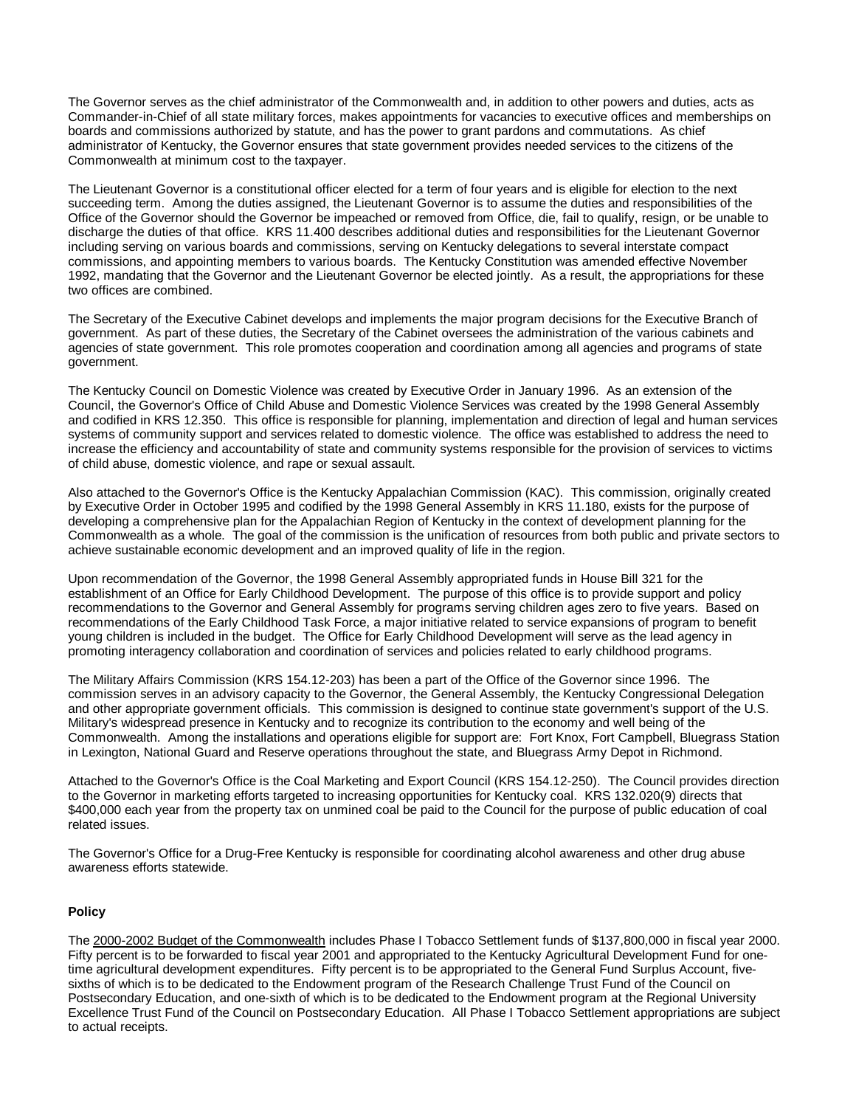The Governor serves as the chief administrator of the Commonwealth and, in addition to other powers and duties, acts as Commander-in-Chief of all state military forces, makes appointments for vacancies to executive offices and memberships on boards and commissions authorized by statute, and has the power to grant pardons and commutations. As chief administrator of Kentucky, the Governor ensures that state government provides needed services to the citizens of the Commonwealth at minimum cost to the taxpayer.

The Lieutenant Governor is a constitutional officer elected for a term of four years and is eligible for election to the next succeeding term. Among the duties assigned, the Lieutenant Governor is to assume the duties and responsibilities of the Office of the Governor should the Governor be impeached or removed from Office, die, fail to qualify, resign, or be unable to discharge the duties of that office. KRS 11.400 describes additional duties and responsibilities for the Lieutenant Governor including serving on various boards and commissions, serving on Kentucky delegations to several interstate compact commissions, and appointing members to various boards. The Kentucky Constitution was amended effective November 1992, mandating that the Governor and the Lieutenant Governor be elected jointly. As a result, the appropriations for these two offices are combined.

The Secretary of the Executive Cabinet develops and implements the major program decisions for the Executive Branch of government. As part of these duties, the Secretary of the Cabinet oversees the administration of the various cabinets and agencies of state government. This role promotes cooperation and coordination among all agencies and programs of state government.

The Kentucky Council on Domestic Violence was created by Executive Order in January 1996. As an extension of the Council, the Governor's Office of Child Abuse and Domestic Violence Services was created by the 1998 General Assembly and codified in KRS 12.350. This office is responsible for planning, implementation and direction of legal and human services systems of community support and services related to domestic violence. The office was established to address the need to increase the efficiency and accountability of state and community systems responsible for the provision of services to victims of child abuse, domestic violence, and rape or sexual assault.

Also attached to the Governor's Office is the Kentucky Appalachian Commission (KAC). This commission, originally created by Executive Order in October 1995 and codified by the 1998 General Assembly in KRS 11.180, exists for the purpose of developing a comprehensive plan for the Appalachian Region of Kentucky in the context of development planning for the Commonwealth as a whole. The goal of the commission is the unification of resources from both public and private sectors to achieve sustainable economic development and an improved quality of life in the region.

Upon recommendation of the Governor, the 1998 General Assembly appropriated funds in House Bill 321 for the establishment of an Office for Early Childhood Development. The purpose of this office is to provide support and policy recommendations to the Governor and General Assembly for programs serving children ages zero to five years. Based on recommendations of the Early Childhood Task Force, a major initiative related to service expansions of program to benefit young children is included in the budget. The Office for Early Childhood Development will serve as the lead agency in promoting interagency collaboration and coordination of services and policies related to early childhood programs.

The Military Affairs Commission (KRS 154.12-203) has been a part of the Office of the Governor since 1996. The commission serves in an advisory capacity to the Governor, the General Assembly, the Kentucky Congressional Delegation and other appropriate government officials. This commission is designed to continue state government's support of the U.S. Military's widespread presence in Kentucky and to recognize its contribution to the economy and well being of the Commonwealth. Among the installations and operations eligible for support are: Fort Knox, Fort Campbell, Bluegrass Station in Lexington, National Guard and Reserve operations throughout the state, and Bluegrass Army Depot in Richmond.

Attached to the Governor's Office is the Coal Marketing and Export Council (KRS 154.12-250). The Council provides direction to the Governor in marketing efforts targeted to increasing opportunities for Kentucky coal. KRS 132.020(9) directs that \$400,000 each year from the property tax on unmined coal be paid to the Council for the purpose of public education of coal related issues.

The Governor's Office for a Drug-Free Kentucky is responsible for coordinating alcohol awareness and other drug abuse awareness efforts statewide.

### **Policy**

The 2000-2002 Budget of the Commonwealth includes Phase I Tobacco Settlement funds of \$137,800,000 in fiscal year 2000. Fifty percent is to be forwarded to fiscal year 2001 and appropriated to the Kentucky Agricultural Development Fund for onetime agricultural development expenditures. Fifty percent is to be appropriated to the General Fund Surplus Account, fivesixths of which is to be dedicated to the Endowment program of the Research Challenge Trust Fund of the Council on Postsecondary Education, and one-sixth of which is to be dedicated to the Endowment program at the Regional University Excellence Trust Fund of the Council on Postsecondary Education. All Phase I Tobacco Settlement appropriations are subject to actual receipts.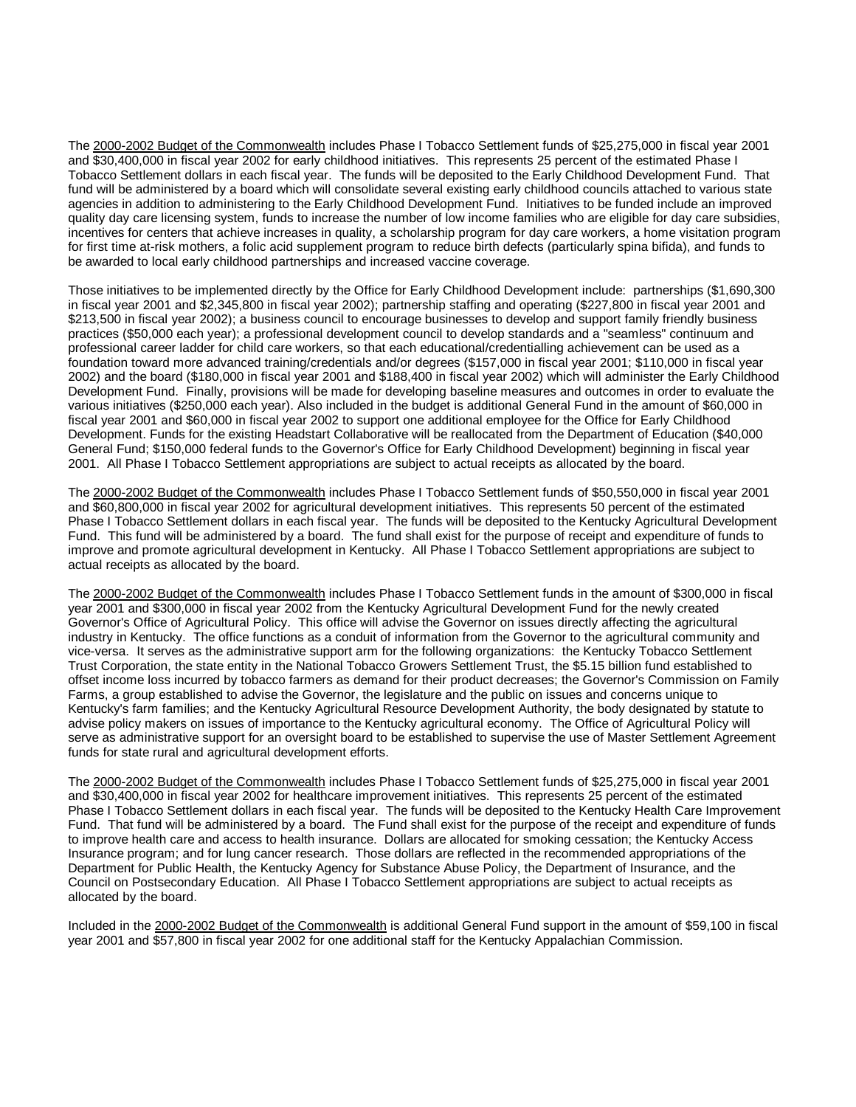The 2000-2002 Budget of the Commonwealth includes Phase I Tobacco Settlement funds of \$25,275,000 in fiscal year 2001 and \$30,400,000 in fiscal year 2002 for early childhood initiatives. This represents 25 percent of the estimated Phase I Tobacco Settlement dollars in each fiscal year. The funds will be deposited to the Early Childhood Development Fund. That fund will be administered by a board which will consolidate several existing early childhood councils attached to various state agencies in addition to administering to the Early Childhood Development Fund. Initiatives to be funded include an improved quality day care licensing system, funds to increase the number of low income families who are eligible for day care subsidies, incentives for centers that achieve increases in quality, a scholarship program for day care workers, a home visitation program for first time at-risk mothers, a folic acid supplement program to reduce birth defects (particularly spina bifida), and funds to be awarded to local early childhood partnerships and increased vaccine coverage.

Those initiatives to be implemented directly by the Office for Early Childhood Development include: partnerships (\$1,690,300 in fiscal year 2001 and \$2,345,800 in fiscal year 2002); partnership staffing and operating (\$227,800 in fiscal year 2001 and \$213,500 in fiscal year 2002); a business council to encourage businesses to develop and support family friendly business practices (\$50,000 each year); a professional development council to develop standards and a "seamless" continuum and professional career ladder for child care workers, so that each educational/credentialling achievement can be used as a foundation toward more advanced training/credentials and/or degrees (\$157,000 in fiscal year 2001; \$110,000 in fiscal year 2002) and the board (\$180,000 in fiscal year 2001 and \$188,400 in fiscal year 2002) which will administer the Early Childhood Development Fund. Finally, provisions will be made for developing baseline measures and outcomes in order to evaluate the various initiatives (\$250,000 each year). Also included in the budget is additional General Fund in the amount of \$60,000 in fiscal year 2001 and \$60,000 in fiscal year 2002 to support one additional employee for the Office for Early Childhood Development. Funds for the existing Headstart Collaborative will be reallocated from the Department of Education (\$40,000 General Fund; \$150,000 federal funds to the Governor's Office for Early Childhood Development) beginning in fiscal year 2001. All Phase I Tobacco Settlement appropriations are subject to actual receipts as allocated by the board.

The 2000-2002 Budget of the Commonwealth includes Phase I Tobacco Settlement funds of \$50,550,000 in fiscal year 2001 and \$60,800,000 in fiscal year 2002 for agricultural development initiatives. This represents 50 percent of the estimated Phase I Tobacco Settlement dollars in each fiscal year. The funds will be deposited to the Kentucky Agricultural Development Fund. This fund will be administered by a board. The fund shall exist for the purpose of receipt and expenditure of funds to improve and promote agricultural development in Kentucky. All Phase I Tobacco Settlement appropriations are subject to actual receipts as allocated by the board.

The 2000-2002 Budget of the Commonwealth includes Phase I Tobacco Settlement funds in the amount of \$300,000 in fiscal year 2001 and \$300,000 in fiscal year 2002 from the Kentucky Agricultural Development Fund for the newly created Governor's Office of Agricultural Policy. This office will advise the Governor on issues directly affecting the agricultural industry in Kentucky. The office functions as a conduit of information from the Governor to the agricultural community and vice-versa. It serves as the administrative support arm for the following organizations: the Kentucky Tobacco Settlement Trust Corporation, the state entity in the National Tobacco Growers Settlement Trust, the \$5.15 billion fund established to offset income loss incurred by tobacco farmers as demand for their product decreases; the Governor's Commission on Family Farms, a group established to advise the Governor, the legislature and the public on issues and concerns unique to Kentucky's farm families; and the Kentucky Agricultural Resource Development Authority, the body designated by statute to advise policy makers on issues of importance to the Kentucky agricultural economy. The Office of Agricultural Policy will serve as administrative support for an oversight board to be established to supervise the use of Master Settlement Agreement funds for state rural and agricultural development efforts.

The 2000-2002 Budget of the Commonwealth includes Phase I Tobacco Settlement funds of \$25,275,000 in fiscal year 2001 and \$30,400,000 in fiscal year 2002 for healthcare improvement initiatives. This represents 25 percent of the estimated Phase I Tobacco Settlement dollars in each fiscal year. The funds will be deposited to the Kentucky Health Care Improvement Fund. That fund will be administered by a board. The Fund shall exist for the purpose of the receipt and expenditure of funds to improve health care and access to health insurance. Dollars are allocated for smoking cessation; the Kentucky Access Insurance program; and for lung cancer research. Those dollars are reflected in the recommended appropriations of the Department for Public Health, the Kentucky Agency for Substance Abuse Policy, the Department of Insurance, and the Council on Postsecondary Education. All Phase I Tobacco Settlement appropriations are subject to actual receipts as allocated by the board.

Included in the 2000-2002 Budget of the Commonwealth is additional General Fund support in the amount of \$59,100 in fiscal year 2001 and \$57,800 in fiscal year 2002 for one additional staff for the Kentucky Appalachian Commission.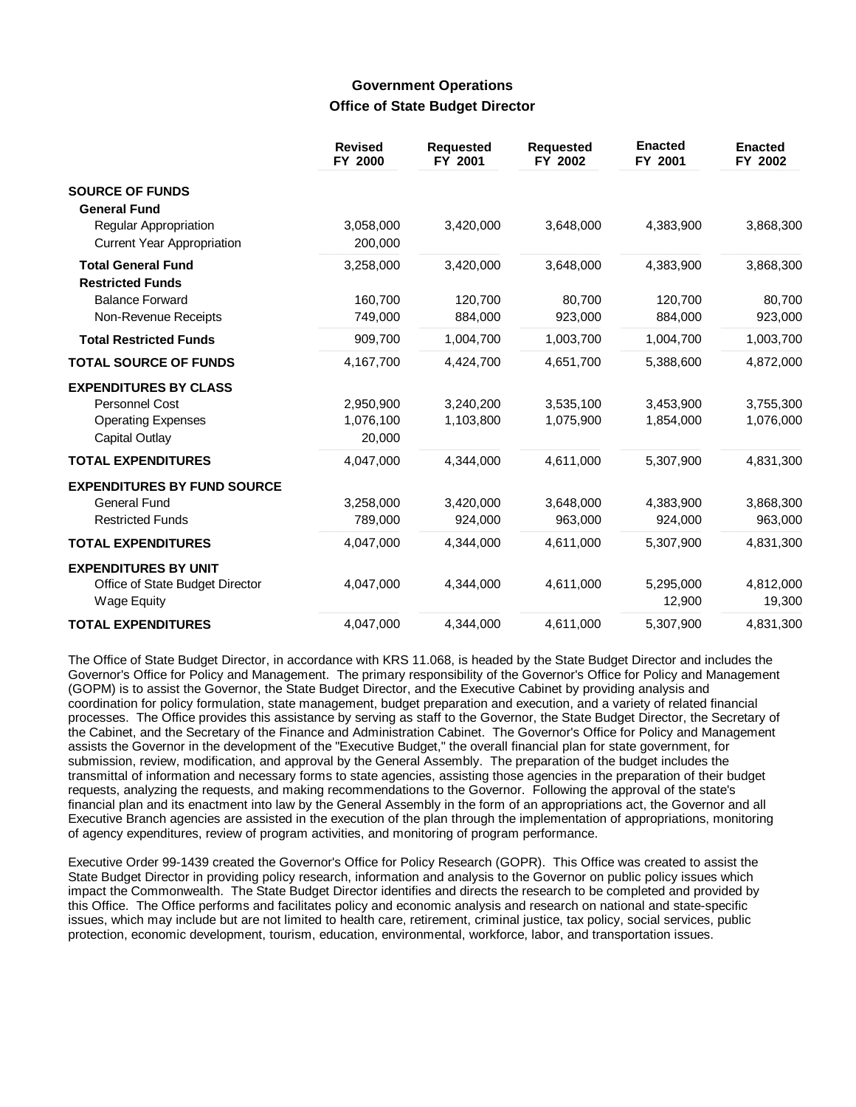# **Government Operations Office of State Budget Director**

|                                                                                               | <b>Revised</b><br>FY 2000        | <b>Requested</b><br>FY 2001 | <b>Requested</b><br>FY 2002 | <b>Enacted</b><br>FY 2001 | <b>Enacted</b><br>FY 2002 |
|-----------------------------------------------------------------------------------------------|----------------------------------|-----------------------------|-----------------------------|---------------------------|---------------------------|
| <b>SOURCE OF FUNDS</b><br><b>General Fund</b>                                                 |                                  |                             |                             |                           |                           |
| <b>Regular Appropriation</b><br><b>Current Year Appropriation</b>                             | 3,058,000<br>200,000             | 3,420,000                   | 3,648,000                   | 4,383,900                 | 3,868,300                 |
| <b>Total General Fund</b><br><b>Restricted Funds</b>                                          | 3,258,000                        | 3,420,000                   | 3,648,000                   | 4,383,900                 | 3,868,300                 |
| <b>Balance Forward</b><br>Non-Revenue Receipts                                                | 160,700<br>749,000               | 120,700<br>884,000          | 80,700<br>923,000           | 120,700<br>884,000        | 80,700<br>923,000         |
| <b>Total Restricted Funds</b>                                                                 | 909,700                          | 1,004,700                   | 1,003,700                   | 1,004,700                 | 1,003,700                 |
| <b>TOTAL SOURCE OF FUNDS</b>                                                                  | 4,167,700                        | 4,424,700                   | 4,651,700                   | 5,388,600                 | 4,872,000                 |
| <b>EXPENDITURES BY CLASS</b><br>Personnel Cost<br><b>Operating Expenses</b><br>Capital Outlay | 2,950,900<br>1,076,100<br>20,000 | 3,240,200<br>1,103,800      | 3,535,100<br>1,075,900      | 3,453,900<br>1,854,000    | 3,755,300<br>1,076,000    |
| <b>TOTAL EXPENDITURES</b>                                                                     | 4,047,000                        | 4,344,000                   | 4,611,000                   | 5,307,900                 | 4,831,300                 |
| <b>EXPENDITURES BY FUND SOURCE</b><br>General Fund<br><b>Restricted Funds</b>                 | 3,258,000<br>789,000             | 3,420,000<br>924,000        | 3,648,000<br>963,000        | 4,383,900<br>924,000      | 3,868,300<br>963,000      |
| <b>TOTAL EXPENDITURES</b>                                                                     | 4,047,000                        | 4,344,000                   | 4,611,000                   | 5,307,900                 | 4,831,300                 |
| <b>EXPENDITURES BY UNIT</b><br>Office of State Budget Director<br><b>Wage Equity</b>          | 4,047,000                        | 4.344.000                   | 4,611,000                   | 5,295,000<br>12,900       | 4,812,000<br>19,300       |
| <b>TOTAL EXPENDITURES</b>                                                                     | 4,047,000                        | 4.344.000                   | 4,611,000                   | 5,307,900                 | 4,831,300                 |

The Office of State Budget Director, in accordance with KRS 11.068, is headed by the State Budget Director and includes the Governor's Office for Policy and Management. The primary responsibility of the Governor's Office for Policy and Management (GOPM) is to assist the Governor, the State Budget Director, and the Executive Cabinet by providing analysis and coordination for policy formulation, state management, budget preparation and execution, and a variety of related financial processes. The Office provides this assistance by serving as staff to the Governor, the State Budget Director, the Secretary of the Cabinet, and the Secretary of the Finance and Administration Cabinet. The Governor's Office for Policy and Management assists the Governor in the development of the "Executive Budget," the overall financial plan for state government, for submission, review, modification, and approval by the General Assembly. The preparation of the budget includes the transmittal of information and necessary forms to state agencies, assisting those agencies in the preparation of their budget requests, analyzing the requests, and making recommendations to the Governor. Following the approval of the state's financial plan and its enactment into law by the General Assembly in the form of an appropriations act, the Governor and all Executive Branch agencies are assisted in the execution of the plan through the implementation of appropriations, monitoring of agency expenditures, review of program activities, and monitoring of program performance.

Executive Order 99-1439 created the Governor's Office for Policy Research (GOPR). This Office was created to assist the State Budget Director in providing policy research, information and analysis to the Governor on public policy issues which impact the Commonwealth. The State Budget Director identifies and directs the research to be completed and provided by this Office. The Office performs and facilitates policy and economic analysis and research on national and state-specific issues, which may include but are not limited to health care, retirement, criminal justice, tax policy, social services, public protection, economic development, tourism, education, environmental, workforce, labor, and transportation issues.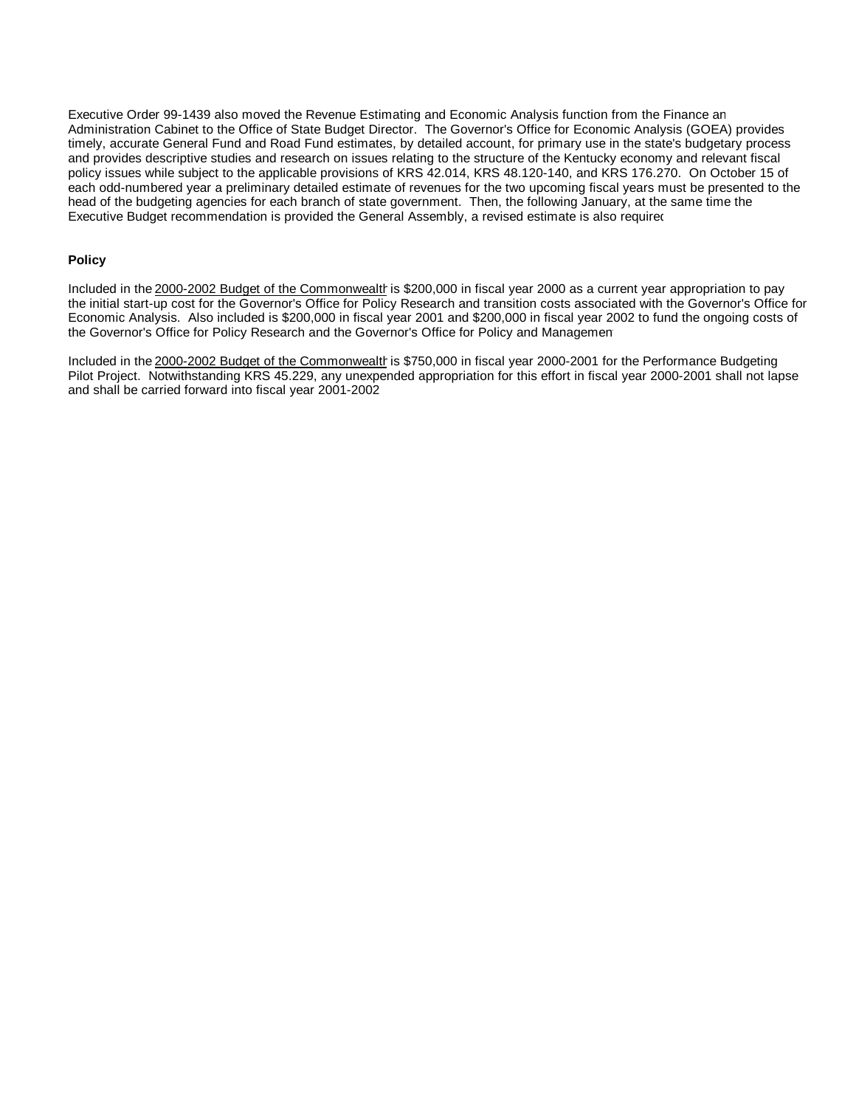Executive Order 99-1439 also moved the Revenue Estimating and Economic Analysis function from the Finance an Administration Cabinet to the Office of State Budget Director. The Governor's Office for Economic Analysis (GOEA) provides timely, accurate General Fund and Road Fund estimates, by detailed account, for primary use in the state's budgetary process and provides descriptive studies and research on issues relating to the structure of the Kentucky economy and relevant fiscal policy issues while subject to the applicable provisions of KRS 42.014, KRS 48.120-140, and KRS 176.270. On October 15 of each odd-numbered year a preliminary detailed estimate of revenues for the two upcoming fiscal years must be presented to the head of the budgeting agencies for each branch of state government. Then, the following January, at the same time the Executive Budget recommendation is provided the General Assembly, a revised estimate is also required

#### **Policy**

Included in the 2000-2002 Budget of the Commonwealth is \$200,000 in fiscal year 2000 as a current year appropriation to pay the initial start-up cost for the Governor's Office for Policy Research and transition costs associated with the Governor's Office for Economic Analysis. Also included is \$200,000 in fiscal year 2001 and \$200,000 in fiscal year 2002 to fund the ongoing costs of the Governor's Office for Policy Research and the Governor's Office for Policy and Managemen

Included in the 2000-2002 Budget of the Commonwealth is \$750,000 in fiscal year 2000-2001 for the Performance Budgeting Pilot Project. Notwithstanding KRS 45.229, any unexpended appropriation for this effort in fiscal year 2000-2001 shall not lapse and shall be carried forward into fiscal year 2001-2002.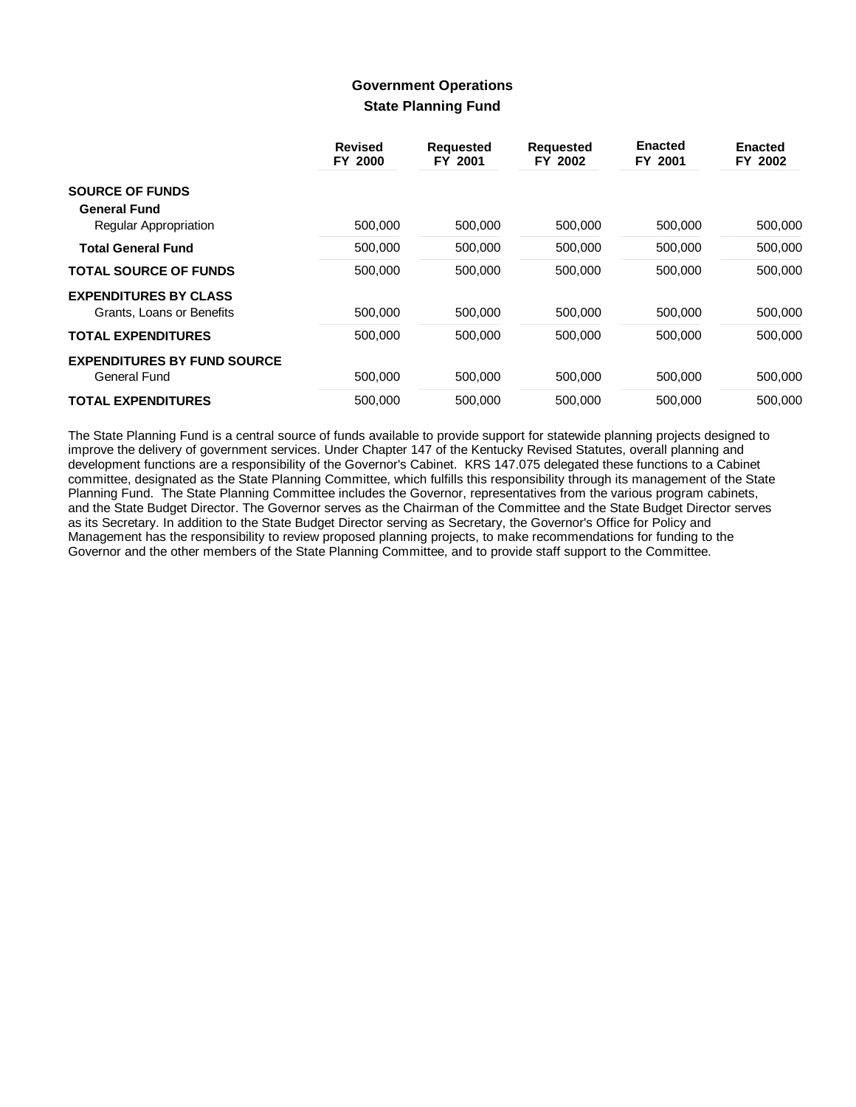# **Government Operations State Planning Fund**

|                                    | <b>Revised</b><br>FY 2000 | <b>Requested</b><br>FY 2001 | <b>Requested</b><br>FY 2002 | <b>Enacted</b><br>FY 2001 | <b>Enacted</b><br>FY 2002 |
|------------------------------------|---------------------------|-----------------------------|-----------------------------|---------------------------|---------------------------|
| <b>SOURCE OF FUNDS</b>             |                           |                             |                             |                           |                           |
| <b>General Fund</b>                |                           |                             |                             |                           |                           |
| Regular Appropriation              | 500,000                   | 500,000                     | 500,000                     | 500,000                   | 500,000                   |
| <b>Total General Fund</b>          | 500,000                   | 500,000                     | 500,000                     | 500,000                   | 500,000                   |
| <b>TOTAL SOURCE OF FUNDS</b>       | 500.000                   | 500,000                     | 500.000                     | 500.000                   | 500,000                   |
| <b>EXPENDITURES BY CLASS</b>       |                           |                             |                             |                           |                           |
| Grants, Loans or Benefits          | 500,000                   | 500.000                     | 500,000                     | 500,000                   | 500.000                   |
| <b>TOTAL EXPENDITURES</b>          | 500.000                   | 500.000                     | 500.000                     | 500.000                   | 500.000                   |
| <b>EXPENDITURES BY FUND SOURCE</b> |                           |                             |                             |                           |                           |
| <b>General Fund</b>                | 500,000                   | 500,000                     | 500,000                     | 500,000                   | 500,000                   |
| <b>TOTAL EXPENDITURES</b>          | 500.000                   | 500,000                     | 500.000                     | 500.000                   | 500.000                   |

The State Planning Fund is a central source of funds available to provide support for statewide planning projects designed to improve the delivery of government services. Under Chapter 147 of the Kentucky Revised Statutes, overall planning and development functions are a responsibility of the Governor's Cabinet. KRS 147.075 delegated these functions to a Cabinet committee, designated as the State Planning Committee, which fulfills this responsibility through its management of the State Planning Fund. The State Planning Committee includes the Governor, representatives from the various program cabinets, and the State Budget Director. The Governor serves as the Chairman of the Committee and the State Budget Director serves as its Secretary. In addition to the State Budget Director serving as Secretary, the Governor's Office for Policy and Management has the responsibility to review proposed planning projects, to make recommendations for funding to the Governor and the other members of the State Planning Committee, and to provide staff support to the Committee.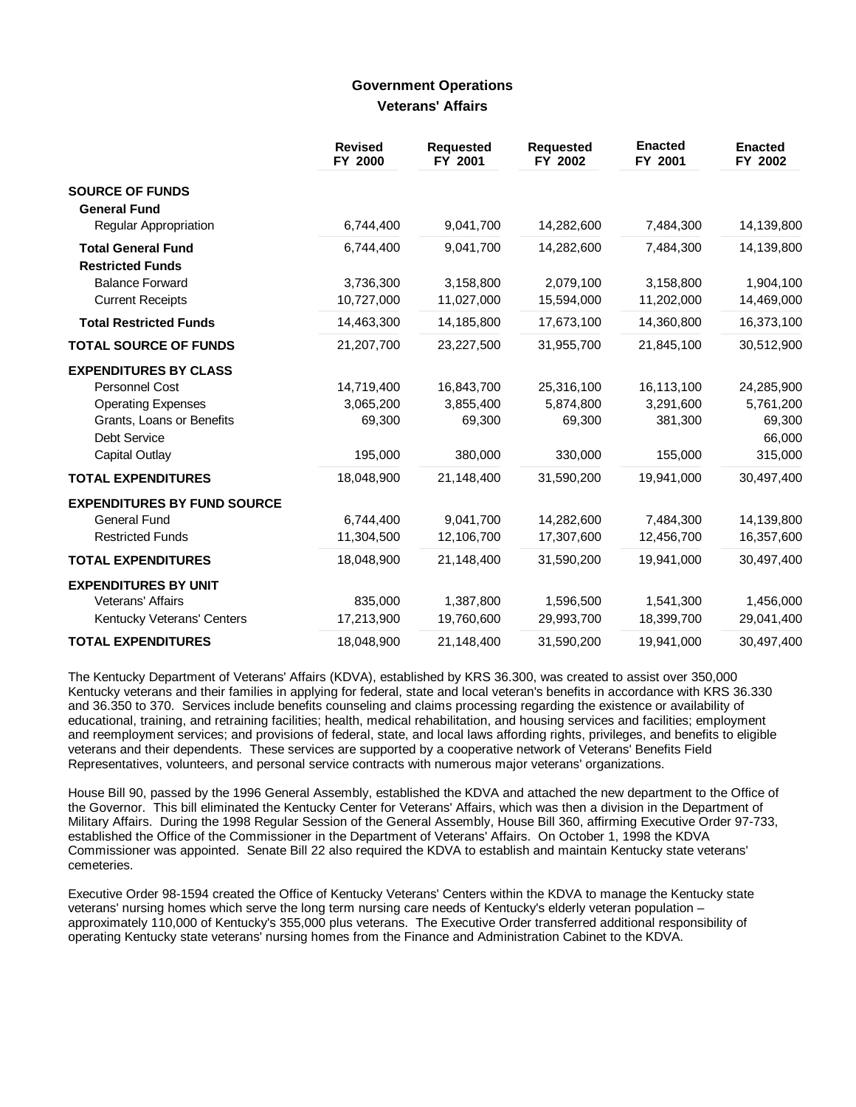### **Government Operations Veterans' Affairs**

|                                                      | <b>Revised</b><br>FY 2000 | <b>Requested</b><br>FY 2001 | <b>Requested</b><br>FY 2002 | <b>Enacted</b><br>FY 2001 | <b>Enacted</b><br>FY 2002 |
|------------------------------------------------------|---------------------------|-----------------------------|-----------------------------|---------------------------|---------------------------|
| <b>SOURCE OF FUNDS</b>                               |                           |                             |                             |                           |                           |
| <b>General Fund</b>                                  |                           |                             |                             |                           |                           |
| <b>Regular Appropriation</b>                         | 6,744,400                 | 9,041,700                   | 14,282,600                  | 7,484,300                 | 14,139,800                |
| <b>Total General Fund</b><br><b>Restricted Funds</b> | 6,744,400                 | 9,041,700                   | 14,282,600                  | 7,484,300                 | 14,139,800                |
| <b>Balance Forward</b>                               | 3,736,300                 | 3,158,800                   | 2,079,100                   | 3,158,800                 | 1,904,100                 |
| <b>Current Receipts</b>                              | 10,727,000                | 11,027,000                  | 15,594,000                  | 11,202,000                | 14,469,000                |
| <b>Total Restricted Funds</b>                        | 14,463,300                | 14,185,800                  | 17,673,100                  | 14,360,800                | 16,373,100                |
| <b>TOTAL SOURCE OF FUNDS</b>                         | 21,207,700                | 23,227,500                  | 31,955,700                  | 21,845,100                | 30,512,900                |
| <b>EXPENDITURES BY CLASS</b>                         |                           |                             |                             |                           |                           |
| Personnel Cost                                       | 14,719,400                | 16,843,700                  | 25,316,100                  | 16,113,100                | 24,285,900                |
| <b>Operating Expenses</b>                            | 3,065,200                 | 3,855,400                   | 5,874,800                   | 3,291,600                 | 5,761,200                 |
| Grants, Loans or Benefits                            | 69,300                    | 69,300                      | 69,300                      | 381,300                   | 69,300                    |
| Debt Service                                         |                           |                             |                             |                           | 66,000                    |
| Capital Outlay                                       | 195,000                   | 380,000                     | 330,000                     | 155,000                   | 315,000                   |
| <b>TOTAL EXPENDITURES</b>                            | 18,048,900                | 21,148,400                  | 31,590,200                  | 19,941,000                | 30,497,400                |
| <b>EXPENDITURES BY FUND SOURCE</b>                   |                           |                             |                             |                           |                           |
| <b>General Fund</b>                                  | 6,744,400                 | 9,041,700                   | 14,282,600                  | 7,484,300                 | 14,139,800                |
| <b>Restricted Funds</b>                              | 11,304,500                | 12,106,700                  | 17,307,600                  | 12,456,700                | 16,357,600                |
| <b>TOTAL EXPENDITURES</b>                            | 18,048,900                | 21,148,400                  | 31,590,200                  | 19,941,000                | 30,497,400                |
| <b>EXPENDITURES BY UNIT</b>                          |                           |                             |                             |                           |                           |
| Veterans' Affairs                                    | 835.000                   | 1,387,800                   | 1,596,500                   | 1,541,300                 | 1,456,000                 |
| Kentucky Veterans' Centers                           | 17,213,900                | 19,760,600                  | 29,993,700                  | 18,399,700                | 29,041,400                |
| <b>TOTAL EXPENDITURES</b>                            | 18,048,900                | 21,148,400                  | 31,590,200                  | 19,941,000                | 30,497,400                |

The Kentucky Department of Veterans' Affairs (KDVA), established by KRS 36.300, was created to assist over 350,000 Kentucky veterans and their families in applying for federal, state and local veteran's benefits in accordance with KRS 36.330 and 36.350 to 370. Services include benefits counseling and claims processing regarding the existence or availability of educational, training, and retraining facilities; health, medical rehabilitation, and housing services and facilities; employment and reemployment services; and provisions of federal, state, and local laws affording rights, privileges, and benefits to eligible veterans and their dependents. These services are supported by a cooperative network of Veterans' Benefits Field Representatives, volunteers, and personal service contracts with numerous major veterans' organizations.

House Bill 90, passed by the 1996 General Assembly, established the KDVA and attached the new department to the Office of the Governor. This bill eliminated the Kentucky Center for Veterans' Affairs, which was then a division in the Department of Military Affairs. During the 1998 Regular Session of the General Assembly, House Bill 360, affirming Executive Order 97-733, established the Office of the Commissioner in the Department of Veterans' Affairs. On October 1, 1998 the KDVA Commissioner was appointed. Senate Bill 22 also required the KDVA to establish and maintain Kentucky state veterans' cemeteries.

Executive Order 98-1594 created the Office of Kentucky Veterans' Centers within the KDVA to manage the Kentucky state veterans' nursing homes which serve the long term nursing care needs of Kentucky's elderly veteran population – approximately 110,000 of Kentucky's 355,000 plus veterans. The Executive Order transferred additional responsibility of operating Kentucky state veterans' nursing homes from the Finance and Administration Cabinet to the KDVA.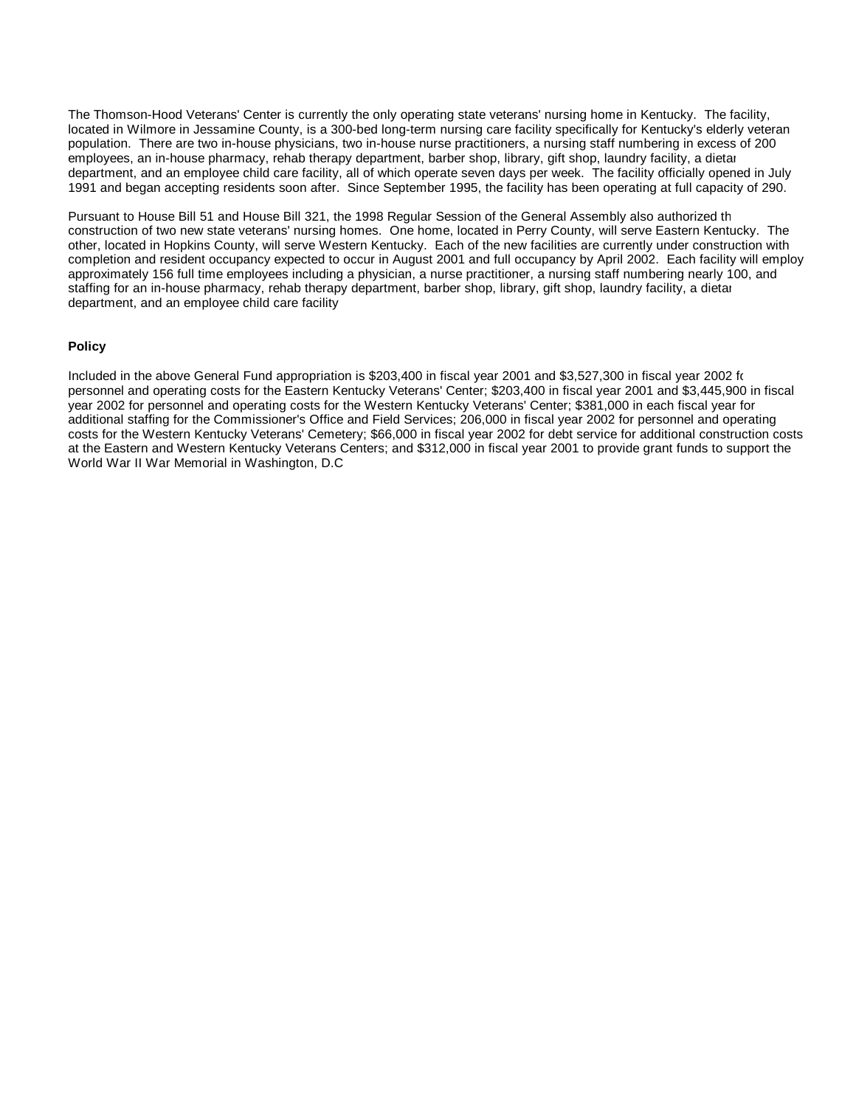The Thomson-Hood Veterans' Center is currently the only operating state veterans' nursing home in Kentucky. The facility, located in Wilmore in Jessamine County, is a 300-bed long-term nursing care facility specifically for Kentucky's elderly veteran population. There are two in-house physicians, two in-house nurse practitioners, a nursing staff numbering in excess of 200 employees, an in-house pharmacy, rehab therapy department, barber shop, library, gift shop, laundry facility, a dietar department, and an employee child care facility, all of which operate seven days per week. The facility officially opened in July 1991 and began accepting residents soon after. Since September 1995, the facility has been operating at full capacity of 290.

Pursuant to House Bill 51 and House Bill 321, the 1998 Regular Session of the General Assembly also authorized th construction of two new state veterans' nursing homes. One home, located in Perry County, will serve Eastern Kentucky. The other, located in Hopkins County, will serve Western Kentucky. Each of the new facilities are currently under construction with completion and resident occupancy expected to occur in August 2001 and full occupancy by April 2002. Each facility will employ approximately 156 full time employees including a physician, a nurse practitioner, a nursing staff numbering nearly 100, and staffing for an in-house pharmacy, rehab therapy department, barber shop, library, gift shop, laundry facility, a dietar department, and an employee child care facility.

#### **Policy**

Included in the above General Fund appropriation is \$203,400 in fiscal year 2001 and \$3,527,300 in fiscal year 2002 for personnel and operating costs for the Eastern Kentucky Veterans' Center; \$203,400 in fiscal year 2001 and \$3,445,900 in fiscal year 2002 for personnel and operating costs for the Western Kentucky Veterans' Center; \$381,000 in each fiscal year for additional staffing for the Commissioner's Office and Field Services; 206,000 in fiscal year 2002 for personnel and operating costs for the Western Kentucky Veterans' Cemetery; \$66,000 in fiscal year 2002 for debt service for additional construction costs at the Eastern and Western Kentucky Veterans Centers; and \$312,000 in fiscal year 2001 to provide grant funds to support the World War II War Memorial in Washington, D.C.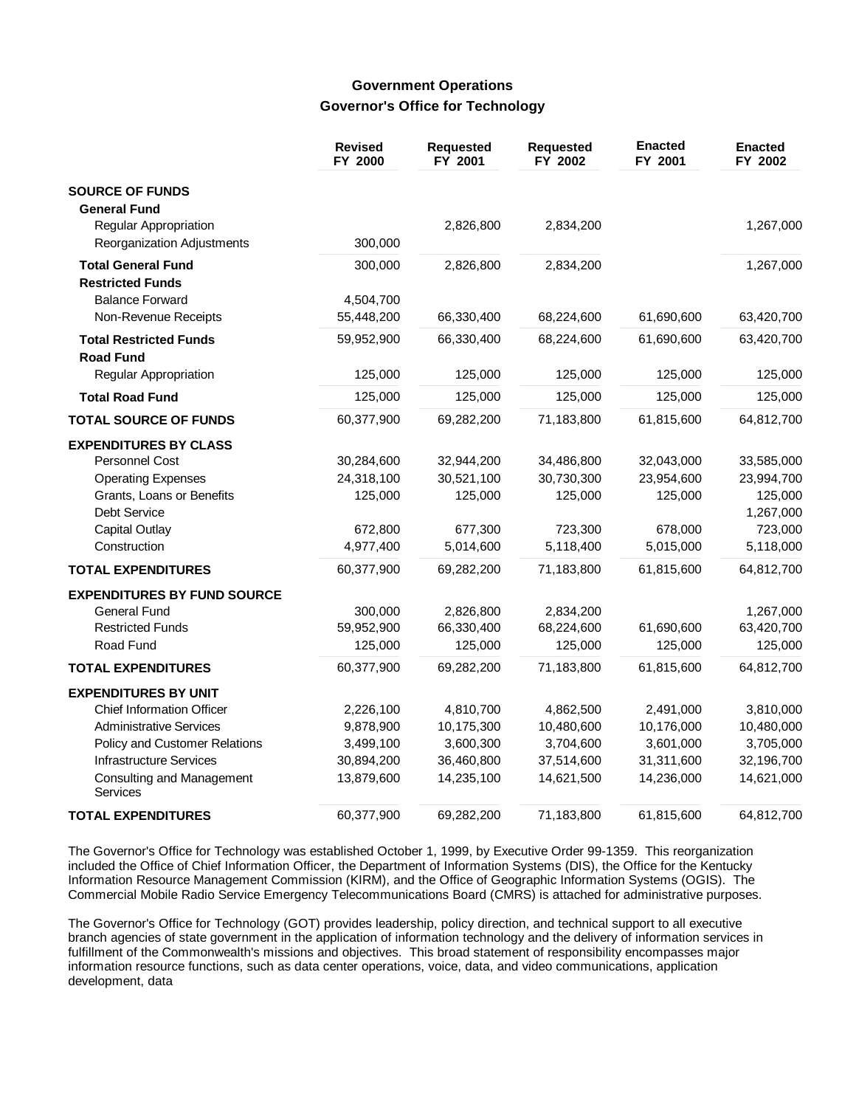# **Government Operations Governor's Office for Technology**

|                                                   | <b>Revised</b><br>FY 2000 | Requested<br>FY 2001 | <b>Requested</b><br>FY 2002 | <b>Enacted</b><br>FY 2001 | <b>Enacted</b><br>FY 2002 |
|---------------------------------------------------|---------------------------|----------------------|-----------------------------|---------------------------|---------------------------|
| <b>SOURCE OF FUNDS</b>                            |                           |                      |                             |                           |                           |
| <b>General Fund</b>                               |                           |                      |                             |                           |                           |
| Regular Appropriation                             |                           | 2,826,800            | 2,834,200                   |                           | 1,267,000                 |
| Reorganization Adjustments                        | 300,000                   |                      |                             |                           |                           |
| <b>Total General Fund</b>                         | 300,000                   | 2,826,800            | 2,834,200                   |                           | 1,267,000                 |
| <b>Restricted Funds</b>                           |                           |                      |                             |                           |                           |
| <b>Balance Forward</b>                            | 4,504,700                 |                      |                             |                           |                           |
| Non-Revenue Receipts                              | 55,448,200                | 66,330,400           | 68,224,600                  | 61,690,600                | 63,420,700                |
| <b>Total Restricted Funds</b><br><b>Road Fund</b> | 59,952,900                | 66,330,400           | 68,224,600                  | 61,690,600                | 63,420,700                |
| Regular Appropriation                             | 125,000                   | 125,000              | 125,000                     | 125,000                   | 125,000                   |
| <b>Total Road Fund</b>                            | 125,000                   | 125,000              | 125,000                     | 125,000                   | 125,000                   |
| <b>TOTAL SOURCE OF FUNDS</b>                      | 60,377,900                | 69,282,200           | 71,183,800                  | 61,815,600                | 64,812,700                |
| <b>EXPENDITURES BY CLASS</b>                      |                           |                      |                             |                           |                           |
| Personnel Cost                                    | 30,284,600                | 32,944,200           | 34,486,800                  | 32,043,000                | 33,585,000                |
| <b>Operating Expenses</b>                         | 24,318,100                | 30,521,100           | 30,730,300                  | 23,954,600                | 23,994,700                |
| Grants, Loans or Benefits                         | 125,000                   | 125,000              | 125,000                     | 125,000                   | 125,000                   |
| Debt Service                                      |                           |                      |                             |                           | 1,267,000                 |
| <b>Capital Outlay</b>                             | 672,800                   | 677,300              | 723,300                     | 678,000                   | 723,000                   |
| Construction                                      | 4,977,400                 | 5,014,600            | 5,118,400                   | 5,015,000                 | 5,118,000                 |
| <b>TOTAL EXPENDITURES</b>                         | 60,377,900                | 69,282,200           | 71,183,800                  | 61,815,600                | 64,812,700                |
| <b>EXPENDITURES BY FUND SOURCE</b>                |                           |                      |                             |                           |                           |
| <b>General Fund</b>                               | 300,000                   | 2,826,800            | 2,834,200                   |                           | 1,267,000                 |
| <b>Restricted Funds</b>                           | 59,952,900                | 66,330,400           | 68,224,600                  | 61,690,600                | 63,420,700                |
| Road Fund                                         | 125,000                   | 125,000              | 125,000                     | 125,000                   | 125,000                   |
| <b>TOTAL EXPENDITURES</b>                         | 60,377,900                | 69,282,200           | 71,183,800                  | 61,815,600                | 64,812,700                |
| <b>EXPENDITURES BY UNIT</b>                       |                           |                      |                             |                           |                           |
| <b>Chief Information Officer</b>                  | 2,226,100                 | 4,810,700            | 4,862,500                   | 2,491,000                 | 3,810,000                 |
| <b>Administrative Services</b>                    | 9,878,900                 | 10,175,300           | 10,480,600                  | 10,176,000                | 10,480,000                |
| Policy and Customer Relations                     | 3,499,100                 | 3,600,300            | 3,704,600                   | 3,601,000                 | 3,705,000                 |
| <b>Infrastructure Services</b>                    | 30,894,200                | 36,460,800           | 37,514,600                  | 31,311,600                | 32,196,700                |
| Consulting and Management<br>Services             | 13,879,600                | 14,235,100           | 14,621,500                  | 14,236,000                | 14,621,000                |
| <b>TOTAL EXPENDITURES</b>                         | 60,377,900                | 69,282,200           | 71,183,800                  | 61,815,600                | 64,812,700                |

The Governor's Office for Technology was established October 1, 1999, by Executive Order 99-1359. This reorganization included the Office of Chief Information Officer, the Department of Information Systems (DIS), the Office for the Kentucky Information Resource Management Commission (KIRM), and the Office of Geographic Information Systems (OGIS). The Commercial Mobile Radio Service Emergency Telecommunications Board (CMRS) is attached for administrative purposes.

The Governor's Office for Technology (GOT) provides leadership, policy direction, and technical support to all executive branch agencies of state government in the application of information technology and the delivery of information services in fulfillment of the Commonwealth's missions and objectives. This broad statement of responsibility encompasses major information resource functions, such as data center operations, voice, data, and video communications, application development, data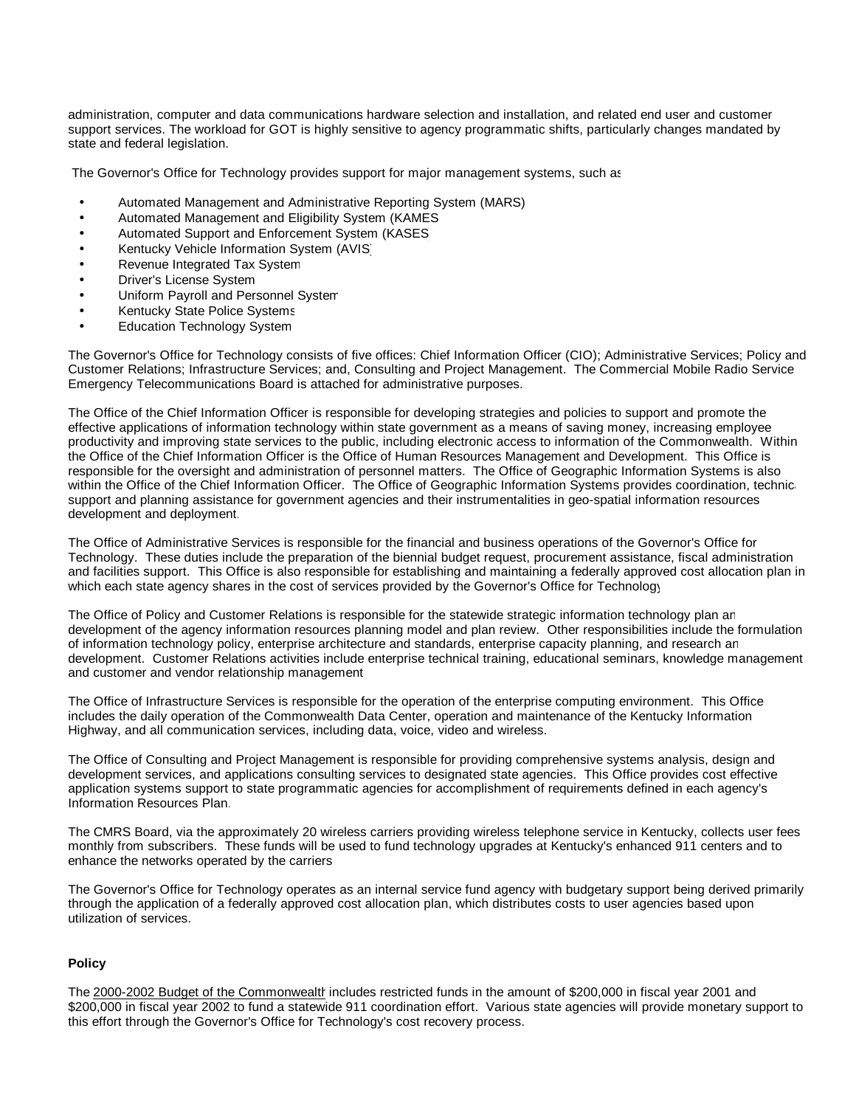administration, computer and data communications hardware selection and installation, and related end user and customer support services. The workload for GOT is highly sensitive to agency programmatic shifts, particularly changes mandated by state and federal legislation.

The Governor's Office for Technology provides support for major management systems, such as:

- Automated Management and Administrative Reporting System (MARS)
- Automated Management and Eligibility System (KAMES)
- Automated Support and Enforcement System (KASES)
- Kentucky Vehicle Information System (AVIS)
- Revenue Integrated Tax System
- **Driver's License System**
- Uniform Payroll and Personnel System
- Kentucky State Police Systems
- **Education Technology System**

The Governor's Office for Technology consists of five offices: Chief Information Officer (CIO); Administrative Services; Policy and Customer Relations; Infrastructure Services; and, Consulting and Project Management. The Commercial Mobile Radio Service Emergency Telecommunications Board is attached for administrative purposes.

The Office of the Chief Information Officer is responsible for developing strategies and policies to support and promote the effective applications of information technology within state government as a means of saving money, increasing employee productivity and improving state services to the public, including electronic access to information of the Commonwealth. Within the Office of the Chief Information Officer is the Office of Human Resources Management and Development. This Office is responsible for the oversight and administration of personnel matters. The Office of Geographic Information Systems is also within the Office of the Chief Information Officer. The Office of Geographic Information Systems provides coordination, technic support and planning assistance for government agencies and their instrumentalities in geo-spatial information resources development and deployment.

The Office of Administrative Services is responsible for the financial and business operations of the Governor's Office for Technology. These duties include the preparation of the biennial budget request, procurement assistance, fiscal administration and facilities support. This Office is also responsible for establishing and maintaining a federally approved cost allocation plan in which each state agency shares in the cost of services provided by the Governor's Office for Technology.

The Office of Policy and Customer Relations is responsible for the statewide strategic information technology plan an development of the agency information resources planning model and plan review. Other responsibilities include the formulation of information technology policy, enterprise architecture and standards, enterprise capacity planning, and research and development. Customer Relations activities include enterprise technical training, educational seminars, knowledge management and customer and vendor relationship management.

The Office of Infrastructure Services is responsible for the operation of the enterprise computing environment. This Office includes the daily operation of the Commonwealth Data Center, operation and maintenance of the Kentucky Information Highway, and all communication services, including data, voice, video and wireless.

The Office of Consulting and Project Management is responsible for providing comprehensive systems analysis, design and development services, and applications consulting services to designated state agencies. This Office provides cost effective application systems support to state programmatic agencies for accomplishment of requirements defined in each agency's Information Resources Plan.

The CMRS Board, via the approximately 20 wireless carriers providing wireless telephone service in Kentucky, collects user fees monthly from subscribers. These funds will be used to fund technology upgrades at Kentucky's enhanced 911 centers and to enhance the networks operated by the carriers.

The Governor's Office for Technology operates as an internal service fund agency with budgetary support being derived primarily through the application of a federally approved cost allocation plan, which distributes costs to user agencies based upon utilization of services.

#### **Policy**

The 2000-2002 Budget of the Commonwealth includes restricted funds in the amount of \$200,000 in fiscal year 2001 and \$200,000 in fiscal year 2002 to fund a statewide 911 coordination effort. Various state agencies will provide monetary support to this effort through the Governor's Office for Technology's cost recovery process.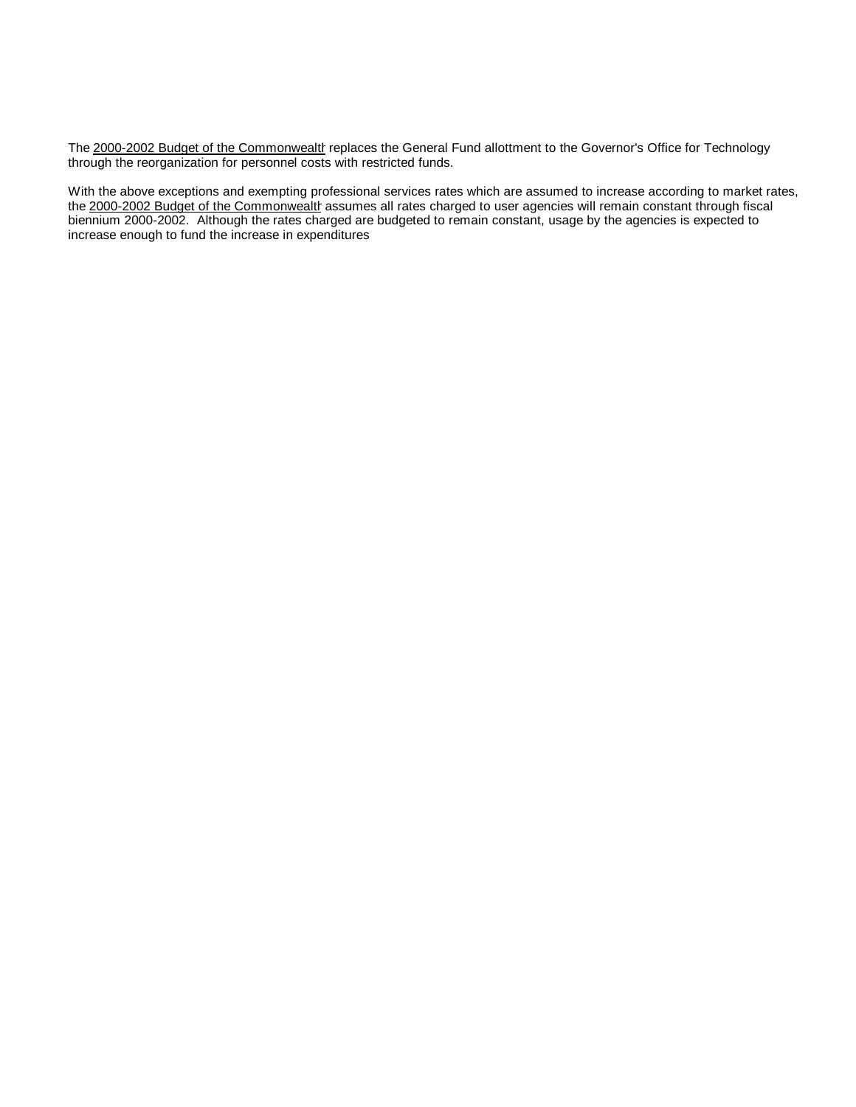The 2000-2002 Budget of the Commonwealth replaces the General Fund allottment to the Governor's Office for Technology through the reorganization for personnel costs with restricted funds.

With the above exceptions and exempting professional services rates which are assumed to increase according to market rates, the 2000-2002 Budget of the Commonwealth assumes all rates charged to user agencies will remain constant through fiscal biennium 2000-2002. Although the rates charged are budgeted to remain constant, usage by the agencies is expected to increase enough to fund the increase in expenditures.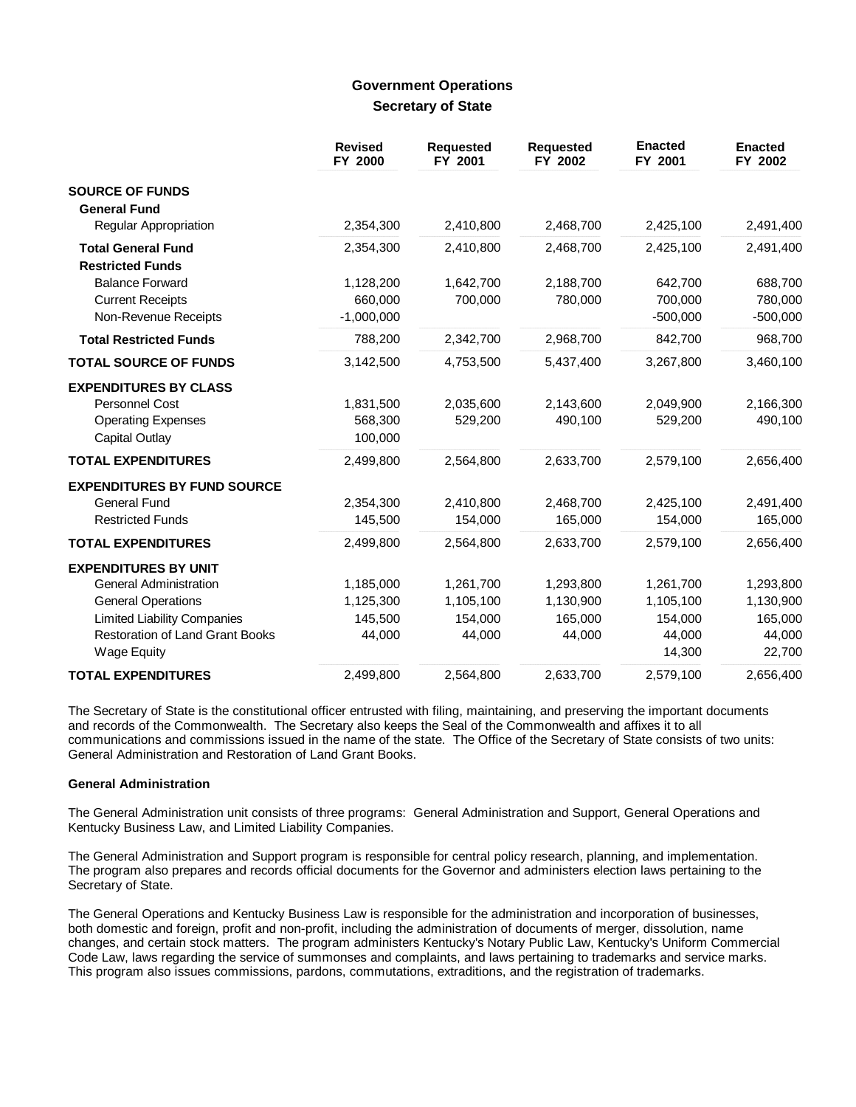### **Government Operations Secretary of State**

|                                                                                                             | <b>Revised</b><br>FY 2000       | <b>Requested</b><br>FY 2001 | <b>Requested</b><br>FY 2002 | <b>Enacted</b><br>FY 2001 | <b>Enacted</b><br>FY 2002 |
|-------------------------------------------------------------------------------------------------------------|---------------------------------|-----------------------------|-----------------------------|---------------------------|---------------------------|
| <b>SOURCE OF FUNDS</b><br><b>General Fund</b>                                                               |                                 |                             |                             |                           |                           |
| <b>Regular Appropriation</b>                                                                                | 2,354,300                       | 2,410,800                   | 2,468,700                   | 2,425,100                 | 2,491,400                 |
| <b>Total General Fund</b><br><b>Restricted Funds</b>                                                        | 2,354,300                       | 2,410,800                   | 2,468,700                   | 2,425,100                 | 2,491,400                 |
| <b>Balance Forward</b>                                                                                      | 1,128,200                       | 1,642,700                   | 2,188,700                   | 642,700                   | 688,700                   |
| <b>Current Receipts</b>                                                                                     | 660,000                         | 700,000                     | 780,000                     | 700,000                   | 780,000                   |
| Non-Revenue Receipts                                                                                        | $-1,000,000$                    |                             |                             | $-500,000$                | $-500,000$                |
| <b>Total Restricted Funds</b>                                                                               | 788,200                         | 2,342,700                   | 2,968,700                   | 842,700                   | 968,700                   |
| <b>TOTAL SOURCE OF FUNDS</b>                                                                                | 3,142,500                       | 4,753,500                   | 5,437,400                   | 3,267,800                 | 3,460,100                 |
| <b>EXPENDITURES BY CLASS</b><br><b>Personnel Cost</b><br><b>Operating Expenses</b><br><b>Capital Outlay</b> | 1,831,500<br>568,300<br>100,000 | 2,035,600<br>529,200        | 2,143,600<br>490,100        | 2,049,900<br>529,200      | 2,166,300<br>490,100      |
| <b>TOTAL EXPENDITURES</b>                                                                                   | 2,499,800                       | 2,564,800                   | 2,633,700                   | 2,579,100                 | 2,656,400                 |
| <b>EXPENDITURES BY FUND SOURCE</b><br><b>General Fund</b><br><b>Restricted Funds</b>                        | 2,354,300<br>145,500            | 2,410,800<br>154,000        | 2,468,700<br>165,000        | 2,425,100<br>154,000      | 2,491,400<br>165,000      |
| <b>TOTAL EXPENDITURES</b>                                                                                   | 2,499,800                       | 2,564,800                   | 2,633,700                   | 2,579,100                 | 2,656,400                 |
| <b>EXPENDITURES BY UNIT</b>                                                                                 |                                 |                             |                             |                           |                           |
| <b>General Administration</b>                                                                               | 1,185,000                       | 1,261,700                   | 1,293,800                   | 1,261,700                 | 1,293,800                 |
| <b>General Operations</b>                                                                                   | 1,125,300                       | 1,105,100                   | 1,130,900                   | 1,105,100                 | 1,130,900                 |
| <b>Limited Liability Companies</b>                                                                          | 145,500                         | 154,000                     | 165,000                     | 154,000                   | 165,000                   |
| <b>Restoration of Land Grant Books</b><br><b>Wage Equity</b>                                                | 44,000                          | 44,000                      | 44,000                      | 44,000<br>14,300          | 44,000<br>22,700          |
| <b>TOTAL EXPENDITURES</b>                                                                                   | 2,499,800                       | 2,564,800                   | 2,633,700                   | 2,579,100                 | 2,656,400                 |

The Secretary of State is the constitutional officer entrusted with filing, maintaining, and preserving the important documents and records of the Commonwealth. The Secretary also keeps the Seal of the Commonwealth and affixes it to all communications and commissions issued in the name of the state. The Office of the Secretary of State consists of two units: General Administration and Restoration of Land Grant Books.

### **General Administration**

The General Administration unit consists of three programs: General Administration and Support, General Operations and Kentucky Business Law, and Limited Liability Companies.

The General Administration and Support program is responsible for central policy research, planning, and implementation. The program also prepares and records official documents for the Governor and administers election laws pertaining to the Secretary of State.

The General Operations and Kentucky Business Law is responsible for the administration and incorporation of businesses, both domestic and foreign, profit and non-profit, including the administration of documents of merger, dissolution, name changes, and certain stock matters. The program administers Kentucky's Notary Public Law, Kentucky's Uniform Commercial Code Law, laws regarding the service of summonses and complaints, and laws pertaining to trademarks and service marks. This program also issues commissions, pardons, commutations, extraditions, and the registration of trademarks.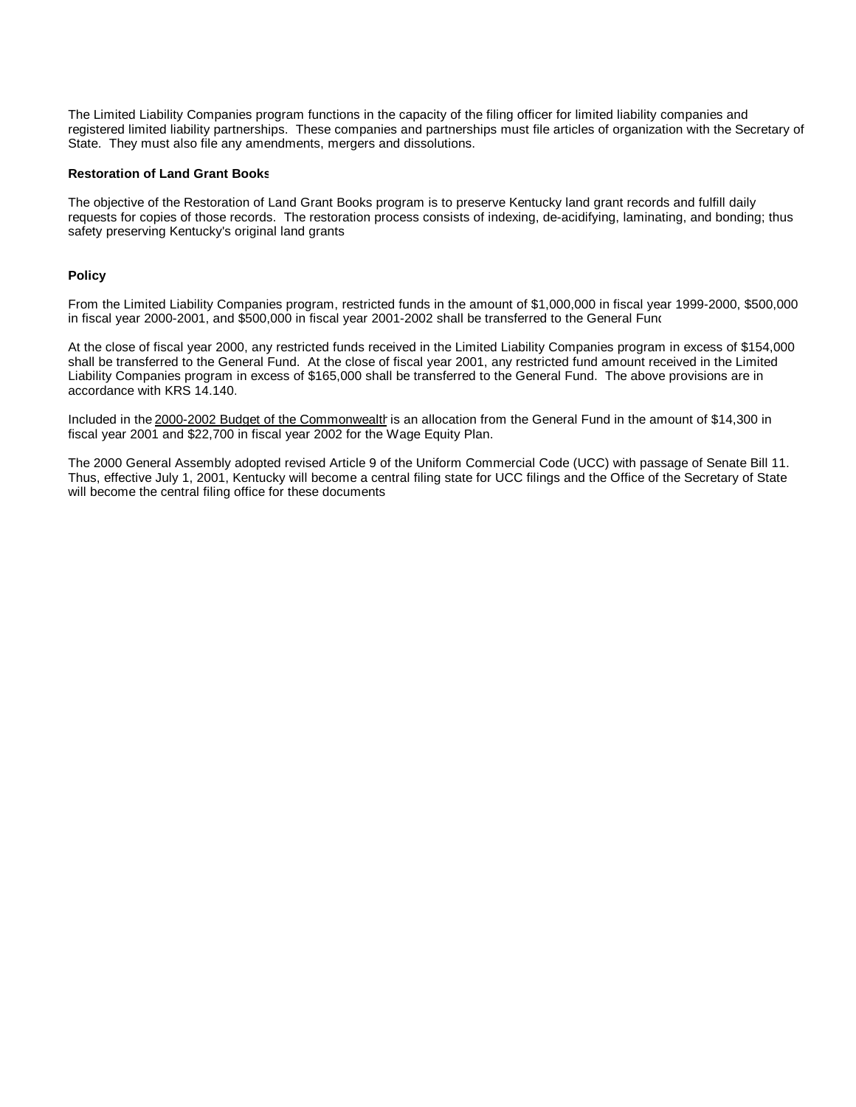The Limited Liability Companies program functions in the capacity of the filing officer for limited liability companies and registered limited liability partnerships. These companies and partnerships must file articles of organization with the Secretary of State. They must also file any amendments, mergers and dissolutions.

#### **Restoration of Land Grant Books**

The objective of the Restoration of Land Grant Books program is to preserve Kentucky land grant records and fulfill daily requests for copies of those records. The restoration process consists of indexing, de-acidifying, laminating, and bonding; thus safety preserving Kentucky's original land grants.

#### **Policy**

From the Limited Liability Companies program, restricted funds in the amount of \$1,000,000 in fiscal year 1999-2000, \$500,000 in fiscal year 2000-2001, and \$500,000 in fiscal year 2001-2002 shall be transferred to the General Fund.

At the close of fiscal year 2000, any restricted funds received in the Limited Liability Companies program in excess of \$154,000 shall be transferred to the General Fund. At the close of fiscal year 2001, any restricted fund amount received in the Limited Liability Companies program in excess of \$165,000 shall be transferred to the General Fund. The above provisions are in accordance with KRS 14.140.

Included in the 2000-2002 Budget of the Commonwealth is an allocation from the General Fund in the amount of \$14,300 in fiscal year 2001 and \$22,700 in fiscal year 2002 for the Wage Equity Plan.

The 2000 General Assembly adopted revised Article 9 of the Uniform Commercial Code (UCC) with passage of Senate Bill 11. Thus, effective July 1, 2001, Kentucky will become a central filing state for UCC filings and the Office of the Secretary of State will become the central filing office for these documents.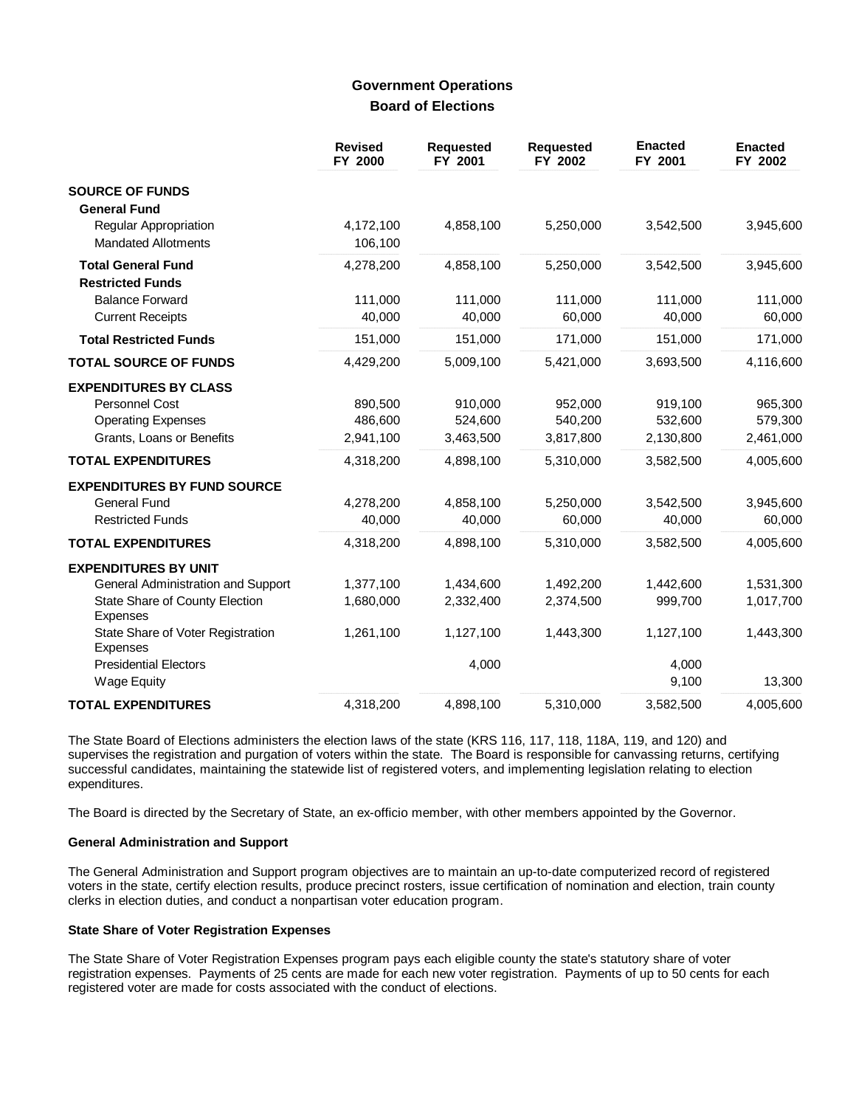### **Government Operations Board of Elections**

|                                                                                                                        | <b>Revised</b><br>FY 2000       | <b>Requested</b><br>FY 2001     | <b>Requested</b><br>FY 2002     | <b>Enacted</b><br>FY 2001       | <b>Enacted</b><br>FY 2002       |
|------------------------------------------------------------------------------------------------------------------------|---------------------------------|---------------------------------|---------------------------------|---------------------------------|---------------------------------|
| <b>SOURCE OF FUNDS</b><br><b>General Fund</b>                                                                          |                                 |                                 |                                 |                                 |                                 |
| <b>Regular Appropriation</b><br><b>Mandated Allotments</b>                                                             | 4,172,100<br>106,100            | 4,858,100                       | 5,250,000                       | 3,542,500                       | 3,945,600                       |
| <b>Total General Fund</b><br><b>Restricted Funds</b>                                                                   | 4,278,200                       | 4,858,100                       | 5,250,000                       | 3,542,500                       | 3,945,600                       |
| <b>Balance Forward</b><br><b>Current Receipts</b>                                                                      | 111,000<br>40,000               | 111,000<br>40,000               | 111,000<br>60,000               | 111,000<br>40,000               | 111,000<br>60,000               |
| <b>Total Restricted Funds</b>                                                                                          | 151,000                         | 151,000                         | 171,000                         | 151,000                         | 171,000                         |
| <b>TOTAL SOURCE OF FUNDS</b>                                                                                           | 4,429,200                       | 5,009,100                       | 5,421,000                       | 3,693,500                       | 4,116,600                       |
| <b>EXPENDITURES BY CLASS</b><br><b>Personnel Cost</b><br><b>Operating Expenses</b><br>Grants, Loans or Benefits        | 890,500<br>486,600<br>2,941,100 | 910,000<br>524,600<br>3,463,500 | 952,000<br>540,200<br>3,817,800 | 919,100<br>532,600<br>2,130,800 | 965,300<br>579,300<br>2,461,000 |
| <b>TOTAL EXPENDITURES</b>                                                                                              | 4,318,200                       | 4,898,100                       | 5,310,000                       | 3,582,500                       | 4,005,600                       |
| <b>EXPENDITURES BY FUND SOURCE</b><br><b>General Fund</b><br><b>Restricted Funds</b>                                   | 4,278,200<br>40,000             | 4,858,100<br>40,000             | 5,250,000<br>60,000             | 3,542,500<br>40,000             | 3,945,600<br>60,000             |
| <b>TOTAL EXPENDITURES</b>                                                                                              | 4,318,200                       | 4,898,100                       | 5,310,000                       | 3,582,500                       | 4,005,600                       |
| <b>EXPENDITURES BY UNIT</b><br>General Administration and Support<br>State Share of County Election<br><b>Expenses</b> | 1,377,100<br>1,680,000          | 1,434,600<br>2,332,400          | 1,492,200<br>2,374,500          | 1,442,600<br>999,700            | 1,531,300<br>1,017,700          |
| State Share of Voter Registration<br><b>Expenses</b>                                                                   | 1,261,100                       | 1,127,100                       | 1,443,300                       | 1,127,100                       | 1,443,300                       |
| <b>Presidential Electors</b><br><b>Wage Equity</b>                                                                     |                                 | 4,000                           |                                 | 4,000<br>9,100                  | 13,300                          |
| <b>TOTAL EXPENDITURES</b>                                                                                              | 4,318,200                       | 4,898,100                       | 5,310,000                       | 3,582,500                       | 4,005,600                       |

The State Board of Elections administers the election laws of the state (KRS 116, 117, 118, 118A, 119, and 120) and supervises the registration and purgation of voters within the state. The Board is responsible for canvassing returns, certifying successful candidates, maintaining the statewide list of registered voters, and implementing legislation relating to election expenditures.

The Board is directed by the Secretary of State, an ex-officio member, with other members appointed by the Governor.

### **General Administration and Support**

The General Administration and Support program objectives are to maintain an up-to-date computerized record of registered voters in the state, certify election results, produce precinct rosters, issue certification of nomination and election, train county clerks in election duties, and conduct a nonpartisan voter education program.

### **State Share of Voter Registration Expenses**

The State Share of Voter Registration Expenses program pays each eligible county the state's statutory share of voter registration expenses. Payments of 25 cents are made for each new voter registration. Payments of up to 50 cents for each registered voter are made for costs associated with the conduct of elections.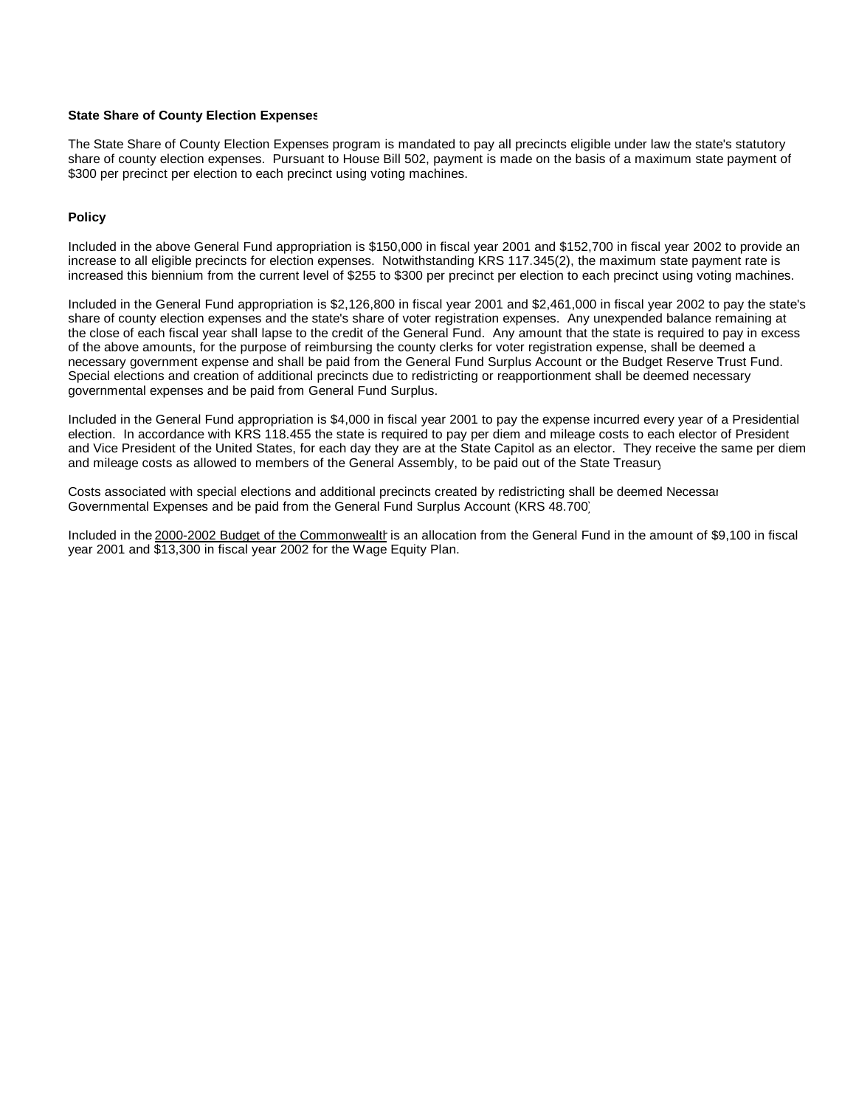#### **State Share of County Election Expenses**

The State Share of County Election Expenses program is mandated to pay all precincts eligible under law the state's statutory share of county election expenses. Pursuant to House Bill 502, payment is made on the basis of a maximum state payment of \$300 per precinct per election to each precinct using voting machines.

#### **Policy**

Included in the above General Fund appropriation is \$150,000 in fiscal year 2001 and \$152,700 in fiscal year 2002 to provide an increase to all eligible precincts for election expenses. Notwithstanding KRS 117.345(2), the maximum state payment rate is increased this biennium from the current level of \$255 to \$300 per precinct per election to each precinct using voting machines.

Included in the General Fund appropriation is \$2,126,800 in fiscal year 2001 and \$2,461,000 in fiscal year 2002 to pay the state's share of county election expenses and the state's share of voter registration expenses. Any unexpended balance remaining at the close of each fiscal year shall lapse to the credit of the General Fund. Any amount that the state is required to pay in excess of the above amounts, for the purpose of reimbursing the county clerks for voter registration expense, shall be deemed a necessary government expense and shall be paid from the General Fund Surplus Account or the Budget Reserve Trust Fund. Special elections and creation of additional precincts due to redistricting or reapportionment shall be deemed necessary governmental expenses and be paid from General Fund Surplus.

Included in the General Fund appropriation is \$4,000 in fiscal year 2001 to pay the expense incurred every year of a Presidential election. In accordance with KRS 118.455 the state is required to pay per diem and mileage costs to each elector of President and Vice President of the United States, for each day they are at the State Capitol as an elector. They receive the same per diem and mileage costs as allowed to members of the General Assembly, to be paid out of the State Treasury.

Costs associated with special elections and additional precincts created by redistricting shall be deemed Necessar Governmental Expenses and be paid from the General Fund Surplus Account (KRS 48.700).

Included in the 2000-2002 Budget of the Commonwealth is an allocation from the General Fund in the amount of \$9,100 in fiscal year 2001 and \$13,300 in fiscal year 2002 for the Wage Equity Plan.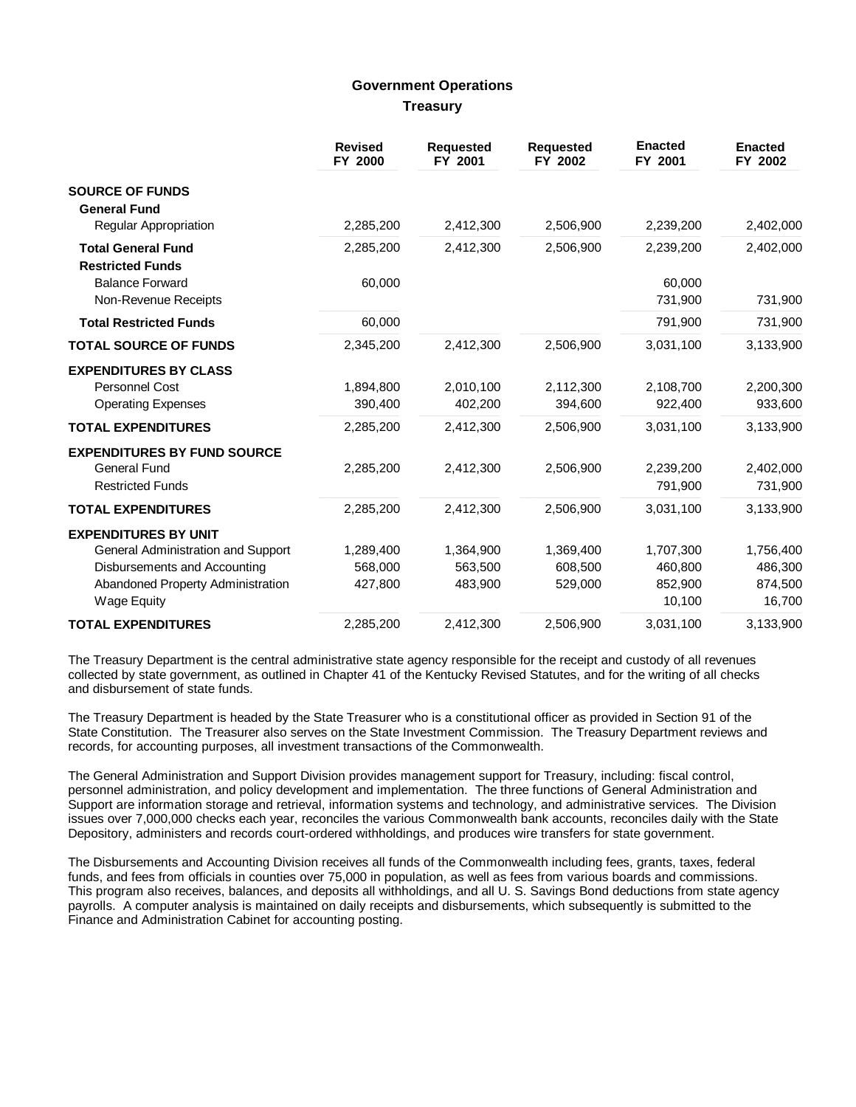## **Government Operations Treasury**

|                                                                                      | <b>Revised</b><br>FY 2000 | <b>Requested</b><br>FY 2001 | <b>Requested</b><br>FY 2002 | <b>Enacted</b><br>FY 2001 | <b>Enacted</b><br>FY 2002 |
|--------------------------------------------------------------------------------------|---------------------------|-----------------------------|-----------------------------|---------------------------|---------------------------|
| <b>SOURCE OF FUNDS</b><br><b>General Fund</b>                                        |                           |                             |                             |                           |                           |
| <b>Regular Appropriation</b>                                                         | 2,285,200                 | 2,412,300                   | 2,506,900                   | 2,239,200                 | 2,402,000                 |
| <b>Total General Fund</b><br><b>Restricted Funds</b>                                 | 2,285,200                 | 2,412,300                   | 2,506,900                   | 2,239,200                 | 2,402,000                 |
| <b>Balance Forward</b><br>Non-Revenue Receipts                                       | 60,000                    |                             |                             | 60,000<br>731,900         | 731,900                   |
| <b>Total Restricted Funds</b>                                                        | 60,000                    |                             |                             | 791,900                   | 731,900                   |
| <b>TOTAL SOURCE OF FUNDS</b>                                                         | 2,345,200                 | 2,412,300                   | 2,506,900                   | 3,031,100                 | 3,133,900                 |
| <b>EXPENDITURES BY CLASS</b><br>Personnel Cost<br><b>Operating Expenses</b>          | 1,894,800<br>390,400      | 2,010,100<br>402,200        | 2,112,300<br>394,600        | 2,108,700<br>922,400      | 2,200,300<br>933,600      |
| <b>TOTAL EXPENDITURES</b>                                                            | 2,285,200                 | 2,412,300                   | 2,506,900                   | 3,031,100                 | 3,133,900                 |
| <b>EXPENDITURES BY FUND SOURCE</b><br><b>General Fund</b><br><b>Restricted Funds</b> | 2,285,200                 | 2,412,300                   | 2,506,900                   | 2,239,200<br>791,900      | 2,402,000<br>731,900      |
| <b>TOTAL EXPENDITURES</b>                                                            | 2,285,200                 | 2,412,300                   | 2,506,900                   | 3,031,100                 | 3,133,900                 |
| <b>EXPENDITURES BY UNIT</b>                                                          |                           |                             |                             |                           |                           |
| General Administration and Support                                                   | 1,289,400                 | 1,364,900                   | 1,369,400                   | 1,707,300                 | 1,756,400                 |
| Disbursements and Accounting                                                         | 568,000                   | 563,500                     | 608,500                     | 460,800                   | 486,300                   |
| Abandoned Property Administration<br><b>Wage Equity</b>                              | 427,800                   | 483,900                     | 529,000                     | 852,900<br>10,100         | 874,500<br>16,700         |
| <b>TOTAL EXPENDITURES</b>                                                            | 2,285,200                 | 2,412,300                   | 2,506,900                   | 3,031,100                 | 3,133,900                 |

The Treasury Department is the central administrative state agency responsible for the receipt and custody of all revenues collected by state government, as outlined in Chapter 41 of the Kentucky Revised Statutes, and for the writing of all checks and disbursement of state funds.

The Treasury Department is headed by the State Treasurer who is a constitutional officer as provided in Section 91 of the State Constitution. The Treasurer also serves on the State Investment Commission. The Treasury Department reviews and records, for accounting purposes, all investment transactions of the Commonwealth.

The General Administration and Support Division provides management support for Treasury, including: fiscal control, personnel administration, and policy development and implementation. The three functions of General Administration and Support are information storage and retrieval, information systems and technology, and administrative services. The Division issues over 7,000,000 checks each year, reconciles the various Commonwealth bank accounts, reconciles daily with the State Depository, administers and records court-ordered withholdings, and produces wire transfers for state government.

The Disbursements and Accounting Division receives all funds of the Commonwealth including fees, grants, taxes, federal funds, and fees from officials in counties over 75,000 in population, as well as fees from various boards and commissions. This program also receives, balances, and deposits all withholdings, and all U. S. Savings Bond deductions from state agency payrolls. A computer analysis is maintained on daily receipts and disbursements, which subsequently is submitted to the Finance and Administration Cabinet for accounting posting.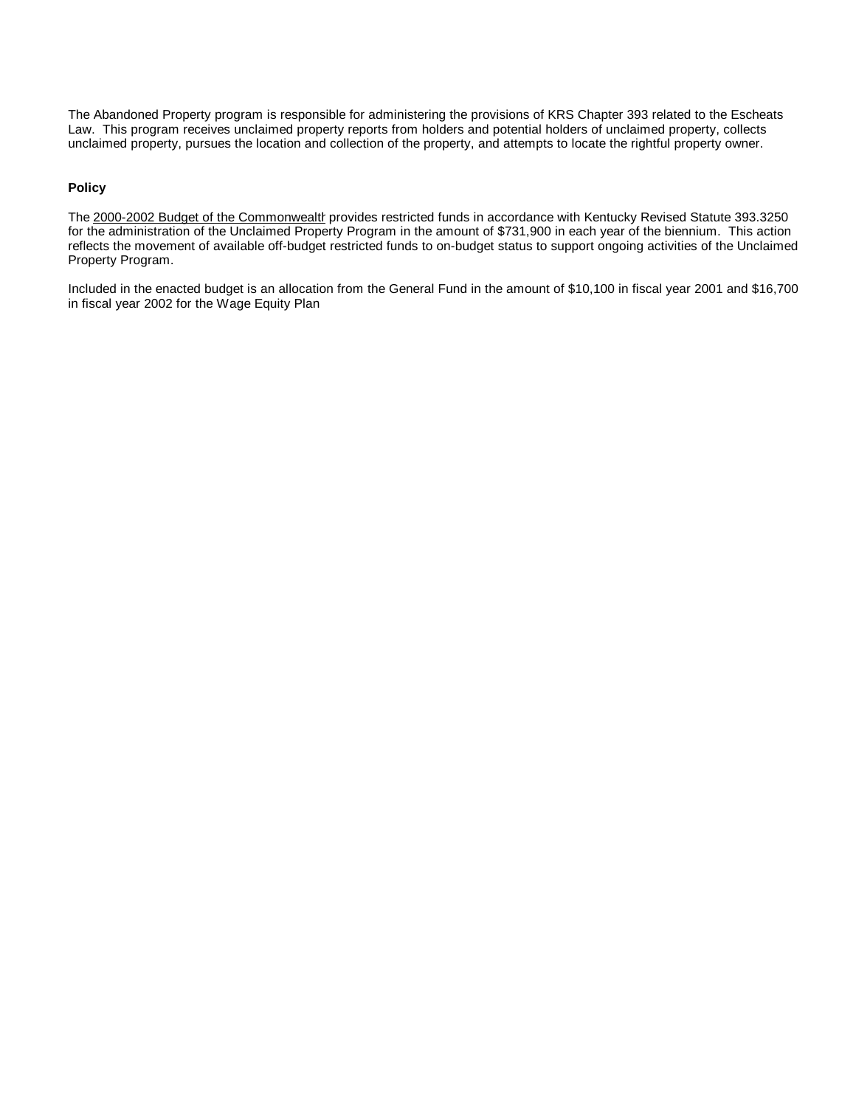The Abandoned Property program is responsible for administering the provisions of KRS Chapter 393 related to the Escheats Law. This program receives unclaimed property reports from holders and potential holders of unclaimed property, collects unclaimed property, pursues the location and collection of the property, and attempts to locate the rightful property owner.

### **Policy**

The 2000-2002 Budget of the Commonwealth provides restricted funds in accordance with Kentucky Revised Statute 393.3250 for the administration of the Unclaimed Property Program in the amount of \$731,900 in each year of the biennium. This action reflects the movement of available off-budget restricted funds to on-budget status to support ongoing activities of the Unclaimed Property Program.

Included in the enacted budget is an allocation from the General Fund in the amount of \$10,100 in fiscal year 2001 and \$16,700 in fiscal year 2002 for the Wage Equity Plan.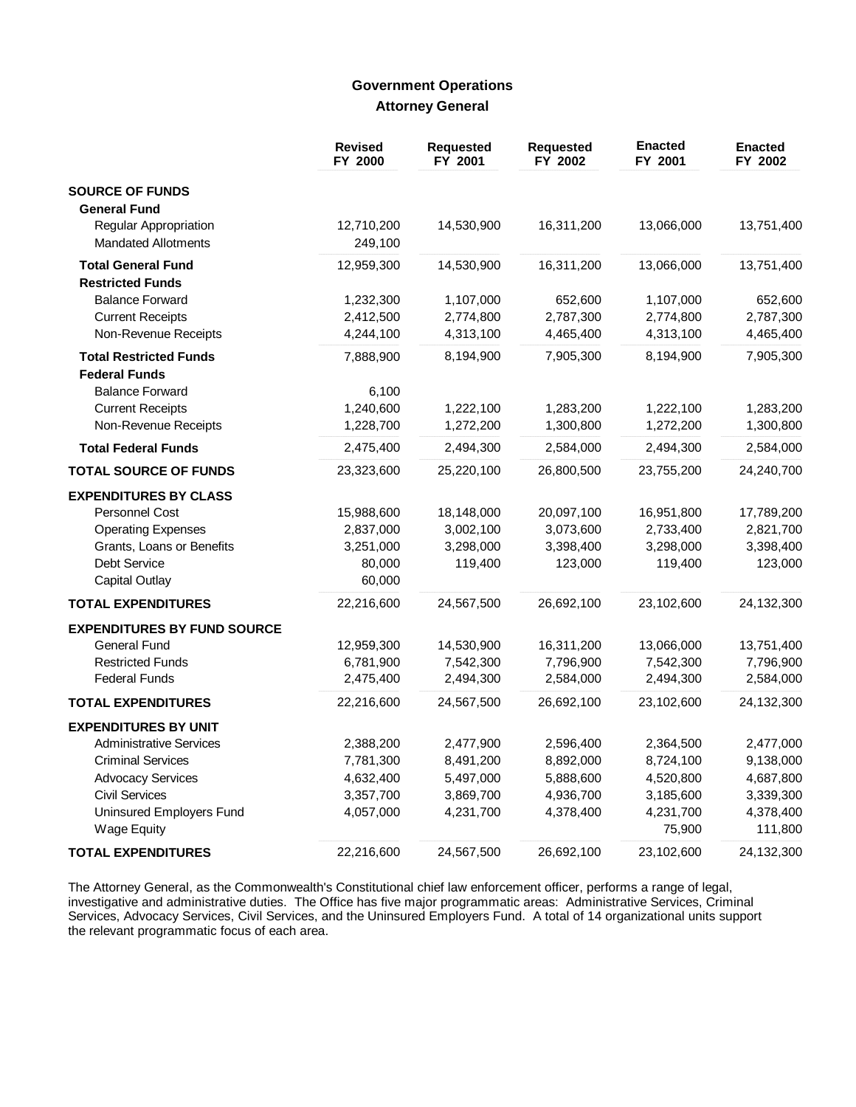# **Government Operations Attorney General**

|                                    | <b>Revised</b><br>FY 2000 | <b>Requested</b><br>FY 2001 | <b>Requested</b><br>FY 2002 | <b>Enacted</b><br>FY 2001 | <b>Enacted</b><br>FY 2002 |
|------------------------------------|---------------------------|-----------------------------|-----------------------------|---------------------------|---------------------------|
| <b>SOURCE OF FUNDS</b>             |                           |                             |                             |                           |                           |
| <b>General Fund</b>                |                           |                             |                             |                           |                           |
| Regular Appropriation              | 12,710,200                | 14,530,900                  | 16,311,200                  | 13,066,000                | 13,751,400                |
| <b>Mandated Allotments</b>         | 249,100                   |                             |                             |                           |                           |
| <b>Total General Fund</b>          | 12,959,300                | 14,530,900                  | 16,311,200                  | 13,066,000                | 13,751,400                |
| <b>Restricted Funds</b>            |                           |                             |                             |                           |                           |
| <b>Balance Forward</b>             | 1,232,300                 | 1,107,000                   | 652,600                     | 1,107,000                 | 652,600                   |
| <b>Current Receipts</b>            | 2,412,500                 | 2,774,800                   | 2,787,300                   | 2,774,800                 | 2,787,300                 |
| Non-Revenue Receipts               | 4,244,100                 | 4,313,100                   | 4,465,400                   | 4,313,100                 | 4,465,400                 |
| <b>Total Restricted Funds</b>      | 7,888,900                 | 8,194,900                   | 7,905,300                   | 8,194,900                 | 7,905,300                 |
| <b>Federal Funds</b>               |                           |                             |                             |                           |                           |
| <b>Balance Forward</b>             | 6,100                     |                             |                             |                           |                           |
| <b>Current Receipts</b>            | 1,240,600                 | 1,222,100                   | 1,283,200                   | 1,222,100                 | 1,283,200                 |
| Non-Revenue Receipts               | 1,228,700                 | 1,272,200                   | 1,300,800                   | 1,272,200                 | 1,300,800                 |
| <b>Total Federal Funds</b>         | 2,475,400                 | 2,494,300                   | 2,584,000                   | 2,494,300                 | 2,584,000                 |
| <b>TOTAL SOURCE OF FUNDS</b>       | 23,323,600                | 25,220,100                  | 26,800,500                  | 23,755,200                | 24,240,700                |
| <b>EXPENDITURES BY CLASS</b>       |                           |                             |                             |                           |                           |
| <b>Personnel Cost</b>              | 15,988,600                | 18,148,000                  | 20,097,100                  | 16,951,800                | 17,789,200                |
| <b>Operating Expenses</b>          | 2,837,000                 | 3,002,100                   | 3,073,600                   | 2,733,400                 | 2,821,700                 |
| Grants, Loans or Benefits          | 3,251,000                 | 3,298,000                   | 3,398,400                   | 3,298,000                 | 3,398,400                 |
| Debt Service                       | 80,000                    | 119,400                     | 123,000                     | 119,400                   | 123,000                   |
| <b>Capital Outlay</b>              | 60,000                    |                             |                             |                           |                           |
| <b>TOTAL EXPENDITURES</b>          | 22,216,600                | 24,567,500                  | 26,692,100                  | 23,102,600                | 24,132,300                |
| <b>EXPENDITURES BY FUND SOURCE</b> |                           |                             |                             |                           |                           |
| <b>General Fund</b>                | 12,959,300                | 14,530,900                  | 16,311,200                  | 13,066,000                | 13,751,400                |
| <b>Restricted Funds</b>            | 6,781,900                 | 7,542,300                   | 7,796,900                   | 7,542,300                 | 7,796,900                 |
| <b>Federal Funds</b>               | 2,475,400                 | 2,494,300                   | 2,584,000                   | 2,494,300                 | 2,584,000                 |
| <b>TOTAL EXPENDITURES</b>          | 22,216,600                | 24,567,500                  | 26,692,100                  | 23,102,600                | 24,132,300                |
| <b>EXPENDITURES BY UNIT</b>        |                           |                             |                             |                           |                           |
| <b>Administrative Services</b>     | 2,388,200                 | 2,477,900                   | 2,596,400                   | 2,364,500                 | 2,477,000                 |
| <b>Criminal Services</b>           | 7,781,300                 | 8,491,200                   | 8,892,000                   | 8,724,100                 | 9,138,000                 |
| <b>Advocacy Services</b>           | 4,632,400                 | 5,497,000                   | 5,888,600                   | 4,520,800                 | 4,687,800                 |
| <b>Civil Services</b>              | 3,357,700                 | 3,869,700                   | 4,936,700                   | 3,185,600                 | 3,339,300                 |
| Uninsured Employers Fund           | 4,057,000                 | 4,231,700                   | 4,378,400                   | 4,231,700                 | 4,378,400                 |
| <b>Wage Equity</b>                 |                           |                             |                             | 75,900                    | 111,800                   |
| <b>TOTAL EXPENDITURES</b>          | 22,216,600                | 24,567,500                  | 26,692,100                  | 23,102,600                | 24,132,300                |

The Attorney General, as the Commonwealth's Constitutional chief law enforcement officer, performs a range of legal, investigative and administrative duties. The Office has five major programmatic areas: Administrative Ser the relevant programmatic focus of each area.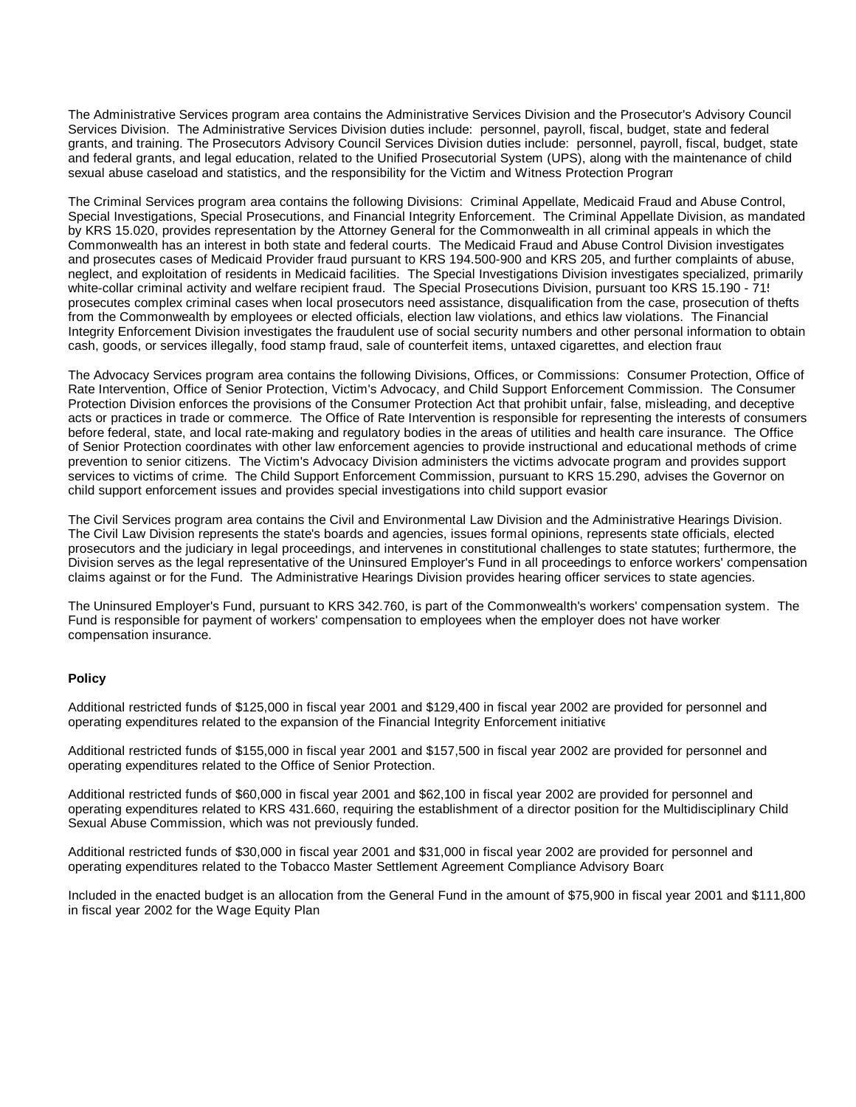The Administrative Services program area contains the Administrative Services Division and the Prosecutor's Advisory Council Services Division. The Administrative Services Division duties include: personnel, payroll, fiscal, budget, state and federal grants, and training. The Prosecutors Advisory Council Services Division duties include: personnel, payroll, fiscal, budget, state and federal grants, and legal education, related to the Unified Prosecutorial System (UPS), along with the maintenance of child sexual abuse caseload and statistics, and the responsibility for the Victim and Witness Protection Program.

The Criminal Services program area contains the following Divisions: Criminal Appellate, Medicaid Fraud and Abuse Control, Special Investigations, Special Prosecutions, and Financial Integrity Enforcement. The Criminal Appellate Division, as mandated by KRS 15.020, provides representation by the Attorney General for the Commonwealth in all criminal appeals in which the Commonwealth has an interest in both state and federal courts. The Medicaid Fraud and Abuse Control Division investigates and prosecutes cases of Medicaid Provider fraud pursuant to KRS 194.500-900 and KRS 205, and further complaints of abuse, neglect, and exploitation of residents in Medicaid facilities. The Special Investigations Division investigates specialized, primarily white-collar criminal activity and welfare recipient fraud. The Special Prosecutions Division, pursuant too KRS 15.190 - 71, prosecutes complex criminal cases when local prosecutors need assistance, disqualification from the case, prosecution of thefts from the Commonwealth by employees or elected officials, election law violations, and ethics law violations. The Financial Integrity Enforcement Division investigates the fraudulent use of social security numbers and other personal information to obtain cash, goods, or services illegally, food stamp fraud, sale of counterfeit items, untaxed cigarettes, and election fraud

The Advocacy Services program area contains the following Divisions, Offices, or Commissions: Consumer Protection, Office of Rate Intervention, Office of Senior Protection, Victim's Advocacy, and Child Support Enforcement Commission. The Consumer Protection Division enforces the provisions of the Consumer Protection Act that prohibit unfair, false, misleading, and deceptive acts or practices in trade or commerce. The Office of Rate Intervention is responsible for representing the interests of consumers before federal, state, and local rate-making and regulatory bodies in the areas of utilities and health care insurance. The Office of Senior Protection coordinates with other law enforcement agencies to provide instructional and educational methods of crime prevention to senior citizens. The Victim's Advocacy Division administers the victims advocate program and provides support services to victims of crime. The Child Support Enforcement Commission, pursuant to KRS 15.290, advises the Governor on child support enforcement issues and provides special investigations into child support evasion.

The Civil Services program area contains the Civil and Environmental Law Division and the Administrative Hearings Division. The Civil Law Division represents the state's boards and agencies, issues formal opinions, represents state officials, elected prosecutors and the judiciary in legal proceedings, and intervenes in constitutional challenges to state statutes; furthermore, the Division serves as the legal representative of the Uninsured Employer's Fund in all proceedings to enforce workers' compensation claims against or for the Fund. The Administrative Hearings Division provides hearing officer services to state agencies.

The Uninsured Employer's Fund, pursuant to KRS 342.760, is part of the Commonwealth's workers' compensation system. The Fund is responsible for payment of workers' compensation to employees when the employer does not have worker compensation insurance.

#### **Policy**

Additional restricted funds of \$125,000 in fiscal year 2001 and \$129,400 in fiscal year 2002 are provided for personnel and operating expenditures related to the expansion of the Financial Integrity Enforcement initiative.

Additional restricted funds of \$155,000 in fiscal year 2001 and \$157,500 in fiscal year 2002 are provided for personnel and operating expenditures related to the Office of Senior Protection.

Additional restricted funds of \$60,000 in fiscal year 2001 and \$62,100 in fiscal year 2002 are provided for personnel and operating expenditures related to KRS 431.660, requiring the establishment of a director position for the Multidisciplinary Child Sexual Abuse Commission, which was not previously funded.

Additional restricted funds of \$30,000 in fiscal year 2001 and \$31,000 in fiscal year 2002 are provided for personnel and operating expenditures related to the Tobacco Master Settlement Agreement Compliance Advisory Board.

Included in the enacted budget is an allocation from the General Fund in the amount of \$75,900 in fiscal year 2001 and \$111,800 in fiscal year 2002 for the Wage Equity Plan.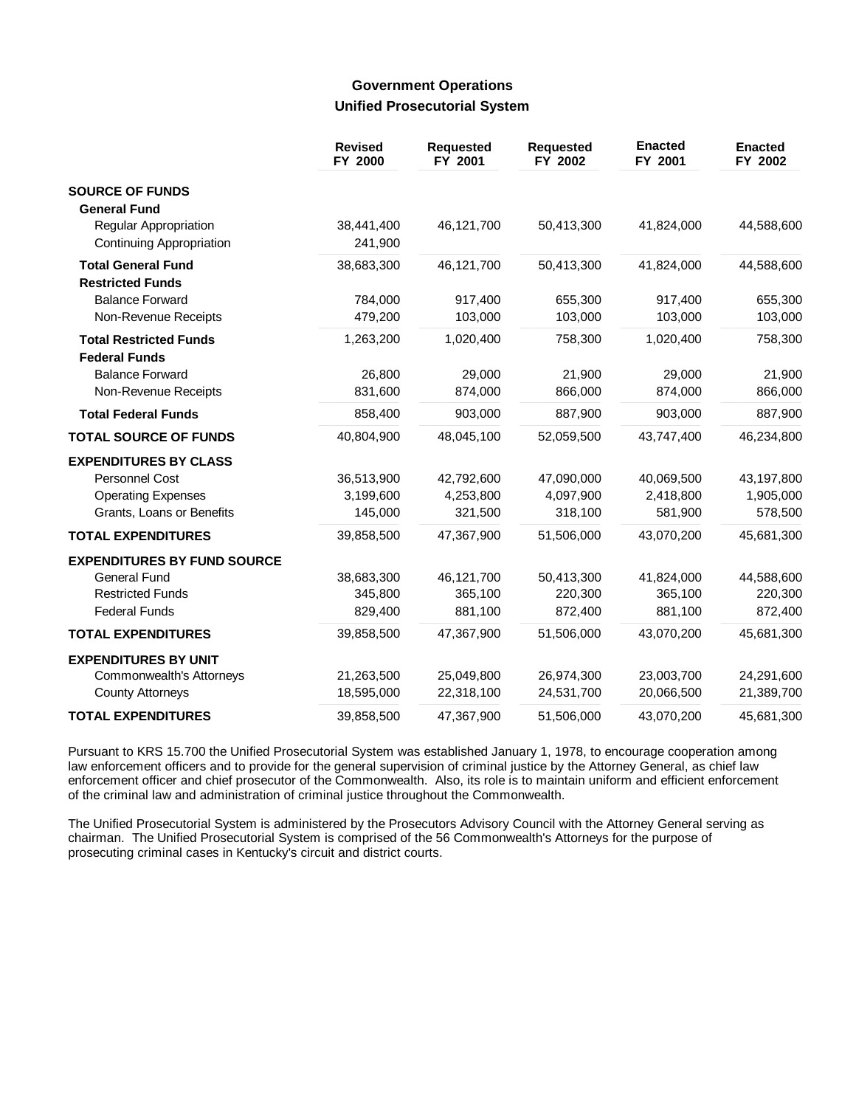## **Government Operations Unified Prosecutorial System**

|                                                       | <b>Revised</b><br>FY 2000 | <b>Requested</b><br>FY 2001 | Requested<br>FY 2002 | <b>Enacted</b><br>FY 2001 | <b>Enacted</b><br>FY 2002 |
|-------------------------------------------------------|---------------------------|-----------------------------|----------------------|---------------------------|---------------------------|
| <b>SOURCE OF FUNDS</b>                                |                           |                             |                      |                           |                           |
| <b>General Fund</b>                                   |                           |                             |                      |                           |                           |
| Regular Appropriation                                 | 38,441,400                | 46,121,700                  | 50,413,300           | 41,824,000                | 44,588,600                |
| <b>Continuing Appropriation</b>                       | 241,900                   |                             |                      |                           |                           |
| <b>Total General Fund</b>                             | 38,683,300                | 46,121,700                  | 50,413,300           | 41,824,000                | 44,588,600                |
| <b>Restricted Funds</b>                               |                           |                             |                      |                           |                           |
| <b>Balance Forward</b>                                | 784,000                   | 917,400                     | 655,300              | 917,400                   | 655,300                   |
| Non-Revenue Receipts                                  | 479,200                   | 103,000                     | 103,000              | 103,000                   | 103,000                   |
| <b>Total Restricted Funds</b><br><b>Federal Funds</b> | 1,263,200                 | 1,020,400                   | 758,300              | 1,020,400                 | 758,300                   |
| <b>Balance Forward</b>                                | 26,800                    | 29,000                      | 21,900               | 29,000                    | 21,900                    |
| Non-Revenue Receipts                                  | 831,600                   | 874,000                     | 866,000              | 874,000                   | 866,000                   |
| <b>Total Federal Funds</b>                            | 858,400                   | 903,000                     | 887,900              | 903,000                   | 887,900                   |
| <b>TOTAL SOURCE OF FUNDS</b>                          | 40,804,900                | 48,045,100                  | 52,059,500           | 43,747,400                | 46,234,800                |
| <b>EXPENDITURES BY CLASS</b>                          |                           |                             |                      |                           |                           |
| Personnel Cost                                        | 36,513,900                | 42,792,600                  | 47,090,000           | 40,069,500                | 43,197,800                |
| <b>Operating Expenses</b>                             | 3,199,600                 | 4,253,800                   | 4,097,900            | 2,418,800                 | 1,905,000                 |
| Grants, Loans or Benefits                             | 145,000                   | 321,500                     | 318,100              | 581,900                   | 578,500                   |
| <b>TOTAL EXPENDITURES</b>                             | 39,858,500                | 47,367,900                  | 51,506,000           | 43,070,200                | 45,681,300                |
| <b>EXPENDITURES BY FUND SOURCE</b>                    |                           |                             |                      |                           |                           |
| <b>General Fund</b>                                   | 38,683,300                | 46,121,700                  | 50,413,300           | 41,824,000                | 44,588,600                |
| <b>Restricted Funds</b>                               | 345,800                   | 365,100                     | 220,300              | 365,100                   | 220,300                   |
| <b>Federal Funds</b>                                  | 829,400                   | 881,100                     | 872,400              | 881,100                   | 872,400                   |
| <b>TOTAL EXPENDITURES</b>                             | 39,858,500                | 47,367,900                  | 51,506,000           | 43,070,200                | 45,681,300                |
| <b>EXPENDITURES BY UNIT</b>                           |                           |                             |                      |                           |                           |
| <b>Commonwealth's Attorneys</b>                       | 21,263,500                | 25,049,800                  | 26,974,300           | 23,003,700                | 24,291,600                |
| <b>County Attorneys</b>                               | 18,595,000                | 22,318,100                  | 24,531,700           | 20,066,500                | 21,389,700                |
| <b>TOTAL EXPENDITURES</b>                             | 39,858,500                | 47,367,900                  | 51,506,000           | 43,070,200                | 45,681,300                |

Pursuant to KRS 15.700 the Unified Prosecutorial System was established January 1, 1978, to encourage cooperation among law enforcement officers and to provide for the general supervision of criminal justice by the Attorney General, as chief law enforcement officer and chief prosecutor of the Commonwealth. Also, its role is to maintain uniform and efficient enforcement of the criminal law and administration of criminal justice throughout the Commonwealth.

The Unified Prosecutorial System is administered by the Prosecutors Advisory Council with the Attorney General serving as chairman. The Unified Prosecutorial System is comprised of the 56 Commonwealth's Attorneys for the purpose of prosecuting criminal cases in Kentucky's circuit and district courts.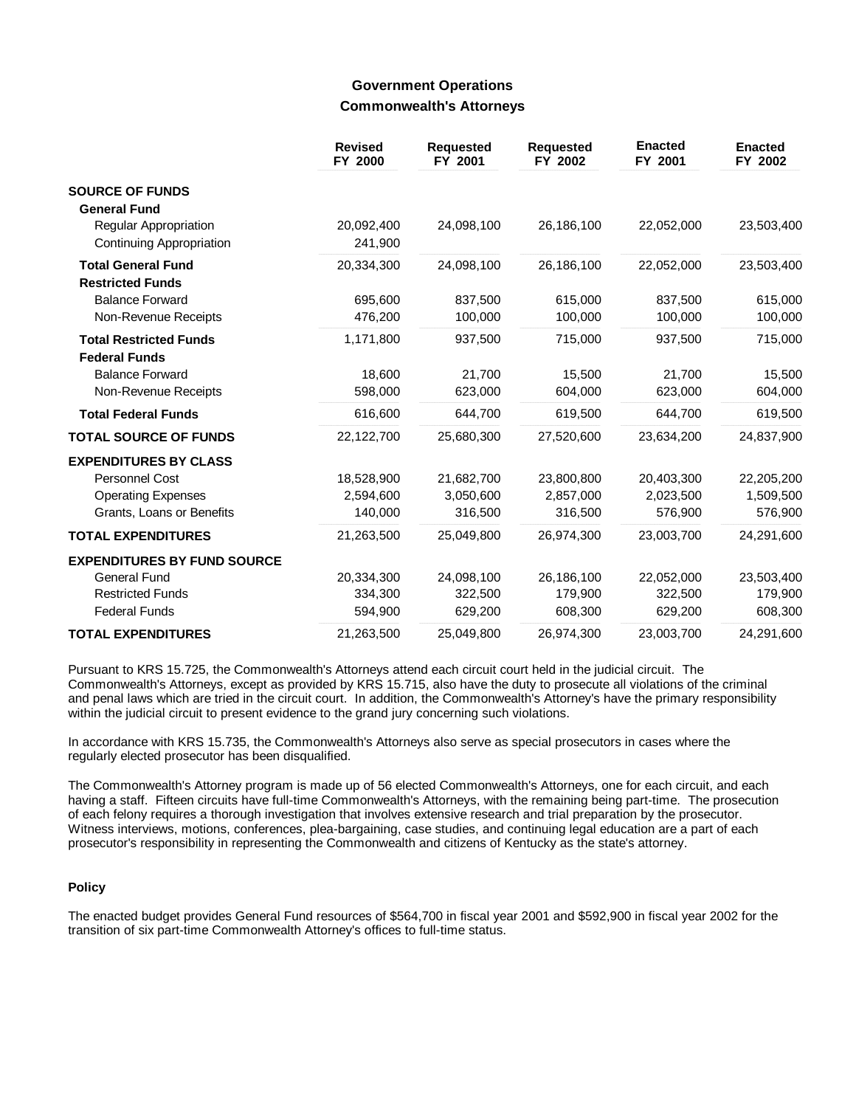### **Government Operations Commonwealth's Attorneys**

|                                                          | <b>Revised</b><br>FY 2000 | <b>Requested</b><br>FY 2001 | <b>Requested</b><br>FY 2002 | <b>Enacted</b><br>FY 2001 | <b>Enacted</b><br>FY 2002 |
|----------------------------------------------------------|---------------------------|-----------------------------|-----------------------------|---------------------------|---------------------------|
| <b>SOURCE OF FUNDS</b>                                   |                           |                             |                             |                           |                           |
| <b>General Fund</b>                                      |                           |                             |                             |                           |                           |
| Regular Appropriation<br><b>Continuing Appropriation</b> | 20,092,400<br>241,900     | 24,098,100                  | 26,186,100                  | 22,052,000                | 23,503,400                |
| <b>Total General Fund</b><br><b>Restricted Funds</b>     | 20,334,300                | 24,098,100                  | 26,186,100                  | 22,052,000                | 23,503,400                |
| <b>Balance Forward</b>                                   | 695,600                   | 837,500                     | 615,000                     | 837,500                   | 615,000                   |
| Non-Revenue Receipts                                     | 476,200                   | 100,000                     | 100,000                     | 100,000                   | 100,000                   |
| <b>Total Restricted Funds</b><br><b>Federal Funds</b>    | 1,171,800                 | 937,500                     | 715,000                     | 937,500                   | 715,000                   |
| <b>Balance Forward</b>                                   | 18,600                    | 21.700                      | 15,500                      | 21.700                    | 15,500                    |
| Non-Revenue Receipts                                     | 598,000                   | 623,000                     | 604,000                     | 623,000                   | 604,000                   |
| <b>Total Federal Funds</b>                               | 616,600                   | 644,700                     | 619,500                     | 644,700                   | 619,500                   |
| <b>TOTAL SOURCE OF FUNDS</b>                             | 22,122,700                | 25,680,300                  | 27,520,600                  | 23,634,200                | 24,837,900                |
| <b>EXPENDITURES BY CLASS</b>                             |                           |                             |                             |                           |                           |
| Personnel Cost                                           | 18,528,900                | 21,682,700                  | 23,800,800                  | 20,403,300                | 22,205,200                |
| <b>Operating Expenses</b>                                | 2,594,600                 | 3,050,600                   | 2,857,000                   | 2,023,500                 | 1,509,500                 |
| Grants, Loans or Benefits                                | 140,000                   | 316,500                     | 316,500                     | 576,900                   | 576,900                   |
| <b>TOTAL EXPENDITURES</b>                                | 21,263,500                | 25,049,800                  | 26,974,300                  | 23,003,700                | 24,291,600                |
| <b>EXPENDITURES BY FUND SOURCE</b>                       |                           |                             |                             |                           |                           |
| <b>General Fund</b>                                      | 20,334,300                | 24,098,100                  | 26,186,100                  | 22,052,000                | 23,503,400                |
| <b>Restricted Funds</b>                                  | 334,300                   | 322,500                     | 179,900                     | 322,500                   | 179,900                   |
| <b>Federal Funds</b>                                     | 594,900                   | 629,200                     | 608,300                     | 629,200                   | 608,300                   |
| <b>TOTAL EXPENDITURES</b>                                | 21,263,500                | 25,049,800                  | 26,974,300                  | 23,003,700                | 24,291,600                |

Pursuant to KRS 15.725, the Commonwealth's Attorneys attend each circuit court held in the judicial circuit. The Commonwealth's Attorneys, except as provided by KRS 15.715, also have the duty to prosecute all violations of the criminal and penal laws which are tried in the circuit court. In addition, the Commonwealth's Attorney's have the primary responsibility within the judicial circuit to present evidence to the grand jury concerning such violations.

In accordance with KRS 15.735, the Commonwealth's Attorneys also serve as special prosecutors in cases where the regularly elected prosecutor has been disqualified.

The Commonwealth's Attorney program is made up of 56 elected Commonwealth's Attorneys, one for each circuit, and each having a staff. Fifteen circuits have full-time Commonwealth's Attorneys, with the remaining being part-time. The prosecution of each felony requires a thorough investigation that involves extensive research and trial preparation by the prosecutor. Witness interviews, motions, conferences, plea-bargaining, case studies, and continuing legal education are a part of each prosecutor's responsibility in representing the Commonwealth and citizens of Kentucky as the state's attorney.

#### **Policy**

The enacted budget provides General Fund resources of \$564,700 in fiscal year 2001 and \$592,900 in fiscal year 2002 for the transition of six part-time Commonwealth Attorney's offices to full-time status.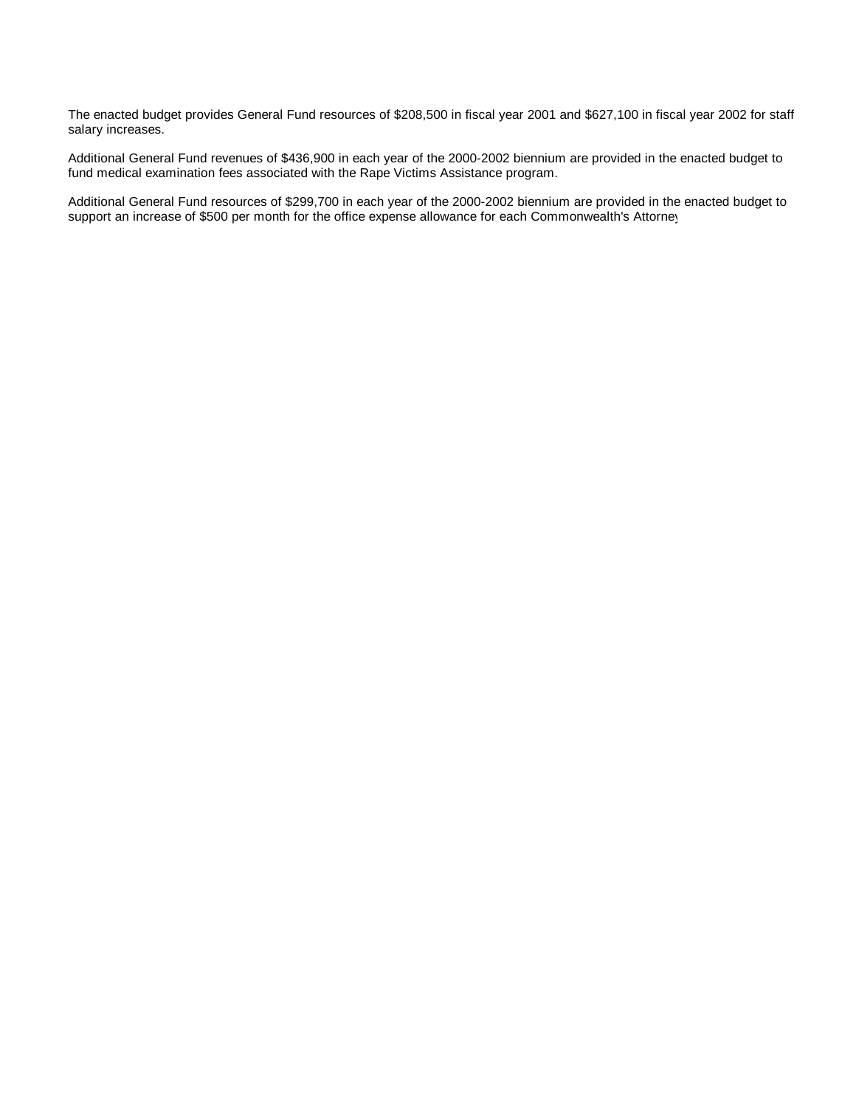The enacted budget provides General Fund resources of \$208,500 in fiscal year 2001 and \$627,100 in fiscal year 2002 for staff salary increases.

Additional General Fund revenues of \$436,900 in each year of the 2000-2002 biennium are provided in the enacted budget to fund medical examination fees associated with the Rape Victims Assistance program.

Additional General Fund resources of \$299,700 in each year of the 2000-2002 biennium are provided in the enacted budget to support an increase of \$500 per month for the office expense allowance for each Commonwealth's Attorney.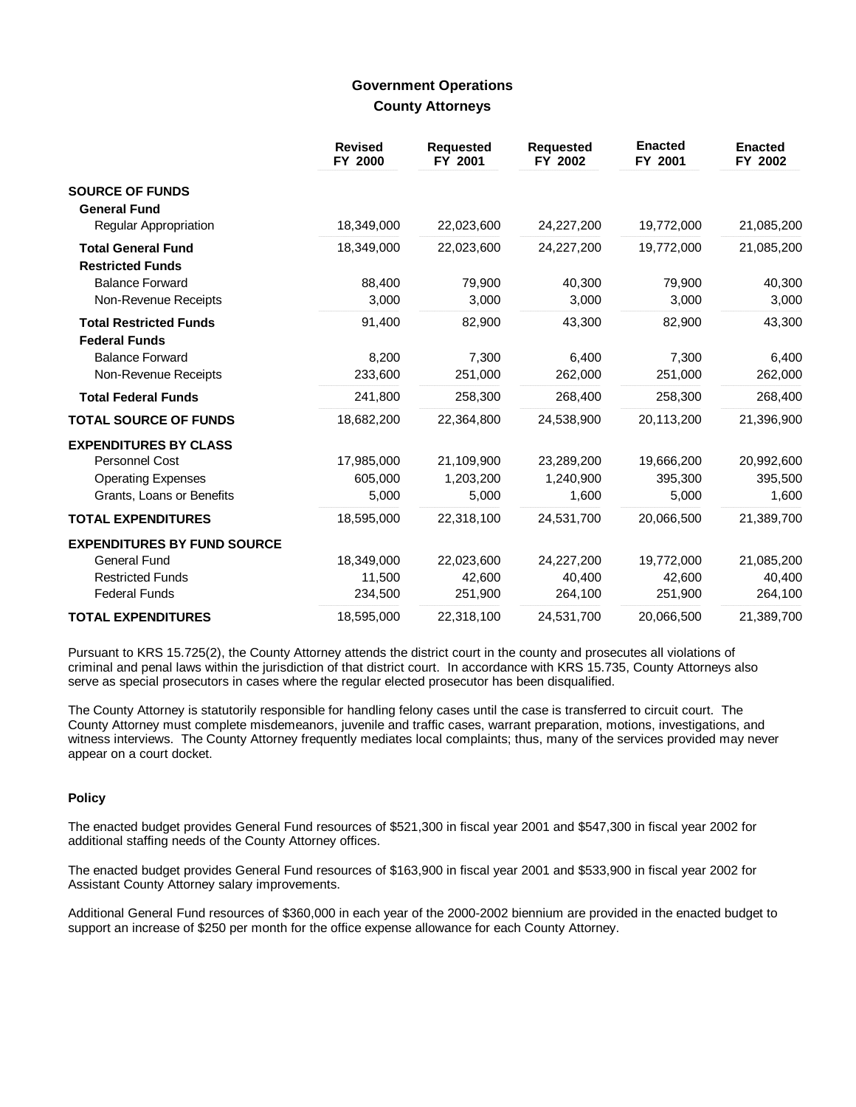### **Government Operations County Attorneys**

|                                                       | <b>Revised</b><br>FY 2000 | <b>Requested</b><br>FY 2001 | <b>Requested</b><br>FY 2002 | <b>Enacted</b><br>FY 2001 | <b>Enacted</b><br>FY 2002 |
|-------------------------------------------------------|---------------------------|-----------------------------|-----------------------------|---------------------------|---------------------------|
| <b>SOURCE OF FUNDS</b>                                |                           |                             |                             |                           |                           |
| <b>General Fund</b>                                   |                           |                             |                             |                           |                           |
| Regular Appropriation                                 | 18,349,000                | 22,023,600                  | 24,227,200                  | 19,772,000                | 21,085,200                |
| <b>Total General Fund</b><br><b>Restricted Funds</b>  | 18,349,000                | 22,023,600                  | 24,227,200                  | 19,772,000                | 21,085,200                |
| <b>Balance Forward</b>                                | 88,400                    | 79,900                      | 40,300                      | 79,900                    | 40,300                    |
| Non-Revenue Receipts                                  | 3,000                     | 3,000                       | 3,000                       | 3,000                     | 3,000                     |
| <b>Total Restricted Funds</b><br><b>Federal Funds</b> | 91,400                    | 82,900                      | 43,300                      | 82,900                    | 43,300                    |
| <b>Balance Forward</b>                                | 8,200                     | 7,300                       | 6,400                       | 7.300                     | 6,400                     |
| Non-Revenue Receipts                                  | 233,600                   | 251,000                     | 262,000                     | 251,000                   | 262,000                   |
| <b>Total Federal Funds</b>                            | 241,800                   | 258,300                     | 268,400                     | 258,300                   | 268,400                   |
| <b>TOTAL SOURCE OF FUNDS</b>                          | 18,682,200                | 22,364,800                  | 24,538,900                  | 20,113,200                | 21,396,900                |
| <b>EXPENDITURES BY CLASS</b>                          |                           |                             |                             |                           |                           |
| Personnel Cost                                        | 17,985,000                | 21,109,900                  | 23,289,200                  | 19,666,200                | 20,992,600                |
| <b>Operating Expenses</b>                             | 605,000                   | 1,203,200                   | 1,240,900                   | 395.300                   | 395,500                   |
| Grants, Loans or Benefits                             | 5,000                     | 5,000                       | 1,600                       | 5,000                     | 1,600                     |
| <b>TOTAL EXPENDITURES</b>                             | 18,595,000                | 22,318,100                  | 24,531,700                  | 20,066,500                | 21,389,700                |
| <b>EXPENDITURES BY FUND SOURCE</b>                    |                           |                             |                             |                           |                           |
| <b>General Fund</b>                                   | 18,349,000                | 22,023,600                  | 24,227,200                  | 19,772,000                | 21,085,200                |
| <b>Restricted Funds</b>                               | 11,500                    | 42,600                      | 40,400                      | 42,600                    | 40,400                    |
| <b>Federal Funds</b>                                  | 234,500                   | 251,900                     | 264,100                     | 251,900                   | 264,100                   |
| <b>TOTAL EXPENDITURES</b>                             | 18,595,000                | 22,318,100                  | 24,531,700                  | 20,066,500                | 21,389,700                |

Pursuant to KRS 15.725(2), the County Attorney attends the district court in the county and prosecutes all violations of criminal and penal laws within the jurisdiction of that district court. In accordance with KRS 15.735, County Attorneys also serve as special prosecutors in cases where the regular elected prosecutor has been disqualified.

The County Attorney is statutorily responsible for handling felony cases until the case is transferred to circuit court. The County Attorney must complete misdemeanors, juvenile and traffic cases, warrant preparation, motions, investigations, and witness interviews. The County Attorney frequently mediates local complaints; thus, many of the services provided may never appear on a court docket.

#### **Policy**

The enacted budget provides General Fund resources of \$521,300 in fiscal year 2001 and \$547,300 in fiscal year 2002 for additional staffing needs of the County Attorney offices.

The enacted budget provides General Fund resources of \$163,900 in fiscal year 2001 and \$533,900 in fiscal year 2002 for Assistant County Attorney salary improvements.

Additional General Fund resources of \$360,000 in each year of the 2000-2002 biennium are provided in the enacted budget to support an increase of \$250 per month for the office expense allowance for each County Attorney.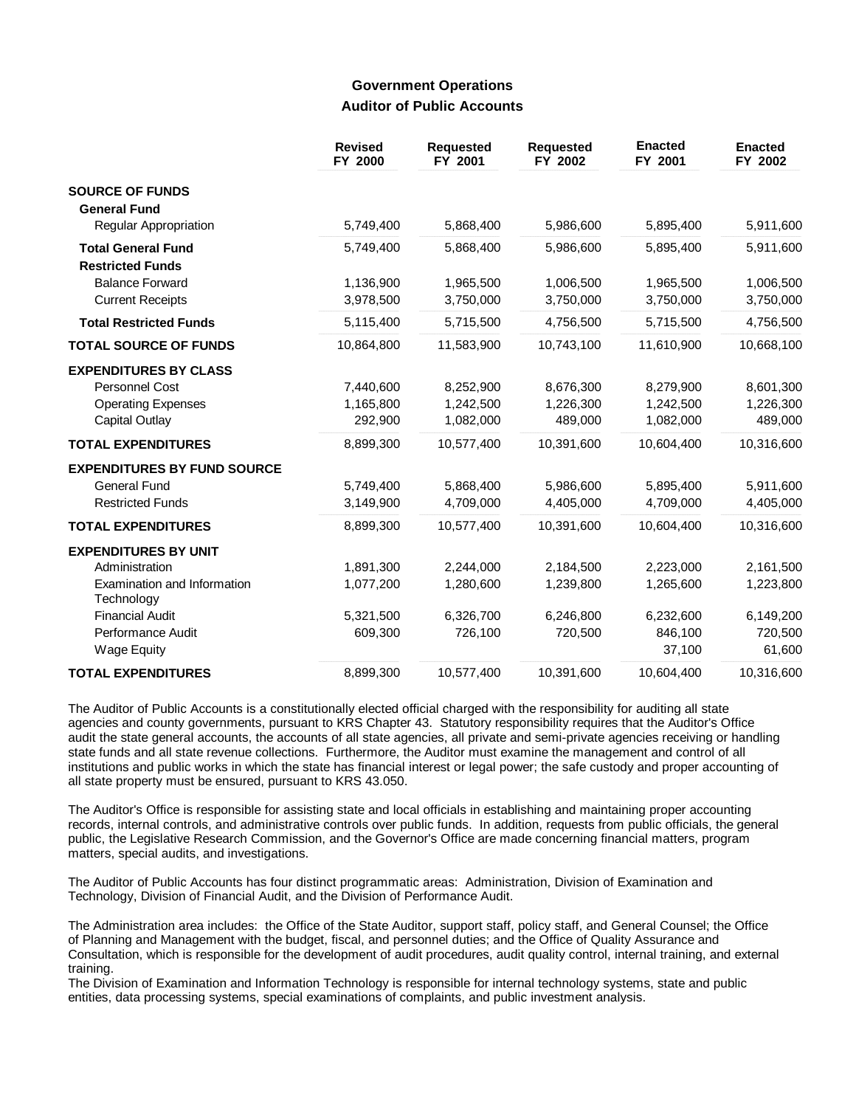## **Government Operations Auditor of Public Accounts**

|                                           | <b>Revised</b><br>FY 2000 | <b>Requested</b><br>FY 2001 | <b>Requested</b><br>FY 2002 | <b>Enacted</b><br>FY 2001 | <b>Enacted</b><br>FY 2002 |
|-------------------------------------------|---------------------------|-----------------------------|-----------------------------|---------------------------|---------------------------|
| <b>SOURCE OF FUNDS</b>                    |                           |                             |                             |                           |                           |
| <b>General Fund</b>                       |                           |                             |                             |                           |                           |
| Regular Appropriation                     | 5,749,400                 | 5,868,400                   | 5,986,600                   | 5,895,400                 | 5,911,600                 |
| <b>Total General Fund</b>                 | 5,749,400                 | 5,868,400                   | 5,986,600                   | 5,895,400                 | 5,911,600                 |
| <b>Restricted Funds</b>                   |                           |                             |                             |                           |                           |
| <b>Balance Forward</b>                    | 1,136,900                 | 1,965,500                   | 1,006,500                   | 1,965,500                 | 1,006,500                 |
| <b>Current Receipts</b>                   | 3,978,500                 | 3,750,000                   | 3,750,000                   | 3,750,000                 | 3,750,000                 |
| <b>Total Restricted Funds</b>             | 5,115,400                 | 5,715,500                   | 4,756,500                   | 5,715,500                 | 4,756,500                 |
| <b>TOTAL SOURCE OF FUNDS</b>              | 10,864,800                | 11,583,900                  | 10,743,100                  | 11,610,900                | 10,668,100                |
| <b>EXPENDITURES BY CLASS</b>              |                           |                             |                             |                           |                           |
| Personnel Cost                            | 7,440,600                 | 8,252,900                   | 8,676,300                   | 8,279,900                 | 8,601,300                 |
| <b>Operating Expenses</b>                 | 1,165,800                 | 1,242,500                   | 1,226,300                   | 1,242,500                 | 1,226,300                 |
| <b>Capital Outlay</b>                     | 292,900                   | 1,082,000                   | 489,000                     | 1,082,000                 | 489,000                   |
| <b>TOTAL EXPENDITURES</b>                 | 8,899,300                 | 10,577,400                  | 10,391,600                  | 10.604.400                | 10,316,600                |
| <b>EXPENDITURES BY FUND SOURCE</b>        |                           |                             |                             |                           |                           |
| <b>General Fund</b>                       | 5,749,400                 | 5,868,400                   | 5,986,600                   | 5,895,400                 | 5,911,600                 |
| <b>Restricted Funds</b>                   | 3,149,900                 | 4,709,000                   | 4,405,000                   | 4,709,000                 | 4,405,000                 |
| <b>TOTAL EXPENDITURES</b>                 | 8,899,300                 | 10,577,400                  | 10,391,600                  | 10,604,400                | 10,316,600                |
| <b>EXPENDITURES BY UNIT</b>               |                           |                             |                             |                           |                           |
| Administration                            | 1,891,300                 | 2,244,000                   | 2,184,500                   | 2,223,000                 | 2,161,500                 |
| Examination and Information<br>Technology | 1,077,200                 | 1,280,600                   | 1,239,800                   | 1,265,600                 | 1,223,800                 |
| <b>Financial Audit</b>                    | 5,321,500                 | 6,326,700                   | 6,246,800                   | 6,232,600                 | 6,149,200                 |
| Performance Audit                         | 609,300                   | 726,100                     | 720,500                     | 846,100                   | 720,500                   |
| <b>Wage Equity</b>                        |                           |                             |                             | 37,100                    | 61,600                    |
| <b>TOTAL EXPENDITURES</b>                 | 8,899,300                 | 10,577,400                  | 10,391,600                  | 10,604,400                | 10,316,600                |

The Auditor of Public Accounts is a constitutionally elected official charged with the responsibility for auditing all state agencies and county governments, pursuant to KRS Chapter 43. Statutory responsibility requires that the Auditor's Office audit the state general accounts, the accounts of all state agencies, all private and semi-private agencies receiving or handling state funds and all state revenue collections. Furthermore, the Auditor must examine the management and control of all institutions and public works in which the state has financial interest or legal power; the safe custody and proper accounting of all state property must be ensured, pursuant to KRS 43.050.

The Auditor's Office is responsible for assisting state and local officials in establishing and maintaining proper accounting records, internal controls, and administrative controls over public funds. In addition, requests from public officials, the general public, the Legislative Research Commission, and the Governor's Office are made concerning financial matters, program matters, special audits, and investigations.

The Auditor of Public Accounts has four distinct programmatic areas: Administration, Division of Examination and Technology, Division of Financial Audit, and the Division of Performance Audit.

The Administration area includes: the Office of the State Auditor, support staff, policy staff, and General Counsel; the Office of Planning and Management with the budget, fiscal, and personnel duties; and the Office of Quality Assurance and Consultation, which is responsible for the development of audit procedures, audit quality control, internal training, and external training.

The Division of Examination and Information Technology is responsible for internal technology systems, state and public entities, data processing systems, special examinations of complaints, and public investment analysis.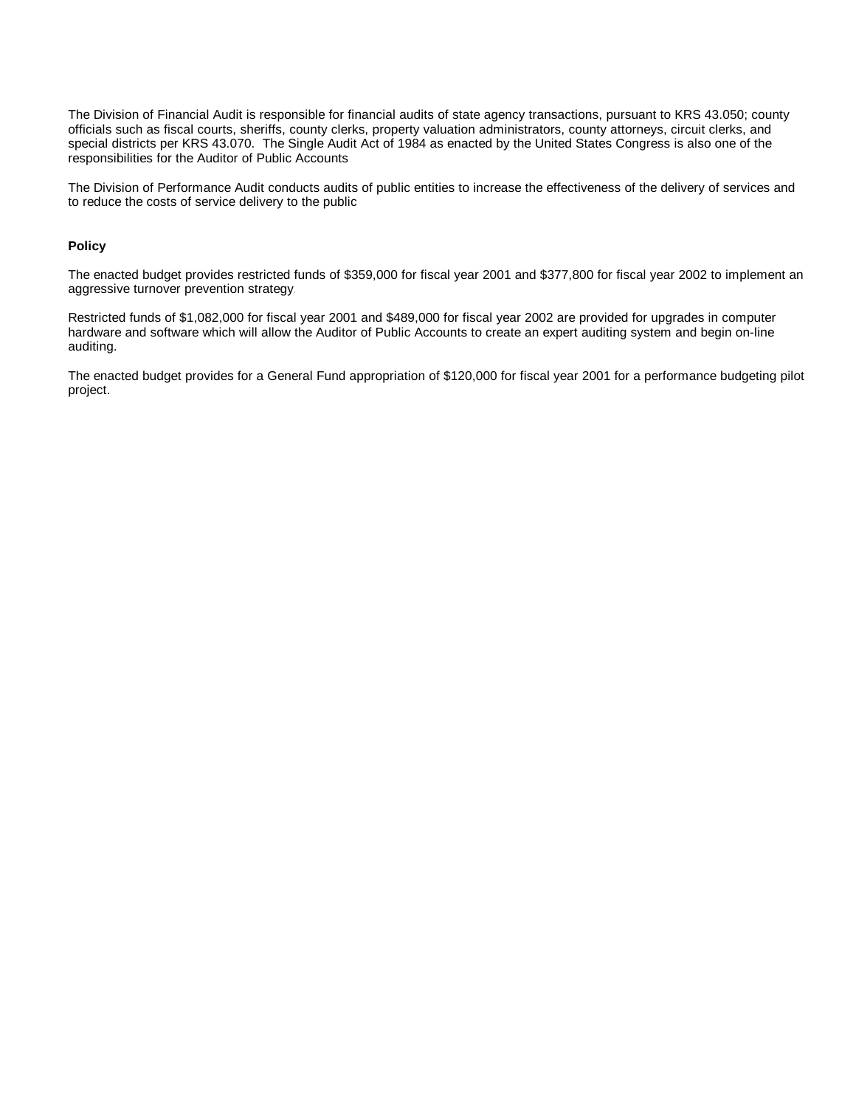The Division of Financial Audit is responsible for financial audits of state agency transactions, pursuant to KRS 43.050; county officials such as fiscal courts, sheriffs, county clerks, property valuation administrators, county attorneys, circuit clerks, and special districts per KRS 43.070. The Single Audit Act of 1984 as enacted by the United States Congress is also one of the responsibilities for the Auditor of Public Accounts.

The Division of Performance Audit conducts audits of public entities to increase the effectiveness of the delivery of services and to reduce the costs of service delivery to the public.

#### **Policy**

The enacted budget provides restricted funds of \$359,000 for fiscal year 2001 and \$377,800 for fiscal year 2002 to implement an aggressive turnover prevention strategy.

Restricted funds of \$1,082,000 for fiscal year 2001 and \$489,000 for fiscal year 2002 are provided for upgrades in computer hardware and software which will allow the Auditor of Public Accounts to create an expert auditing system and begin on-line auditing.

The enacted budget provides for a General Fund appropriation of \$120,000 for fiscal year 2001 for a performance budgeting pilot project.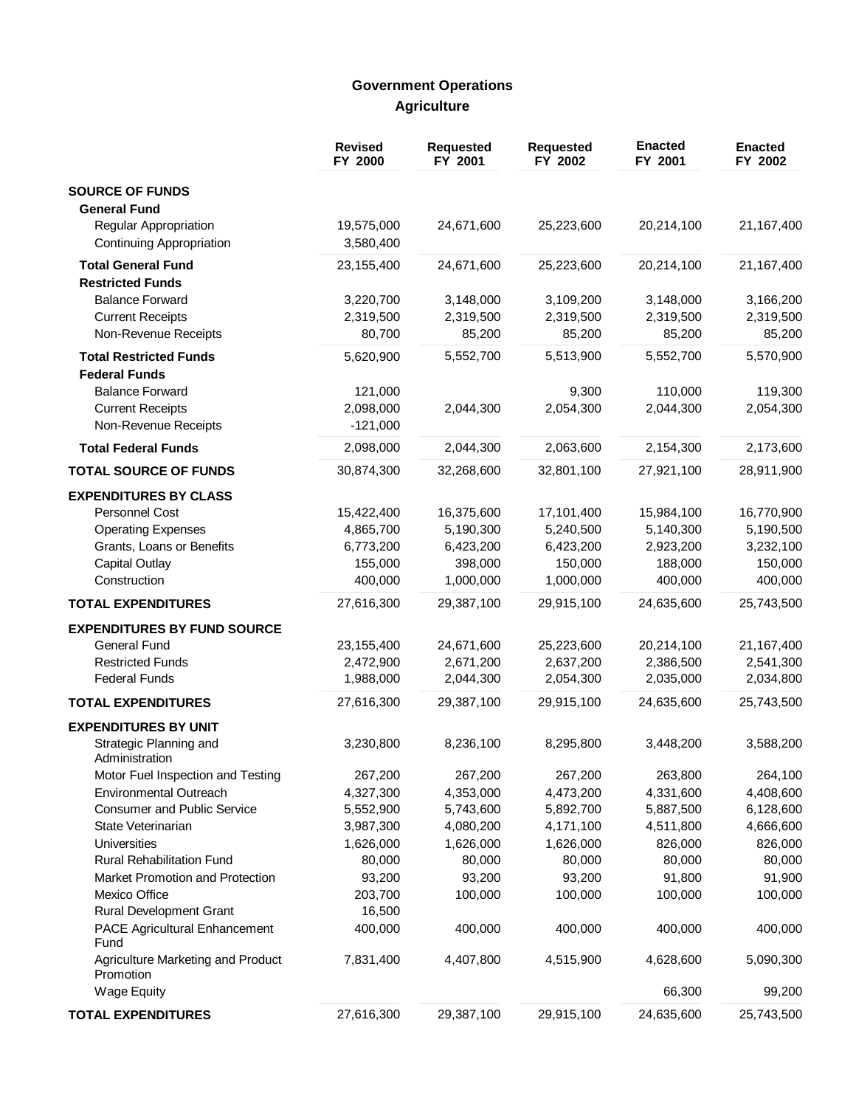# **Government Operations Agriculture**

|                                                                                                                                   | <b>Revised</b><br>FY 2000                       | <b>Requested</b><br>FY 2001                     | Requested<br>FY 2002                            | <b>Enacted</b><br>FY 2001                       | <b>Enacted</b><br>FY 2002                       |
|-----------------------------------------------------------------------------------------------------------------------------------|-------------------------------------------------|-------------------------------------------------|-------------------------------------------------|-------------------------------------------------|-------------------------------------------------|
| <b>SOURCE OF FUNDS</b><br><b>General Fund</b>                                                                                     |                                                 |                                                 |                                                 |                                                 |                                                 |
| Regular Appropriation<br><b>Continuing Appropriation</b>                                                                          | 19,575,000<br>3,580,400                         | 24,671,600                                      | 25,223,600                                      | 20,214,100                                      | 21,167,400                                      |
| <b>Total General Fund</b><br><b>Restricted Funds</b>                                                                              | 23,155,400                                      | 24,671,600                                      | 25,223,600                                      | 20,214,100                                      | 21,167,400                                      |
| <b>Balance Forward</b><br><b>Current Receipts</b><br>Non-Revenue Receipts                                                         | 3,220,700<br>2,319,500<br>80,700                | 3,148,000<br>2,319,500<br>85,200                | 3,109,200<br>2,319,500<br>85,200                | 3,148,000<br>2,319,500<br>85,200                | 3,166,200<br>2,319,500<br>85,200                |
| <b>Total Restricted Funds</b><br><b>Federal Funds</b>                                                                             | 5,620,900                                       | 5,552,700                                       | 5,513,900                                       | 5,552,700                                       | 5,570,900                                       |
| <b>Balance Forward</b><br><b>Current Receipts</b><br>Non-Revenue Receipts                                                         | 121,000<br>2,098,000<br>$-121,000$              | 2,044,300                                       | 9,300<br>2,054,300                              | 110,000<br>2,044,300                            | 119,300<br>2,054,300                            |
| <b>Total Federal Funds</b>                                                                                                        | 2,098,000                                       | 2,044,300                                       | 2,063,600                                       | 2,154,300                                       | 2,173,600                                       |
| <b>TOTAL SOURCE OF FUNDS</b>                                                                                                      | 30,874,300                                      | 32,268,600                                      | 32,801,100                                      | 27,921,100                                      | 28,911,900                                      |
| <b>EXPENDITURES BY CLASS</b><br>Personnel Cost<br><b>Operating Expenses</b><br>Grants, Loans or Benefits<br><b>Capital Outlay</b> | 15,422,400<br>4,865,700<br>6,773,200<br>155,000 | 16,375,600<br>5,190,300<br>6,423,200<br>398,000 | 17,101,400<br>5,240,500<br>6,423,200<br>150,000 | 15,984,100<br>5,140,300<br>2,923,200<br>188,000 | 16,770,900<br>5,190,500<br>3,232,100<br>150,000 |
| Construction                                                                                                                      | 400,000                                         | 1,000,000                                       | 1,000,000                                       | 400,000                                         | 400,000                                         |
| <b>TOTAL EXPENDITURES</b>                                                                                                         | 27,616,300                                      | 29,387,100                                      | 29,915,100                                      | 24,635,600                                      | 25,743,500                                      |
| <b>EXPENDITURES BY FUND SOURCE</b><br>General Fund<br><b>Restricted Funds</b><br><b>Federal Funds</b>                             | 23,155,400<br>2,472,900<br>1,988,000            | 24,671,600<br>2,671,200<br>2,044,300            | 25,223,600<br>2,637,200<br>2,054,300            | 20,214,100<br>2,386,500<br>2,035,000            | 21,167,400<br>2,541,300<br>2,034,800            |
| <b>TOTAL EXPENDITURES</b>                                                                                                         | 27,616,300                                      | 29,387,100                                      | 29,915,100                                      | 24,635,600                                      | 25,743,500                                      |
| <b>EXPENDITURES BY UNIT</b><br>Strategic Planning and                                                                             | 3,230,800                                       | 8,236,100                                       | 8,295,800                                       | 3,448,200                                       | 3,588,200                                       |
| Administration<br>Motor Fuel Inspection and Testing<br>Environmental Outreach<br><b>Consumer and Public Service</b>               | 267,200<br>4,327,300<br>5,552,900               | 267,200<br>4,353,000<br>5,743,600               | 267,200<br>4,473,200<br>5,892,700               | 263,800<br>4,331,600<br>5,887,500               | 264,100<br>4,408,600<br>6,128,600               |
| State Veterinarian<br>Universities<br><b>Rural Rehabilitation Fund</b>                                                            | 3,987,300<br>1,626,000<br>80,000                | 4,080,200<br>1,626,000<br>80,000                | 4,171,100<br>1,626,000<br>80,000                | 4,511,800<br>826,000<br>80,000                  | 4,666,600<br>826,000<br>80,000                  |
| Market Promotion and Protection<br>Mexico Office<br><b>Rural Development Grant</b>                                                | 93,200<br>203,700<br>16,500                     | 93,200<br>100,000                               | 93,200<br>100,000                               | 91,800<br>100,000                               | 91,900<br>100,000                               |
| PACE Agricultural Enhancement<br>Fund                                                                                             | 400,000                                         | 400,000                                         | 400,000                                         | 400,000                                         | 400,000                                         |
| Agriculture Marketing and Product<br>Promotion                                                                                    | 7,831,400                                       | 4,407,800                                       | 4,515,900                                       | 4,628,600                                       | 5,090,300                                       |
| Wage Equity<br><b>TOTAL EXPENDITURES</b>                                                                                          | 27,616,300                                      | 29,387,100                                      | 29,915,100                                      | 66,300<br>24,635,600                            | 99,200<br>25,743,500                            |
|                                                                                                                                   |                                                 |                                                 |                                                 |                                                 |                                                 |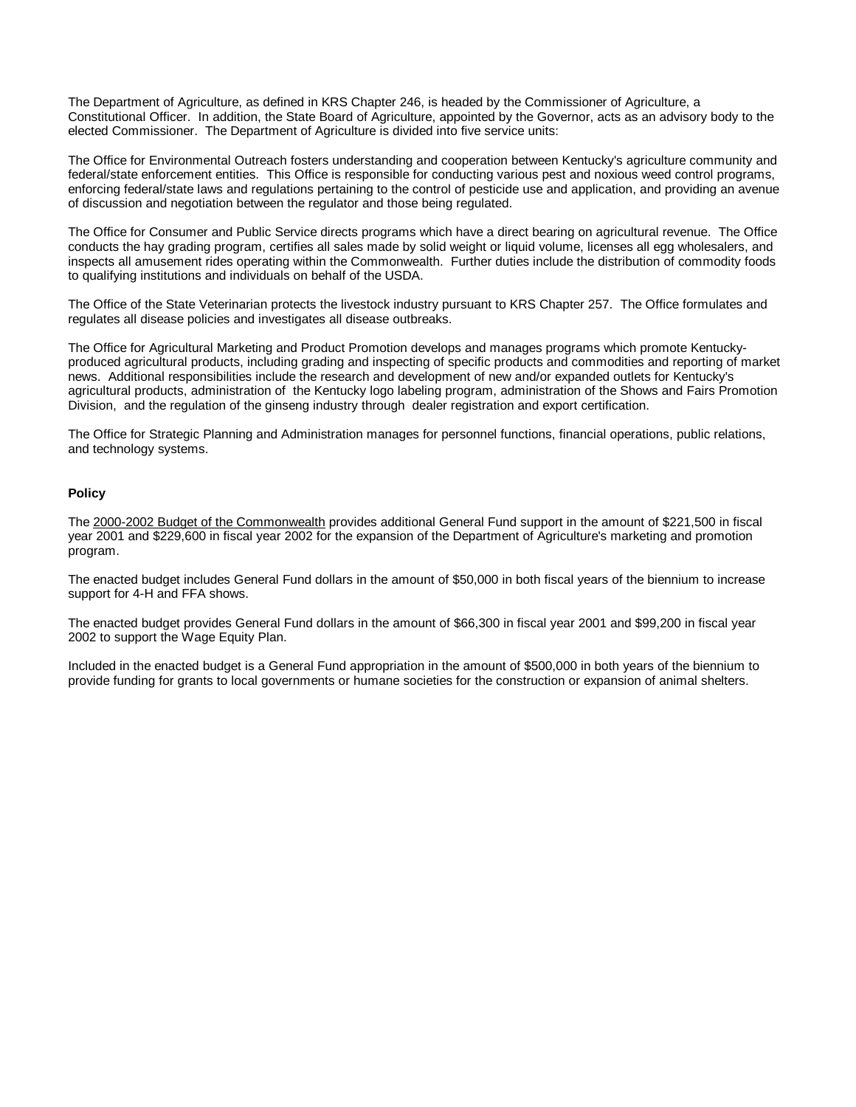The Department of Agriculture, as defined in KRS Chapter 246, is headed by the Commissioner of Agriculture, a Constitutional Officer. In addition, the State Board of Agriculture, appointed by the Governor, acts as an advisory body to the elected Commissioner. The Department of Agriculture is divided into five service units:

The Office for Environmental Outreach fosters understanding and cooperation between Kentucky's agriculture community and federal/state enforcement entities. This Office is responsible for conducting various pest and noxious weed control programs, enforcing federal/state laws and regulations pertaining to the control of pesticide use and application, and providing an avenue of discussion and negotiation between the regulator and those being regulated.

The Office for Consumer and Public Service directs programs which have a direct bearing on agricultural revenue. The Office conducts the hay grading program, certifies all sales made by solid weight or liquid volume, licenses all egg wholesalers, and inspects all amusement rides operating within the Commonwealth. Further duties include the distribution of commodity foods to qualifying institutions and individuals on behalf of the USDA.

The Office of the State Veterinarian protects the livestock industry pursuant to KRS Chapter 257. The Office formulates and regulates all disease policies and investigates all disease outbreaks.

The Office for Agricultural Marketing and Product Promotion develops and manages programs which promote Kentuckyproduced agricultural products, including grading and inspecting of specific products and commodities and reporting of market news. Additional responsibilities include the research and development of new and/or expanded outlets for Kentucky's agricultural products, administration of the Kentucky logo labeling program, administration of the Shows and Fairs Promotion Division, and the regulation of the ginseng industry through dealer registration and export certification.

The Office for Strategic Planning and Administration manages for personnel functions, financial operations, public relations, and technology systems.

#### **Policy**

The 2000-2002 Budget of the Commonwealth provides additional General Fund support in the amount of \$221,500 in fiscal year 2001 and \$229,600 in fiscal year 2002 for the expansion of the Department of Agriculture's marketing and promotion program.

The enacted budget includes General Fund dollars in the amount of \$50,000 in both fiscal years of the biennium to increase support for 4-H and FFA shows.

The enacted budget provides General Fund dollars in the amount of \$66,300 in fiscal year 2001 and \$99,200 in fiscal year 2002 to support the Wage Equity Plan.

Included in the enacted budget is a General Fund appropriation in the amount of \$500,000 in both years of the biennium to provide funding for grants to local governments or humane societies for the construction or expansion of animal shelters.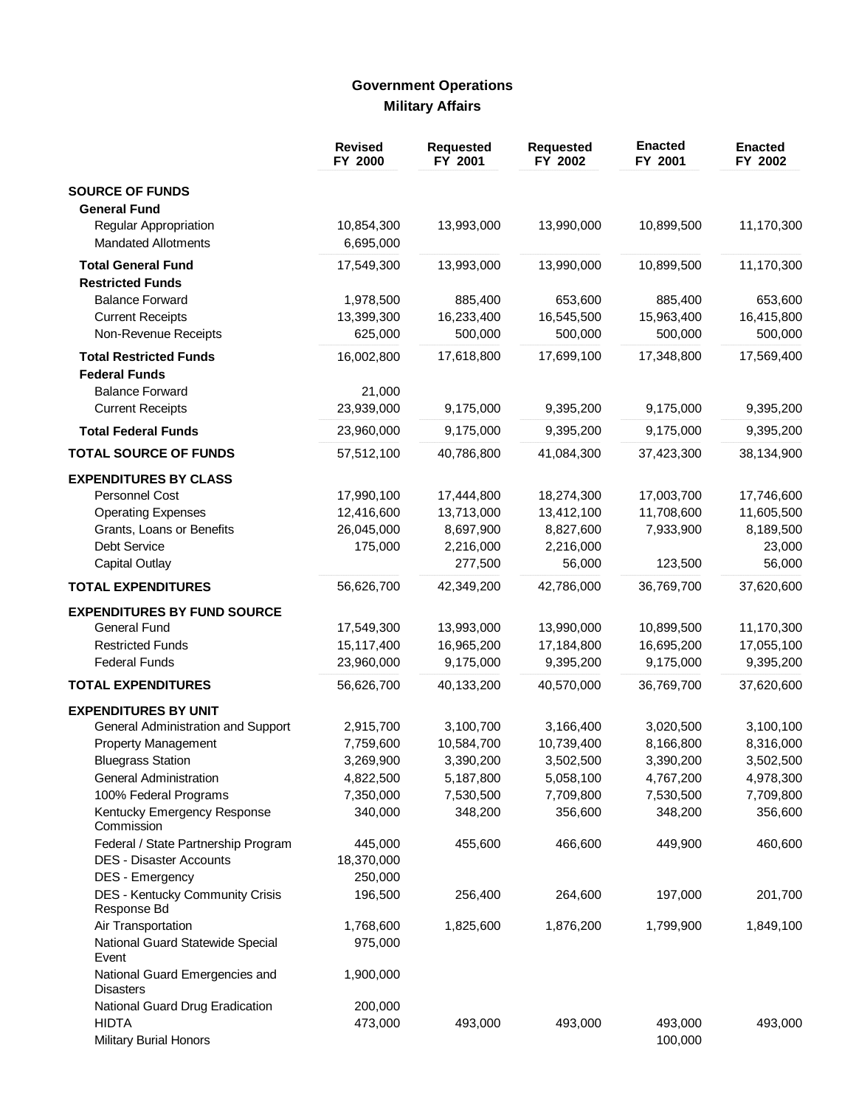# **Government Operations Military Affairs**

|                                                     | <b>Revised</b><br>FY 2000 | <b>Requested</b><br>FY 2001 | <b>Requested</b><br>FY 2002 | <b>Enacted</b><br>FY 2001 | <b>Enacted</b><br>FY 2002 |
|-----------------------------------------------------|---------------------------|-----------------------------|-----------------------------|---------------------------|---------------------------|
| <b>SOURCE OF FUNDS</b>                              |                           |                             |                             |                           |                           |
| <b>General Fund</b>                                 |                           |                             |                             |                           |                           |
| Regular Appropriation<br><b>Mandated Allotments</b> | 10,854,300<br>6,695,000   | 13,993,000                  | 13,990,000                  | 10,899,500                | 11,170,300                |
| <b>Total General Fund</b>                           | 17,549,300                | 13,993,000                  | 13,990,000                  | 10,899,500                | 11,170,300                |
| <b>Restricted Funds</b>                             |                           |                             |                             |                           |                           |
| <b>Balance Forward</b>                              | 1,978,500                 | 885,400                     | 653,600                     | 885,400                   | 653,600                   |
| <b>Current Receipts</b>                             | 13,399,300                | 16,233,400                  | 16,545,500                  | 15,963,400                | 16,415,800                |
| Non-Revenue Receipts                                | 625,000                   | 500,000                     | 500,000                     | 500,000                   | 500,000                   |
| <b>Total Restricted Funds</b>                       | 16,002,800                | 17,618,800                  | 17,699,100                  | 17,348,800                | 17,569,400                |
| <b>Federal Funds</b>                                |                           |                             |                             |                           |                           |
| <b>Balance Forward</b>                              | 21,000                    |                             |                             |                           |                           |
| <b>Current Receipts</b>                             | 23,939,000                | 9,175,000                   | 9,395,200                   | 9,175,000                 | 9,395,200                 |
| <b>Total Federal Funds</b>                          | 23,960,000                | 9,175,000                   | 9,395,200                   | 9,175,000                 | 9,395,200                 |
|                                                     |                           |                             |                             |                           |                           |
| <b>TOTAL SOURCE OF FUNDS</b>                        | 57,512,100                | 40,786,800                  | 41,084,300                  | 37,423,300                | 38,134,900                |
| <b>EXPENDITURES BY CLASS</b>                        |                           |                             |                             |                           |                           |
| <b>Personnel Cost</b>                               | 17,990,100                | 17,444,800                  | 18,274,300                  | 17,003,700                | 17,746,600                |
| <b>Operating Expenses</b>                           | 12,416,600                | 13,713,000                  | 13,412,100                  | 11,708,600                | 11,605,500                |
| Grants, Loans or Benefits                           | 26,045,000                | 8,697,900                   | 8,827,600                   | 7,933,900                 | 8,189,500                 |
| Debt Service                                        | 175,000                   | 2,216,000                   | 2,216,000                   |                           | 23,000                    |
| <b>Capital Outlay</b>                               |                           | 277,500                     | 56,000                      | 123,500                   | 56,000                    |
| <b>TOTAL EXPENDITURES</b>                           | 56,626,700                | 42,349,200                  | 42,786,000                  | 36,769,700                | 37,620,600                |
| <b>EXPENDITURES BY FUND SOURCE</b>                  |                           |                             |                             |                           |                           |
| <b>General Fund</b>                                 | 17,549,300                | 13,993,000                  | 13,990,000                  | 10,899,500                | 11,170,300                |
| <b>Restricted Funds</b>                             | 15,117,400                | 16,965,200                  | 17,184,800                  | 16,695,200                | 17,055,100                |
| <b>Federal Funds</b>                                | 23,960,000                | 9,175,000                   | 9,395,200                   | 9,175,000                 | 9,395,200                 |
| <b>TOTAL EXPENDITURES</b>                           | 56,626,700                | 40,133,200                  | 40,570,000                  | 36,769,700                | 37,620,600                |
| <b>EXPENDITURES BY UNIT</b>                         |                           |                             |                             |                           |                           |
| General Administration and Support                  | 2,915,700                 | 3,100,700                   | 3,166,400                   | 3,020,500                 | 3,100,100                 |
| <b>Property Management</b>                          | 7,759,600                 | 10,584,700                  | 10,739,400                  | 8,166,800                 | 8,316,000                 |
| <b>Bluegrass Station</b>                            | 3,269,900                 | 3,390,200                   | 3,502,500                   | 3,390,200                 | 3,502,500                 |
| General Administration                              | 4,822,500                 | 5,187,800                   | 5,058,100                   | 4,767,200                 | 4,978,300                 |
| 100% Federal Programs                               | 7,350,000                 | 7,530,500                   | 7,709,800                   | 7,530,500                 | 7,709,800                 |
| Kentucky Emergency Response<br>Commission           | 340,000                   | 348,200                     | 356,600                     | 348,200                   | 356,600                   |
| Federal / State Partnership Program                 | 445,000                   | 455,600                     | 466,600                     | 449,900                   | 460,600                   |
| <b>DES - Disaster Accounts</b>                      | 18,370,000                |                             |                             |                           |                           |
| DES - Emergency                                     | 250,000                   |                             |                             |                           |                           |
| DES - Kentucky Community Crisis<br>Response Bd      | 196,500                   | 256,400                     | 264,600                     | 197,000                   | 201,700                   |
| Air Transportation                                  | 1,768,600                 | 1,825,600                   | 1,876,200                   | 1,799,900                 | 1,849,100                 |
| National Guard Statewide Special<br>Event           | 975,000                   |                             |                             |                           |                           |
| National Guard Emergencies and<br><b>Disasters</b>  | 1,900,000                 |                             |                             |                           |                           |
| National Guard Drug Eradication                     | 200,000                   |                             |                             |                           |                           |
| <b>HIDTA</b><br><b>Military Burial Honors</b>       | 473,000                   | 493,000                     | 493,000                     | 493,000<br>100,000        | 493,000                   |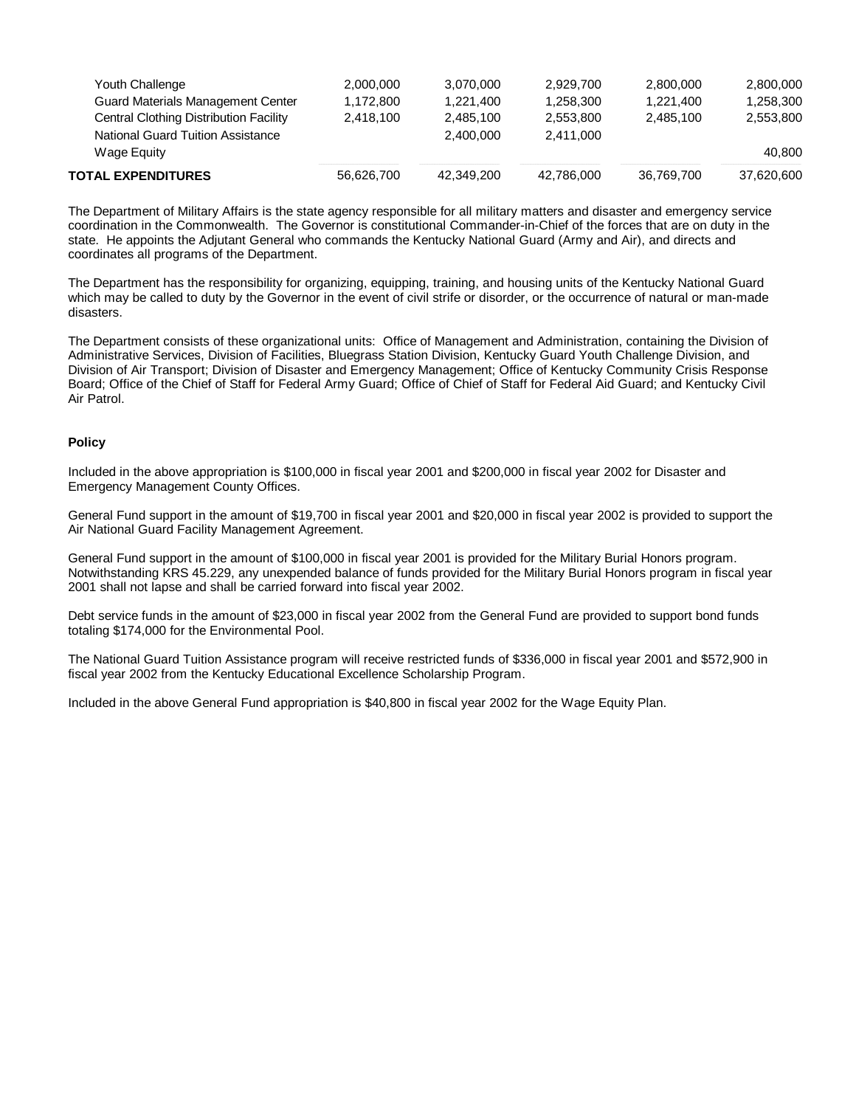| <b>TOTAL EXPENDITURES</b>              | 56.626.700 | 42,349,200 | 42.786.000 | 36.769.700 | 37.620.600 |
|----------------------------------------|------------|------------|------------|------------|------------|
| Wage Equity                            |            |            |            |            | 40.800     |
| National Guard Tuition Assistance      |            | 2.400.000  | 2.411.000  |            |            |
| Central Clothing Distribution Facility | 2.418.100  | 2.485.100  | 2.553.800  | 2.485.100  | 2,553,800  |
| Guard Materials Management Center      | 1.172.800  | 1.221.400  | 1.258.300  | 1,221,400  | 1,258,300  |
| Youth Challenge                        | 2.000.000  | 3.070.000  | 2.929.700  | 2.800.000  | 2,800,000  |
|                                        |            |            |            |            |            |

The Department of Military Affairs is the state agency responsible for all military matters and disaster and emergency service coordination in the Commonwealth. The Governor is constitutional Commander-in-Chief of the forces that are on duty in the state. He appoints the Adjutant General who commands the Kentucky National Guard (Army and Air), and directs and coordinates all programs of the Department.

The Department has the responsibility for organizing, equipping, training, and housing units of the Kentucky National Guard which may be called to duty by the Governor in the event of civil strife or disorder, or the occurrence of natural or man-made disasters.

The Department consists of these organizational units: Office of Management and Administration, containing the Division of Administrative Services, Division of Facilities, Bluegrass Station Division, Kentucky Guard Youth Challenge Division, and Division of Air Transport; Division of Disaster and Emergency Management; Office of Kentucky Community Crisis Response Board; Office of the Chief of Staff for Federal Army Guard; Office of Chief of Staff for Federal Aid Guard; and Kentucky Civil Air Patrol.

#### **Policy**

Included in the above appropriation is \$100,000 in fiscal year 2001 and \$200,000 in fiscal year 2002 for Disaster and Emergency Management County Offices.

General Fund support in the amount of \$19,700 in fiscal year 2001 and \$20,000 in fiscal year 2002 is provided to support the Air National Guard Facility Management Agreement.

General Fund support in the amount of \$100,000 in fiscal year 2001 is provided for the Military Burial Honors program. Notwithstanding KRS 45.229, any unexpended balance of funds provided for the Military Burial Honors program in fiscal year 2001 shall not lapse and shall be carried forward into fiscal year 2002.

Debt service funds in the amount of \$23,000 in fiscal year 2002 from the General Fund are provided to support bond funds totaling \$174,000 for the Environmental Pool.

The National Guard Tuition Assistance program will receive restricted funds of \$336,000 in fiscal year 2001 and \$572,900 in fiscal year 2002 from the Kentucky Educational Excellence Scholarship Program.

Included in the above General Fund appropriation is \$40,800 in fiscal year 2002 for the Wage Equity Plan.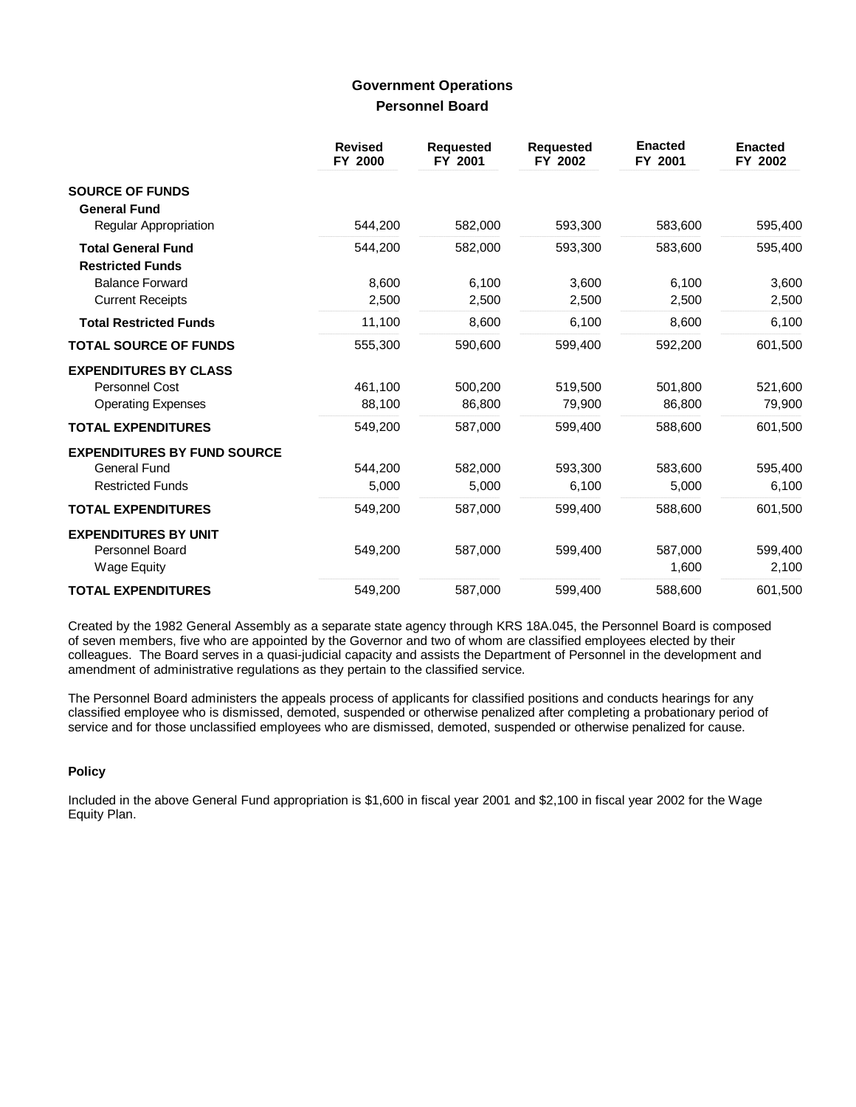## **Government Operations Personnel Board**

|                                                      | <b>Revised</b><br>FY 2000 | <b>Requested</b><br>FY 2001 | <b>Requested</b><br>FY 2002 | <b>Enacted</b><br>FY 2001 | <b>Enacted</b><br>FY 2002 |
|------------------------------------------------------|---------------------------|-----------------------------|-----------------------------|---------------------------|---------------------------|
| <b>SOURCE OF FUNDS</b><br><b>General Fund</b>        |                           |                             |                             |                           |                           |
| <b>Regular Appropriation</b>                         | 544,200                   | 582,000                     | 593,300                     | 583,600                   | 595,400                   |
| <b>Total General Fund</b><br><b>Restricted Funds</b> | 544,200                   | 582,000                     | 593,300                     | 583,600                   | 595,400                   |
| <b>Balance Forward</b>                               | 8,600                     | 6,100                       | 3,600                       | 6,100                     | 3,600                     |
| <b>Current Receipts</b>                              | 2,500                     | 2,500                       | 2,500                       | 2,500                     | 2,500                     |
| <b>Total Restricted Funds</b>                        | 11,100                    | 8,600                       | 6,100                       | 8,600                     | 6,100                     |
| <b>TOTAL SOURCE OF FUNDS</b>                         | 555,300                   | 590,600                     | 599,400                     | 592,200                   | 601,500                   |
| <b>EXPENDITURES BY CLASS</b>                         |                           |                             |                             |                           |                           |
| Personnel Cost                                       | 461,100                   | 500,200                     | 519,500                     | 501,800                   | 521,600                   |
| <b>Operating Expenses</b>                            | 88,100                    | 86,800                      | 79,900                      | 86,800                    | 79,900                    |
| <b>TOTAL EXPENDITURES</b>                            | 549,200                   | 587.000                     | 599.400                     | 588,600                   | 601,500                   |
| <b>EXPENDITURES BY FUND SOURCE</b>                   |                           |                             |                             |                           |                           |
| <b>General Fund</b>                                  | 544,200                   | 582,000                     | 593,300                     | 583,600                   | 595,400                   |
| <b>Restricted Funds</b>                              | 5,000                     | 5,000                       | 6,100                       | 5,000                     | 6,100                     |
| <b>TOTAL EXPENDITURES</b>                            | 549,200                   | 587,000                     | 599,400                     | 588,600                   | 601,500                   |
| <b>EXPENDITURES BY UNIT</b>                          |                           |                             |                             |                           |                           |
| Personnel Board                                      | 549,200                   | 587,000                     | 599,400                     | 587,000                   | 599,400                   |
| <b>Wage Equity</b>                                   |                           |                             |                             | 1,600                     | 2,100                     |
| <b>TOTAL EXPENDITURES</b>                            | 549,200                   | 587,000                     | 599,400                     | 588,600                   | 601,500                   |

Created by the 1982 General Assembly as a separate state agency through KRS 18A.045, the Personnel Board is composed of seven members, five who are appointed by the Governor and two of whom are classified employees elected by their colleagues. The Board serves in a quasi-judicial capacity and assists the Department of Personnel in the development and amendment of administrative regulations as they pertain to the classified service.

The Personnel Board administers the appeals process of applicants for classified positions and conducts hearings for any classified employee who is dismissed, demoted, suspended or otherwise penalized after completing a probationary period of service and for those unclassified employees who are dismissed, demoted, suspended or otherwise penalized for cause.

### **Policy**

Included in the above General Fund appropriation is \$1,600 in fiscal year 2001 and \$2,100 in fiscal year 2002 for the Wage Equity Plan.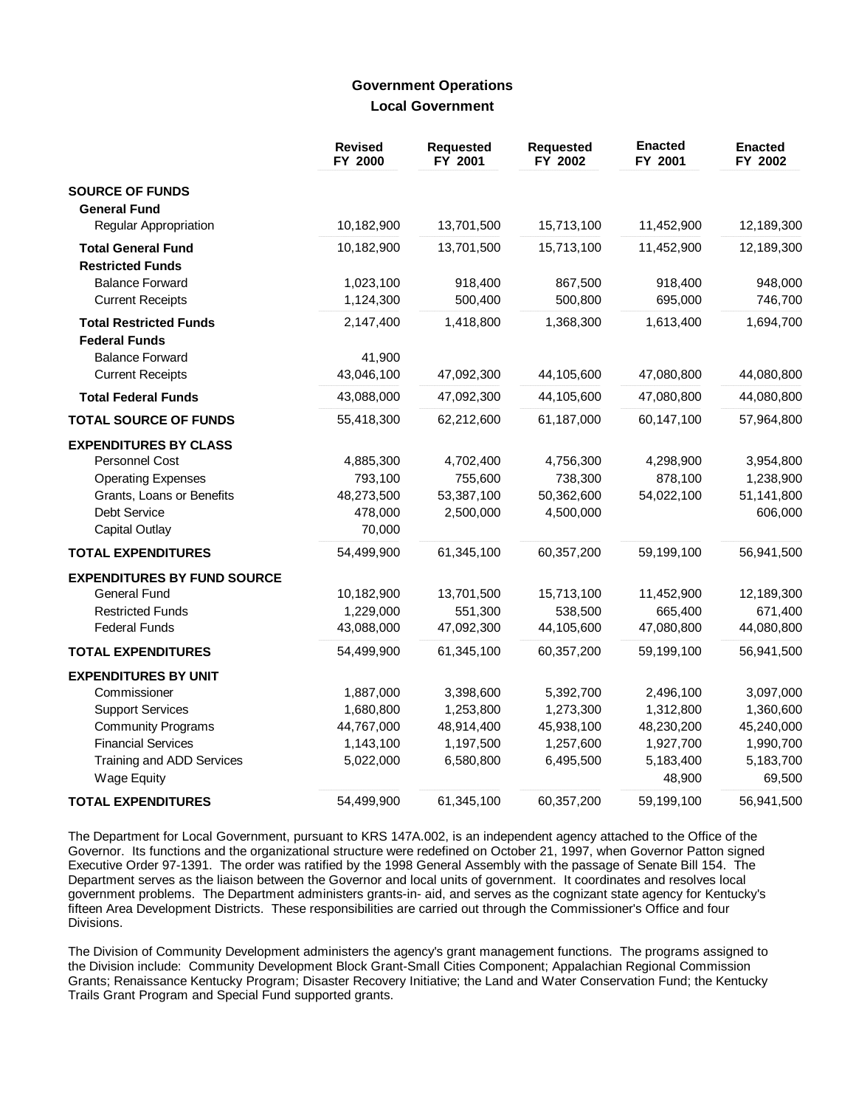### **Government Operations Local Government**

|                                          | <b>Revised</b><br>FY 2000 | <b>Requested</b><br>FY 2001 | <b>Requested</b><br>FY 2002 | <b>Enacted</b><br>FY 2001 | <b>Enacted</b><br>FY 2002 |
|------------------------------------------|---------------------------|-----------------------------|-----------------------------|---------------------------|---------------------------|
| <b>SOURCE OF FUNDS</b>                   |                           |                             |                             |                           |                           |
| <b>General Fund</b>                      |                           |                             |                             |                           |                           |
| Regular Appropriation                    | 10,182,900                | 13,701,500                  | 15,713,100                  | 11,452,900                | 12,189,300                |
| <b>Total General Fund</b>                | 10,182,900                | 13,701,500                  | 15,713,100                  | 11,452,900                | 12,189,300                |
| <b>Restricted Funds</b>                  |                           |                             |                             |                           |                           |
| <b>Balance Forward</b>                   | 1,023,100                 | 918,400                     | 867,500                     | 918,400                   | 948,000                   |
| <b>Current Receipts</b>                  | 1,124,300                 | 500,400                     | 500,800                     | 695,000                   | 746,700                   |
| <b>Total Restricted Funds</b>            | 2,147,400                 | 1,418,800                   | 1,368,300                   | 1,613,400                 | 1,694,700                 |
| <b>Federal Funds</b>                     |                           |                             |                             |                           |                           |
| <b>Balance Forward</b>                   | 41,900                    |                             |                             |                           |                           |
| <b>Current Receipts</b>                  | 43,046,100                | 47,092,300                  | 44,105,600                  | 47,080,800                | 44,080,800                |
| <b>Total Federal Funds</b>               | 43,088,000                | 47,092,300                  | 44,105,600                  | 47,080,800                | 44,080,800                |
| <b>TOTAL SOURCE OF FUNDS</b>             | 55,418,300                | 62,212,600                  | 61,187,000                  | 60,147,100                | 57,964,800                |
| <b>EXPENDITURES BY CLASS</b>             |                           |                             |                             |                           |                           |
| Personnel Cost                           | 4,885,300                 | 4,702,400                   | 4,756,300                   | 4,298,900                 | 3,954,800                 |
| <b>Operating Expenses</b>                | 793,100                   | 755,600                     | 738,300                     | 878,100                   | 1,238,900                 |
| Grants, Loans or Benefits                | 48,273,500                | 53,387,100                  | 50,362,600                  | 54,022,100                | 51,141,800                |
| Debt Service                             | 478,000                   | 2,500,000                   | 4,500,000                   |                           | 606,000                   |
| <b>Capital Outlay</b>                    | 70,000                    |                             |                             |                           |                           |
| <b>TOTAL EXPENDITURES</b>                | 54,499,900                | 61,345,100                  | 60,357,200                  | 59,199,100                | 56,941,500                |
| <b>EXPENDITURES BY FUND SOURCE</b>       |                           |                             |                             |                           |                           |
| <b>General Fund</b>                      | 10,182,900                | 13,701,500                  | 15,713,100                  | 11,452,900                | 12,189,300                |
| <b>Restricted Funds</b>                  | 1,229,000                 | 551,300                     | 538,500                     | 665,400                   | 671,400                   |
| <b>Federal Funds</b>                     | 43,088,000                | 47,092,300                  | 44,105,600                  | 47,080,800                | 44,080,800                |
| <b>TOTAL EXPENDITURES</b>                | 54,499,900                | 61,345,100                  | 60,357,200                  | 59,199,100                | 56,941,500                |
| <b>EXPENDITURES BY UNIT</b>              |                           |                             |                             |                           |                           |
| Commissioner                             | 1,887,000                 | 3,398,600                   | 5,392,700                   | 2,496,100                 | 3,097,000                 |
| <b>Support Services</b>                  | 1,680,800                 | 1,253,800                   | 1,273,300                   | 1,312,800                 | 1,360,600                 |
| <b>Community Programs</b>                | 44,767,000                | 48,914,400                  | 45,938,100                  | 48,230,200                | 45,240,000                |
| <b>Financial Services</b>                | 1,143,100                 | 1,197,500                   | 1,257,600                   | 1,927,700                 | 1,990,700                 |
| Training and ADD Services<br>Wage Equity | 5,022,000                 | 6,580,800                   | 6,495,500                   | 5,183,400<br>48,900       | 5,183,700<br>69,500       |
| <b>TOTAL EXPENDITURES</b>                | 54,499,900                | 61,345,100                  | 60,357,200                  | 59,199,100                | 56,941,500                |

The Department for Local Government, pursuant to KRS 147A.002, is an independent agency attached to the Office of the Governor. Its functions and the organizational structure were redefined on October 21, 1997, when Governor Patton signed Executive Order 97-1391. The order was ratified by the 1998 General Assembly with the passage of Senate Bill 154. The Department serves as the liaison between the Governor and local units of government. It coordinates and resolves local government problems. The Department administers grants-in- aid, and serves as the cognizant state agency for Kentucky's fifteen Area Development Districts. These responsibilities are carried out through the Commissioner's Office and four Divisions.

The Division of Community Development administers the agency's grant management functions. The programs assigned to the Division include: Community Development Block Grant-Small Cities Component; Appalachian Regional Commission Grants; Renaissance Kentucky Program; Disaster Recovery Initiative; the Land and Water Conservation Fund; the Kentucky Trails Grant Program and Special Fund supported grants.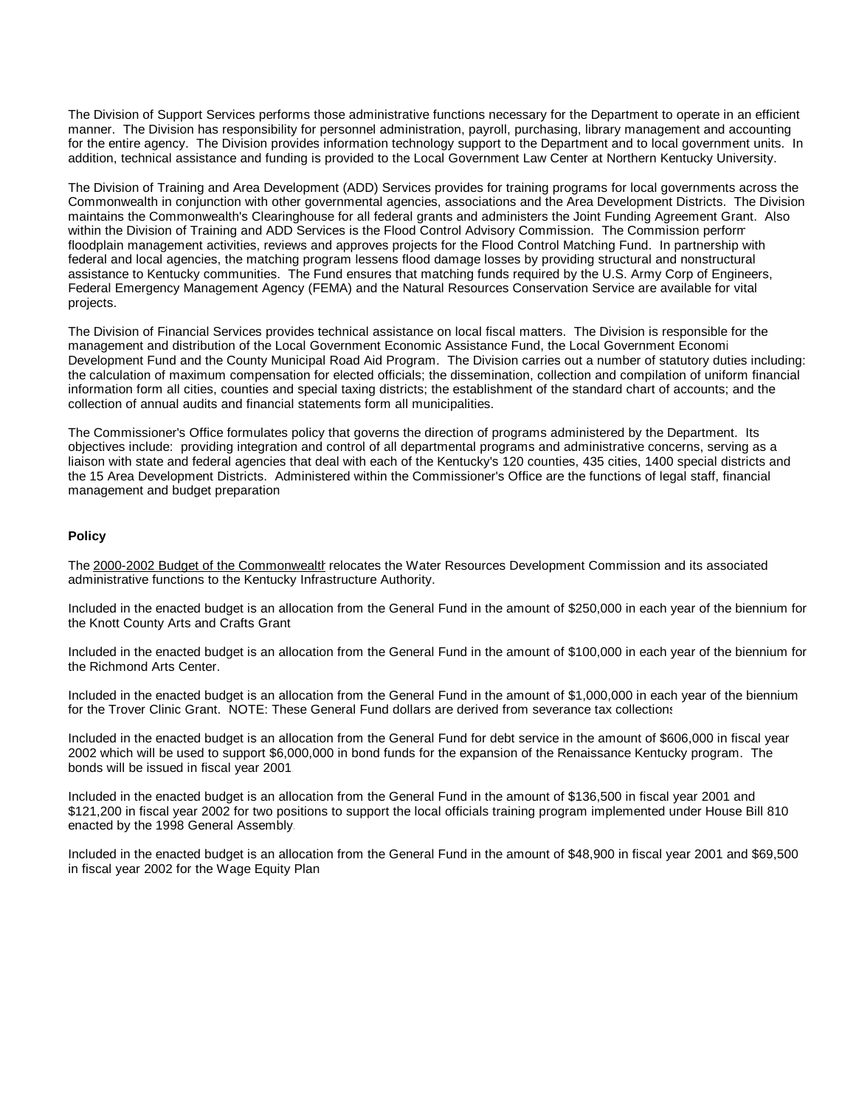The Division of Support Services performs those administrative functions necessary for the Department to operate in an efficient manner. The Division has responsibility for personnel administration, payroll, purchasing, library management and accounting for the entire agency. The Division provides information technology support to the Department and to local government units. In addition, technical assistance and funding is provided to the Local Government Law Center at Northern Kentucky University.

The Division of Training and Area Development (ADD) Services provides for training programs for local governments across the Commonwealth in conjunction with other governmental agencies, associations and the Area Development Districts. The Division maintains the Commonwealth's Clearinghouse for all federal grants and administers the Joint Funding Agreement Grant. Also within the Division of Training and ADD Services is the Flood Control Advisory Commission. The Commission perform floodplain management activities, reviews and approves projects for the Flood Control Matching Fund. In partnership with federal and local agencies, the matching program lessens flood damage losses by providing structural and nonstructural assistance to Kentucky communities. The Fund ensures that matching funds required by the U.S. Army Corp of Engineers, Federal Emergency Management Agency (FEMA) and the Natural Resources Conservation Service are available for vital projects.

The Division of Financial Services provides technical assistance on local fiscal matters. The Division is responsible for the management and distribution of the Local Government Economic Assistance Fund, the Local Government Economic Development Fund and the County Municipal Road Aid Program. The Division carries out a number of statutory duties including: the calculation of maximum compensation for elected officials; the dissemination, collection and compilation of uniform financial information form all cities, counties and special taxing districts; the establishment of the standard chart of accounts; and the collection of annual audits and financial statements form all municipalities.

The Commissioner's Office formulates policy that governs the direction of programs administered by the Department. Its objectives include: providing integration and control of all departmental programs and administrative concerns, serving as a liaison with state and federal agencies that deal with each of the Kentucky's 120 counties, 435 cities, 1400 special districts and the 15 Area Development Districts. Administered within the Commissioner's Office are the functions of legal staff, financial management and budget preparation.

#### **Policy**

The 2000-2002 Budget of the Commonwealth relocates the Water Resources Development Commission and its associated administrative functions to the Kentucky Infrastructure Authority.

Included in the enacted budget is an allocation from the General Fund in the amount of \$250,000 in each year of the biennium for the Knott County Arts and Crafts Grant.

Included in the enacted budget is an allocation from the General Fund in the amount of \$100,000 in each year of the biennium for the Richmond Arts Center.

Included in the enacted budget is an allocation from the General Fund in the amount of \$1,000,000 in each year of the biennium for the Trover Clinic Grant. NOTE: These General Fund dollars are derived from severance tax collections.

Included in the enacted budget is an allocation from the General Fund for debt service in the amount of \$606,000 in fiscal year 2002 which will be used to support \$6,000,000 in bond funds for the expansion of the Renaissance Kentucky program. The bonds will be issued in fiscal year 2001.

Included in the enacted budget is an allocation from the General Fund in the amount of \$136,500 in fiscal year 2001 and \$121,200 in fiscal year 2002 for two positions to support the local officials training program implemented under House Bill 810 enacted by the 1998 General Assembly.

Included in the enacted budget is an allocation from the General Fund in the amount of \$48,900 in fiscal year 2001 and \$69,500 in fiscal year 2002 for the Wage Equity Plan.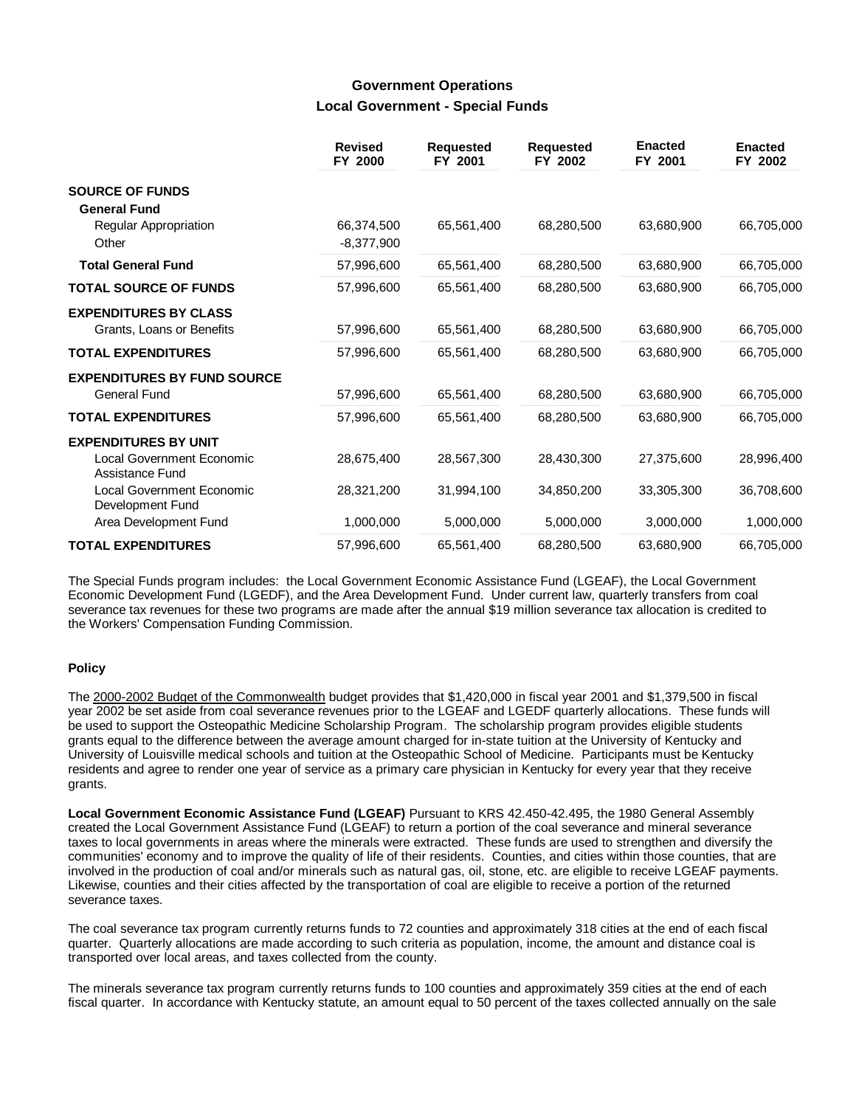## **Government Operations Local Government - Special Funds**

|                                                                             | <b>Revised</b><br>FY 2000  | <b>Requested</b><br>FY 2001 | <b>Requested</b><br>FY 2002 | <b>Enacted</b><br>FY 2001 | <b>Enacted</b><br>FY 2002 |
|-----------------------------------------------------------------------------|----------------------------|-----------------------------|-----------------------------|---------------------------|---------------------------|
| <b>SOURCE OF FUNDS</b><br><b>General Fund</b>                               |                            |                             |                             |                           |                           |
| <b>Regular Appropriation</b><br>Other                                       | 66,374,500<br>$-8,377,900$ | 65,561,400                  | 68,280,500                  | 63,680,900                | 66,705,000                |
| <b>Total General Fund</b>                                                   | 57,996,600                 | 65,561,400                  | 68,280,500                  | 63,680,900                | 66,705,000                |
| <b>TOTAL SOURCE OF FUNDS</b>                                                | 57,996,600                 | 65,561,400                  | 68,280,500                  | 63,680,900                | 66,705,000                |
| <b>EXPENDITURES BY CLASS</b><br>Grants, Loans or Benefits                   | 57,996,600                 | 65,561,400                  | 68,280,500                  | 63,680,900                | 66,705,000                |
| <b>TOTAL EXPENDITURES</b>                                                   | 57,996,600                 | 65,561,400                  | 68,280,500                  | 63,680,900                | 66,705,000                |
| <b>EXPENDITURES BY FUND SOURCE</b><br><b>General Fund</b>                   | 57,996,600                 | 65,561,400                  | 68,280,500                  | 63,680,900                | 66,705,000                |
| <b>TOTAL EXPENDITURES</b>                                                   | 57,996,600                 | 65,561,400                  | 68,280,500                  | 63,680,900                | 66,705,000                |
| <b>EXPENDITURES BY UNIT</b><br>Local Government Economic<br>Assistance Fund | 28,675,400                 | 28,567,300                  | 28,430,300                  | 27,375,600                | 28,996,400                |
| <b>Local Government Economic</b><br>Development Fund                        | 28,321,200                 | 31,994,100                  | 34,850,200                  | 33,305,300                | 36,708,600                |
| Area Development Fund                                                       | 1,000,000                  | 5,000,000                   | 5,000,000                   | 3,000,000                 | 1,000,000                 |
| <b>TOTAL EXPENDITURES</b>                                                   | 57,996,600                 | 65,561,400                  | 68,280,500                  | 63,680,900                | 66,705,000                |

The Special Funds program includes: the Local Government Economic Assistance Fund (LGEAF), the Local Government Economic Development Fund (LGEDF), and the Area Development Fund. Under current law, quarterly transfers from coal severance tax revenues for these two programs are made after the annual \$19 million severance tax allocation is credited to the Workers' Compensation Funding Commission.

### **Policy**

The 2000-2002 Budget of the Commonwealth budget provides that \$1,420,000 in fiscal year 2001 and \$1,379,500 in fiscal year 2002 be set aside from coal severance revenues prior to the LGEAF and LGEDF quarterly allocations. These funds will be used to support the Osteopathic Medicine Scholarship Program. The scholarship program provides eligible students grants equal to the difference between the average amount charged for in-state tuition at the University of Kentucky and University of Louisville medical schools and tuition at the Osteopathic School of Medicine. Participants must be Kentucky residents and agree to render one year of service as a primary care physician in Kentucky for every year that they receive grants.

**Local Government Economic Assistance Fund (LGEAF)** Pursuant to KRS 42.450-42.495, the 1980 General Assembly created the Local Government Assistance Fund (LGEAF) to return a portion of the coal severance and mineral severance taxes to local governments in areas where the minerals were extracted. These funds are used to strengthen and diversify the communities' economy and to improve the quality of life of their residents. Counties, and cities within those counties, that are involved in the production of coal and/or minerals such as natural gas, oil, stone, etc. are eligible to receive LGEAF payments. Likewise, counties and their cities affected by the transportation of coal are eligible to receive a portion of the returned severance taxes.

The coal severance tax program currently returns funds to 72 counties and approximately 318 cities at the end of each fiscal quarter. Quarterly allocations are made according to such criteria as population, income, the amount and distance coal is transported over local areas, and taxes collected from the county.

The minerals severance tax program currently returns funds to 100 counties and approximately 359 cities at the end of each fiscal quarter. In accordance with Kentucky statute, an amount equal to 50 percent of the taxes collected annually on the sale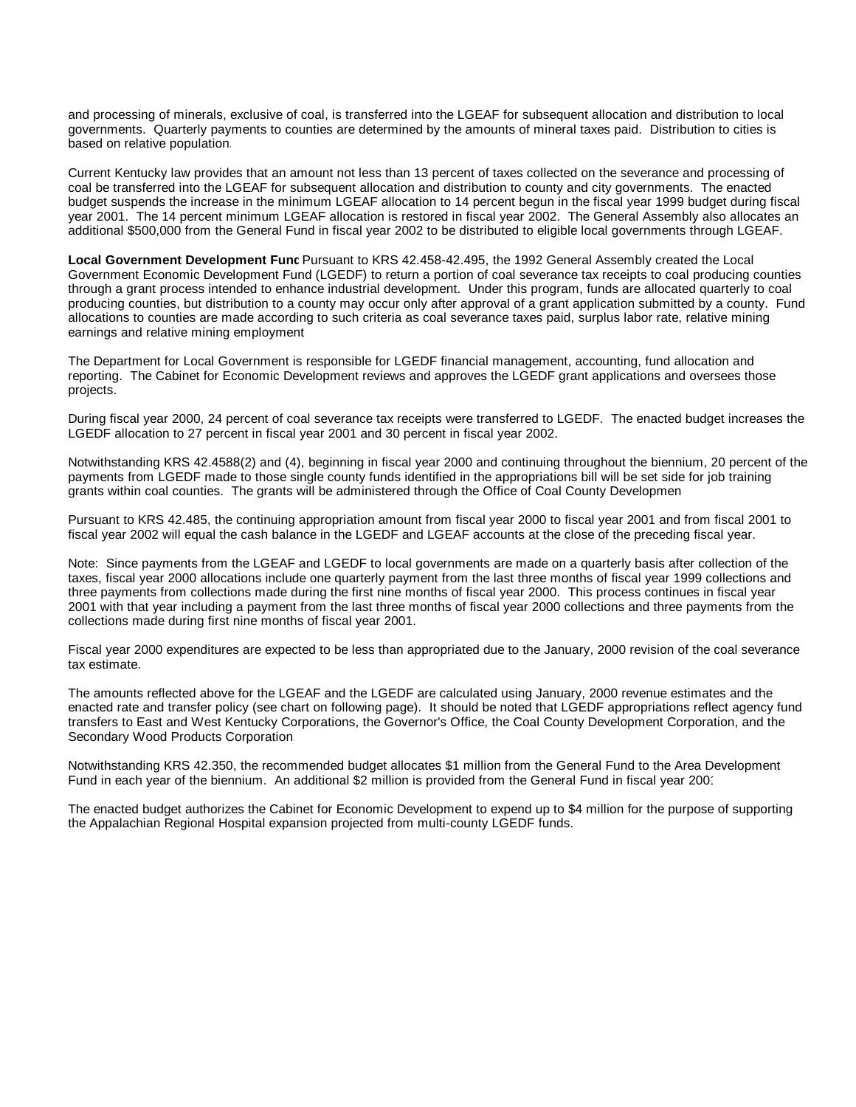and processing of minerals, exclusive of coal, is transferred into the LGEAF for subsequent allocation and distribution to local governments. Quarterly payments to counties are determined by the amounts of mineral taxes paid. Distribution to cities is based on relative population.

Current Kentucky law provides that an amount not less than 13 percent of taxes collected on the severance and processing of coal be transferred into the LGEAF for subsequent allocation and distribution to county and city governments. The enacted budget suspends the increase in the minimum LGEAF allocation to 14 percent begun in the fiscal year 1999 budget during fiscal year 2001. The 14 percent minimum LGEAF allocation is restored in fiscal year 2002. The General Assembly also allocates an additional \$500,000 from the General Fund in fiscal year 2002 to be distributed to eligible local governments through LGEAF.

Local Government Development Func Pursuant to KRS 42.458-42.495, the 1992 General Assembly created the Local Government Economic Development Fund (LGEDF) to return a portion of coal severance tax receipts to coal producing counties through a grant process intended to enhance industrial development. Under this program, funds are allocated quarterly to coal producing counties, but distribution to a county may occur only after approval of a grant application submitted by a county. Fund allocations to counties are made according to such criteria as coal severance taxes paid, surplus labor rate, relative mining earnings and relative mining employment.

The Department for Local Government is responsible for LGEDF financial management, accounting, fund allocation and reporting. The Cabinet for Economic Development reviews and approves the LGEDF grant applications and oversees those projects.

During fiscal year 2000, 24 percent of coal severance tax receipts were transferred to LGEDF. The enacted budget increases the LGEDF allocation to 27 percent in fiscal year 2001 and 30 percent in fiscal year 2002.

Notwithstanding KRS 42.4588(2) and (4), beginning in fiscal year 2000 and continuing throughout the biennium, 20 percent of the payments from LGEDF made to those single county funds identified in the appropriations bill will be set side for job training grants within coal counties. The grants will be administered through the Office of Coal County Developmen

Pursuant to KRS 42.485, the continuing appropriation amount from fiscal year 2000 to fiscal year 2001 and from fiscal 2001 to fiscal year 2002 will equal the cash balance in the LGEDF and LGEAF accounts at the close of the preceding fiscal year.

Note: Since payments from the LGEAF and LGEDF to local governments are made on a quarterly basis after collection of the taxes, fiscal year 2000 allocations include one quarterly payment from the last three months of fiscal year 1999 collections and three payments from collections made during the first nine months of fiscal year 2000. This process continues in fiscal year 2001 with that year including a payment from the last three months of fiscal year 2000 collections and three payments from the collections made during first nine months of fiscal year 2001.

Fiscal year 2000 expenditures are expected to be less than appropriated due to the January, 2000 revision of the coal severance tax estimate.

The amounts reflected above for the LGEAF and the LGEDF are calculated using January, 2000 revenue estimates and the enacted rate and transfer policy (see chart on following page). It should be noted that LGEDF appropriations reflect agency fund transfers to East and West Kentucky Corporations, the Governor's Office, the Coal County Development Corporation, and the Secondary Wood Products Corporation.

Notwithstanding KRS 42.350, the recommended budget allocates \$1 million from the General Fund to the Area Development Fund in each year of the biennium. An additional \$2 million is provided from the General Fund in fiscal year 2001.

The enacted budget authorizes the Cabinet for Economic Development to expend up to \$4 million for the purpose of supporting the Appalachian Regional Hospital expansion projected from multi-county LGEDF funds.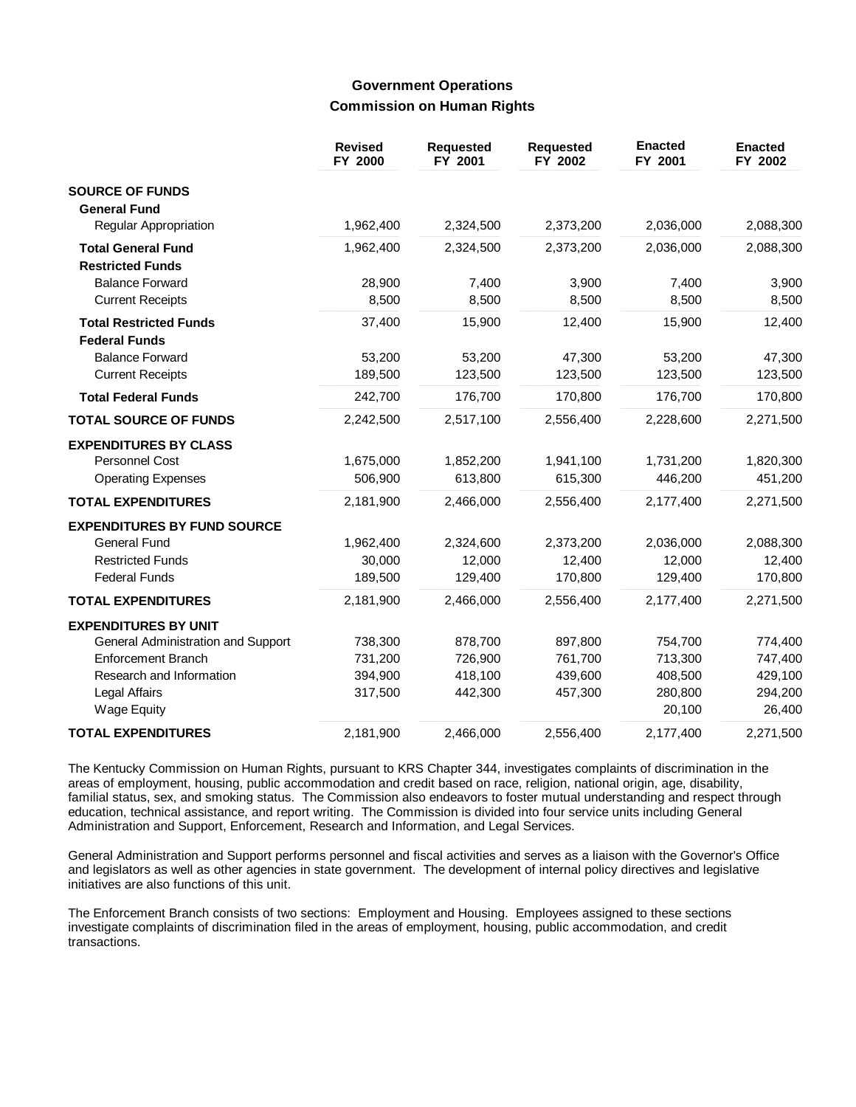# **Government Operations Commission on Human Rights**

|                                                       | <b>Revised</b><br>FY 2000 | <b>Requested</b><br>FY 2001 | <b>Requested</b><br>FY 2002 | <b>Enacted</b><br>FY 2001 | <b>Enacted</b><br>FY 2002 |
|-------------------------------------------------------|---------------------------|-----------------------------|-----------------------------|---------------------------|---------------------------|
| <b>SOURCE OF FUNDS</b>                                |                           |                             |                             |                           |                           |
| <b>General Fund</b>                                   |                           |                             |                             |                           |                           |
| <b>Regular Appropriation</b>                          | 1,962,400                 | 2,324,500                   | 2,373,200                   | 2,036,000                 | 2,088,300                 |
| <b>Total General Fund</b><br><b>Restricted Funds</b>  | 1,962,400                 | 2,324,500                   | 2,373,200                   | 2,036,000                 | 2,088,300                 |
| <b>Balance Forward</b>                                | 28,900                    | 7,400                       | 3,900                       | 7,400                     | 3,900                     |
| <b>Current Receipts</b>                               | 8,500                     | 8,500                       | 8,500                       | 8,500                     | 8,500                     |
| <b>Total Restricted Funds</b><br><b>Federal Funds</b> | 37,400                    | 15,900                      | 12,400                      | 15,900                    | 12,400                    |
| <b>Balance Forward</b>                                | 53,200                    | 53,200                      | 47,300                      | 53,200                    | 47,300                    |
| <b>Current Receipts</b>                               | 189,500                   | 123,500                     | 123,500                     | 123,500                   | 123,500                   |
| <b>Total Federal Funds</b>                            | 242,700                   | 176,700                     | 170,800                     | 176,700                   | 170,800                   |
| <b>TOTAL SOURCE OF FUNDS</b>                          | 2,242,500                 | 2,517,100                   | 2,556,400                   | 2,228,600                 | 2,271,500                 |
| <b>EXPENDITURES BY CLASS</b>                          |                           |                             |                             |                           |                           |
| Personnel Cost                                        | 1,675,000                 | 1,852,200                   | 1,941,100                   | 1,731,200                 | 1,820,300                 |
| <b>Operating Expenses</b>                             | 506,900                   | 613,800                     | 615,300                     | 446,200                   | 451,200                   |
| <b>TOTAL EXPENDITURES</b>                             | 2,181,900                 | 2,466,000                   | 2,556,400                   | 2,177,400                 | 2,271,500                 |
| <b>EXPENDITURES BY FUND SOURCE</b>                    |                           |                             |                             |                           |                           |
| <b>General Fund</b>                                   | 1,962,400                 | 2,324,600                   | 2,373,200                   | 2,036,000                 | 2,088,300                 |
| <b>Restricted Funds</b>                               | 30,000                    | 12,000                      | 12,400                      | 12,000                    | 12,400                    |
| <b>Federal Funds</b>                                  | 189,500                   | 129,400                     | 170,800                     | 129,400                   | 170,800                   |
| <b>TOTAL EXPENDITURES</b>                             | 2,181,900                 | 2,466,000                   | 2,556,400                   | 2,177,400                 | 2,271,500                 |
| <b>EXPENDITURES BY UNIT</b>                           |                           |                             |                             |                           |                           |
| General Administration and Support                    | 738,300                   | 878,700                     | 897,800                     | 754,700                   | 774,400                   |
| <b>Enforcement Branch</b>                             | 731,200                   | 726,900                     | 761,700                     | 713,300                   | 747,400                   |
| Research and Information                              | 394,900                   | 418,100                     | 439,600                     | 408,500                   | 429,100                   |
| Legal Affairs                                         | 317,500                   | 442,300                     | 457,300                     | 280,800                   | 294,200                   |
| <b>Wage Equity</b>                                    |                           |                             |                             | 20,100                    | 26,400                    |
| <b>TOTAL EXPENDITURES</b>                             | 2,181,900                 | 2,466,000                   | 2,556,400                   | 2,177,400                 | 2,271,500                 |

The Kentucky Commission on Human Rights, pursuant to KRS Chapter 344, investigates complaints of discrimination in the areas of employment, housing, public accommodation and credit based on race, religion, national origin, age, disability, familial status, sex, and smoking status. The Commission also endeavors to foster mutual understanding and respect through education, technical assistance, and report writing. The Commission is divided into four service units including General Administration and Support, Enforcement, Research and Information, and Legal Services.

General Administration and Support performs personnel and fiscal activities and serves as a liaison with the Governor's Office and legislators as well as other agencies in state government. The development of internal policy directives and legislative initiatives are also functions of this unit.

The Enforcement Branch consists of two sections: Employment and Housing. Employees assigned to these sections investigate complaints of discrimination filed in the areas of employment, housing, public accommodation, and credit transactions.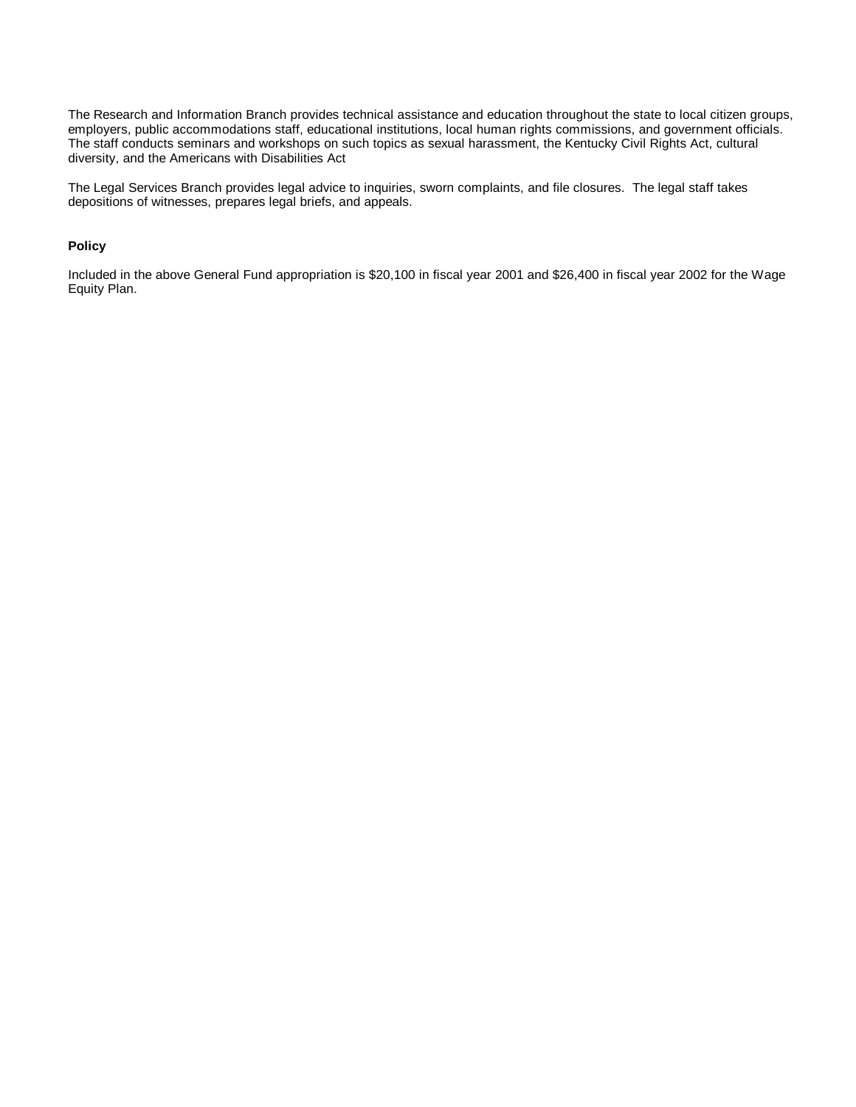The Research and Information Branch provides technical assistance and education throughout the state to local citizen groups, employers, public accommodations staff, educational institutions, local human rights commissions, and government officials. The staff conducts seminars and workshops on such topics as sexual harassment, the Kentucky Civil Rights Act, cultural diversity, and the Americans with Disabilities Act.

The Legal Services Branch provides legal advice to inquiries, sworn complaints, and file closures. The legal staff takes depositions of witnesses, prepares legal briefs, and appeals.

### **Policy**

Included in the above General Fund appropriation is \$20,100 in fiscal year 2001 and \$26,400 in fiscal year 2002 for the Wage Equity Plan.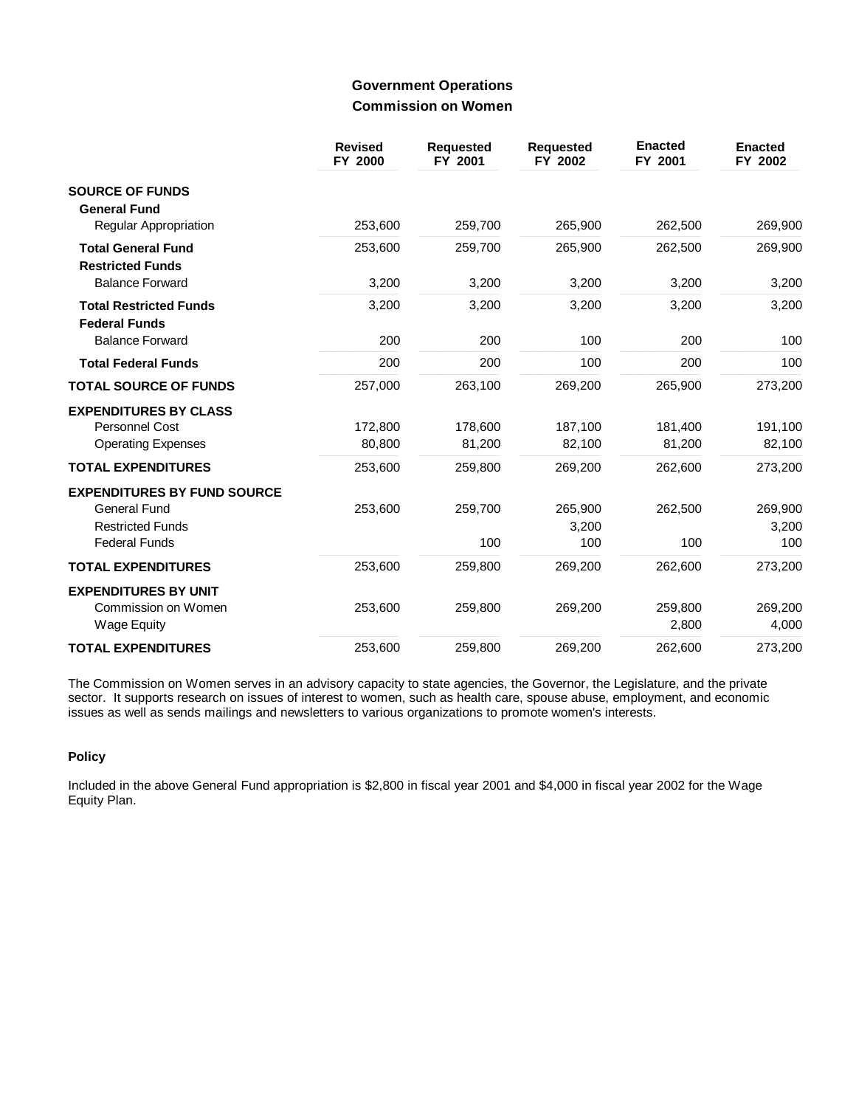## **Government Operations Commission on Women**

|                                                       | <b>Revised</b><br>FY 2000 | <b>Requested</b><br>FY 2001 | <b>Requested</b><br>FY 2002 | <b>Enacted</b><br>FY 2001 | <b>Enacted</b><br>FY 2002 |
|-------------------------------------------------------|---------------------------|-----------------------------|-----------------------------|---------------------------|---------------------------|
| <b>SOURCE OF FUNDS</b><br><b>General Fund</b>         |                           |                             |                             |                           |                           |
| <b>Regular Appropriation</b>                          | 253,600                   | 259,700                     | 265,900                     | 262,500                   | 269,900                   |
| <b>Total General Fund</b><br><b>Restricted Funds</b>  | 253,600                   | 259,700                     | 265,900                     | 262,500                   | 269,900                   |
| <b>Balance Forward</b>                                | 3,200                     | 3,200                       | 3,200                       | 3,200                     | 3,200                     |
| <b>Total Restricted Funds</b><br><b>Federal Funds</b> | 3,200                     | 3,200                       | 3,200                       | 3,200                     | 3,200                     |
| <b>Balance Forward</b>                                | 200                       | 200                         | 100                         | 200                       | 100                       |
| <b>Total Federal Funds</b>                            | 200                       | 200                         | 100                         | 200                       | 100                       |
| <b>TOTAL SOURCE OF FUNDS</b>                          | 257,000                   | 263,100                     | 269,200                     | 265,900                   | 273,200                   |
| <b>EXPENDITURES BY CLASS</b>                          |                           |                             |                             |                           |                           |
| <b>Personnel Cost</b>                                 | 172.800                   | 178,600                     | 187.100                     | 181,400                   | 191,100                   |
| <b>Operating Expenses</b>                             | 80.800                    | 81,200                      | 82,100                      | 81,200                    | 82,100                    |
| <b>TOTAL EXPENDITURES</b>                             | 253,600                   | 259,800                     | 269,200                     | 262,600                   | 273,200                   |
| <b>EXPENDITURES BY FUND SOURCE</b>                    |                           |                             |                             |                           |                           |
| <b>General Fund</b>                                   | 253,600                   | 259,700                     | 265,900                     | 262,500                   | 269,900                   |
| <b>Restricted Funds</b>                               |                           |                             | 3,200                       |                           | 3,200                     |
| <b>Federal Funds</b>                                  |                           | 100                         | 100                         | 100                       | 100                       |
| <b>TOTAL EXPENDITURES</b>                             | 253,600                   | 259,800                     | 269,200                     | 262,600                   | 273,200                   |
| <b>EXPENDITURES BY UNIT</b>                           |                           |                             |                             |                           |                           |
| Commission on Women                                   | 253,600                   | 259,800                     | 269,200                     | 259,800                   | 269,200                   |
| <b>Wage Equity</b>                                    |                           |                             |                             | 2,800                     | 4,000                     |
| <b>TOTAL EXPENDITURES</b>                             | 253,600                   | 259,800                     | 269,200                     | 262,600                   | 273,200                   |

The Commission on Women serves in an advisory capacity to state agencies, the Governor, the Legislature, and the private sector. It supports research on issues of interest to women, such as health care, spouse abuse, employment, and economic issues as well as sends mailings and newsletters to various organizations to promote women's interests.

### **Policy**

Included in the above General Fund appropriation is \$2,800 in fiscal year 2001 and \$4,000 in fiscal year 2002 for the Wage Equity Plan.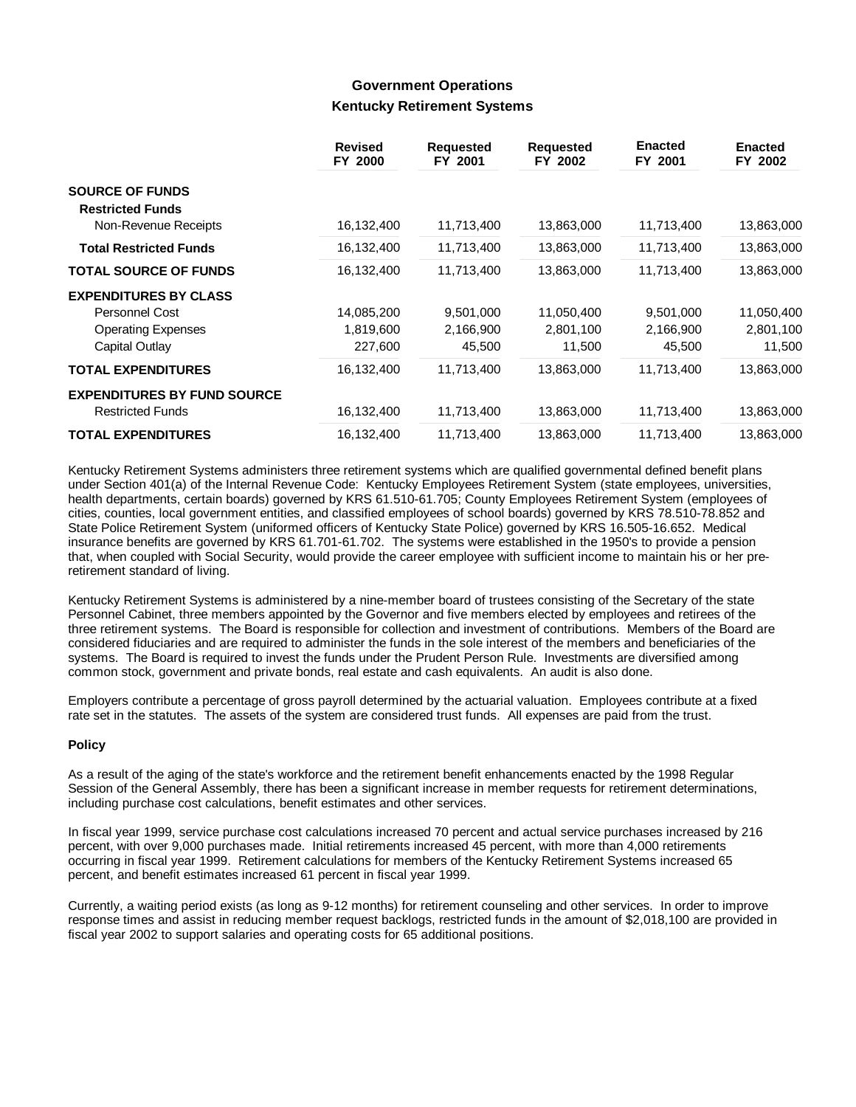## **Government Operations Kentucky Retirement Systems**

|                                                   | <b>Revised</b><br>FY 2000 | <b>Requested</b><br>FY 2001 | <b>Requested</b><br>FY 2002 | <b>Enacted</b><br>FY 2001 | <b>Enacted</b><br>FY 2002 |
|---------------------------------------------------|---------------------------|-----------------------------|-----------------------------|---------------------------|---------------------------|
| <b>SOURCE OF FUNDS</b><br><b>Restricted Funds</b> |                           |                             |                             |                           |                           |
| Non-Revenue Receipts                              | 16,132,400                | 11,713,400                  | 13,863,000                  | 11,713,400                | 13,863,000                |
| <b>Total Restricted Funds</b>                     | 16,132,400                | 11,713,400                  | 13,863,000                  | 11,713,400                | 13,863,000                |
| <b>TOTAL SOURCE OF FUNDS</b>                      | 16,132,400                | 11,713,400                  | 13,863,000                  | 11,713,400                | 13,863,000                |
| <b>EXPENDITURES BY CLASS</b>                      |                           |                             |                             |                           |                           |
| Personnel Cost                                    | 14,085,200                | 9,501,000                   | 11,050,400                  | 9,501,000                 | 11,050,400                |
| <b>Operating Expenses</b>                         | 1,819,600                 | 2,166,900                   | 2,801,100                   | 2,166,900                 | 2,801,100                 |
| Capital Outlay                                    | 227,600                   | 45,500                      | 11,500                      | 45,500                    | 11,500                    |
| <b>TOTAL EXPENDITURES</b>                         | 16,132,400                | 11,713,400                  | 13,863,000                  | 11,713,400                | 13,863,000                |
| <b>EXPENDITURES BY FUND SOURCE</b>                |                           |                             |                             |                           |                           |
| <b>Restricted Funds</b>                           | 16,132,400                | 11,713,400                  | 13,863,000                  | 11,713,400                | 13,863,000                |
| <b>TOTAL EXPENDITURES</b>                         | 16,132,400                | 11,713,400                  | 13,863,000                  | 11,713,400                | 13,863,000                |

Kentucky Retirement Systems administers three retirement systems which are qualified governmental defined benefit plans under Section 401(a) of the Internal Revenue Code: Kentucky Employees Retirement System (state employees, universities, health departments, certain boards) governed by KRS 61.510-61.705; County Employees Retirement System (employees of cities, counties, local government entities, and classified employees of school boards) governed by KRS 78.510-78.852 and State Police Retirement System (uniformed officers of Kentucky State Police) governed by KRS 16.505-16.652. Medical insurance benefits are governed by KRS 61.701-61.702. The systems were established in the 1950's to provide a pension that, when coupled with Social Security, would provide the career employee with sufficient income to maintain his or her preretirement standard of living.

Kentucky Retirement Systems is administered by a nine-member board of trustees consisting of the Secretary of the state Personnel Cabinet, three members appointed by the Governor and five members elected by employees and retirees of the three retirement systems. The Board is responsible for collection and investment of contributions. Members of the Board are considered fiduciaries and are required to administer the funds in the sole interest of the members and beneficiaries of the systems. The Board is required to invest the funds under the Prudent Person Rule. Investments are diversified among common stock, government and private bonds, real estate and cash equivalents. An audit is also done.

Employers contribute a percentage of gross payroll determined by the actuarial valuation. Employees contribute at a fixed rate set in the statutes. The assets of the system are considered trust funds. All expenses are paid from the trust.

### **Policy**

As a result of the aging of the state's workforce and the retirement benefit enhancements enacted by the 1998 Regular Session of the General Assembly, there has been a significant increase in member requests for retirement determinations, including purchase cost calculations, benefit estimates and other services.

In fiscal year 1999, service purchase cost calculations increased 70 percent and actual service purchases increased by 216 percent, with over 9,000 purchases made. Initial retirements increased 45 percent, with more than 4,000 retirements occurring in fiscal year 1999. Retirement calculations for members of the Kentucky Retirement Systems increased 65 percent, and benefit estimates increased 61 percent in fiscal year 1999.

Currently, a waiting period exists (as long as 9-12 months) for retirement counseling and other services. In order to improve response times and assist in reducing member request backlogs, restricted funds in the amount of \$2,018,100 are provided in fiscal year 2002 to support salaries and operating costs for 65 additional positions.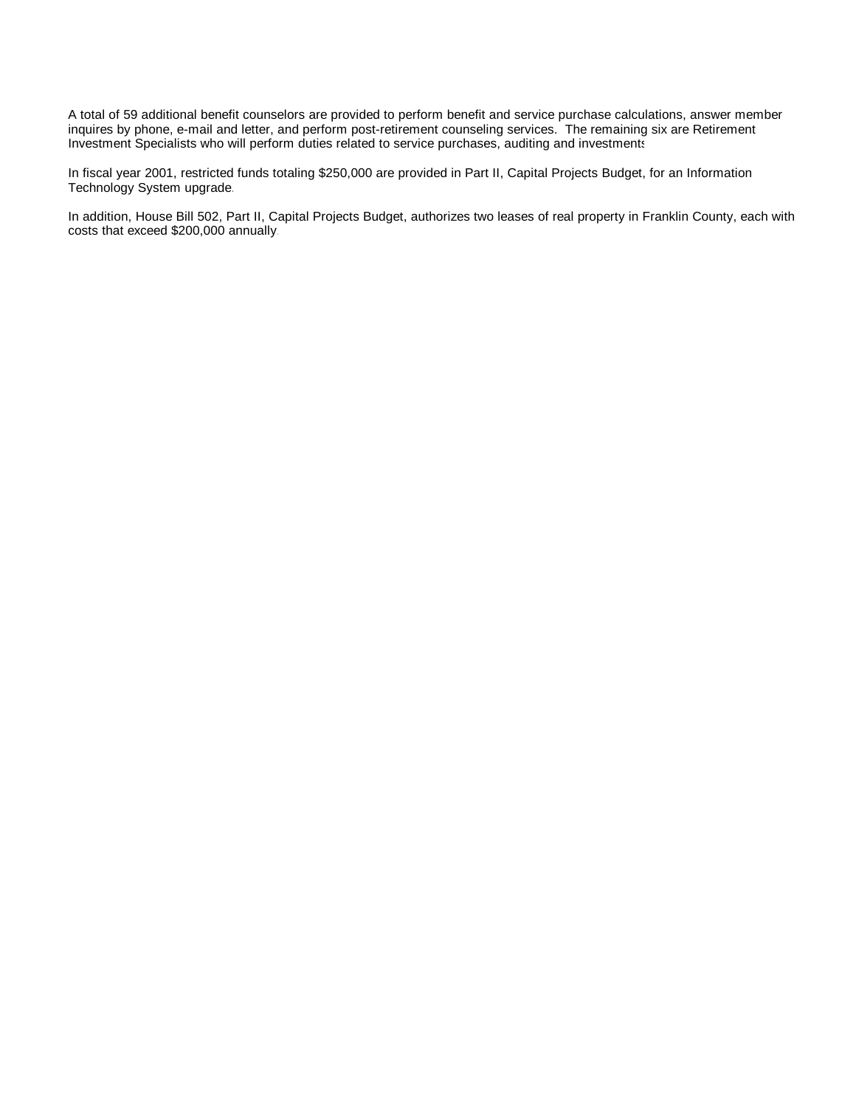A total of 59 additional benefit counselors are provided to perform benefit and service purchase calculations, answer member inquires by phone, e-mail and letter, and perform post-retirement counseling services. The remaining six are Retirement Investment Specialists who will perform duties related to service purchases, auditing and investments.

In fiscal year 2001, restricted funds totaling \$250,000 are provided in Part II, Capital Projects Budget, for an Information Technology System upgrade.

In addition, House Bill 502, Part II, Capital Projects Budget, authorizes two leases of real property in Franklin County, each with costs that exceed \$200,000 annually.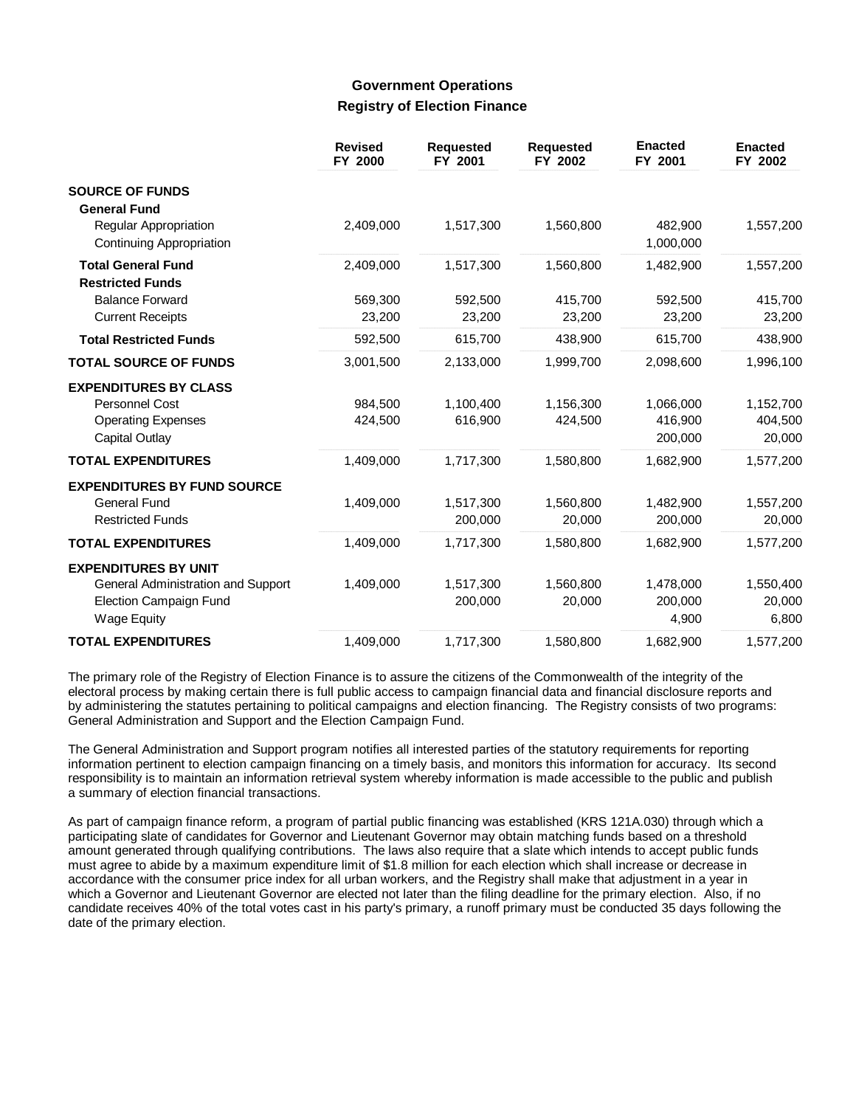## **Government Operations Registry of Election Finance**

|                                                      | <b>Revised</b><br>FY 2000 | <b>Requested</b><br>FY 2001 | <b>Requested</b><br>FY 2002 | <b>Enacted</b><br>FY 2001 | <b>Enacted</b><br>FY 2002 |
|------------------------------------------------------|---------------------------|-----------------------------|-----------------------------|---------------------------|---------------------------|
| <b>SOURCE OF FUNDS</b>                               |                           |                             |                             |                           |                           |
| <b>General Fund</b>                                  |                           |                             |                             |                           |                           |
| Regular Appropriation<br>Continuing Appropriation    | 2,409,000                 | 1,517,300                   | 1,560,800                   | 482,900<br>1,000,000      | 1,557,200                 |
| <b>Total General Fund</b><br><b>Restricted Funds</b> | 2,409,000                 | 1,517,300                   | 1,560,800                   | 1,482,900                 | 1,557,200                 |
| <b>Balance Forward</b>                               | 569,300                   | 592,500                     | 415,700                     | 592,500                   | 415,700                   |
| <b>Current Receipts</b>                              | 23,200                    | 23,200                      | 23,200                      | 23,200                    | 23,200                    |
| <b>Total Restricted Funds</b>                        | 592,500                   | 615,700                     | 438,900                     | 615,700                   | 438,900                   |
| <b>TOTAL SOURCE OF FUNDS</b>                         | 3,001,500                 | 2,133,000                   | 1,999,700                   | 2,098,600                 | 1,996,100                 |
| <b>EXPENDITURES BY CLASS</b>                         |                           |                             |                             |                           |                           |
| <b>Personnel Cost</b>                                | 984,500                   | 1,100,400                   | 1,156,300                   | 1,066,000                 | 1,152,700                 |
| <b>Operating Expenses</b>                            | 424,500                   | 616,900                     | 424,500                     | 416,900                   | 404,500                   |
| Capital Outlay                                       |                           |                             |                             | 200,000                   | 20,000                    |
| <b>TOTAL EXPENDITURES</b>                            | 1,409,000                 | 1,717,300                   | 1,580,800                   | 1,682,900                 | 1,577,200                 |
| <b>EXPENDITURES BY FUND SOURCE</b>                   |                           |                             |                             |                           |                           |
| General Fund                                         | 1,409,000                 | 1,517,300                   | 1,560,800                   | 1,482,900                 | 1,557,200                 |
| <b>Restricted Funds</b>                              |                           | 200,000                     | 20,000                      | 200,000                   | 20,000                    |
| <b>TOTAL EXPENDITURES</b>                            | 1,409,000                 | 1,717,300                   | 1,580,800                   | 1,682,900                 | 1,577,200                 |
| <b>EXPENDITURES BY UNIT</b>                          |                           |                             |                             |                           |                           |
| General Administration and Support                   | 1,409,000                 | 1,517,300                   | 1,560,800                   | 1,478,000                 | 1,550,400                 |
| <b>Election Campaign Fund</b><br><b>Wage Equity</b>  |                           | 200,000                     | 20,000                      | 200,000<br>4,900          | 20,000<br>6,800           |
| <b>TOTAL EXPENDITURES</b>                            | 1,409,000                 | 1,717,300                   | 1,580,800                   | 1,682,900                 | 1,577,200                 |

The primary role of the Registry of Election Finance is to assure the citizens of the Commonwealth of the integrity of the electoral process by making certain there is full public access to campaign financial data and financial disclosure reports and by administering the statutes pertaining to political campaigns and election financing. The Registry consists of two programs: General Administration and Support and the Election Campaign Fund.

The General Administration and Support program notifies all interested parties of the statutory requirements for reporting information pertinent to election campaign financing on a timely basis, and monitors this information for accuracy. Its second responsibility is to maintain an information retrieval system whereby information is made accessible to the public and publish a summary of election financial transactions.

As part of campaign finance reform, a program of partial public financing was established (KRS 121A.030) through which a participating slate of candidates for Governor and Lieutenant Governor may obtain matching funds based on a threshold amount generated through qualifying contributions. The laws also require that a slate which intends to accept public funds must agree to abide by a maximum expenditure limit of \$1.8 million for each election which shall increase or decrease in accordance with the consumer price index for all urban workers, and the Registry shall make that adjustment in a year in which a Governor and Lieutenant Governor are elected not later than the filing deadline for the primary election. Also, if no candidate receives 40% of the total votes cast in his party's primary, a runoff primary must be conducted 35 days following the date of the primary election.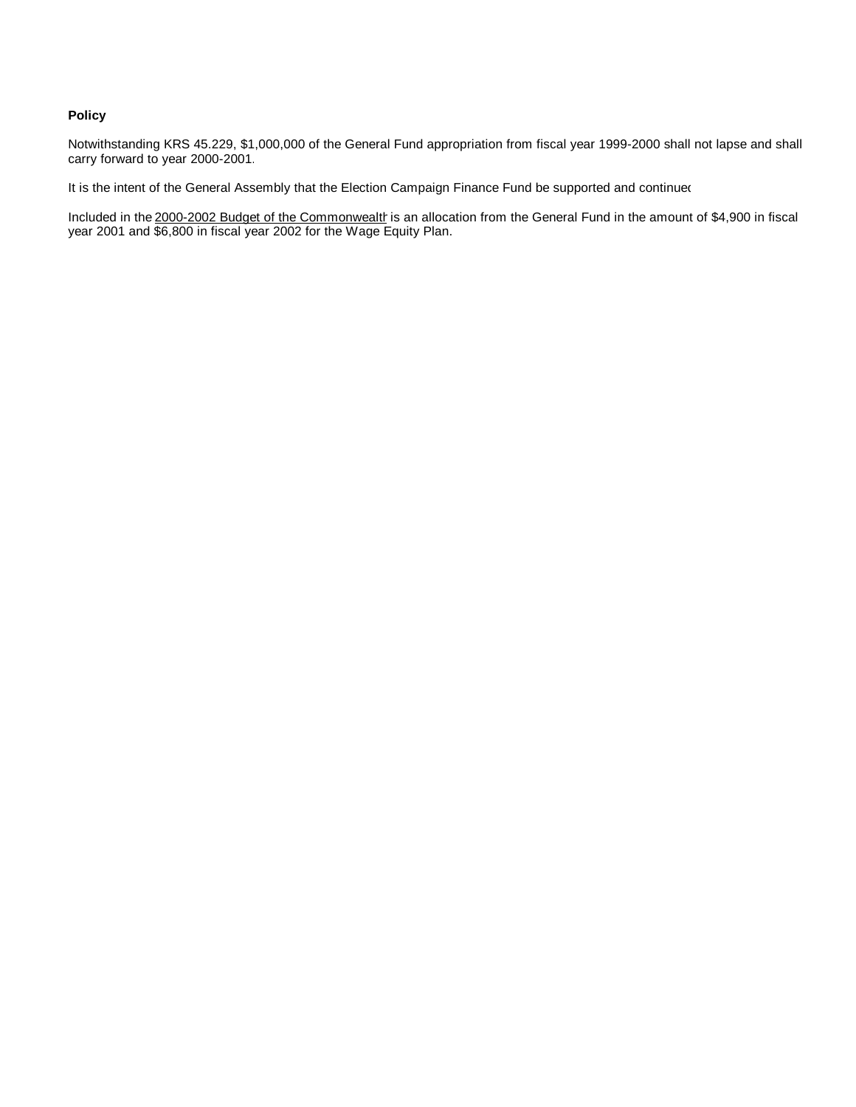### **Policy**

Notwithstanding KRS 45.229, \$1,000,000 of the General Fund appropriation from fiscal year 1999-2000 shall not lapse and shall carry forward to year 2000-2001.

It is the intent of the General Assembly that the Election Campaign Finance Fund be supported and continued

Included in the 2000-2002 Budget of the Commonwealth is an allocation from the General Fund in the amount of \$4,900 in fiscal year 2001 and \$6,800 in fiscal year 2002 for the Wage Equity Plan.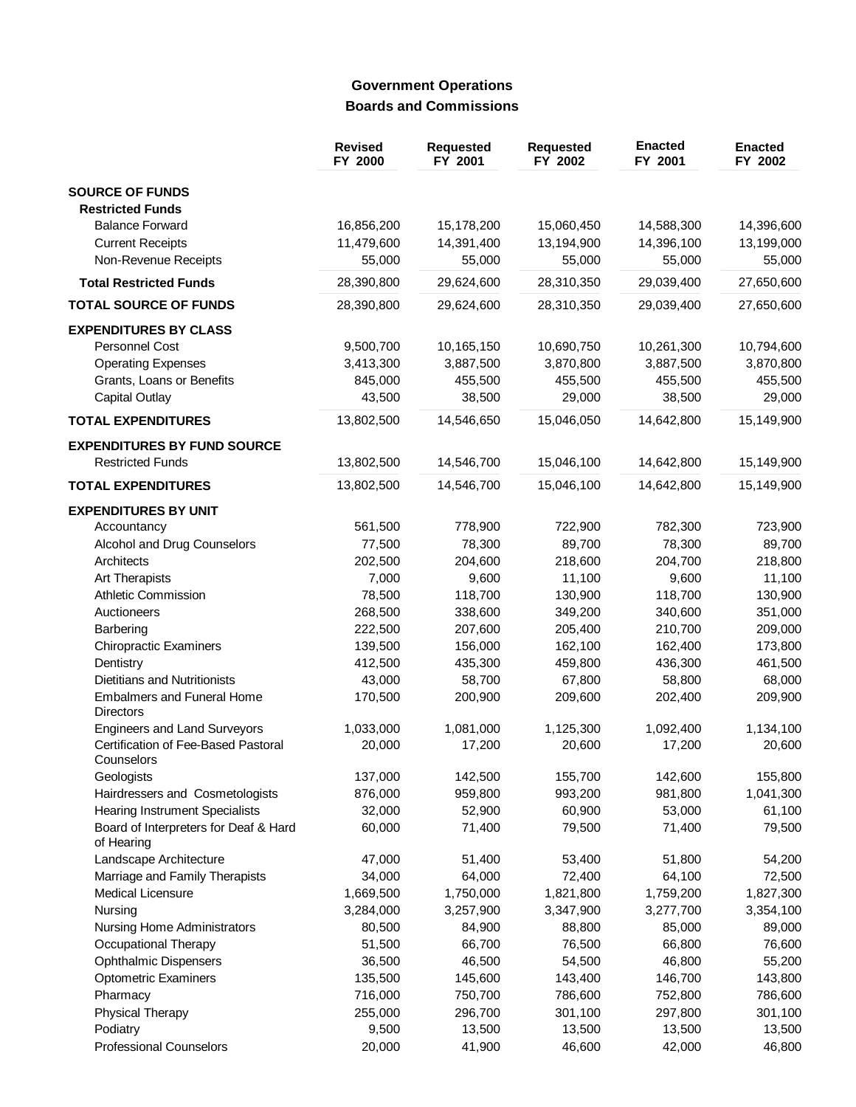# **Government Operations Boards and Commissions**

|                                                       | <b>Revised</b><br>FY 2000 | <b>Requested</b><br>FY 2001 | <b>Requested</b><br>FY 2002 | <b>Enacted</b><br>FY 2001 | <b>Enacted</b><br>FY 2002 |
|-------------------------------------------------------|---------------------------|-----------------------------|-----------------------------|---------------------------|---------------------------|
| <b>SOURCE OF FUNDS</b><br><b>Restricted Funds</b>     |                           |                             |                             |                           |                           |
| <b>Balance Forward</b>                                | 16,856,200                | 15,178,200                  | 15,060,450                  | 14,588,300                | 14,396,600                |
| <b>Current Receipts</b>                               | 11,479,600                | 14,391,400                  | 13,194,900                  | 14,396,100                | 13,199,000                |
| Non-Revenue Receipts                                  | 55,000                    | 55,000                      | 55,000                      | 55,000                    | 55,000                    |
| <b>Total Restricted Funds</b>                         | 28,390,800                | 29,624,600                  | 28,310,350                  | 29,039,400                | 27,650,600                |
| <b>TOTAL SOURCE OF FUNDS</b>                          | 28,390,800                | 29,624,600                  | 28,310,350                  | 29,039,400                | 27,650,600                |
| <b>EXPENDITURES BY CLASS</b>                          |                           |                             |                             |                           |                           |
| Personnel Cost                                        | 9,500,700                 | 10,165,150                  | 10,690,750                  | 10,261,300                | 10,794,600                |
| <b>Operating Expenses</b>                             | 3,413,300                 | 3,887,500                   | 3,870,800                   | 3,887,500                 | 3,870,800                 |
| Grants, Loans or Benefits                             | 845,000                   | 455,500                     | 455,500                     | 455,500                   | 455,500                   |
| <b>Capital Outlay</b>                                 | 43,500                    | 38,500                      | 29,000                      | 38,500                    | 29,000                    |
| <b>TOTAL EXPENDITURES</b>                             | 13,802,500                | 14,546,650                  | 15,046,050                  | 14,642,800                | 15,149,900                |
| <b>EXPENDITURES BY FUND SOURCE</b>                    |                           |                             |                             |                           |                           |
| <b>Restricted Funds</b>                               | 13,802,500                | 14,546,700                  | 15,046,100                  | 14,642,800                | 15,149,900                |
| <b>TOTAL EXPENDITURES</b>                             | 13,802,500                | 14,546,700                  | 15,046,100                  | 14,642,800                | 15,149,900                |
| <b>EXPENDITURES BY UNIT</b>                           |                           |                             |                             |                           |                           |
| Accountancy                                           | 561,500                   | 778,900                     | 722,900                     | 782,300                   | 723,900                   |
| Alcohol and Drug Counselors                           | 77,500                    | 78,300                      | 89,700                      | 78,300                    | 89,700                    |
| Architects                                            | 202,500                   | 204,600                     | 218,600                     | 204,700                   | 218,800                   |
| Art Therapists                                        | 7,000                     | 9,600                       | 11,100                      | 9,600                     | 11,100                    |
| <b>Athletic Commission</b>                            | 78,500                    | 118,700                     | 130,900                     | 118,700                   | 130,900                   |
| Auctioneers                                           | 268,500                   | 338,600                     | 349,200                     | 340,600                   | 351,000                   |
| Barbering                                             | 222,500                   | 207,600                     | 205,400                     | 210,700                   | 209,000                   |
| <b>Chiropractic Examiners</b>                         | 139,500                   | 156,000                     | 162,100                     | 162,400                   | 173,800                   |
| Dentistry                                             | 412,500                   | 435,300                     | 459,800                     | 436,300                   | 461,500                   |
| <b>Dietitians and Nutritionists</b>                   | 43,000                    | 58,700                      | 67,800                      | 58,800                    | 68,000                    |
| <b>Embalmers and Funeral Home</b><br><b>Directors</b> | 170,500                   | 200,900                     | 209,600                     | 202,400                   | 209,900                   |
| <b>Engineers and Land Surveyors</b>                   | 1,033,000                 | 1,081,000                   | 1,125,300                   | 1,092,400                 | 1,134,100                 |
| Certification of Fee-Based Pastoral<br>Counselors     | 20,000                    | 17,200                      | 20,600                      | 17,200                    | 20,600                    |
| Geologists                                            | 137,000                   | 142,500                     | 155,700                     | 142,600                   | 155,800                   |
| Hairdressers and Cosmetologists                       | 876,000                   | 959,800                     | 993,200                     | 981,800                   | 1,041,300                 |
| <b>Hearing Instrument Specialists</b>                 | 32,000                    | 52,900                      | 60,900                      | 53,000                    | 61,100                    |
| Board of Interpreters for Deaf & Hard<br>of Hearing   | 60,000                    | 71,400                      | 79,500                      | 71,400                    | 79,500                    |
| Landscape Architecture                                | 47,000                    | 51,400                      | 53,400                      | 51,800                    | 54,200                    |
| Marriage and Family Therapists                        | 34,000                    | 64,000                      | 72,400                      | 64,100                    | 72,500                    |
| <b>Medical Licensure</b>                              | 1,669,500                 | 1,750,000                   | 1,821,800                   | 1,759,200                 | 1,827,300                 |
| Nursing                                               | 3,284,000                 | 3,257,900                   | 3,347,900                   | 3,277,700                 | 3,354,100                 |
| <b>Nursing Home Administrators</b>                    | 80,500                    | 84,900                      | 88,800                      | 85,000                    | 89,000                    |
| Occupational Therapy                                  | 51,500                    | 66,700                      | 76,500                      | 66,800                    | 76,600                    |
| <b>Ophthalmic Dispensers</b>                          | 36,500                    | 46,500                      | 54,500                      | 46,800                    | 55,200                    |
| <b>Optometric Examiners</b>                           | 135,500                   | 145,600                     | 143,400                     | 146,700                   | 143,800                   |
| Pharmacy                                              | 716,000                   | 750,700                     | 786,600                     | 752,800                   | 786,600                   |
| <b>Physical Therapy</b>                               | 255,000                   | 296,700                     | 301,100                     | 297,800                   | 301,100                   |
| Podiatry                                              | 9,500                     | 13,500                      | 13,500                      | 13,500                    | 13,500                    |
| <b>Professional Counselors</b>                        | 20,000                    | 41,900                      | 46,600                      | 42,000                    | 46,800                    |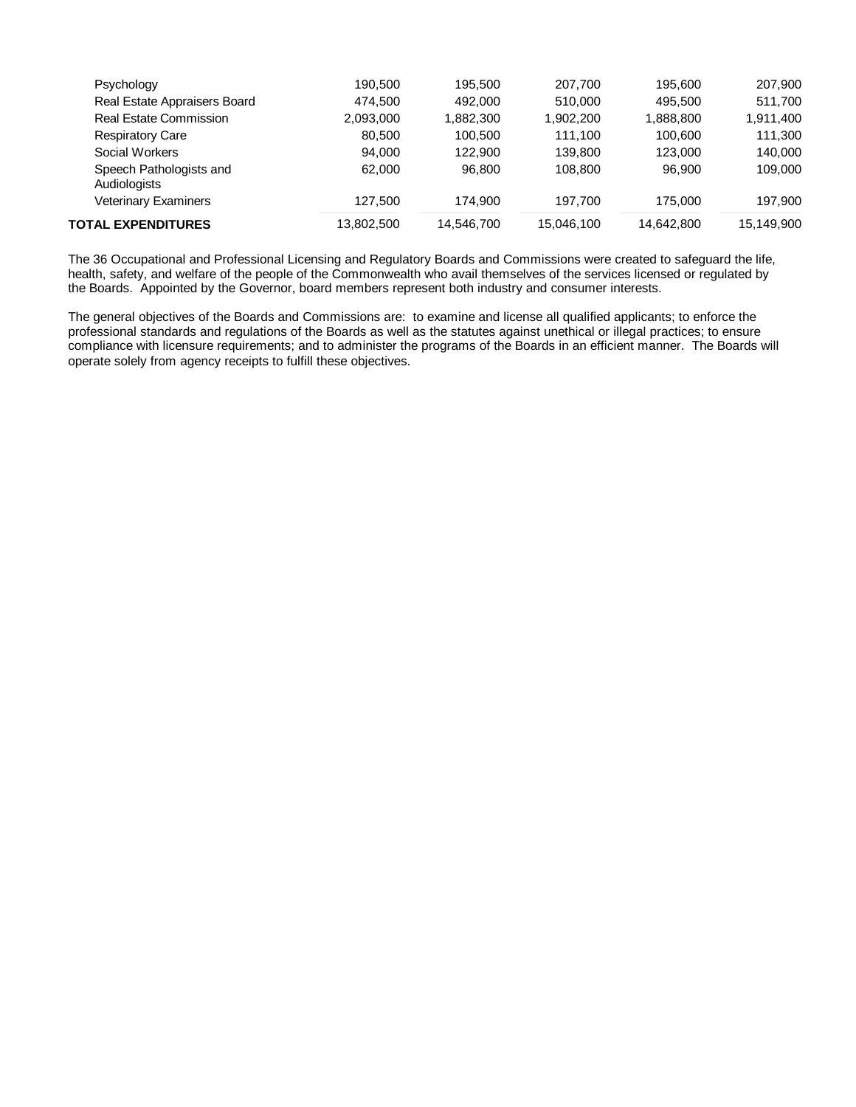| <b>TOTAL EXPENDITURES</b>               | 13,802,500 | 14,546,700 | 15,046,100 | 14,642,800 | 15,149,900 |
|-----------------------------------------|------------|------------|------------|------------|------------|
| <b>Veterinary Examiners</b>             | 127.500    | 174.900    | 197.700    | 175,000    | 197.900    |
| Speech Pathologists and<br>Audiologists | 62,000     | 96.800     | 108,800    | 96.900     | 109,000    |
| Social Workers                          | 94.000     | 122,900    | 139,800    | 123,000    | 140.000    |
| <b>Respiratory Care</b>                 | 80.500     | 100.500    | 111.100    | 100.600    | 111.300    |
| Real Estate Commission                  | 2,093,000  | 1,882,300  | 1,902,200  | 1,888,800  | 1,911,400  |
| Real Estate Appraisers Board            | 474.500    | 492,000    | 510,000    | 495.500    | 511,700    |
| Psychology                              | 190.500    | 195.500    | 207.700    | 195.600    | 207,900    |
|                                         |            |            |            |            |            |

The 36 Occupational and Professional Licensing and Regulatory Boards and Commissions were created to safeguard the life, health, safety, and welfare of the people of the Commonwealth who avail themselves of the services licensed or regulated by the Boards. Appointed by the Governor, board members represent both industry and consumer interests.

The general objectives of the Boards and Commissions are: to examine and license all qualified applicants; to enforce the professional standards and regulations of the Boards as well as the statutes against unethical or illegal practices; to ensure compliance with licensure requirements; and to administer the programs of the Boards in an efficient manner. The Boards will operate solely from agency receipts to fulfill these objectives.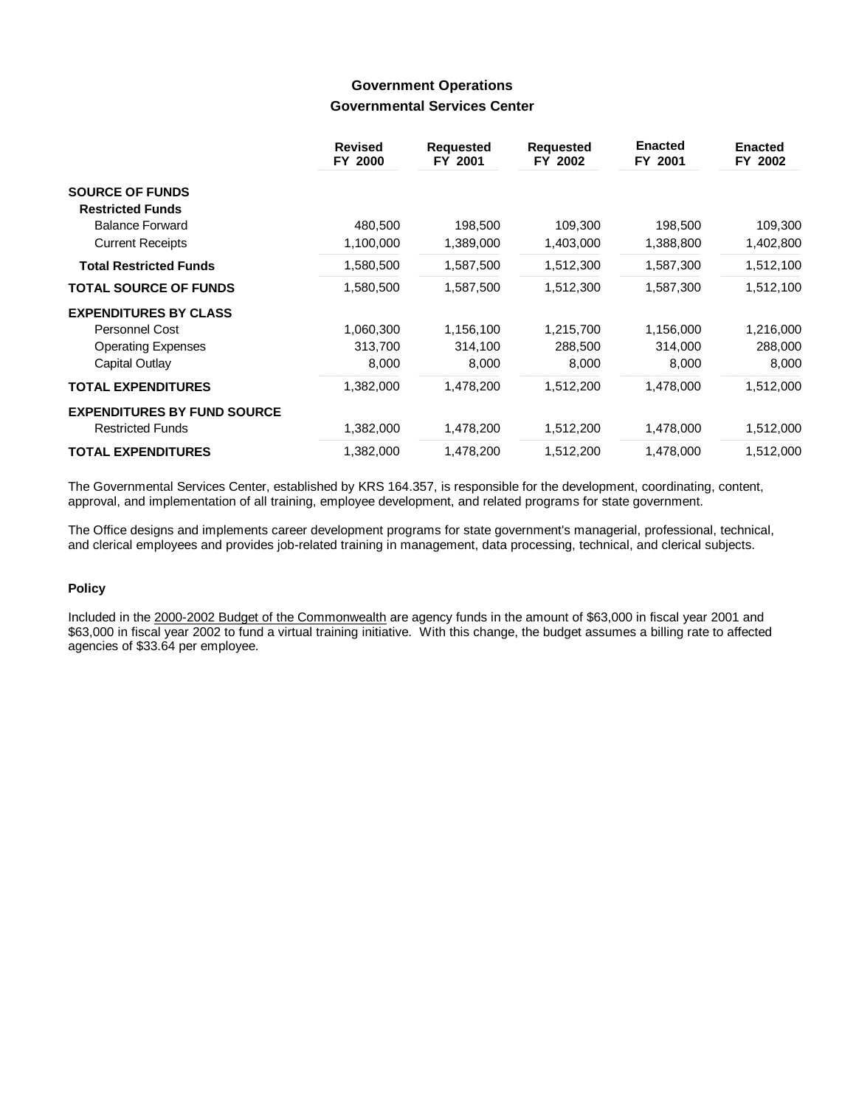## **Government Operations Governmental Services Center**

|                                    | <b>Revised</b><br>FY 2000 | <b>Requested</b><br>FY 2001 | <b>Requested</b><br>FY 2002 | <b>Enacted</b><br>FY 2001 | <b>Enacted</b><br>FY 2002 |
|------------------------------------|---------------------------|-----------------------------|-----------------------------|---------------------------|---------------------------|
| <b>SOURCE OF FUNDS</b>             |                           |                             |                             |                           |                           |
| <b>Restricted Funds</b>            |                           |                             |                             |                           |                           |
| <b>Balance Forward</b>             | 480,500                   | 198,500                     | 109,300                     | 198,500                   | 109,300                   |
| <b>Current Receipts</b>            | 1,100,000                 | 1,389,000                   | 1,403,000                   | 1,388,800                 | 1,402,800                 |
| <b>Total Restricted Funds</b>      | 1,580,500                 | 1,587,500                   | 1,512,300                   | 1,587,300                 | 1,512,100                 |
| <b>TOTAL SOURCE OF FUNDS</b>       | 1,580,500                 | 1,587,500                   | 1,512,300                   | 1,587,300                 | 1,512,100                 |
| <b>EXPENDITURES BY CLASS</b>       |                           |                             |                             |                           |                           |
| Personnel Cost                     | 1,060,300                 | 1,156,100                   | 1,215,700                   | 1,156,000                 | 1,216,000                 |
| <b>Operating Expenses</b>          | 313,700                   | 314,100                     | 288,500                     | 314,000                   | 288,000                   |
| Capital Outlay                     | 8,000                     | 8,000                       | 8,000                       | 8,000                     | 8,000                     |
| <b>TOTAL EXPENDITURES</b>          | 1,382,000                 | 1,478,200                   | 1,512,200                   | 1,478,000                 | 1,512,000                 |
| <b>EXPENDITURES BY FUND SOURCE</b> |                           |                             |                             |                           |                           |
| <b>Restricted Funds</b>            | 1,382,000                 | 1,478,200                   | 1,512,200                   | 1,478,000                 | 1,512,000                 |
| <b>TOTAL EXPENDITURES</b>          | 1,382,000                 | 1,478,200                   | 1,512,200                   | 1,478,000                 | 1,512,000                 |

The Governmental Services Center, established by KRS 164.357, is responsible for the development, coordinating, content, approval, and implementation of all training, employee development, and related programs for state government.

The Office designs and implements career development programs for state government's managerial, professional, technical, and clerical employees and provides job-related training in management, data processing, technical, and clerical subjects.

### **Policy**

Included in the 2000-2002 Budget of the Commonwealth are agency funds in the amount of \$63,000 in fiscal year 2001 and \$63,000 in fiscal year 2002 to fund a virtual training initiative. With this change, the budget assumes a billing rate to affected agencies of \$33.64 per employee.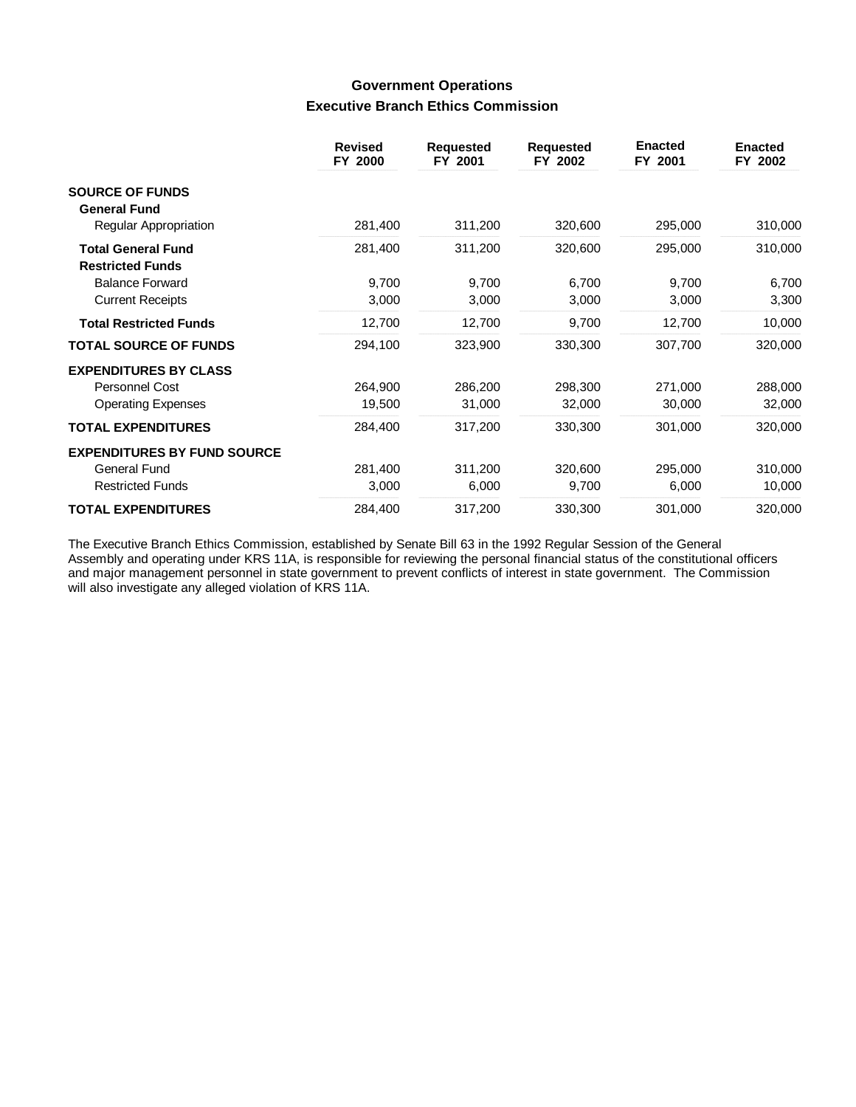# **Government Operations Executive Branch Ethics Commission**

|                                                      | <b>Revised</b><br>FY 2000 | <b>Requested</b><br>FY 2001 | <b>Requested</b><br>FY 2002 | <b>Enacted</b><br>FY 2001 | <b>Enacted</b><br>FY 2002 |
|------------------------------------------------------|---------------------------|-----------------------------|-----------------------------|---------------------------|---------------------------|
| <b>SOURCE OF FUNDS</b><br><b>General Fund</b>        |                           |                             |                             |                           |                           |
| Regular Appropriation                                | 281,400                   | 311,200                     | 320,600                     | 295,000                   | 310,000                   |
| <b>Total General Fund</b><br><b>Restricted Funds</b> | 281,400                   | 311,200                     | 320,600                     | 295,000                   | 310,000                   |
| <b>Balance Forward</b>                               | 9,700                     | 9,700                       | 6,700                       | 9,700                     | 6,700                     |
| <b>Current Receipts</b>                              | 3,000                     | 3,000                       | 3,000                       | 3,000                     | 3,300                     |
| <b>Total Restricted Funds</b>                        | 12,700                    | 12,700                      | 9,700                       | 12,700                    | 10,000                    |
| <b>TOTAL SOURCE OF FUNDS</b>                         | 294,100                   | 323,900                     | 330,300                     | 307,700                   | 320,000                   |
| <b>EXPENDITURES BY CLASS</b>                         |                           |                             |                             |                           |                           |
| Personnel Cost                                       | 264,900                   | 286,200                     | 298,300                     | 271,000                   | 288,000                   |
| <b>Operating Expenses</b>                            | 19,500                    | 31,000                      | 32,000                      | 30,000                    | 32,000                    |
| <b>TOTAL EXPENDITURES</b>                            | 284,400                   | 317,200                     | 330,300                     | 301,000                   | 320,000                   |
| <b>EXPENDITURES BY FUND SOURCE</b>                   |                           |                             |                             |                           |                           |
| General Fund                                         | 281,400                   | 311,200                     | 320,600                     | 295,000                   | 310,000                   |
| <b>Restricted Funds</b>                              | 3,000                     | 6,000                       | 9,700                       | 6,000                     | 10,000                    |
| <b>TOTAL EXPENDITURES</b>                            | 284,400                   | 317,200                     | 330,300                     | 301,000                   | 320,000                   |

The Executive Branch Ethics Commission, established by Senate Bill 63 in the 1992 Regular Session of the General Assembly and operating under KRS 11A, is responsible for reviewing the personal financial status of the constitutional officers and major management personnel in state government to prevent conflicts of interest in state government. The Commission will also investigate any alleged violation of KRS 11A.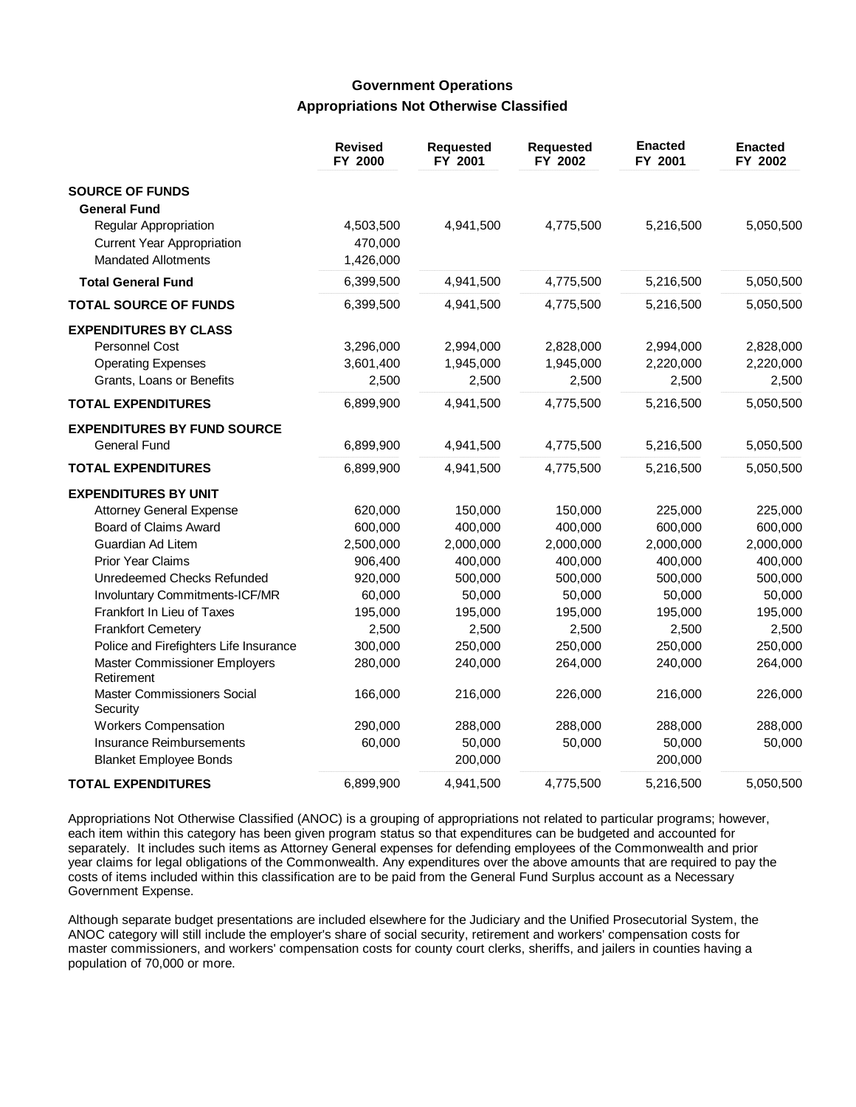## **Government Operations Appropriations Not Otherwise Classified**

|                                             | <b>Revised</b><br>FY 2000 | <b>Requested</b><br>FY 2001 | Requested<br>FY 2002 | <b>Enacted</b><br>FY 2001 | <b>Enacted</b><br>FY 2002 |
|---------------------------------------------|---------------------------|-----------------------------|----------------------|---------------------------|---------------------------|
| <b>SOURCE OF FUNDS</b>                      |                           |                             |                      |                           |                           |
| <b>General Fund</b>                         |                           |                             |                      |                           |                           |
| Regular Appropriation                       | 4,503,500                 | 4,941,500                   | 4,775,500            | 5,216,500                 | 5,050,500                 |
| <b>Current Year Appropriation</b>           | 470,000                   |                             |                      |                           |                           |
| <b>Mandated Allotments</b>                  | 1,426,000                 |                             |                      |                           |                           |
| <b>Total General Fund</b>                   | 6,399,500                 | 4,941,500                   | 4,775,500            | 5,216,500                 | 5,050,500                 |
| <b>TOTAL SOURCE OF FUNDS</b>                | 6,399,500                 | 4,941,500                   | 4,775,500            | 5,216,500                 | 5,050,500                 |
| <b>EXPENDITURES BY CLASS</b>                |                           |                             |                      |                           |                           |
| <b>Personnel Cost</b>                       | 3,296,000                 | 2,994,000                   | 2,828,000            | 2,994,000                 | 2,828,000                 |
| <b>Operating Expenses</b>                   | 3,601,400                 | 1,945,000                   | 1,945,000            | 2,220,000                 | 2,220,000                 |
| Grants, Loans or Benefits                   | 2,500                     | 2,500                       | 2,500                | 2,500                     | 2,500                     |
| <b>TOTAL EXPENDITURES</b>                   | 6,899,900                 | 4,941,500                   | 4,775,500            | 5,216,500                 | 5,050,500                 |
| <b>EXPENDITURES BY FUND SOURCE</b>          |                           |                             |                      |                           |                           |
| <b>General Fund</b>                         | 6,899,900                 | 4,941,500                   | 4,775,500            | 5,216,500                 | 5,050,500                 |
| <b>TOTAL EXPENDITURES</b>                   | 6,899,900                 | 4,941,500                   | 4,775,500            | 5,216,500                 | 5,050,500                 |
| <b>EXPENDITURES BY UNIT</b>                 |                           |                             |                      |                           |                           |
| <b>Attorney General Expense</b>             | 620,000                   | 150,000                     | 150,000              | 225,000                   | 225,000                   |
| Board of Claims Award                       | 600,000                   | 400,000                     | 400,000              | 600,000                   | 600,000                   |
| Guardian Ad Litem                           | 2,500,000                 | 2,000,000                   | 2,000,000            | 2,000,000                 | 2,000,000                 |
| <b>Prior Year Claims</b>                    | 906,400                   | 400,000                     | 400,000              | 400,000                   | 400,000                   |
| Unredeemed Checks Refunded                  | 920,000                   | 500,000                     | 500,000              | 500,000                   | 500,000                   |
| Involuntary Commitments-ICF/MR              | 60,000                    | 50,000                      | 50,000               | 50,000                    | 50,000                    |
| Frankfort In Lieu of Taxes                  | 195,000                   | 195,000                     | 195,000              | 195,000                   | 195,000                   |
| <b>Frankfort Cemetery</b>                   | 2,500                     | 2,500                       | 2,500                | 2,500                     | 2,500                     |
| Police and Firefighters Life Insurance      | 300,000                   | 250,000                     | 250,000              | 250,000                   | 250,000                   |
| Master Commissioner Employers<br>Retirement | 280,000                   | 240,000                     | 264,000              | 240,000                   | 264,000                   |
| Master Commissioners Social<br>Security     | 166,000                   | 216,000                     | 226,000              | 216,000                   | 226,000                   |
| <b>Workers Compensation</b>                 | 290,000                   | 288,000                     | 288,000              | 288,000                   | 288,000                   |
| Insurance Reimbursements                    | 60,000                    | 50,000                      | 50,000               | 50,000                    | 50,000                    |
| <b>Blanket Employee Bonds</b>               |                           | 200,000                     |                      | 200,000                   |                           |
| <b>TOTAL EXPENDITURES</b>                   | 6,899,900                 | 4,941,500                   | 4,775,500            | 5,216,500                 | 5,050,500                 |

Appropriations Not Otherwise Classified (ANOC) is a grouping of appropriations not related to particular programs; however, each item within this category has been given program status so that expenditures can be budgeted and accounted for separately. It includes such items as Attorney General expenses for defending employees of the Commonwealth and prior year claims for legal obligations of the Commonwealth. Any expenditures over the above amounts that are required to pay the costs of items included within this classification are to be paid from the General Fund Surplus account as a Necessary Government Expense.

Although separate budget presentations are included elsewhere for the Judiciary and the Unified Prosecutorial System, the ANOC category will still include the employer's share of social security, retirement and workers' compensation costs for master commissioners, and workers' compensation costs for county court clerks, sheriffs, and jailers in counties having a population of 70,000 or more.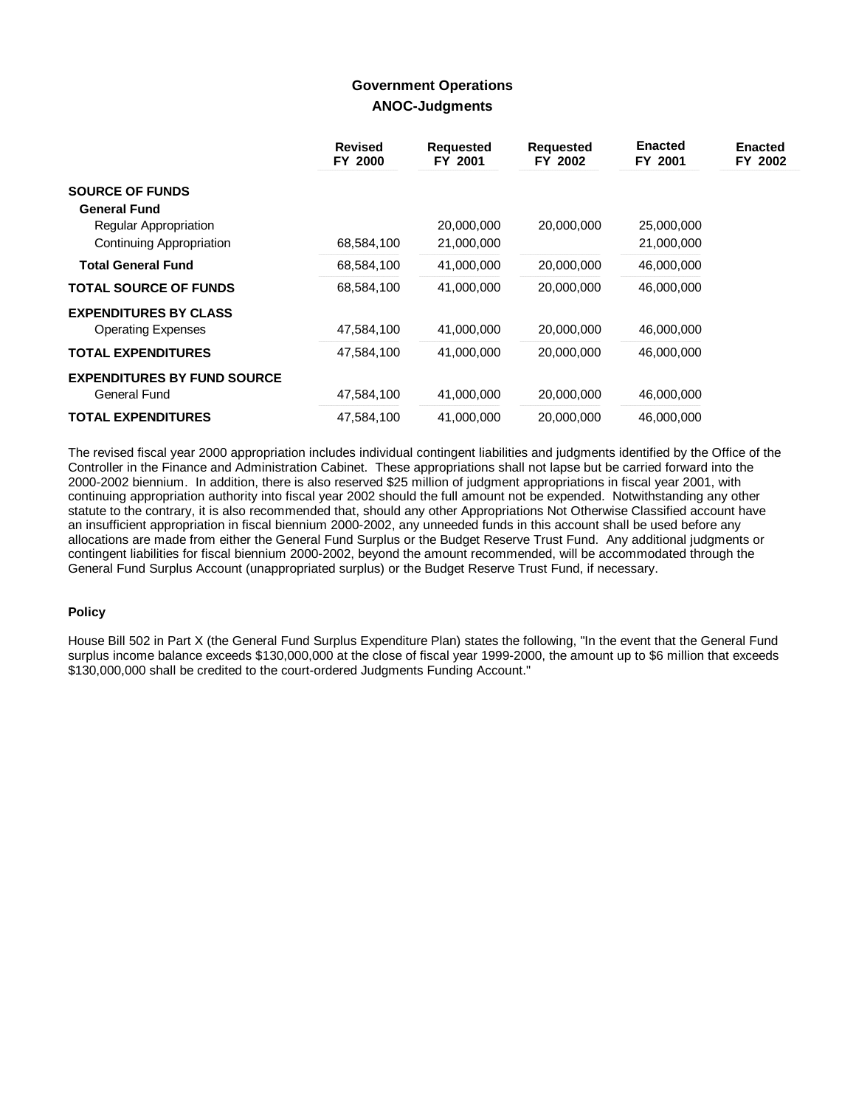## **Government Operations ANOC-Judgments**

|                                    | <b>Revised</b><br>FY 2000 | <b>Requested</b><br>FY 2001 | Requested<br>FY 2002 | <b>Enacted</b><br>FY 2001 | <b>Enacted</b><br>FY 2002 |
|------------------------------------|---------------------------|-----------------------------|----------------------|---------------------------|---------------------------|
| <b>SOURCE OF FUNDS</b>             |                           |                             |                      |                           |                           |
| <b>General Fund</b>                |                           |                             |                      |                           |                           |
| Regular Appropriation              |                           | 20,000,000                  | 20,000,000           | 25,000,000                |                           |
| <b>Continuing Appropriation</b>    | 68,584,100                | 21,000,000                  |                      | 21,000,000                |                           |
| <b>Total General Fund</b>          | 68,584,100                | 41,000,000                  | 20,000,000           | 46,000,000                |                           |
| <b>TOTAL SOURCE OF FUNDS</b>       | 68,584,100                | 41,000,000                  | 20,000,000           | 46,000,000                |                           |
| <b>EXPENDITURES BY CLASS</b>       |                           |                             |                      |                           |                           |
| <b>Operating Expenses</b>          | 47,584,100                | 41,000,000                  | 20,000,000           | 46,000,000                |                           |
| <b>TOTAL EXPENDITURES</b>          | 47,584,100                | 41,000,000                  | 20,000,000           | 46,000,000                |                           |
| <b>EXPENDITURES BY FUND SOURCE</b> |                           |                             |                      |                           |                           |
| General Fund                       | 47,584,100                | 41,000,000                  | 20,000,000           | 46,000,000                |                           |
| <b>TOTAL EXPENDITURES</b>          | 47.584.100                | 41,000,000                  | 20,000,000           | 46,000,000                |                           |

The revised fiscal year 2000 appropriation includes individual contingent liabilities and judgments identified by the Office of the Controller in the Finance and Administration Cabinet. These appropriations shall not lapse but be carried forward into the 2000-2002 biennium. In addition, there is also reserved \$25 million of judgment appropriations in fiscal year 2001, with continuing appropriation authority into fiscal year 2002 should the full amount not be expended. Notwithstanding any other statute to the contrary, it is also recommended that, should any other Appropriations Not Otherwise Classified account have an insufficient appropriation in fiscal biennium 2000-2002, any unneeded funds in this account shall be used before any allocations are made from either the General Fund Surplus or the Budget Reserve Trust Fund. Any additional judgments or contingent liabilities for fiscal biennium 2000-2002, beyond the amount recommended, will be accommodated through the General Fund Surplus Account (unappropriated surplus) or the Budget Reserve Trust Fund, if necessary.

### **Policy**

House Bill 502 in Part X (the General Fund Surplus Expenditure Plan) states the following, "In the event that the General Fund surplus income balance exceeds \$130,000,000 at the close of fiscal year 1999-2000, the amount up to \$6 million that exceeds \$130,000,000 shall be credited to the court-ordered Judgments Funding Account."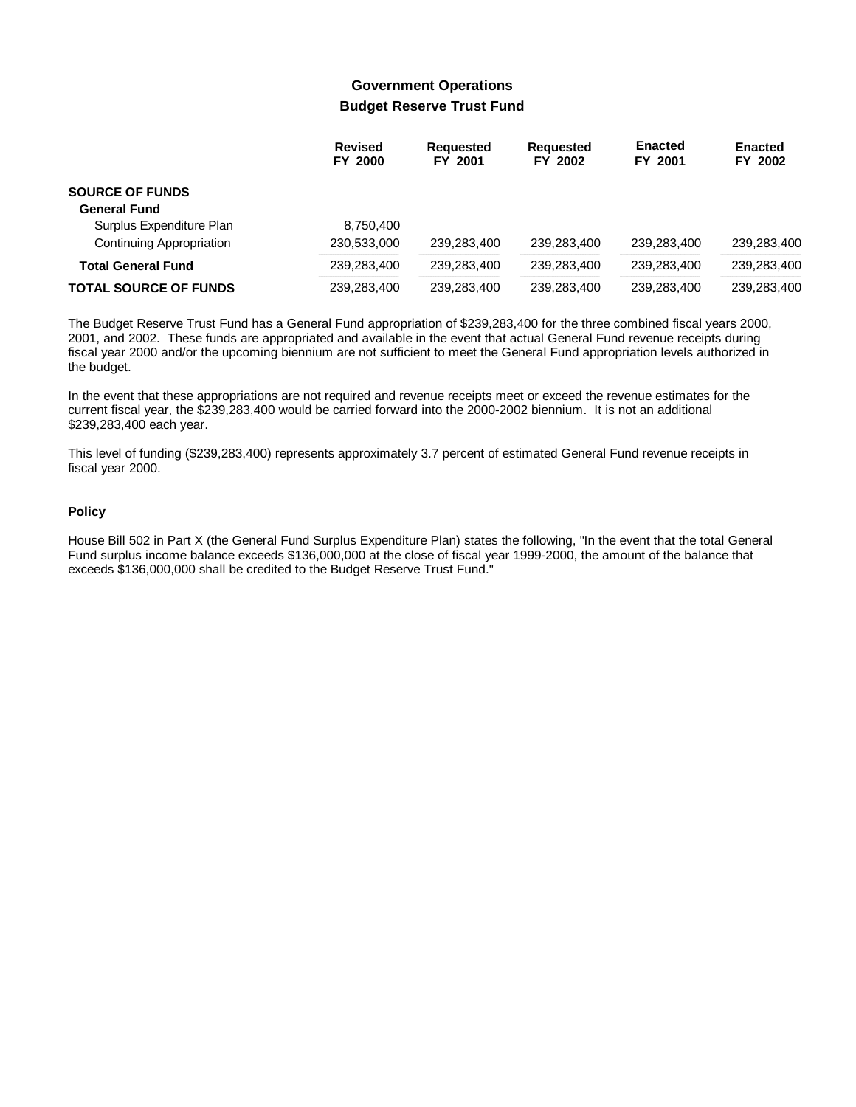# **Government Operations Budget Reserve Trust Fund**

|                              | <b>Revised</b><br>FY 2000 | <b>Reauested</b><br>FY 2001 | <b>Requested</b><br>FY 2002 | <b>Enacted</b><br>FY 2001 | <b>Enacted</b><br>FY 2002 |
|------------------------------|---------------------------|-----------------------------|-----------------------------|---------------------------|---------------------------|
| <b>SOURCE OF FUNDS</b>       |                           |                             |                             |                           |                           |
| <b>General Fund</b>          |                           |                             |                             |                           |                           |
| Surplus Expenditure Plan     | 8,750,400                 |                             |                             |                           |                           |
| Continuing Appropriation     | 230,533,000               | 239.283.400                 | 239.283.400                 | 239.283.400               | 239.283.400               |
| <b>Total General Fund</b>    | 239,283,400               | 239.283.400                 | 239.283.400                 | 239.283.400               | 239.283.400               |
| <b>TOTAL SOURCE OF FUNDS</b> | 239,283,400               | 239,283,400                 | 239,283,400                 | 239,283,400               | 239.283.400               |

The Budget Reserve Trust Fund has a General Fund appropriation of \$239,283,400 for the three combined fiscal years 2000, 2001, and 2002. These funds are appropriated and available in the event that actual General Fund revenue receipts during fiscal year 2000 and/or the upcoming biennium are not sufficient to meet the General Fund appropriation levels authorized in the budget.

In the event that these appropriations are not required and revenue receipts meet or exceed the revenue estimates for the current fiscal year, the \$239,283,400 would be carried forward into the 2000-2002 biennium. It is not an additional \$239,283,400 each year.

This level of funding (\$239,283,400) represents approximately 3.7 percent of estimated General Fund revenue receipts in fiscal year 2000.

### **Policy**

House Bill 502 in Part X (the General Fund Surplus Expenditure Plan) states the following, "In the event that the total General Fund surplus income balance exceeds \$136,000,000 at the close of fiscal year 1999-2000, the amount of the balance that exceeds \$136,000,000 shall be credited to the Budget Reserve Trust Fund."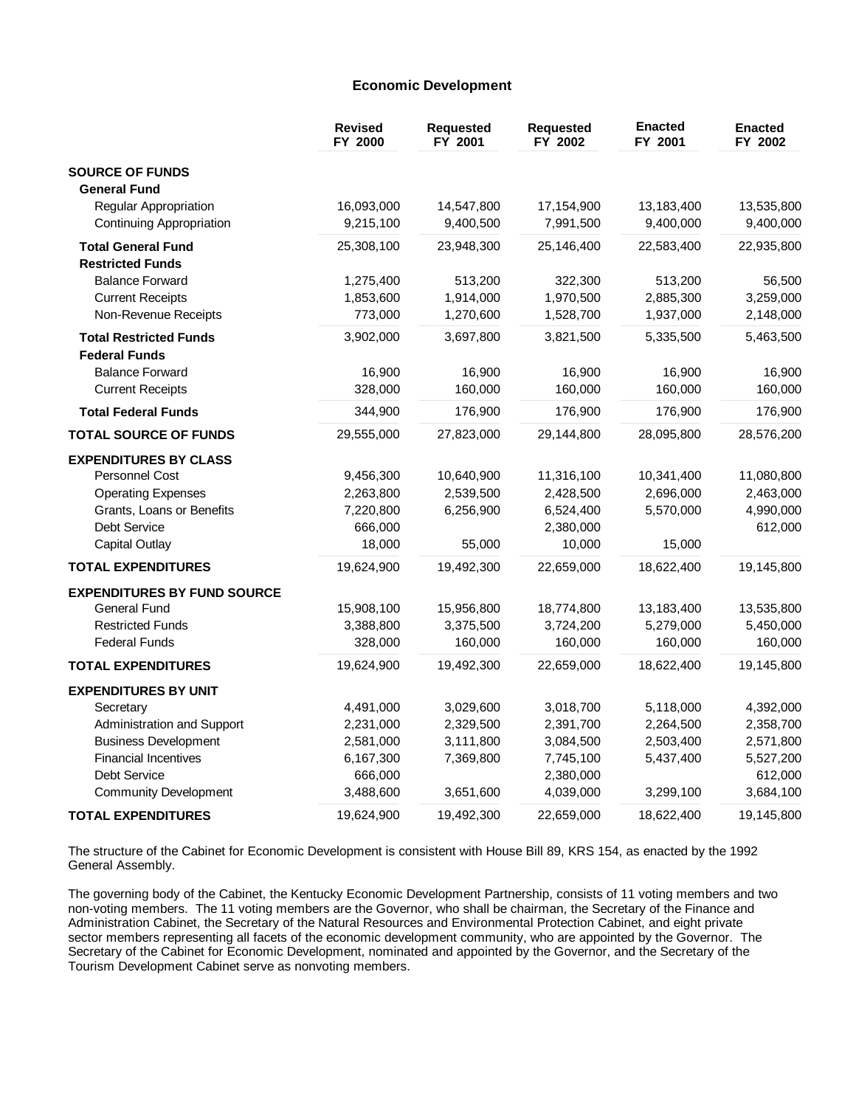### **Economic Development**

|                                    | <b>Revised</b><br>FY 2000 | <b>Requested</b><br>FY 2001 | <b>Requested</b><br>FY 2002 | <b>Enacted</b><br>FY 2001 | <b>Enacted</b><br>FY 2002 |
|------------------------------------|---------------------------|-----------------------------|-----------------------------|---------------------------|---------------------------|
| <b>SOURCE OF FUNDS</b>             |                           |                             |                             |                           |                           |
| <b>General Fund</b>                |                           |                             |                             |                           |                           |
| Regular Appropriation              | 16,093,000                | 14,547,800                  | 17,154,900                  | 13,183,400                | 13,535,800                |
| <b>Continuing Appropriation</b>    | 9,215,100                 | 9,400,500                   | 7,991,500                   | 9,400,000                 | 9,400,000                 |
| <b>Total General Fund</b>          | 25,308,100                | 23,948,300                  | 25,146,400                  | 22,583,400                | 22,935,800                |
| <b>Restricted Funds</b>            |                           |                             |                             |                           |                           |
| <b>Balance Forward</b>             | 1,275,400                 | 513,200                     | 322,300                     | 513,200                   | 56,500                    |
| <b>Current Receipts</b>            | 1,853,600                 | 1,914,000                   | 1,970,500                   | 2,885,300                 | 3,259,000                 |
| Non-Revenue Receipts               | 773,000                   | 1,270,600                   | 1,528,700                   | 1,937,000                 | 2,148,000                 |
| <b>Total Restricted Funds</b>      | 3,902,000                 | 3,697,800                   | 3,821,500                   | 5,335,500                 | 5,463,500                 |
| <b>Federal Funds</b>               |                           |                             |                             |                           |                           |
| <b>Balance Forward</b>             | 16,900                    | 16,900                      | 16,900                      | 16,900                    | 16,900                    |
| <b>Current Receipts</b>            | 328,000                   | 160,000                     | 160,000                     | 160,000                   | 160,000                   |
| <b>Total Federal Funds</b>         | 344,900                   | 176,900                     | 176,900                     | 176,900                   | 176,900                   |
| <b>TOTAL SOURCE OF FUNDS</b>       | 29,555,000                | 27,823,000                  | 29,144,800                  | 28,095,800                | 28,576,200                |
| <b>EXPENDITURES BY CLASS</b>       |                           |                             |                             |                           |                           |
| <b>Personnel Cost</b>              | 9,456,300                 | 10,640,900                  | 11,316,100                  | 10,341,400                | 11,080,800                |
| <b>Operating Expenses</b>          | 2,263,800                 | 2,539,500                   | 2,428,500                   | 2,696,000                 | 2,463,000                 |
| Grants, Loans or Benefits          | 7,220,800                 | 6,256,900                   | 6,524,400                   | 5,570,000                 | 4,990,000                 |
| Debt Service                       | 666,000                   |                             | 2,380,000                   |                           | 612,000                   |
| <b>Capital Outlay</b>              | 18,000                    | 55,000                      | 10,000                      | 15,000                    |                           |
| <b>TOTAL EXPENDITURES</b>          | 19,624,900                | 19,492,300                  | 22,659,000                  | 18,622,400                | 19,145,800                |
| <b>EXPENDITURES BY FUND SOURCE</b> |                           |                             |                             |                           |                           |
| <b>General Fund</b>                | 15,908,100                | 15,956,800                  | 18,774,800                  | 13,183,400                | 13,535,800                |
| <b>Restricted Funds</b>            | 3,388,800                 | 3,375,500                   | 3,724,200                   | 5,279,000                 | 5,450,000                 |
| <b>Federal Funds</b>               | 328,000                   | 160,000                     | 160,000                     | 160,000                   | 160,000                   |
| <b>TOTAL EXPENDITURES</b>          | 19,624,900                | 19,492,300                  | 22,659,000                  | 18,622,400                | 19,145,800                |
| <b>EXPENDITURES BY UNIT</b>        |                           |                             |                             |                           |                           |
| Secretary                          | 4,491,000                 | 3,029,600                   | 3,018,700                   | 5,118,000                 | 4,392,000                 |
| Administration and Support         | 2,231,000                 | 2,329,500                   | 2,391,700                   | 2,264,500                 | 2,358,700                 |
| <b>Business Development</b>        | 2,581,000                 | 3,111,800                   | 3,084,500                   | 2,503,400                 | 2,571,800                 |
| <b>Financial Incentives</b>        | 6,167,300                 | 7,369,800                   | 7,745,100                   | 5,437,400                 | 5,527,200                 |
| <b>Debt Service</b>                | 666,000                   |                             | 2,380,000                   |                           | 612,000                   |
| <b>Community Development</b>       | 3,488,600                 | 3,651,600                   | 4,039,000                   | 3,299,100                 | 3,684,100                 |
| <b>TOTAL EXPENDITURES</b>          | 19,624,900                | 19,492,300                  | 22,659,000                  | 18,622,400                | 19,145,800                |

The structure of the Cabinet for Economic Development is consistent with House Bill 89, KRS 154, as enacted by the 1992 General Assembly.

The governing body of the Cabinet, the Kentucky Economic Development Partnership, consists of 11 voting members and two non-voting members. The 11 voting members are the Governor, who shall be chairman, the Secretary of the Finance and Administration Cabinet, the Secretary of the Natural Resources and Environmental Protection Cabinet, and eight private sector members representing all facets of the economic development community, who are appointed by the Governor. The Secretary of the Cabinet for Economic Development, nominated and appointed by the Governor, and the Secretary of the Tourism Development Cabinet serve as nonvoting members.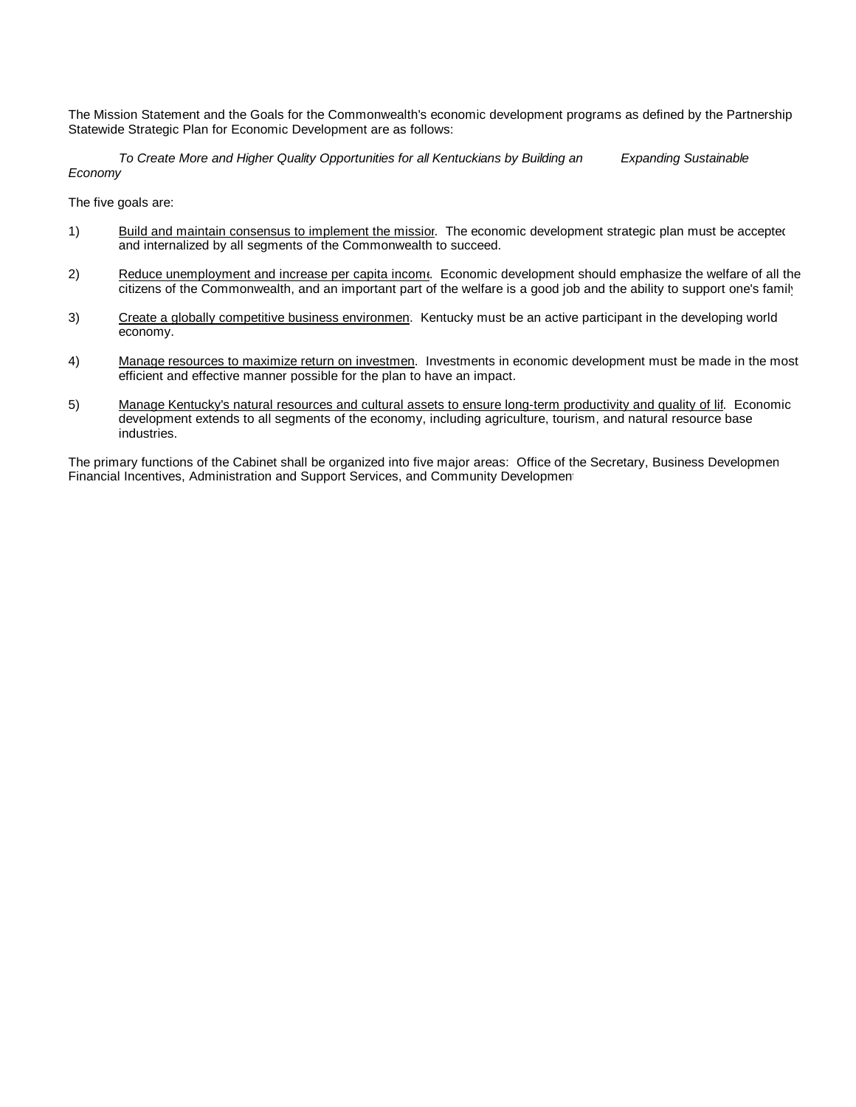The Mission Statement and the Goals for the Commonwealth's economic development programs as defined by the Partnership Statewide Strategic Plan for Economic Development are as follows:

*To Create More and Higher Quality Opportunities for all Kentuckians by Building an Expanding Sustainable Economy*

The five goals are:

- 1) Build and maintain consensus to implement the missior. The economic development strategic plan must be accepted and internalized by all segments of the Commonwealth to succeed.
- 2) Reduce unemployment and increase per capita income. Economic development should emphasize the welfare of all the citizens of the Commonwealth, and an important part of the welfare is a good job and the ability to support one's family.
- 3) Create a globally competitive business environmen. Kentucky must be an active participant in the developing world economy.
- 4) Manage resources to maximize return on investmen. Investments in economic development must be made in the most efficient and effective manner possible for the plan to have an impact.
- 5) Manage Kentucky's natural resources and cultural assets to ensure long-term productivity and quality of lif. Economic development extends to all segments of the economy, including agriculture, tourism, and natural resource base industries.

The primary functions of the Cabinet shall be organized into five major areas: Office of the Secretary, Business Developmen Financial Incentives, Administration and Support Services, and Community Development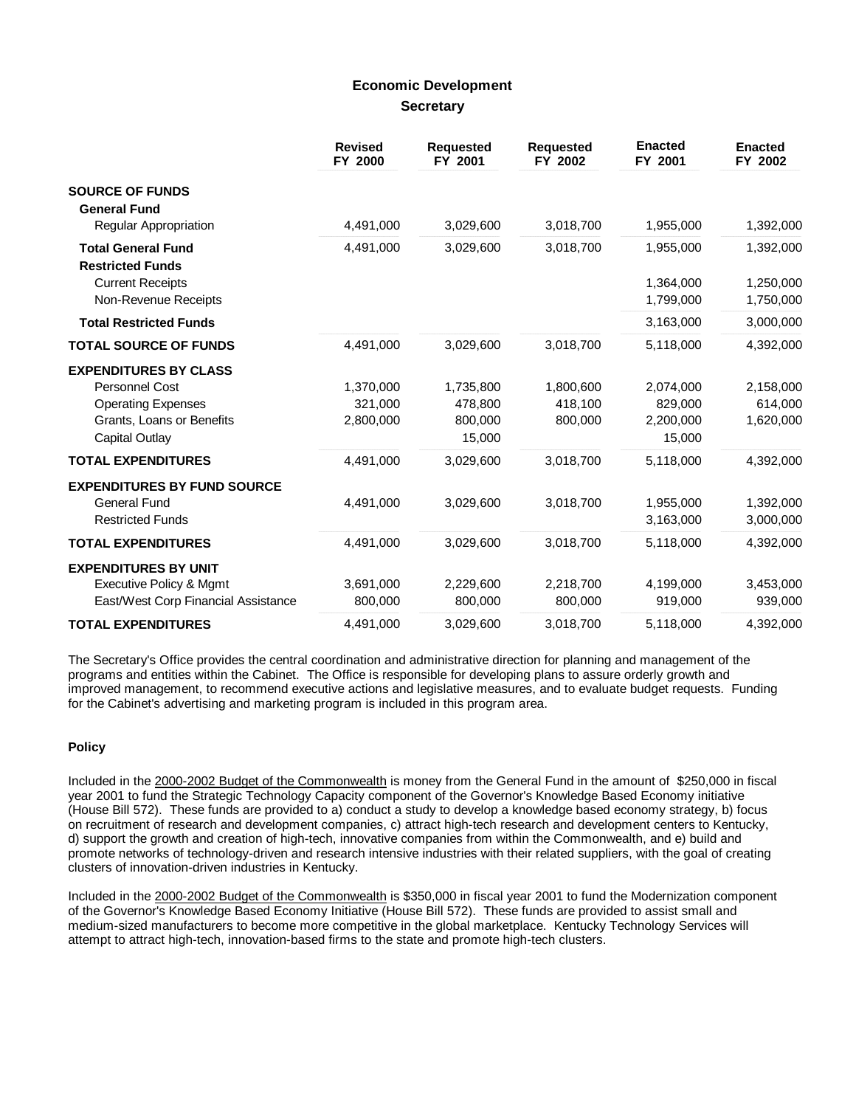# **Economic Development Secretary**

|                                                      | <b>Revised</b><br>FY 2000 | <b>Requested</b><br>FY 2001 | <b>Requested</b><br>FY 2002 | <b>Enacted</b><br>FY 2001 | <b>Enacted</b><br>FY 2002 |
|------------------------------------------------------|---------------------------|-----------------------------|-----------------------------|---------------------------|---------------------------|
| <b>SOURCE OF FUNDS</b><br><b>General Fund</b>        |                           |                             |                             |                           |                           |
| <b>Regular Appropriation</b>                         | 4,491,000                 | 3,029,600                   | 3,018,700                   | 1,955,000                 | 1,392,000                 |
| <b>Total General Fund</b><br><b>Restricted Funds</b> | 4,491,000                 | 3,029,600                   | 3,018,700                   | 1,955,000                 | 1,392,000                 |
| <b>Current Receipts</b>                              |                           |                             |                             | 1,364,000                 | 1,250,000                 |
| Non-Revenue Receipts                                 |                           |                             |                             | 1,799,000                 | 1,750,000                 |
| <b>Total Restricted Funds</b>                        |                           |                             |                             | 3,163,000                 | 3,000,000                 |
| <b>TOTAL SOURCE OF FUNDS</b>                         | 4,491,000                 | 3,029,600                   | 3,018,700                   | 5,118,000                 | 4,392,000                 |
| <b>EXPENDITURES BY CLASS</b>                         |                           |                             |                             |                           |                           |
| Personnel Cost                                       | 1,370,000                 | 1,735,800                   | 1,800,600                   | 2,074,000                 | 2,158,000                 |
| <b>Operating Expenses</b>                            | 321.000                   | 478,800                     | 418.100                     | 829.000                   | 614,000                   |
| Grants, Loans or Benefits                            | 2,800,000                 | 800,000                     | 800,000                     | 2,200,000                 | 1,620,000                 |
| Capital Outlay                                       |                           | 15,000                      |                             | 15,000                    |                           |
| <b>TOTAL EXPENDITURES</b>                            | 4,491,000                 | 3,029,600                   | 3,018,700                   | 5,118,000                 | 4,392,000                 |
| <b>EXPENDITURES BY FUND SOURCE</b>                   |                           |                             |                             |                           |                           |
| <b>General Fund</b>                                  | 4,491,000                 | 3,029,600                   | 3,018,700                   | 1,955,000                 | 1,392,000                 |
| <b>Restricted Funds</b>                              |                           |                             |                             | 3,163,000                 | 3,000,000                 |
| <b>TOTAL EXPENDITURES</b>                            | 4,491,000                 | 3,029,600                   | 3,018,700                   | 5,118,000                 | 4,392,000                 |
| <b>EXPENDITURES BY UNIT</b>                          |                           |                             |                             |                           |                           |
| Executive Policy & Mgmt                              | 3,691,000                 | 2,229,600                   | 2,218,700                   | 4,199,000                 | 3,453,000                 |
| East/West Corp Financial Assistance                  | 800,000                   | 800,000                     | 800,000                     | 919,000                   | 939,000                   |
| <b>TOTAL EXPENDITURES</b>                            | 4,491,000                 | 3,029,600                   | 3,018,700                   | 5,118,000                 | 4,392,000                 |

The Secretary's Office provides the central coordination and administrative direction for planning and management of the programs and entities within the Cabinet. The Office is responsible for developing plans to assure orderly growth and improved management, to recommend executive actions and legislative measures, and to evaluate budget requests. Funding for the Cabinet's advertising and marketing program is included in this program area.

### **Policy**

Included in the 2000-2002 Budget of the Commonwealth is money from the General Fund in the amount of \$250,000 in fiscal year 2001 to fund the Strategic Technology Capacity component of the Governor's Knowledge Based Economy initiative (House Bill 572). These funds are provided to a) conduct a study to develop a knowledge based economy strategy, b) focus on recruitment of research and development companies, c) attract high-tech research and development centers to Kentucky, d) support the growth and creation of high-tech, innovative companies from within the Commonwealth, and e) build and promote networks of technology-driven and research intensive industries with their related suppliers, with the goal of creating clusters of innovation-driven industries in Kentucky.

Included in the 2000-2002 Budget of the Commonwealth is \$350,000 in fiscal year 2001 to fund the Modernization component of the Governor's Knowledge Based Economy Initiative (House Bill 572). These funds are provided to assist small and medium-sized manufacturers to become more competitive in the global marketplace. Kentucky Technology Services will attempt to attract high-tech, innovation-based firms to the state and promote high-tech clusters.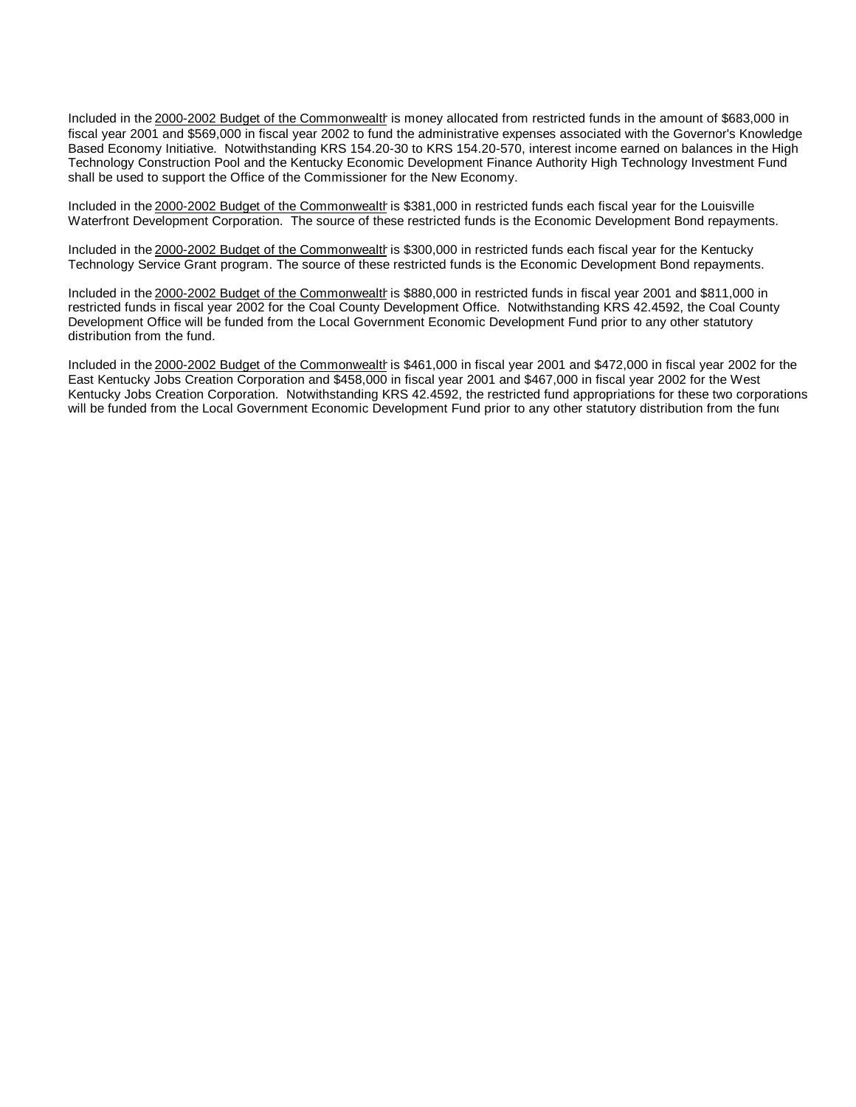Included in the 2000-2002 Budget of the Commonwealthis money allocated from restricted funds in the amount of \$683,000 in fiscal year 2001 and \$569,000 in fiscal year 2002 to fund the administrative expenses associated with the Governor's Knowledge Based Economy Initiative. Notwithstanding KRS 154.20-30 to KRS 154.20-570, interest income earned on balances in the High Technology Construction Pool and the Kentucky Economic Development Finance Authority High Technology Investment Fund shall be used to support the Office of the Commissioner for the New Economy.

Included in the 2000-2002 Budget of the Commonwealth is \$381,000 in restricted funds each fiscal year for the Louisville Waterfront Development Corporation. The source of these restricted funds is the Economic Development Bond repayments.

Included in the 2000-2002 Budget of the Commonwealth is \$300,000 in restricted funds each fiscal year for the Kentucky Technology Service Grant program. The source of these restricted funds is the Economic Development Bond repayments.

Included in the 2000-2002 Budget of the Commonwealth is \$880,000 in restricted funds in fiscal year 2001 and \$811,000 in restricted funds in fiscal year 2002 for the Coal County Development Office. Notwithstanding KRS 42.4592, the Coal County Development Office will be funded from the Local Government Economic Development Fund prior to any other statutory distribution from the fund.

Included in the 2000-2002 Budget of the Commonwealth is \$461,000 in fiscal year 2001 and \$472,000 in fiscal year 2002 for the East Kentucky Jobs Creation Corporation and \$458,000 in fiscal year 2001 and \$467,000 in fiscal year 2002 for the West Kentucky Jobs Creation Corporation. Notwithstanding KRS 42.4592, the restricted fund appropriations for these two corporations will be funded from the Local Government Economic Development Fund prior to any other statutory distribution from the fund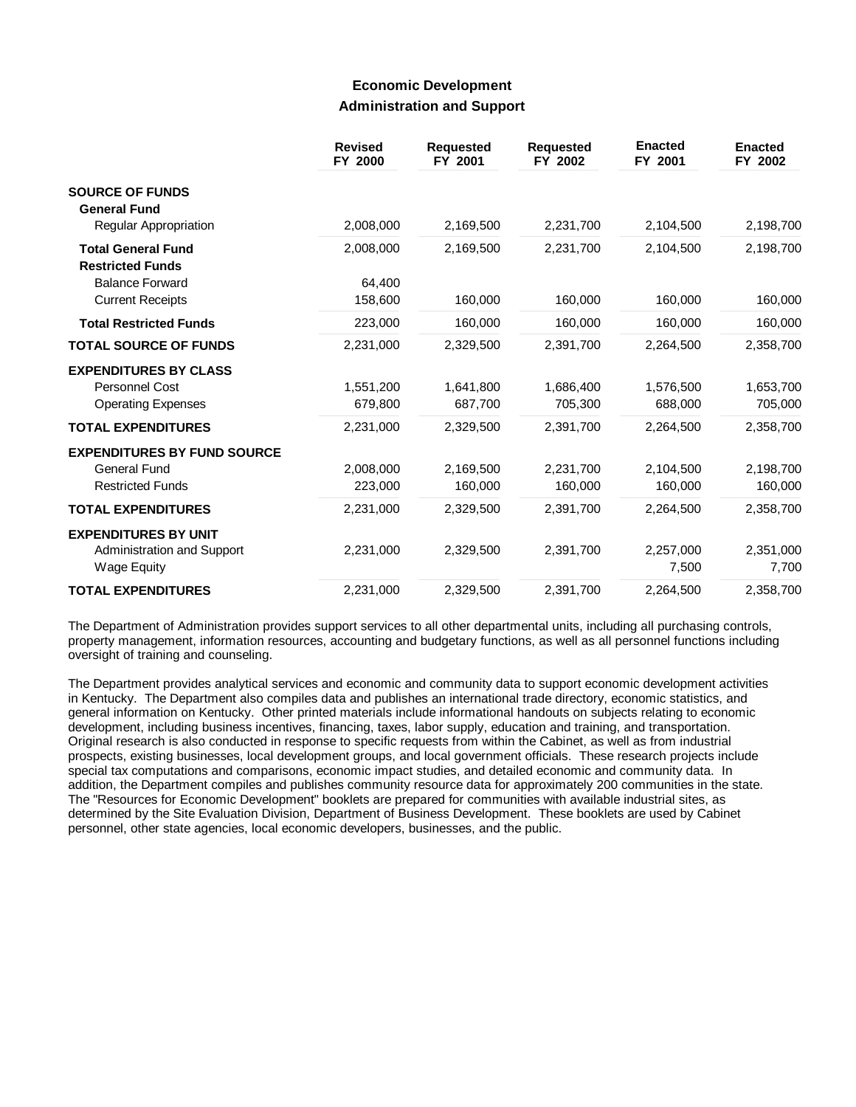# **Economic Development Administration and Support**

|                                                      | <b>Revised</b><br>FY 2000 | <b>Requested</b><br>FY 2001 | <b>Requested</b><br>FY 2002 | <b>Enacted</b><br>FY 2001 | <b>Enacted</b><br>FY 2002 |
|------------------------------------------------------|---------------------------|-----------------------------|-----------------------------|---------------------------|---------------------------|
| <b>SOURCE OF FUNDS</b><br><b>General Fund</b>        |                           |                             |                             |                           |                           |
| Regular Appropriation                                | 2,008,000                 | 2,169,500                   | 2,231,700                   | 2,104,500                 | 2,198,700                 |
| <b>Total General Fund</b><br><b>Restricted Funds</b> | 2,008,000                 | 2,169,500                   | 2,231,700                   | 2,104,500                 | 2,198,700                 |
| <b>Balance Forward</b>                               | 64.400                    |                             |                             |                           |                           |
| <b>Current Receipts</b>                              | 158,600                   | 160,000                     | 160,000                     | 160,000                   | 160,000                   |
| <b>Total Restricted Funds</b>                        | 223,000                   | 160,000                     | 160,000                     | 160,000                   | 160,000                   |
| <b>TOTAL SOURCE OF FUNDS</b>                         | 2,231,000                 | 2,329,500                   | 2,391,700                   | 2,264,500                 | 2,358,700                 |
| <b>EXPENDITURES BY CLASS</b>                         |                           |                             |                             |                           |                           |
| Personnel Cost                                       | 1,551,200                 | 1,641,800                   | 1,686,400                   | 1,576,500                 | 1,653,700                 |
| <b>Operating Expenses</b>                            | 679,800                   | 687,700                     | 705,300                     | 688,000                   | 705,000                   |
| <b>TOTAL EXPENDITURES</b>                            | 2,231,000                 | 2,329,500                   | 2.391.700                   | 2.264.500                 | 2,358,700                 |
| <b>EXPENDITURES BY FUND SOURCE</b>                   |                           |                             |                             |                           |                           |
| <b>General Fund</b>                                  | 2,008,000                 | 2,169,500                   | 2,231,700                   | 2,104,500                 | 2,198,700                 |
| <b>Restricted Funds</b>                              | 223,000                   | 160,000                     | 160,000                     | 160,000                   | 160,000                   |
| <b>TOTAL EXPENDITURES</b>                            | 2,231,000                 | 2,329,500                   | 2,391,700                   | 2,264,500                 | 2,358,700                 |
| <b>EXPENDITURES BY UNIT</b>                          |                           |                             |                             |                           |                           |
| Administration and Support                           | 2,231,000                 | 2,329,500                   | 2,391,700                   | 2,257,000                 | 2,351,000                 |
| <b>Wage Equity</b>                                   |                           |                             |                             | 7,500                     | 7,700                     |
| <b>TOTAL EXPENDITURES</b>                            | 2,231,000                 | 2,329,500                   | 2,391,700                   | 2,264,500                 | 2,358,700                 |

The Department of Administration provides support services to all other departmental units, including all purchasing controls, property management, information resources, accounting and budgetary functions, as well as all personnel functions including oversight of training and counseling.

The Department provides analytical services and economic and community data to support economic development activities in Kentucky. The Department also compiles data and publishes an international trade directory, economic statistics, and general information on Kentucky. Other printed materials include informational handouts on subjects relating to economic development, including business incentives, financing, taxes, labor supply, education and training, and transportation. Original research is also conducted in response to specific requests from within the Cabinet, as well as from industrial prospects, existing businesses, local development groups, and local government officials. These research projects include special tax computations and comparisons, economic impact studies, and detailed economic and community data. In addition, the Department compiles and publishes community resource data for approximately 200 communities in the state. The "Resources for Economic Development" booklets are prepared for communities with available industrial sites, as determined by the Site Evaluation Division, Department of Business Development. These booklets are used by Cabinet personnel, other state agencies, local economic developers, businesses, and the public.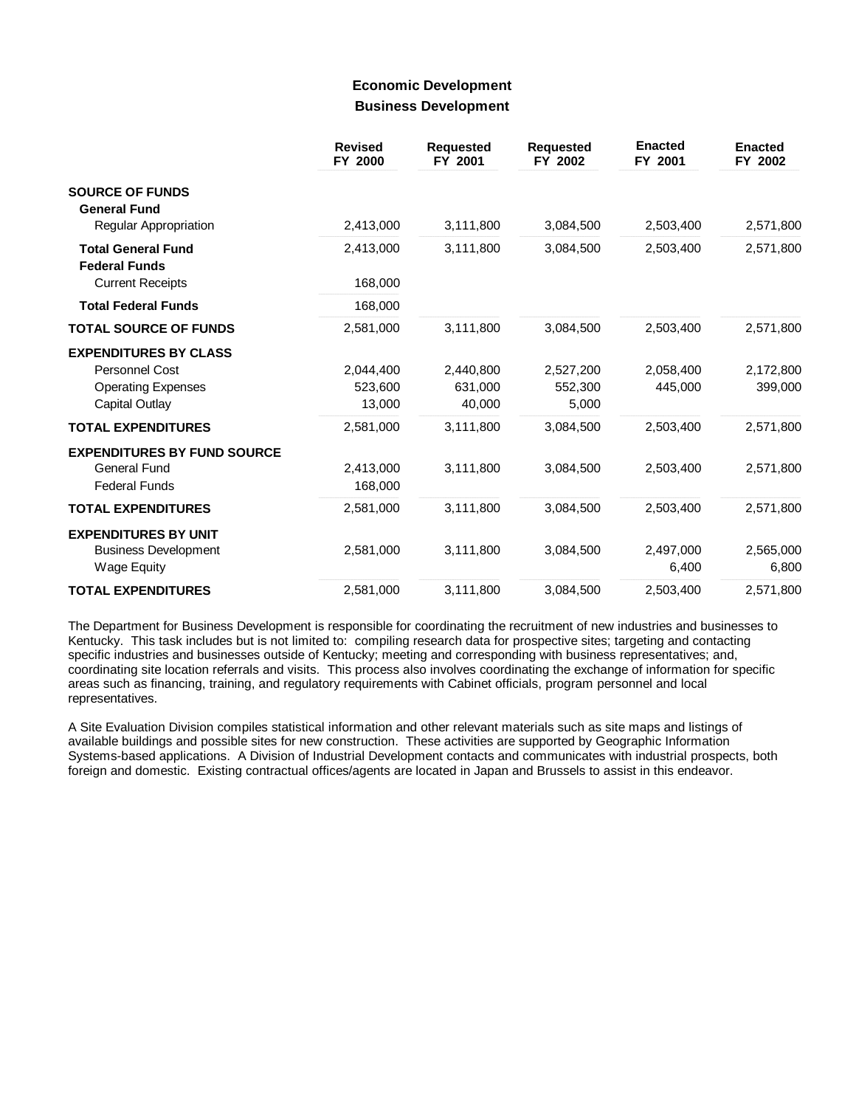## **Economic Development Business Development**

|                                                   | <b>Revised</b><br>FY 2000 | <b>Requested</b><br>FY 2001 | <b>Requested</b><br>FY 2002 | <b>Enacted</b><br>FY 2001 | <b>Enacted</b><br>FY 2002 |
|---------------------------------------------------|---------------------------|-----------------------------|-----------------------------|---------------------------|---------------------------|
| <b>SOURCE OF FUNDS</b><br><b>General Fund</b>     |                           |                             |                             |                           |                           |
| <b>Regular Appropriation</b>                      | 2,413,000                 | 3,111,800                   | 3,084,500                   | 2,503,400                 | 2,571,800                 |
| <b>Total General Fund</b><br><b>Federal Funds</b> | 2,413,000                 | 3,111,800                   | 3,084,500                   | 2,503,400                 | 2,571,800                 |
| <b>Current Receipts</b>                           | 168,000                   |                             |                             |                           |                           |
| <b>Total Federal Funds</b>                        | 168,000                   |                             |                             |                           |                           |
| <b>TOTAL SOURCE OF FUNDS</b>                      | 2,581,000                 | 3,111,800                   | 3,084,500                   | 2,503,400                 | 2,571,800                 |
| <b>EXPENDITURES BY CLASS</b>                      |                           |                             |                             |                           |                           |
| Personnel Cost                                    | 2,044,400                 | 2,440,800                   | 2,527,200                   | 2,058,400                 | 2,172,800                 |
| <b>Operating Expenses</b>                         | 523,600                   | 631,000                     | 552,300                     | 445,000                   | 399,000                   |
| Capital Outlay                                    | 13,000                    | 40,000                      | 5,000                       |                           |                           |
| <b>TOTAL EXPENDITURES</b>                         | 2,581,000                 | 3,111,800                   | 3,084,500                   | 2,503,400                 | 2,571,800                 |
| <b>EXPENDITURES BY FUND SOURCE</b>                |                           |                             |                             |                           |                           |
| <b>General Fund</b>                               | 2,413,000                 | 3,111,800                   | 3,084,500                   | 2,503,400                 | 2,571,800                 |
| <b>Federal Funds</b>                              | 168,000                   |                             |                             |                           |                           |
| <b>TOTAL EXPENDITURES</b>                         | 2,581,000                 | 3,111,800                   | 3,084,500                   | 2,503,400                 | 2,571,800                 |
| <b>EXPENDITURES BY UNIT</b>                       |                           |                             |                             |                           |                           |
| <b>Business Development</b>                       | 2,581,000                 | 3,111,800                   | 3,084,500                   | 2,497,000                 | 2,565,000                 |
| Wage Equity                                       |                           |                             |                             | 6,400                     | 6,800                     |
| <b>TOTAL EXPENDITURES</b>                         | 2,581,000                 | 3,111,800                   | 3,084,500                   | 2,503,400                 | 2,571,800                 |

The Department for Business Development is responsible for coordinating the recruitment of new industries and businesses to Kentucky. This task includes but is not limited to: compiling research data for prospective sites; targeting and contacting specific industries and businesses outside of Kentucky; meeting and corresponding with business representatives; and, coordinating site location referrals and visits. This process also involves coordinating the exchange of information for specific areas such as financing, training, and regulatory requirements with Cabinet officials, program personnel and local representatives.

A Site Evaluation Division compiles statistical information and other relevant materials such as site maps and listings of available buildings and possible sites for new construction. These activities are supported by Geographic Information Systems-based applications. A Division of Industrial Development contacts and communicates with industrial prospects, both foreign and domestic. Existing contractual offices/agents are located in Japan and Brussels to assist in this endeavor.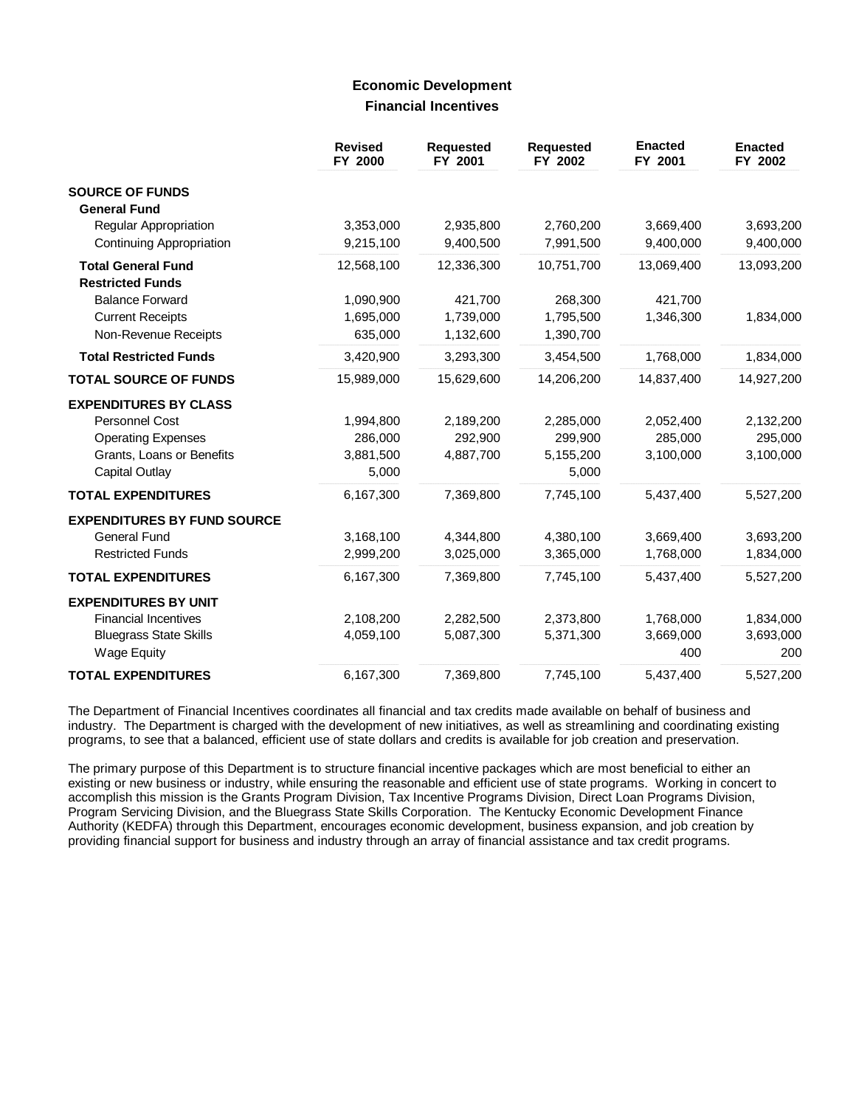### **Economic Development Financial Incentives**

|                                                      | <b>Revised</b><br>FY 2000 | <b>Requested</b><br>FY 2001 | <b>Requested</b><br>FY 2002 | <b>Enacted</b><br>FY 2001 | <b>Enacted</b><br>FY 2002 |
|------------------------------------------------------|---------------------------|-----------------------------|-----------------------------|---------------------------|---------------------------|
| <b>SOURCE OF FUNDS</b><br><b>General Fund</b>        |                           |                             |                             |                           |                           |
| <b>Regular Appropriation</b>                         | 3,353,000                 | 2,935,800                   | 2,760,200                   | 3,669,400                 | 3,693,200                 |
| Continuing Appropriation                             | 9,215,100                 | 9,400,500                   | 7,991,500                   | 9,400,000                 | 9,400,000                 |
| <b>Total General Fund</b><br><b>Restricted Funds</b> | 12,568,100                | 12,336,300                  | 10,751,700                  | 13,069,400                | 13,093,200                |
| <b>Balance Forward</b>                               | 1,090,900                 | 421,700                     | 268,300                     | 421,700                   |                           |
| <b>Current Receipts</b>                              | 1,695,000                 | 1,739,000                   | 1,795,500                   | 1,346,300                 | 1,834,000                 |
| Non-Revenue Receipts                                 | 635,000                   | 1,132,600                   | 1,390,700                   |                           |                           |
| <b>Total Restricted Funds</b>                        | 3,420,900                 | 3,293,300                   | 3,454,500                   | 1,768,000                 | 1,834,000                 |
| <b>TOTAL SOURCE OF FUNDS</b>                         | 15,989,000                | 15,629,600                  | 14,206,200                  | 14,837,400                | 14,927,200                |
| <b>EXPENDITURES BY CLASS</b>                         |                           |                             |                             |                           |                           |
| <b>Personnel Cost</b>                                | 1,994,800                 | 2,189,200                   | 2,285,000                   | 2,052,400                 | 2,132,200                 |
| <b>Operating Expenses</b>                            | 286,000                   | 292,900                     | 299,900                     | 285,000                   | 295,000                   |
| Grants, Loans or Benefits                            | 3,881,500                 | 4,887,700                   | 5,155,200                   | 3,100,000                 | 3,100,000                 |
| Capital Outlay                                       | 5,000                     |                             | 5,000                       |                           |                           |
| <b>TOTAL EXPENDITURES</b>                            | 6,167,300                 | 7,369,800                   | 7,745,100                   | 5,437,400                 | 5,527,200                 |
| <b>EXPENDITURES BY FUND SOURCE</b>                   |                           |                             |                             |                           |                           |
| <b>General Fund</b>                                  | 3,168,100                 | 4,344,800                   | 4,380,100                   | 3,669,400                 | 3,693,200                 |
| <b>Restricted Funds</b>                              | 2,999,200                 | 3,025,000                   | 3,365,000                   | 1,768,000                 | 1,834,000                 |
| <b>TOTAL EXPENDITURES</b>                            | 6,167,300                 | 7,369,800                   | 7,745,100                   | 5,437,400                 | 5,527,200                 |
| <b>EXPENDITURES BY UNIT</b>                          |                           |                             |                             |                           |                           |
| <b>Financial Incentives</b>                          | 2,108,200                 | 2,282,500                   | 2,373,800                   | 1,768,000                 | 1,834,000                 |
| <b>Bluegrass State Skills</b>                        | 4,059,100                 | 5,087,300                   | 5,371,300                   | 3,669,000                 | 3,693,000                 |
| <b>Wage Equity</b>                                   |                           |                             |                             | 400                       | 200                       |
| <b>TOTAL EXPENDITURES</b>                            | 6,167,300                 | 7,369,800                   | 7,745,100                   | 5,437,400                 | 5,527,200                 |

The Department of Financial Incentives coordinates all financial and tax credits made available on behalf of business and industry. The Department is charged with the development of new initiatives, as well as streamlining and coordinating existing programs, to see that a balanced, efficient use of state dollars and credits is available for job creation and preservation.

The primary purpose of this Department is to structure financial incentive packages which are most beneficial to either an existing or new business or industry, while ensuring the reasonable and efficient use of state programs. Working in concert to accomplish this mission is the Grants Program Division, Tax Incentive Programs Division, Direct Loan Programs Division, Program Servicing Division, and the Bluegrass State Skills Corporation. The Kentucky Economic Development Finance Authority (KEDFA) through this Department, encourages economic development, business expansion, and job creation by providing financial support for business and industry through an array of financial assistance and tax credit programs.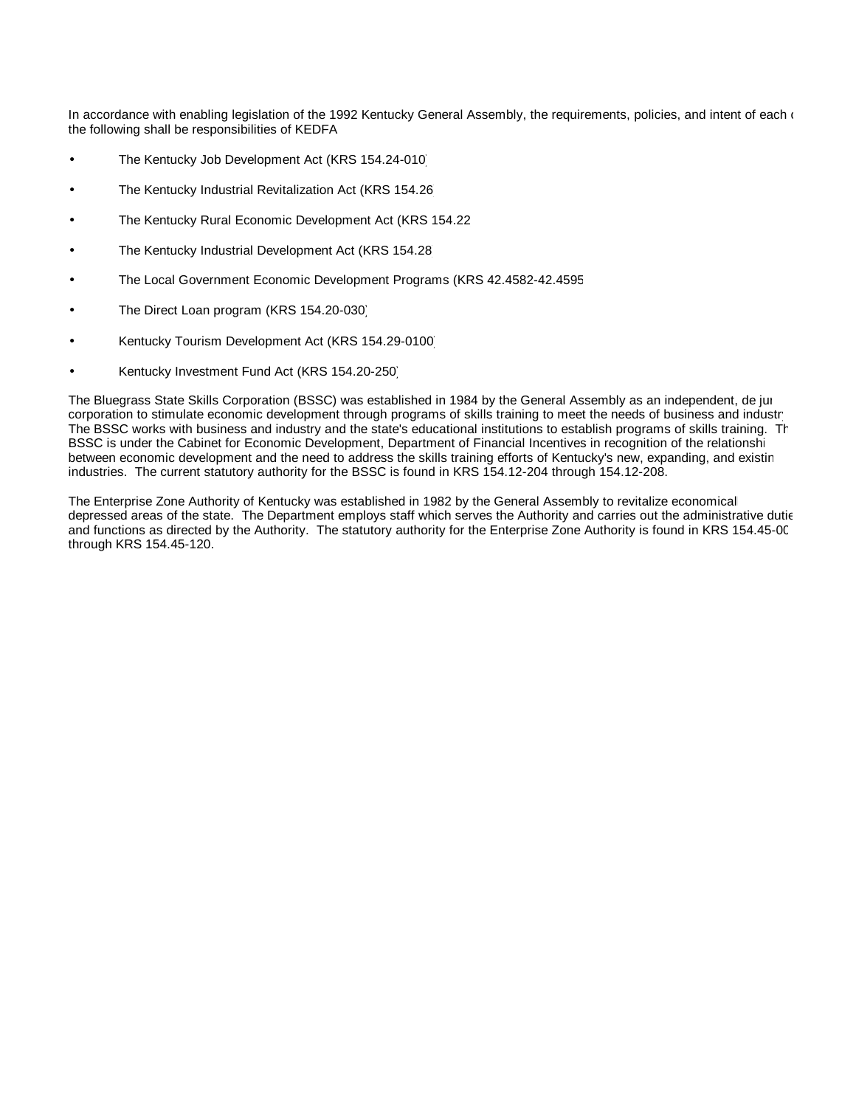In accordance with enabling legislation of the 1992 Kentucky General Assembly, the requirements, policies, and intent of each  $($ the following shall be responsibilities of KEDFA:

- The Kentucky Job Development Act (KRS 154.24-010)
- The Kentucky Industrial Revitalization Act (KRS 154.26)
- The Kentucky Rural Economic Development Act (KRS 154.22)
- The Kentucky Industrial Development Act (KRS 154.28)
- The Local Government Economic Development Programs (KRS 42.4582-42.4595)
- The Direct Loan program (KRS 154.20-030)
- Kentucky Tourism Development Act (KRS 154.29-0100)
- Kentucky Investment Fund Act (KRS 154.20-250)

The Bluegrass State Skills Corporation (BSSC) was established in 1984 by the General Assembly as an independent, de jur corporation to stimulate economic development through programs of skills training to meet the needs of business and industr The BSSC works with business and industry and the state's educational institutions to establish programs of skills training. The BSSC is under the Cabinet for Economic Development, Department of Financial Incentives in recognition of the relationshi between economic development and the need to address the skills training efforts of Kentucky's new, expanding, and existing industries. The current statutory authority for the BSSC is found in KRS 154.12-204 through 154.12-208.

The Enterprise Zone Authority of Kentucky was established in 1982 by the General Assembly to revitalize economically depressed areas of the state. The Department employs staff which serves the Authority and carries out the administrative dutie and functions as directed by the Authority. The statutory authority for the Enterprise Zone Authority is found in KRS 154.45-001 through KRS 154.45-120.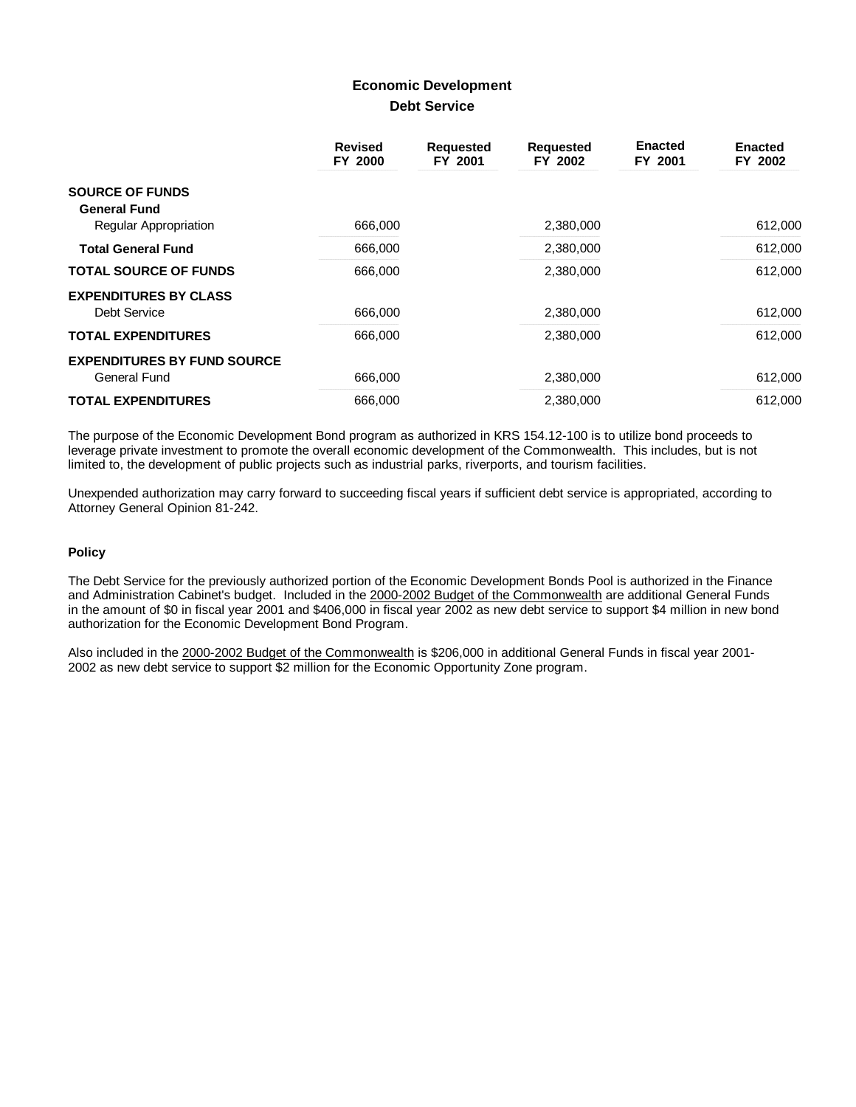# **Economic Development Debt Service**

|                                                           | <b>Revised</b><br>FY 2000 | <b>Requested</b><br>FY 2001 | <b>Requested</b><br>FY 2002 | <b>Enacted</b><br>FY 2001 | <b>Enacted</b><br>FY 2002 |
|-----------------------------------------------------------|---------------------------|-----------------------------|-----------------------------|---------------------------|---------------------------|
| <b>SOURCE OF FUNDS</b><br><b>General Fund</b>             |                           |                             |                             |                           |                           |
| Regular Appropriation                                     | 666,000                   |                             | 2,380,000                   |                           | 612,000                   |
| <b>Total General Fund</b>                                 | 666,000                   |                             | 2,380,000                   |                           | 612,000                   |
| <b>TOTAL SOURCE OF FUNDS</b>                              | 666,000                   |                             | 2.380.000                   |                           | 612,000                   |
| <b>EXPENDITURES BY CLASS</b><br>Debt Service              | 666,000                   |                             | 2,380,000                   |                           | 612,000                   |
| <b>TOTAL EXPENDITURES</b>                                 | 666,000                   |                             | 2,380,000                   |                           | 612,000                   |
| <b>EXPENDITURES BY FUND SOURCE</b><br><b>General Fund</b> | 666,000                   |                             | 2.380.000                   |                           | 612,000                   |
| <b>TOTAL EXPENDITURES</b>                                 | 666,000                   |                             | 2,380,000                   |                           | 612,000                   |

The purpose of the Economic Development Bond program as authorized in KRS 154.12-100 is to utilize bond proceeds to leverage private investment to promote the overall economic development of the Commonwealth. This includes, but is not limited to, the development of public projects such as industrial parks, riverports, and tourism facilities.

Unexpended authorization may carry forward to succeeding fiscal years if sufficient debt service is appropriated, according to Attorney General Opinion 81-242.

### **Policy**

The Debt Service for the previously authorized portion of the Economic Development Bonds Pool is authorized in the Finance and Administration Cabinet's budget. Included in the 2000-2002 Budget of the Commonwealth are additional General Funds in the amount of \$0 in fiscal year 2001 and \$406,000 in fiscal year 2002 as new debt service to support \$4 million in new bond authorization for the Economic Development Bond Program.

Also included in the 2000-2002 Budget of the Commonwealth is \$206,000 in additional General Funds in fiscal year 2001- 2002 as new debt service to support \$2 million for the Economic Opportunity Zone program.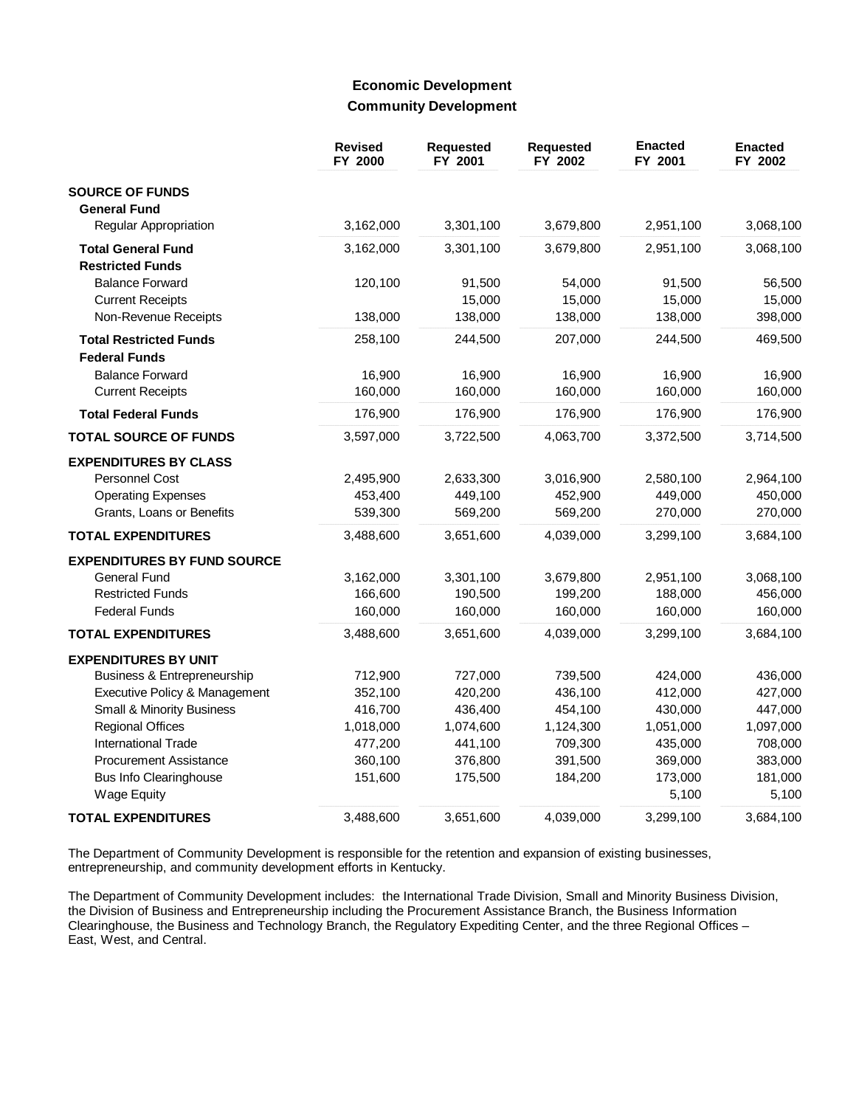## **Economic Development Community Development**

|                                    | <b>Revised</b><br>FY 2000 | <b>Requested</b><br>FY 2001 | <b>Requested</b><br>FY 2002 | <b>Enacted</b><br>FY 2001 | <b>Enacted</b><br>FY 2002 |
|------------------------------------|---------------------------|-----------------------------|-----------------------------|---------------------------|---------------------------|
| <b>SOURCE OF FUNDS</b>             |                           |                             |                             |                           |                           |
| <b>General Fund</b>                |                           |                             |                             |                           |                           |
| Regular Appropriation              | 3,162,000                 | 3,301,100                   | 3,679,800                   | 2,951,100                 | 3,068,100                 |
| <b>Total General Fund</b>          | 3,162,000                 | 3,301,100                   | 3,679,800                   | 2,951,100                 | 3,068,100                 |
| <b>Restricted Funds</b>            |                           |                             |                             |                           |                           |
| <b>Balance Forward</b>             | 120,100                   | 91,500                      | 54,000                      | 91,500                    | 56,500                    |
| <b>Current Receipts</b>            |                           | 15,000                      | 15,000                      | 15,000                    | 15,000                    |
| Non-Revenue Receipts               | 138,000                   | 138,000                     | 138,000                     | 138,000                   | 398,000                   |
| <b>Total Restricted Funds</b>      | 258,100                   | 244,500                     | 207,000                     | 244,500                   | 469,500                   |
| <b>Federal Funds</b>               |                           |                             |                             |                           |                           |
| <b>Balance Forward</b>             | 16,900                    | 16,900                      | 16,900                      | 16,900                    | 16,900                    |
| <b>Current Receipts</b>            | 160,000                   | 160,000                     | 160,000                     | 160,000                   | 160,000                   |
| <b>Total Federal Funds</b>         | 176,900                   | 176,900                     | 176,900                     | 176,900                   | 176,900                   |
| <b>TOTAL SOURCE OF FUNDS</b>       | 3,597,000                 | 3,722,500                   | 4,063,700                   | 3,372,500                 | 3,714,500                 |
| <b>EXPENDITURES BY CLASS</b>       |                           |                             |                             |                           |                           |
| <b>Personnel Cost</b>              | 2,495,900                 | 2,633,300                   | 3,016,900                   | 2,580,100                 | 2,964,100                 |
| <b>Operating Expenses</b>          | 453,400                   | 449,100                     | 452,900                     | 449,000                   | 450,000                   |
| Grants, Loans or Benefits          | 539,300                   | 569,200                     | 569,200                     | 270,000                   | 270,000                   |
| <b>TOTAL EXPENDITURES</b>          | 3,488,600                 | 3,651,600                   | 4,039,000                   | 3,299,100                 | 3,684,100                 |
| <b>EXPENDITURES BY FUND SOURCE</b> |                           |                             |                             |                           |                           |
| General Fund                       | 3,162,000                 | 3,301,100                   | 3,679,800                   | 2,951,100                 | 3,068,100                 |
| <b>Restricted Funds</b>            | 166,600                   | 190,500                     | 199,200                     | 188,000                   | 456,000                   |
| <b>Federal Funds</b>               | 160,000                   | 160,000                     | 160,000                     | 160,000                   | 160,000                   |
| <b>TOTAL EXPENDITURES</b>          | 3,488,600                 | 3,651,600                   | 4,039,000                   | 3,299,100                 | 3,684,100                 |
| <b>EXPENDITURES BY UNIT</b>        |                           |                             |                             |                           |                           |
| Business & Entrepreneurship        | 712,900                   | 727,000                     | 739,500                     | 424,000                   | 436,000                   |
| Executive Policy & Management      | 352,100                   | 420,200                     | 436,100                     | 412,000                   | 427,000                   |
| Small & Minority Business          | 416,700                   | 436,400                     | 454,100                     | 430,000                   | 447,000                   |
| <b>Regional Offices</b>            | 1,018,000                 | 1,074,600                   | 1,124,300                   | 1,051,000                 | 1,097,000                 |
| <b>International Trade</b>         | 477,200                   | 441,100                     | 709,300                     | 435,000                   | 708,000                   |
| <b>Procurement Assistance</b>      | 360,100                   | 376,800                     | 391,500                     | 369,000                   | 383,000                   |
| <b>Bus Info Clearinghouse</b>      | 151,600                   | 175,500                     | 184,200                     | 173,000                   | 181,000                   |
| <b>Wage Equity</b>                 |                           |                             |                             | 5,100                     | 5,100                     |
| <b>TOTAL EXPENDITURES</b>          | 3,488,600                 | 3,651,600                   | 4,039,000                   | 3,299,100                 | 3,684,100                 |

The Department of Community Development is responsible for the retention and expansion of existing businesses, entrepreneurship, and community development efforts in Kentucky.

The Department of Community Development includes: the International Trade Division, Small and Minority Business Division, the Division of Business and Entrepreneurship including the Procurement Assistance Branch, the Business Information Clearinghouse, the Business and Technology Branch, the Regulatory Expediting Center, and the three Regional Offices -East, West, and Central.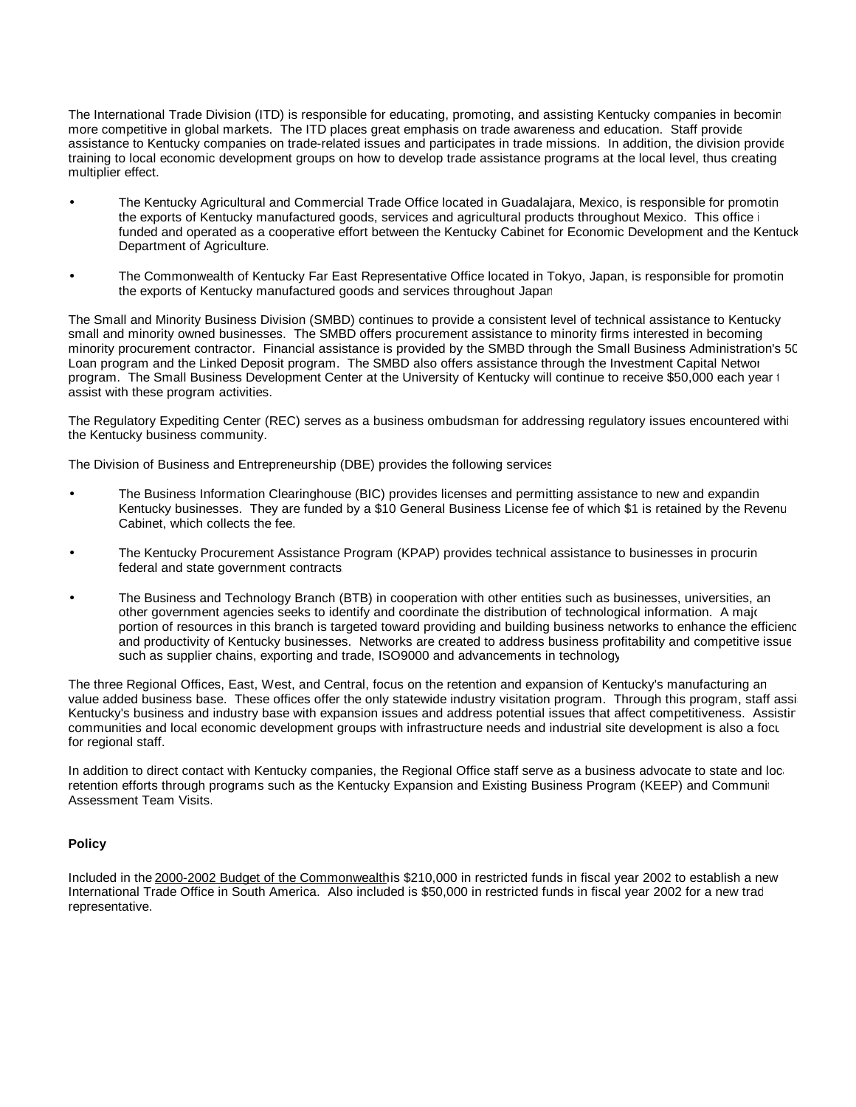The International Trade Division (ITD) is responsible for educating, promoting, and assisting Kentucky companies in becoming more competitive in global markets. The ITD places great emphasis on trade awareness and education. Staff provide assistance to Kentucky companies on trade-related issues and participates in trade missions. In addition, the division provides training to local economic development groups on how to develop trade assistance programs at the local level, thus creating a multiplier effect.

- The Kentucky Agricultural and Commercial Trade Office located in Guadalajara, Mexico, is responsible for promoting the exports of Kentucky manufactured goods, services and agricultural products throughout Mexico. This office is funded and operated as a cooperative effort between the Kentucky Cabinet for Economic Development and the Kentuck Department of Agriculture.
- The Commonwealth of Kentucky Far East Representative Office located in Tokyo, Japan, is responsible for promotin the exports of Kentucky manufactured goods and services throughout Japan.

The Small and Minority Business Division (SMBD) continues to provide a consistent level of technical assistance to Kentucky's small and minority owned businesses. The SMBD offers procurement assistance to minority firms interested in becoming minority procurement contractor. Financial assistance is provided by the SMBD through the Small Business Administration's 504 Loan program and the Linked Deposit program. The SMBD also offers assistance through the Investment Capital Networ program. The Small Business Development Center at the University of Kentucky will continue to receive \$50,000 each year t assist with these program activities.

The Regulatory Expediting Center (REC) serves as a business ombudsman for addressing regulatory issues encountered with the Kentucky business community.

The Division of Business and Entrepreneurship (DBE) provides the following services:

- The Business Information Clearinghouse (BIC) provides licenses and permitting assistance to new and expanding Kentucky businesses. They are funded by a \$10 General Business License fee of which \$1 is retained by the Revenu Cabinet, which collects the fee.
- The Kentucky Procurement Assistance Program (KPAP) provides technical assistance to businesses in procurin federal and state government contracts.
- The Business and Technology Branch (BTB) in cooperation with other entities such as businesses, universities, an other government agencies seeks to identify and coordinate the distribution of technological information. A major portion of resources in this branch is targeted toward providing and building business networks to enhance the efficienc and productivity of Kentucky businesses. Networks are created to address business profitability and competitive issue such as supplier chains, exporting and trade, ISO9000 and advancements in technology.

The three Regional Offices, East, West, and Central, focus on the retention and expansion of Kentucky's manufacturing and value added business base. These offices offer the only statewide industry visitation program. Through this program, staff assi Kentucky's business and industry base with expansion issues and address potential issues that affect competitiveness. Assistin communities and local economic development groups with infrastructure needs and industrial site development is also a focus for regional staff.

In addition to direct contact with Kentucky companies, the Regional Office staff serve as a business advocate to state and local retention efforts through programs such as the Kentucky Expansion and Existing Business Program (KEEP) and Communit Assessment Team Visits.

### **Policy**

Included in the 2000-2002 Budget of the Commonwealthis \$210,000 in restricted funds in fiscal year 2002 to establish a new International Trade Office in South America. Also included is \$50,000 in restricted funds in fiscal year 2002 for a new trac representative.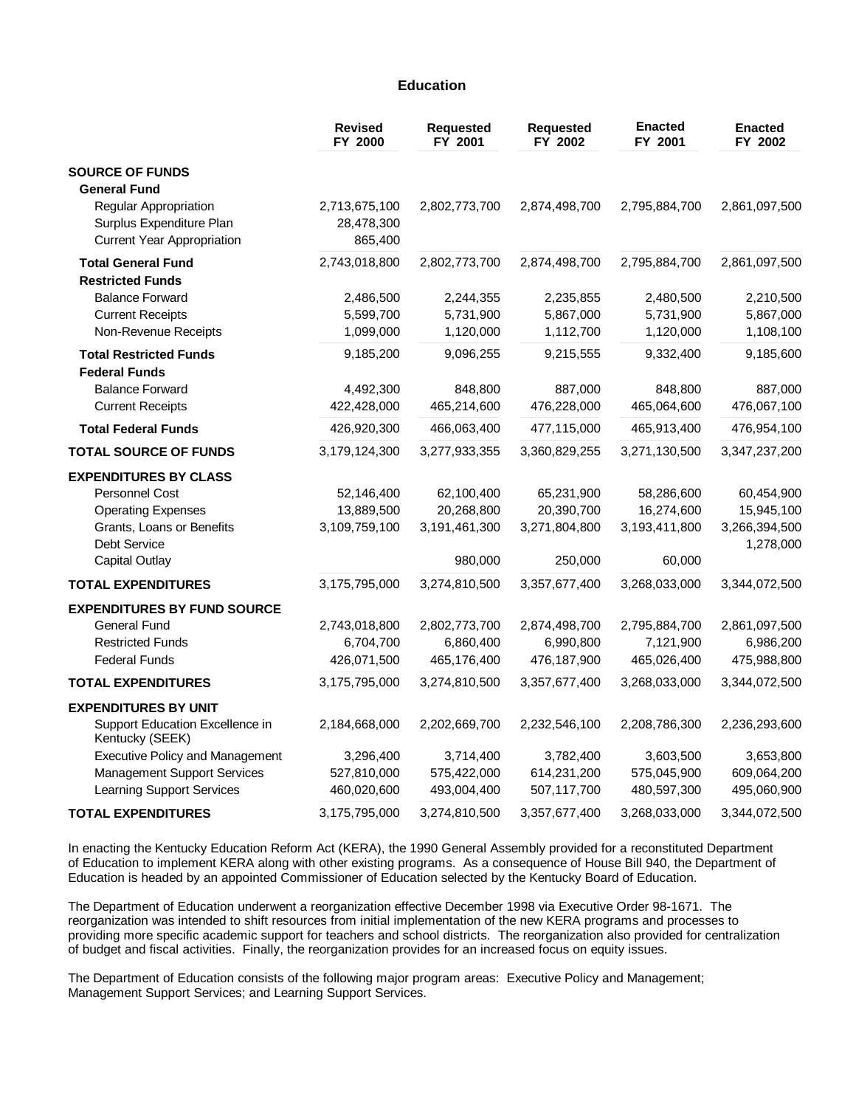### **Education**

|                                                                                        | <b>Revised</b><br>FY 2000              | <b>Requested</b><br>FY 2001 | <b>Requested</b><br>FY 2002 | <b>Enacted</b><br>FY 2001 | <b>Enacted</b><br>FY 2002 |
|----------------------------------------------------------------------------------------|----------------------------------------|-----------------------------|-----------------------------|---------------------------|---------------------------|
| <b>SOURCE OF FUNDS</b>                                                                 |                                        |                             |                             |                           |                           |
| <b>General Fund</b>                                                                    |                                        |                             |                             |                           |                           |
| Regular Appropriation<br>Surplus Expenditure Plan<br><b>Current Year Appropriation</b> | 2,713,675,100<br>28,478,300<br>865,400 | 2,802,773,700               | 2,874,498,700               | 2,795,884,700             | 2,861,097,500             |
|                                                                                        |                                        |                             |                             |                           |                           |
| <b>Total General Fund</b><br><b>Restricted Funds</b>                                   | 2,743,018,800                          | 2,802,773,700               | 2,874,498,700               | 2,795,884,700             | 2,861,097,500             |
|                                                                                        |                                        |                             |                             |                           |                           |
| <b>Balance Forward</b>                                                                 | 2,486,500<br>5,599,700                 | 2,244,355<br>5,731,900      | 2,235,855                   | 2,480,500                 | 2,210,500                 |
| <b>Current Receipts</b>                                                                | 1,099,000                              | 1,120,000                   | 5,867,000<br>1,112,700      | 5,731,900<br>1,120,000    | 5,867,000                 |
| Non-Revenue Receipts                                                                   |                                        |                             |                             |                           | 1,108,100                 |
| <b>Total Restricted Funds</b>                                                          | 9,185,200                              | 9,096,255                   | 9,215,555                   | 9,332,400                 | 9,185,600                 |
| <b>Federal Funds</b>                                                                   |                                        |                             |                             |                           |                           |
| <b>Balance Forward</b>                                                                 | 4,492,300                              | 848,800                     | 887,000                     | 848,800                   | 887,000                   |
| <b>Current Receipts</b>                                                                | 422,428,000                            | 465,214,600                 | 476,228,000                 | 465,064,600               | 476,067,100               |
| <b>Total Federal Funds</b>                                                             | 426,920,300                            | 466,063,400                 | 477,115,000                 | 465,913,400               | 476,954,100               |
| <b>TOTAL SOURCE OF FUNDS</b>                                                           | 3,179,124,300                          | 3,277,933,355               | 3,360,829,255               | 3,271,130,500             | 3,347,237,200             |
| <b>EXPENDITURES BY CLASS</b>                                                           |                                        |                             |                             |                           |                           |
| Personnel Cost                                                                         | 52,146,400                             | 62,100,400                  | 65,231,900                  | 58,286,600                | 60,454,900                |
| <b>Operating Expenses</b>                                                              | 13,889,500                             | 20,268,800                  | 20,390,700                  | 16,274,600                | 15,945,100                |
| Grants, Loans or Benefits                                                              | 3,109,759,100                          | 3,191,461,300               | 3,271,804,800               | 3,193,411,800             | 3,266,394,500             |
| Debt Service                                                                           |                                        |                             |                             |                           | 1,278,000                 |
| <b>Capital Outlay</b>                                                                  |                                        | 980,000                     | 250,000                     | 60,000                    |                           |
| <b>TOTAL EXPENDITURES</b>                                                              | 3,175,795,000                          | 3,274,810,500               | 3,357,677,400               | 3,268,033,000             | 3,344,072,500             |
| <b>EXPENDITURES BY FUND SOURCE</b>                                                     |                                        |                             |                             |                           |                           |
| <b>General Fund</b>                                                                    | 2,743,018,800                          | 2,802,773,700               | 2,874,498,700               | 2,795,884,700             | 2,861,097,500             |
| <b>Restricted Funds</b>                                                                | 6,704,700                              | 6,860,400                   | 6,990,800                   | 7,121,900                 | 6,986,200                 |
| <b>Federal Funds</b>                                                                   | 426,071,500                            | 465,176,400                 | 476,187,900                 | 465,026,400               | 475,988,800               |
| <b>TOTAL EXPENDITURES</b>                                                              | 3,175,795,000                          | 3,274,810,500               | 3,357,677,400               | 3,268,033,000             | 3,344,072,500             |
| <b>EXPENDITURES BY UNIT</b>                                                            |                                        |                             |                             |                           |                           |
| Support Education Excellence in<br>Kentucky (SEEK)                                     | 2,184,668,000                          | 2,202,669,700               | 2,232,546,100               | 2,208,786,300             | 2,236,293,600             |
| <b>Executive Policy and Management</b>                                                 | 3,296,400                              | 3,714,400                   | 3,782,400                   | 3,603,500                 | 3,653,800                 |
| <b>Management Support Services</b>                                                     | 527,810,000                            | 575,422,000                 | 614,231,200                 | 575,045,900               | 609,064,200               |
| <b>Learning Support Services</b>                                                       | 460,020,600                            | 493,004,400                 | 507,117,700                 | 480,597,300               | 495,060,900               |
| <b>TOTAL EXPENDITURES</b>                                                              | 3,175,795,000                          | 3,274,810,500               | 3,357,677,400               | 3,268,033,000             | 3,344,072,500             |

In enacting the Kentucky Education Reform Act (KERA), the 1990 General Assembly provided for a reconstituted Department of Education to implement KERA along with other existing programs. As a consequence of House Bill 940, the Department of Education is headed by an appointed Commissioner of Education selected by the Kentucky Board of Education.

The Department of Education underwent a reorganization effective December 1998 via Executive Order 98-1671. The reorganization was intended to shift resources from initial implementation of the new KERA programs and processes to providing more specific academic support for teachers and school districts. The reorganization also provided for centralization of budget and fiscal activities. Finally, the reorganization provides for an increased focus on equity issues.

The Department of Education consists of the following major program areas: Executive Policy and Management; Management Support Services; and Learning Support Services.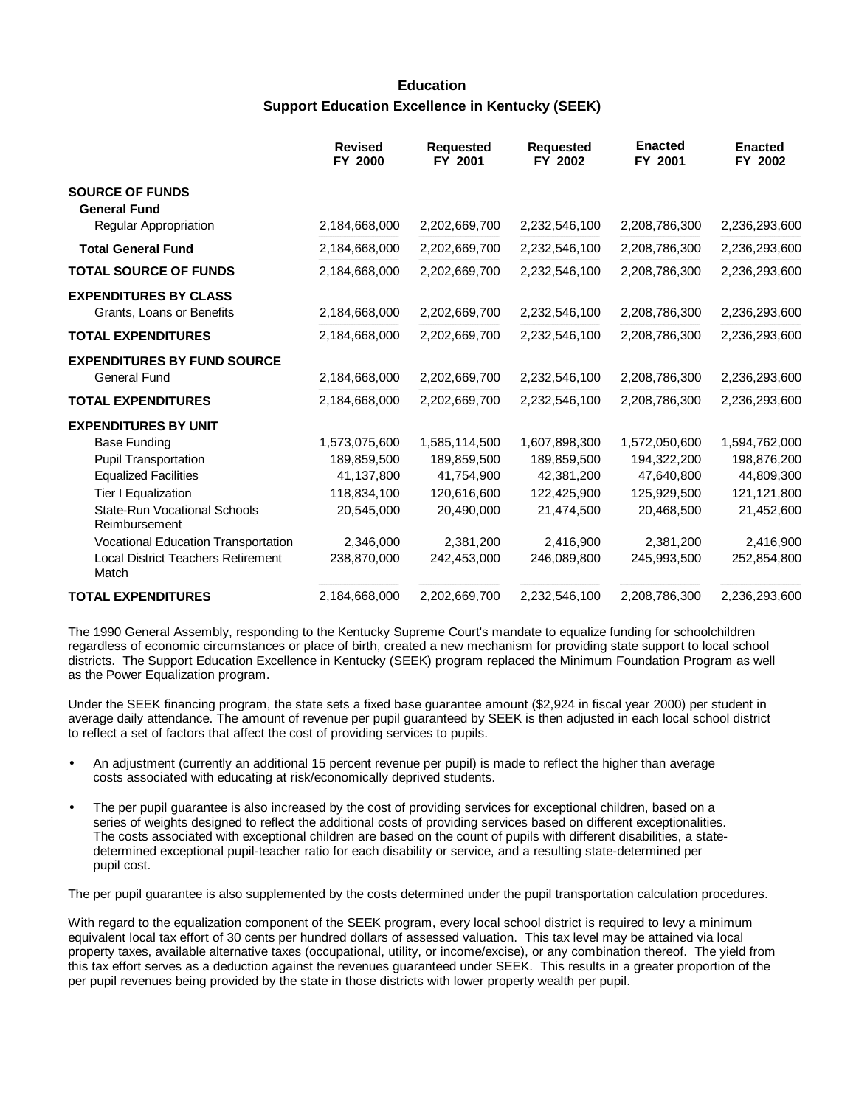# **Education Support Education Excellence in Kentucky (SEEK)**

|                                                           | <b>Revised</b><br>FY 2000 | <b>Requested</b><br>FY 2001 | <b>Requested</b><br>FY 2002 | <b>Enacted</b><br>FY 2001 | <b>Enacted</b><br>FY 2002 |
|-----------------------------------------------------------|---------------------------|-----------------------------|-----------------------------|---------------------------|---------------------------|
| <b>SOURCE OF FUNDS</b><br><b>General Fund</b>             |                           |                             |                             |                           |                           |
| Regular Appropriation                                     | 2,184,668,000             | 2,202,669,700               | 2,232,546,100               | 2,208,786,300             | 2,236,293,600             |
| <b>Total General Fund</b>                                 | 2,184,668,000             | 2,202,669,700               | 2,232,546,100               | 2,208,786,300             | 2,236,293,600             |
| <b>TOTAL SOURCE OF FUNDS</b>                              | 2,184,668,000             | 2,202,669,700               | 2,232,546,100               | 2,208,786,300             | 2,236,293,600             |
| <b>EXPENDITURES BY CLASS</b><br>Grants, Loans or Benefits | 2,184,668,000             | 2,202,669,700               | 2,232,546,100               | 2,208,786,300             | 2,236,293,600             |
| <b>TOTAL EXPENDITURES</b>                                 | 2,184,668,000             | 2,202,669,700               | 2,232,546,100               | 2,208,786,300             | 2,236,293,600             |
| <b>EXPENDITURES BY FUND SOURCE</b><br><b>General Fund</b> | 2,184,668,000             | 2,202,669,700               | 2,232,546,100               | 2,208,786,300             | 2,236,293,600             |
| <b>TOTAL EXPENDITURES</b>                                 | 2,184,668,000             | 2,202,669,700               | 2,232,546,100               | 2,208,786,300             | 2,236,293,600             |
| <b>EXPENDITURES BY UNIT</b>                               |                           |                             |                             |                           |                           |
| <b>Base Funding</b>                                       | 1,573,075,600             | 1,585,114,500               | 1,607,898,300               | 1,572,050,600             | 1,594,762,000             |
| <b>Pupil Transportation</b>                               | 189,859,500               | 189,859,500                 | 189,859,500                 | 194,322,200               | 198,876,200               |
| <b>Equalized Facilities</b>                               | 41,137,800                | 41,754,900                  | 42,381,200                  | 47,640,800                | 44,809,300                |
| Tier I Equalization                                       | 118,834,100               | 120,616,600                 | 122,425,900                 | 125,929,500               | 121,121,800               |
| <b>State-Run Vocational Schools</b><br>Reimbursement      | 20,545,000                | 20,490,000                  | 21,474,500                  | 20,468,500                | 21,452,600                |
| Vocational Education Transportation                       | 2,346,000                 | 2,381,200                   | 2,416,900                   | 2,381,200                 | 2,416,900                 |
| <b>Local District Teachers Retirement</b><br>Match        | 238,870,000               | 242,453,000                 | 246,089,800                 | 245,993,500               | 252,854,800               |
| <b>TOTAL EXPENDITURES</b>                                 | 2,184,668,000             | 2,202,669,700               | 2,232,546,100               | 2,208,786,300             | 2,236,293,600             |

The 1990 General Assembly, responding to the Kentucky Supreme Court's mandate to equalize funding for schoolchildren regardless of economic circumstances or place of birth, created a new mechanism for providing state support to local school districts. The Support Education Excellence in Kentucky (SEEK) program replaced the Minimum Foundation Program as well as the Power Equalization program.

Under the SEEK financing program, the state sets a fixed base guarantee amount (\$2,924 in fiscal year 2000) per student in average daily attendance. The amount of revenue per pupil guaranteed by SEEK is then adjusted in each local school district to reflect a set of factors that affect the cost of providing services to pupils.

- An adjustment (currently an additional 15 percent revenue per pupil) is made to reflect the higher than average costs associated with educating at risk/economically deprived students.
- The per pupil guarantee is also increased by the cost of providing services for exceptional children, based on a series of weights designed to reflect the additional costs of providing services based on different exceptionalities. The costs associated with exceptional children are based on the count of pupils with different disabilities, a statedetermined exceptional pupil-teacher ratio for each disability or service, and a resulting state-determined per pupil cost.

The per pupil guarantee is also supplemented by the costs determined under the pupil transportation calculation procedures.

With regard to the equalization component of the SEEK program, every local school district is required to levy a minimum equivalent local tax effort of 30 cents per hundred dollars of assessed valuation. This tax level may be attained via local property taxes, available alternative taxes (occupational, utility, or income/excise), or any combination thereof. The yield from this tax effort serves as a deduction against the revenues guaranteed under SEEK. This results in a greater proportion of the per pupil revenues being provided by the state in those districts with lower property wealth per pupil.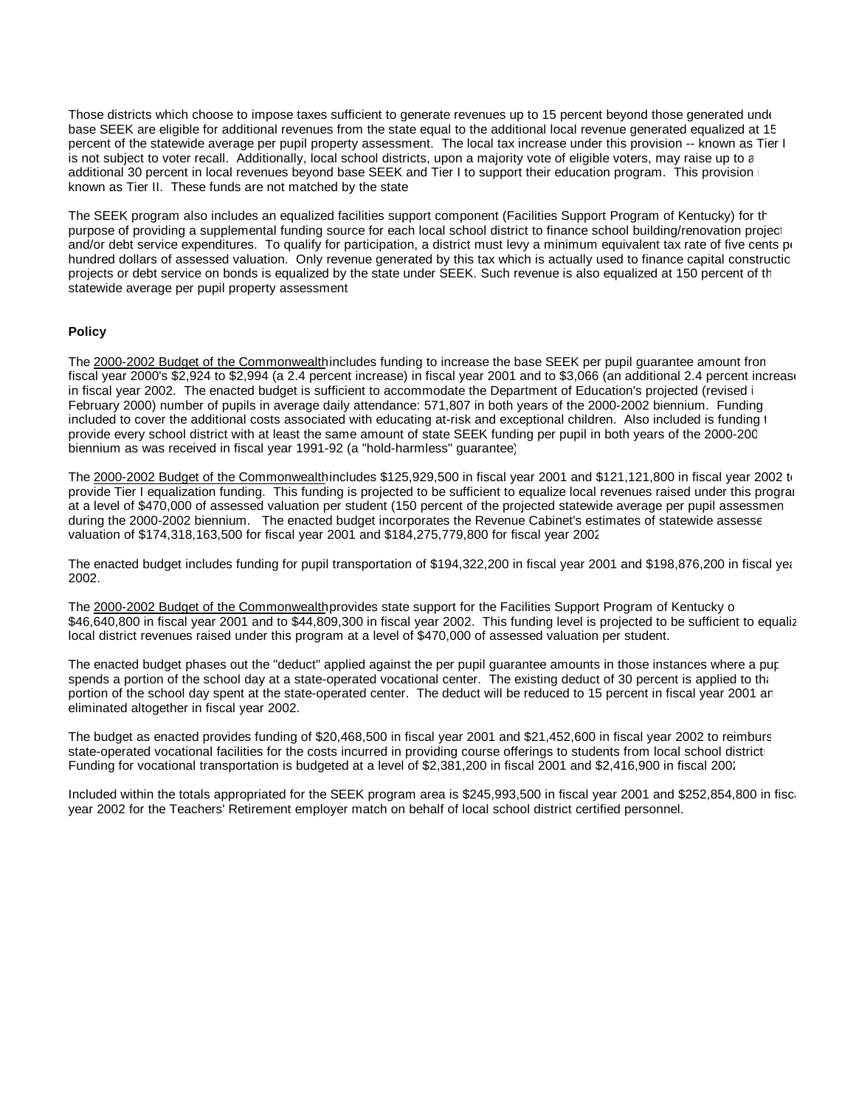Those districts which choose to impose taxes sufficient to generate revenues up to 15 percent beyond those generated under base SEEK are eligible for additional revenues from the state equal to the additional local revenue generated equalized at 15 percent of the statewide average per pupil property assessment. The local tax increase under this provision -- known as Tier I is not subject to voter recall. Additionally, local school districts, upon a majority vote of eligible voters, may raise up to an additional 30 percent in local revenues beyond base SEEK and Tier I to support their education program. This provision known as Tier II. These funds are not matched by the state.

The SEEK program also includes an equalized facilities support component (Facilities Support Program of Kentucky) for th purpose of providing a supplemental funding source for each local school district to finance school building/renovation projection and/or debt service expenditures. To qualify for participation, a district must levy a minimum equivalent tax rate of five cents per hundred dollars of assessed valuation. Only revenue generated by this tax which is actually used to finance capital constructic projects or debt service on bonds is equalized by the state under SEEK. Such revenue is also equalized at 150 percent of the statewide average per pupil property assessment.

### **Policy**

The 2000-2002 Budget of the Commonwealthincludes funding to increase the base SEEK per pupil quarantee amount fron fiscal year 2000's \$2,924 to \$2,994 (a 2.4 percent increase) in fiscal year 2001 and to \$3,066 (an additional 2.4 percent increase in fiscal year 2002. The enacted budget is sufficient to accommodate the Department of Education's projected (revised i February 2000) number of pupils in average daily attendance: 571,807 in both years of the 2000-2002 biennium. Funding included to cover the additional costs associated with educating at-risk and exceptional children. Also included is funding t provide every school district with at least the same amount of state SEEK funding per pupil in both years of the 2000-2002 biennium as was received in fiscal year 1991-92 (a "hold-harmless" guarantee).

The 2000-2002 Budget of the Commonwealthincludes \$125,929,500 in fiscal year 2001 and \$121,121,800 in fiscal year 2002 to provide Tier I equalization funding. This funding is projected to be sufficient to equalize local revenues raised under this program at a level of \$470,000 of assessed valuation per student (150 percent of the projected statewide average per pupil assessmen during the 2000-2002 biennium. The enacted budget incorporates the Revenue Cabinet's estimates of statewide assesse valuation of \$174,318,163,500 for fiscal year 2001 and \$184,275,779,800 for fiscal year 2002.

The enacted budget includes funding for pupil transportation of \$194,322,200 in fiscal year 2001 and \$198,876,200 in fiscal year 2002.

The 2000-2002 Budget of the Commonwealth provides state support for the Facilities Support Program of Kentucky o \$46,640,800 in fiscal year 2001 and to \$44,809,300 in fiscal year 2002. This funding level is projected to be sufficient to equaliz local district revenues raised under this program at a level of \$470,000 of assessed valuation per student.

The enacted budget phases out the "deduct" applied against the per pupil guarantee amounts in those instances where a pur spends a portion of the school day at a state-operated vocational center. The existing deduct of 30 percent is applied to that portion of the school day spent at the state-operated center. The deduct will be reduced to 15 percent in fiscal year 2001 and eliminated altogether in fiscal year 2002.

The budget as enacted provides funding of \$20,468,500 in fiscal year 2001 and \$21,452,600 in fiscal year 2002 to reimburse state-operated vocational facilities for the costs incurred in providing course offerings to students from local school district: Funding for vocational transportation is budgeted at a level of \$2,381,200 in fiscal 2001 and \$2,416,900 in fiscal 2002.

Included within the totals appropriated for the SEEK program area is \$245,993,500 in fiscal year 2001 and \$252,854,800 in fiscal year 2002 for the Teachers' Retirement employer match on behalf of local school district certified personnel.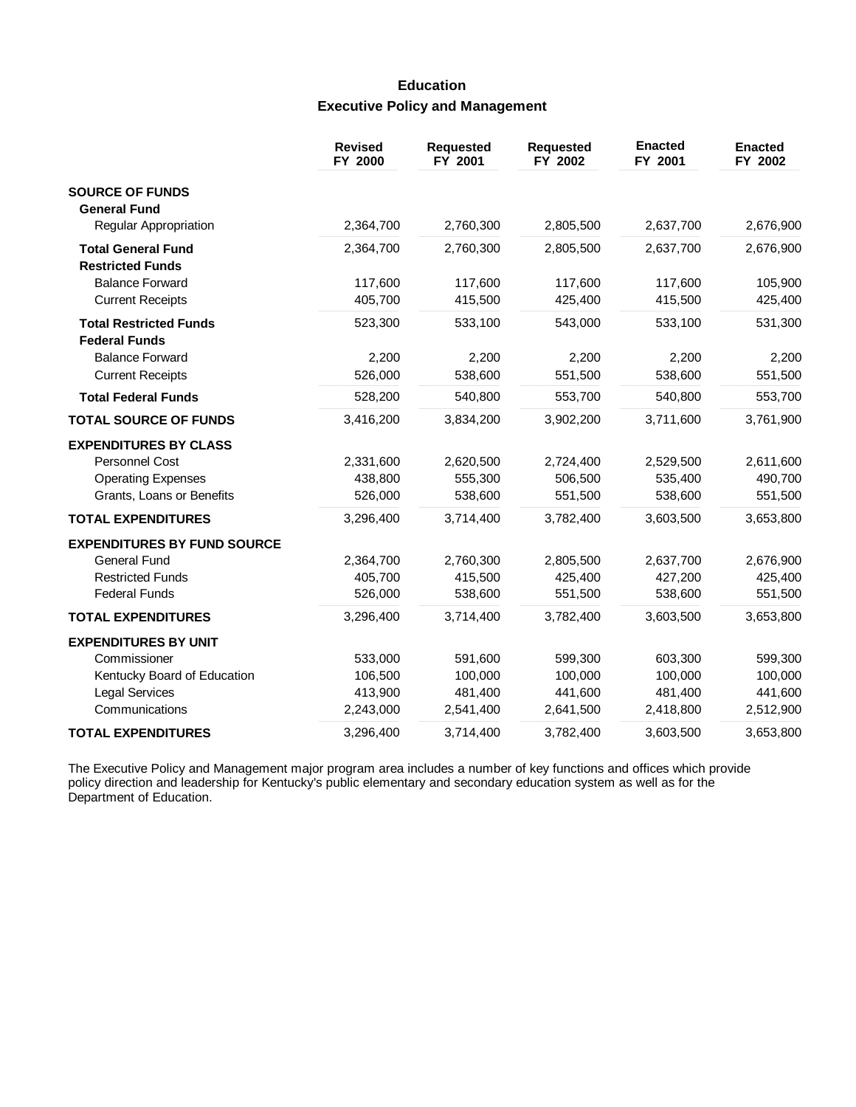# **Education Executive Policy and Management**

|                                                      | <b>Revised</b><br>FY 2000 | <b>Requested</b><br>FY 2001 | <b>Requested</b><br>FY 2002 | <b>Enacted</b><br>FY 2001 | <b>Enacted</b><br>FY 2002 |
|------------------------------------------------------|---------------------------|-----------------------------|-----------------------------|---------------------------|---------------------------|
| <b>SOURCE OF FUNDS</b>                               |                           |                             |                             |                           |                           |
| <b>General Fund</b>                                  |                           |                             |                             |                           |                           |
| <b>Regular Appropriation</b>                         | 2,364,700                 | 2,760,300                   | 2,805,500                   | 2,637,700                 | 2,676,900                 |
| <b>Total General Fund</b><br><b>Restricted Funds</b> | 2,364,700                 | 2,760,300                   | 2,805,500                   | 2,637,700                 | 2,676,900                 |
| <b>Balance Forward</b>                               | 117,600                   | 117,600                     | 117,600                     | 117,600                   | 105,900                   |
| <b>Current Receipts</b>                              | 405,700                   | 415,500                     | 425,400                     | 415,500                   | 425,400                   |
| <b>Total Restricted Funds</b>                        | 523,300                   | 533,100                     | 543,000                     | 533,100                   | 531,300                   |
| <b>Federal Funds</b>                                 |                           |                             |                             |                           |                           |
| <b>Balance Forward</b>                               | 2,200                     | 2,200                       | 2,200                       | 2,200                     | 2,200                     |
| <b>Current Receipts</b>                              | 526,000                   | 538,600                     | 551,500                     | 538,600                   | 551,500                   |
| <b>Total Federal Funds</b>                           | 528,200                   | 540,800                     | 553,700                     | 540,800                   | 553,700                   |
| <b>TOTAL SOURCE OF FUNDS</b>                         | 3,416,200                 | 3,834,200                   | 3,902,200                   | 3,711,600                 | 3,761,900                 |
| <b>EXPENDITURES BY CLASS</b>                         |                           |                             |                             |                           |                           |
| Personnel Cost                                       | 2,331,600                 | 2,620,500                   | 2,724,400                   | 2,529,500                 | 2,611,600                 |
| <b>Operating Expenses</b>                            | 438,800                   | 555,300                     | 506,500                     | 535,400                   | 490,700                   |
| Grants, Loans or Benefits                            | 526,000                   | 538,600                     | 551,500                     | 538,600                   | 551,500                   |
| <b>TOTAL EXPENDITURES</b>                            | 3,296,400                 | 3,714,400                   | 3,782,400                   | 3,603,500                 | 3,653,800                 |
| <b>EXPENDITURES BY FUND SOURCE</b>                   |                           |                             |                             |                           |                           |
| <b>General Fund</b>                                  | 2,364,700                 | 2,760,300                   | 2,805,500                   | 2,637,700                 | 2,676,900                 |
| <b>Restricted Funds</b>                              | 405,700                   | 415,500                     | 425,400                     | 427,200                   | 425,400                   |
| <b>Federal Funds</b>                                 | 526,000                   | 538,600                     | 551,500                     | 538,600                   | 551,500                   |
| <b>TOTAL EXPENDITURES</b>                            | 3,296,400                 | 3,714,400                   | 3,782,400                   | 3,603,500                 | 3,653,800                 |
| <b>EXPENDITURES BY UNIT</b>                          |                           |                             |                             |                           |                           |
| Commissioner                                         | 533,000                   | 591,600                     | 599,300                     | 603,300                   | 599,300                   |
| Kentucky Board of Education                          | 106,500                   | 100,000                     | 100,000                     | 100,000                   | 100,000                   |
| <b>Legal Services</b>                                | 413,900                   | 481,400                     | 441,600                     | 481,400                   | 441,600                   |
| Communications                                       | 2,243,000                 | 2,541,400                   | 2,641,500                   | 2,418,800                 | 2,512,900                 |
| <b>TOTAL EXPENDITURES</b>                            | 3,296,400                 | 3,714,400                   | 3,782,400                   | 3,603,500                 | 3,653,800                 |

The Executive Policy and Management major program area includes a number of key functions and offices which provide<br>policy direction and leadership for Kentucky's public elementary and secondary education system as well as Department of Education.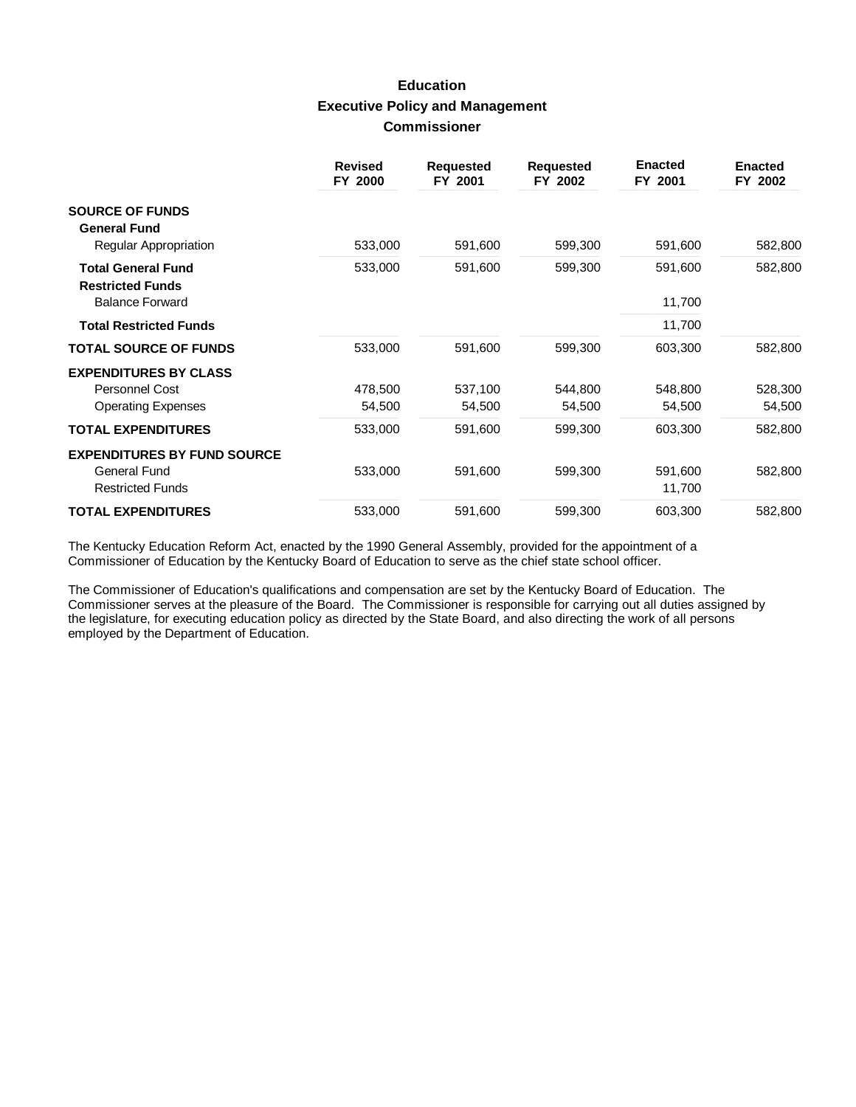# **Education Executive Policy and Management Commissioner**

|                                                      | <b>Revised</b><br>FY 2000 | <b>Requested</b><br>FY 2001 | <b>Requested</b><br>FY 2002 | <b>Enacted</b><br>FY 2001 | <b>Enacted</b><br>FY 2002 |
|------------------------------------------------------|---------------------------|-----------------------------|-----------------------------|---------------------------|---------------------------|
| <b>SOURCE OF FUNDS</b><br><b>General Fund</b>        |                           |                             |                             |                           |                           |
| Regular Appropriation                                | 533,000                   | 591,600                     | 599,300                     | 591,600                   | 582,800                   |
| <b>Total General Fund</b><br><b>Restricted Funds</b> | 533,000                   | 591,600                     | 599,300                     | 591,600                   | 582,800                   |
| <b>Balance Forward</b>                               |                           |                             |                             | 11,700                    |                           |
| <b>Total Restricted Funds</b>                        |                           |                             |                             | 11,700                    |                           |
| <b>TOTAL SOURCE OF FUNDS</b>                         | 533,000                   | 591,600                     | 599,300                     | 603,300                   | 582,800                   |
| <b>EXPENDITURES BY CLASS</b>                         |                           |                             |                             |                           |                           |
| Personnel Cost                                       | 478,500                   | 537,100                     | 544,800                     | 548,800                   | 528,300                   |
| <b>Operating Expenses</b>                            | 54,500                    | 54,500                      | 54,500                      | 54,500                    | 54,500                    |
| <b>TOTAL EXPENDITURES</b>                            | 533,000                   | 591,600                     | 599,300                     | 603,300                   | 582,800                   |
| <b>EXPENDITURES BY FUND SOURCE</b>                   |                           |                             |                             |                           |                           |
| General Fund<br><b>Restricted Funds</b>              | 533,000                   | 591,600                     | 599,300                     | 591,600<br>11,700         | 582,800                   |
| <b>TOTAL EXPENDITURES</b>                            | 533,000                   | 591,600                     | 599,300                     | 603,300                   | 582,800                   |

The Kentucky Education Reform Act, enacted by the 1990 General Assembly, provided for the appointment of a Commissioner of Education by the Kentucky Board of Education to serve as the chief state school officer.

The Commissioner of Education's qualifications and compensation are set by the Kentucky Board of Education. The Commissioner serves at the pleasure of the Board. The Commissioner is responsible for carrying out all duties assigned by the legislature, for executing education policy as directed by the State Board, and also directing the work of all persons employed by the Department of Education.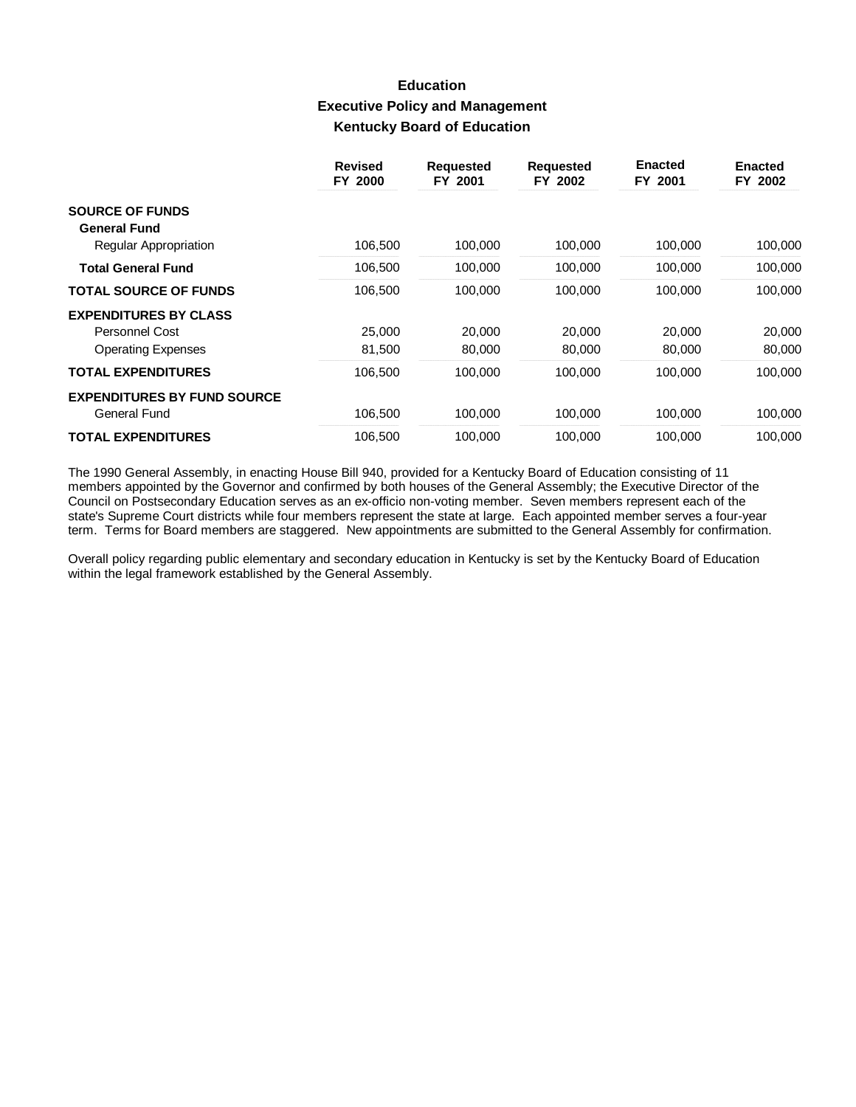# **Education Executive Policy and Management Kentucky Board of Education**

|                                    | <b>Revised</b><br>FY 2000 | <b>Requested</b><br>FY 2001 | <b>Requested</b><br>FY 2002 | <b>Enacted</b><br>FY 2001 | <b>Enacted</b><br>FY 2002 |
|------------------------------------|---------------------------|-----------------------------|-----------------------------|---------------------------|---------------------------|
| <b>SOURCE OF FUNDS</b>             |                           |                             |                             |                           |                           |
| <b>General Fund</b>                |                           |                             |                             |                           |                           |
| <b>Regular Appropriation</b>       | 106,500                   | 100,000                     | 100,000                     | 100,000                   | 100,000                   |
| <b>Total General Fund</b>          | 106,500                   | 100,000                     | 100,000                     | 100,000                   | 100,000                   |
| <b>TOTAL SOURCE OF FUNDS</b>       | 106,500                   | 100,000                     | 100.000                     | 100.000                   | 100,000                   |
| <b>EXPENDITURES BY CLASS</b>       |                           |                             |                             |                           |                           |
| Personnel Cost                     | 25,000                    | 20,000                      | 20,000                      | 20,000                    | 20,000                    |
| <b>Operating Expenses</b>          | 81,500                    | 80,000                      | 80,000                      | 80,000                    | 80,000                    |
| <b>TOTAL EXPENDITURES</b>          | 106,500                   | 100,000                     | 100,000                     | 100,000                   | 100,000                   |
| <b>EXPENDITURES BY FUND SOURCE</b> |                           |                             |                             |                           |                           |
| General Fund                       | 106,500                   | 100,000                     | 100,000                     | 100.000                   | 100,000                   |
| <b>TOTAL EXPENDITURES</b>          | 106,500                   | 100.000                     | 100,000                     | 100.000                   | 100.000                   |

The 1990 General Assembly, in enacting House Bill 940, provided for a Kentucky Board of Education consisting of 11 members appointed by the Governor and confirmed by both houses of the General Assembly; the Executive Director of the Council on Postsecondary Education serves as an ex-officio non-voting member. Seven members represent each of the state's Supreme Court districts while four members represent the state at large. Each appointed member serves a four-year term. Terms for Board members are staggered. New appointments are submitted to the General Assembly for confirmation.

Overall policy regarding public elementary and secondary education in Kentucky is set by the Kentucky Board of Education within the legal framework established by the General Assembly.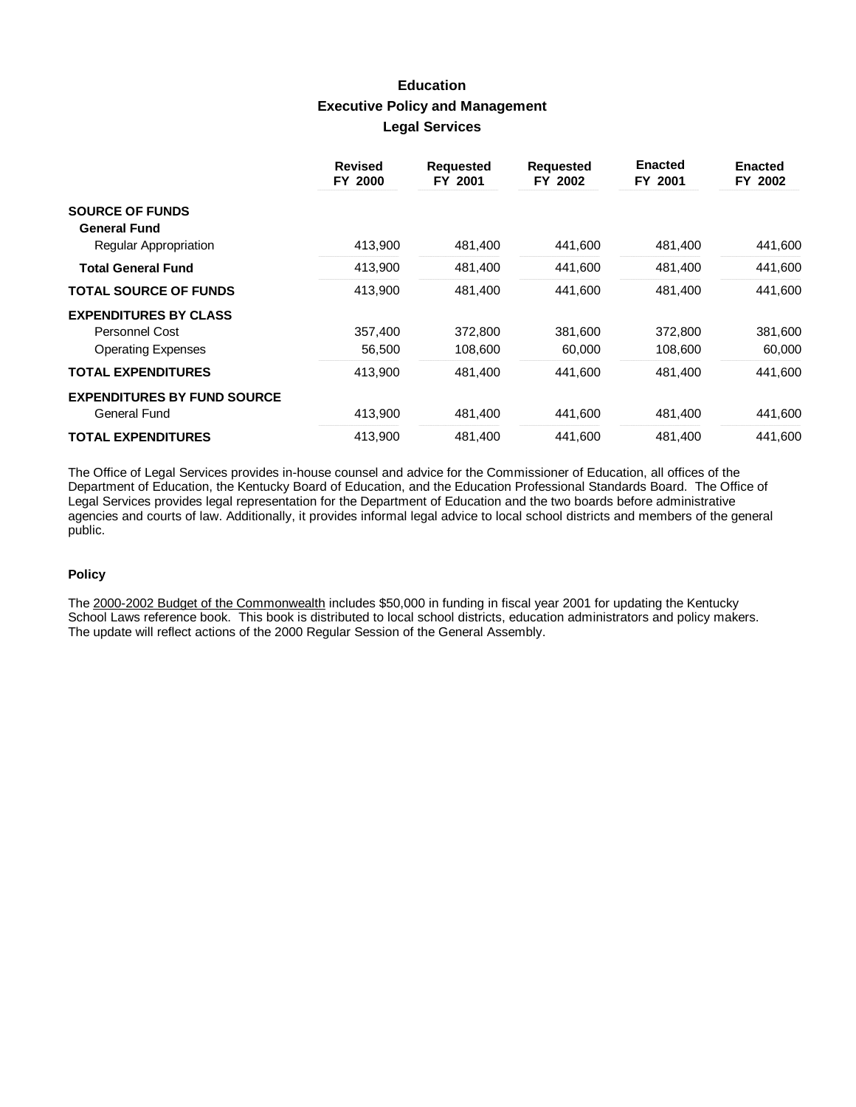# **Education Executive Policy and Management Legal Services**

|                                    | <b>Revised</b><br>FY 2000 | <b>Requested</b><br>FY 2001 | <b>Requested</b><br>FY 2002 | <b>Enacted</b><br>FY 2001 | <b>Enacted</b><br>FY 2002 |
|------------------------------------|---------------------------|-----------------------------|-----------------------------|---------------------------|---------------------------|
| <b>SOURCE OF FUNDS</b>             |                           |                             |                             |                           |                           |
| <b>General Fund</b>                |                           |                             |                             |                           |                           |
| Regular Appropriation              | 413,900                   | 481,400                     | 441,600                     | 481,400                   | 441,600                   |
| <b>Total General Fund</b>          | 413,900                   | 481,400                     | 441,600                     | 481,400                   | 441,600                   |
| <b>TOTAL SOURCE OF FUNDS</b>       | 413,900                   | 481,400                     | 441,600                     | 481,400                   | 441,600                   |
| <b>EXPENDITURES BY CLASS</b>       |                           |                             |                             |                           |                           |
| Personnel Cost                     | 357,400                   | 372,800                     | 381,600                     | 372,800                   | 381,600                   |
| <b>Operating Expenses</b>          | 56,500                    | 108,600                     | 60,000                      | 108,600                   | 60,000                    |
| <b>TOTAL EXPENDITURES</b>          | 413,900                   | 481,400                     | 441,600                     | 481,400                   | 441,600                   |
| <b>EXPENDITURES BY FUND SOURCE</b> |                           |                             |                             |                           |                           |
| General Fund                       | 413,900                   | 481,400                     | 441,600                     | 481,400                   | 441,600                   |
| <b>TOTAL EXPENDITURES</b>          | 413,900                   | 481,400                     | 441,600                     | 481,400                   | 441,600                   |

The Office of Legal Services provides in-house counsel and advice for the Commissioner of Education, all offices of the Department of Education, the Kentucky Board of Education, and the Education Professional Standards Board. The Office of Legal Services provides legal representation for the Department of Education and the two boards before administrative agencies and courts of law. Additionally, it provides informal legal advice to local school districts and members of the general public.

### **Policy**

The 2000-2002 Budget of the Commonwealth includes \$50,000 in funding in fiscal year 2001 for updating the Kentucky School Laws reference book. This book is distributed to local school districts, education administrators and policy makers. The update will reflect actions of the 2000 Regular Session of the General Assembly.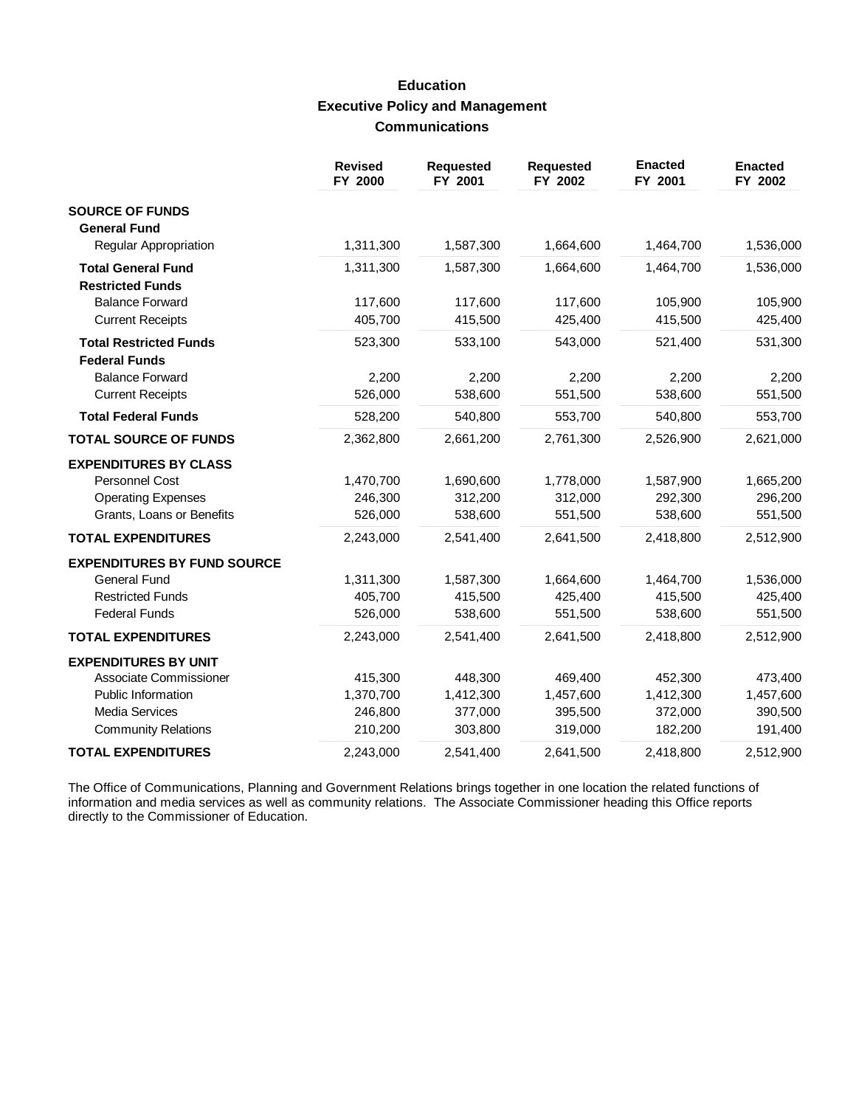# **Education Executive Policy and Management Communications**

|                                    | <b>Revised</b><br>FY 2000 | <b>Requested</b><br>FY 2001 | <b>Requested</b><br>FY 2002 | <b>Enacted</b><br>FY 2001 | <b>Enacted</b><br>FY 2002 |
|------------------------------------|---------------------------|-----------------------------|-----------------------------|---------------------------|---------------------------|
| <b>SOURCE OF FUNDS</b>             |                           |                             |                             |                           |                           |
| <b>General Fund</b>                |                           |                             |                             |                           |                           |
| <b>Regular Appropriation</b>       | 1,311,300                 | 1,587,300                   | 1,664,600                   | 1,464,700                 | 1,536,000                 |
| <b>Total General Fund</b>          | 1,311,300                 | 1,587,300                   | 1,664,600                   | 1,464,700                 | 1,536,000                 |
| <b>Restricted Funds</b>            |                           |                             |                             |                           |                           |
| <b>Balance Forward</b>             | 117,600                   | 117,600                     | 117,600                     | 105,900                   | 105,900                   |
| <b>Current Receipts</b>            | 405,700                   | 415,500                     | 425,400                     | 415,500                   | 425,400                   |
| <b>Total Restricted Funds</b>      | 523,300                   | 533,100                     | 543,000                     | 521,400                   | 531,300                   |
| <b>Federal Funds</b>               |                           |                             |                             |                           |                           |
| <b>Balance Forward</b>             | 2,200                     | 2,200                       | 2,200                       | 2,200                     | 2,200                     |
| <b>Current Receipts</b>            | 526,000                   | 538,600                     | 551,500                     | 538,600                   | 551,500                   |
| <b>Total Federal Funds</b>         | 528,200                   | 540,800                     | 553,700                     | 540,800                   | 553,700                   |
| <b>TOTAL SOURCE OF FUNDS</b>       | 2,362,800                 | 2,661,200                   | 2,761,300                   | 2,526,900                 | 2,621,000                 |
| <b>EXPENDITURES BY CLASS</b>       |                           |                             |                             |                           |                           |
| <b>Personnel Cost</b>              | 1,470,700                 | 1,690,600                   | 1,778,000                   | 1,587,900                 | 1,665,200                 |
| <b>Operating Expenses</b>          | 246,300                   | 312,200                     | 312,000                     | 292,300                   | 296,200                   |
| Grants, Loans or Benefits          | 526,000                   | 538,600                     | 551,500                     | 538,600                   | 551,500                   |
| <b>TOTAL EXPENDITURES</b>          | 2,243,000                 | 2,541,400                   | 2,641,500                   | 2,418,800                 | 2,512,900                 |
| <b>EXPENDITURES BY FUND SOURCE</b> |                           |                             |                             |                           |                           |
| <b>General Fund</b>                | 1,311,300                 | 1,587,300                   | 1,664,600                   | 1,464,700                 | 1,536,000                 |
| <b>Restricted Funds</b>            | 405,700                   | 415,500                     | 425,400                     | 415,500                   | 425,400                   |
| <b>Federal Funds</b>               | 526,000                   | 538,600                     | 551,500                     | 538,600                   | 551,500                   |
| <b>TOTAL EXPENDITURES</b>          | 2,243,000                 | 2,541,400                   | 2,641,500                   | 2,418,800                 | 2,512,900                 |
| <b>EXPENDITURES BY UNIT</b>        |                           |                             |                             |                           |                           |
| Associate Commissioner             | 415,300                   | 448,300                     | 469,400                     | 452,300                   | 473,400                   |
| Public Information                 | 1,370,700                 | 1,412,300                   | 1,457,600                   | 1,412,300                 | 1,457,600                 |
| <b>Media Services</b>              | 246,800                   | 377,000                     | 395,500                     | 372,000                   | 390,500                   |
| <b>Community Relations</b>         | 210,200                   | 303,800                     | 319,000                     | 182,200                   | 191,400                   |
| <b>TOTAL EXPENDITURES</b>          | 2,243,000                 | 2,541,400                   | 2,641,500                   | 2,418,800                 | 2,512,900                 |

The Office of Communications, Planning and Government Relations brings together in one location the related functions of information and media services as well as community relations. The Associate Commissioner heading thi directly to the Commissioner of Education.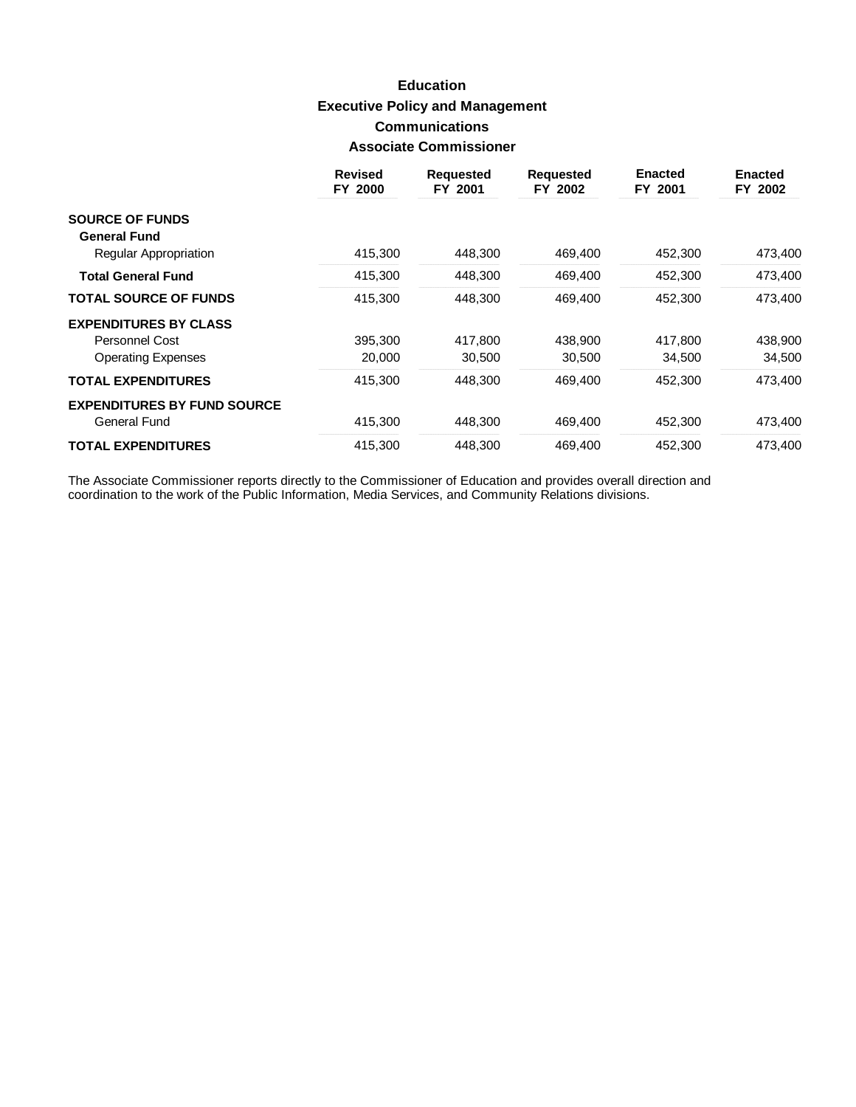# **Education Executive Policy and Management Communications Associate Commissioner**

|                                              | <b>Revised</b><br>FY 2000 | <b>Requested</b><br>FY 2001 | <b>Requested</b><br>FY 2002 | <b>Enacted</b><br>FY 2001 | <b>Enacted</b><br>FY 2002 |
|----------------------------------------------|---------------------------|-----------------------------|-----------------------------|---------------------------|---------------------------|
| <b>SOURCE OF FUNDS</b>                       |                           |                             |                             |                           |                           |
| <b>General Fund</b><br>Regular Appropriation | 415,300                   | 448,300                     | 469,400                     | 452,300                   | 473,400                   |
| <b>Total General Fund</b>                    | 415,300                   | 448,300                     | 469,400                     | 452,300                   | 473,400                   |
| <b>TOTAL SOURCE OF FUNDS</b>                 | 415,300                   | 448,300                     | 469,400                     | 452,300                   | 473,400                   |
| <b>EXPENDITURES BY CLASS</b>                 |                           |                             |                             |                           |                           |
| Personnel Cost                               | 395,300                   | 417.800                     | 438,900                     | 417,800                   | 438,900                   |
| <b>Operating Expenses</b>                    | 20,000                    | 30,500                      | 30,500                      | 34,500                    | 34,500                    |
| <b>TOTAL EXPENDITURES</b>                    | 415,300                   | 448.300                     | 469.400                     | 452,300                   | 473,400                   |
| <b>EXPENDITURES BY FUND SOURCE</b>           |                           |                             |                             |                           |                           |
| <b>General Fund</b>                          | 415,300                   | 448,300                     | 469,400                     | 452,300                   | 473,400                   |
| <b>TOTAL EXPENDITURES</b>                    | 415.300                   | 448.300                     | 469.400                     | 452.300                   | 473.400                   |

The Associate Commissioner reports directly to the Commissioner of Education and provides overall direction and<br>coordination to the work of the Public Information, Media Services, and Community Relations divisions.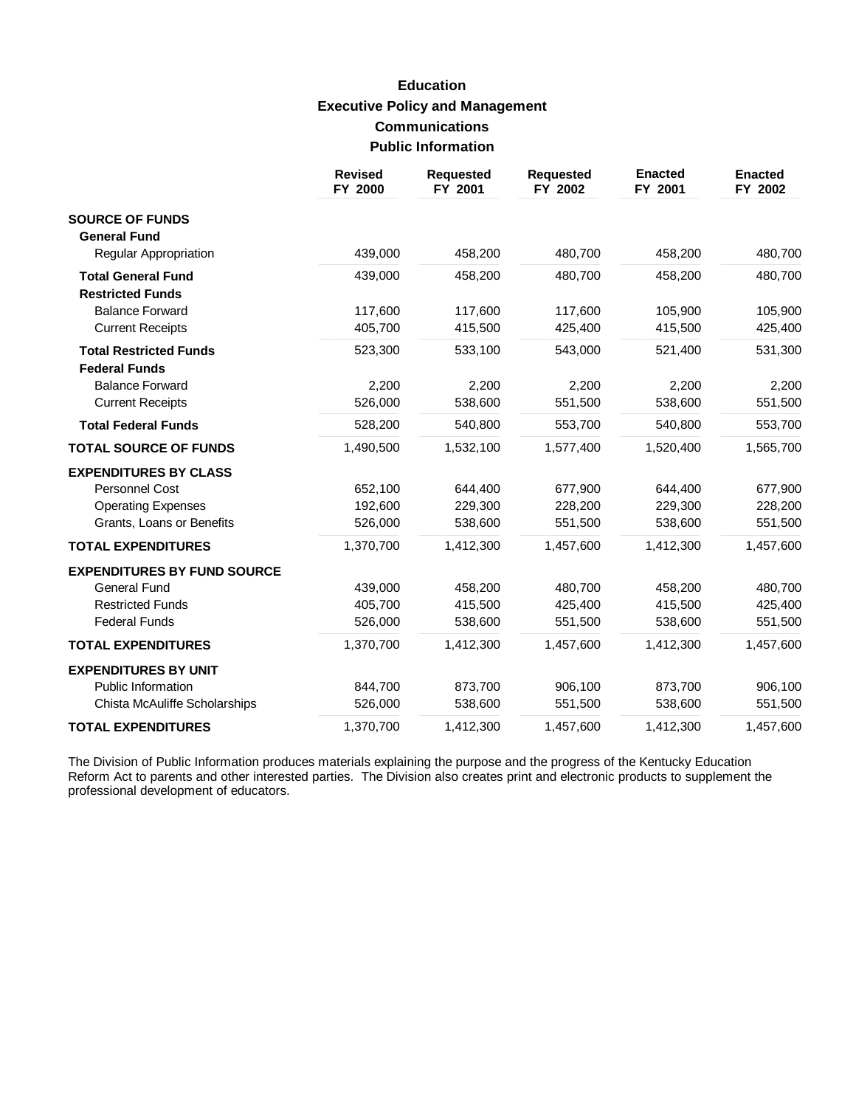# **Education Executive Policy and Management Communications Public Information**

|                                    | <b>Revised</b><br>FY 2000 | <b>Requested</b><br>FY 2001 | <b>Requested</b><br>FY 2002 | <b>Enacted</b><br>FY 2001 | <b>Enacted</b><br>FY 2002 |
|------------------------------------|---------------------------|-----------------------------|-----------------------------|---------------------------|---------------------------|
| <b>SOURCE OF FUNDS</b>             |                           |                             |                             |                           |                           |
| <b>General Fund</b>                |                           |                             |                             |                           |                           |
| Regular Appropriation              | 439,000                   | 458,200                     | 480,700                     | 458,200                   | 480,700                   |
| <b>Total General Fund</b>          | 439,000                   | 458,200                     | 480,700                     | 458,200                   | 480,700                   |
| <b>Restricted Funds</b>            |                           |                             |                             |                           |                           |
| <b>Balance Forward</b>             | 117,600                   | 117,600                     | 117,600                     | 105,900                   | 105,900                   |
| <b>Current Receipts</b>            | 405,700                   | 415,500                     | 425,400                     | 415,500                   | 425,400                   |
| <b>Total Restricted Funds</b>      | 523,300                   | 533,100                     | 543,000                     | 521,400                   | 531,300                   |
| <b>Federal Funds</b>               |                           |                             |                             |                           |                           |
| <b>Balance Forward</b>             | 2,200                     | 2,200                       | 2,200                       | 2,200                     | 2,200                     |
| <b>Current Receipts</b>            | 526,000                   | 538,600                     | 551,500                     | 538,600                   | 551,500                   |
| <b>Total Federal Funds</b>         | 528,200                   | 540,800                     | 553,700                     | 540,800                   | 553,700                   |
| <b>TOTAL SOURCE OF FUNDS</b>       | 1,490,500                 | 1,532,100                   | 1,577,400                   | 1,520,400                 | 1,565,700                 |
| <b>EXPENDITURES BY CLASS</b>       |                           |                             |                             |                           |                           |
| <b>Personnel Cost</b>              | 652,100                   | 644,400                     | 677,900                     | 644,400                   | 677,900                   |
| <b>Operating Expenses</b>          | 192,600                   | 229,300                     | 228,200                     | 229,300                   | 228,200                   |
| Grants, Loans or Benefits          | 526,000                   | 538,600                     | 551,500                     | 538,600                   | 551,500                   |
| <b>TOTAL EXPENDITURES</b>          | 1,370,700                 | 1,412,300                   | 1,457,600                   | 1,412,300                 | 1,457,600                 |
| <b>EXPENDITURES BY FUND SOURCE</b> |                           |                             |                             |                           |                           |
| <b>General Fund</b>                | 439,000                   | 458,200                     | 480,700                     | 458,200                   | 480,700                   |
| <b>Restricted Funds</b>            | 405,700                   | 415,500                     | 425,400                     | 415,500                   | 425,400                   |
| <b>Federal Funds</b>               | 526,000                   | 538,600                     | 551,500                     | 538,600                   | 551,500                   |
| <b>TOTAL EXPENDITURES</b>          | 1,370,700                 | 1,412,300                   | 1,457,600                   | 1,412,300                 | 1,457,600                 |
| <b>EXPENDITURES BY UNIT</b>        |                           |                             |                             |                           |                           |
| Public Information                 | 844,700                   | 873,700                     | 906,100                     | 873,700                   | 906,100                   |
| Chista McAuliffe Scholarships      | 526,000                   | 538,600                     | 551,500                     | 538,600                   | 551,500                   |
| <b>TOTAL EXPENDITURES</b>          | 1,370,700                 | 1,412,300                   | 1,457,600                   | 1,412,300                 | 1,457,600                 |

The Division of Public Information produces materials explaining the purpose and the progress of the Kentucky Education Reform Act to parents and other interested parties. The Division also creates print and electronic products to supplement the professional development of educators.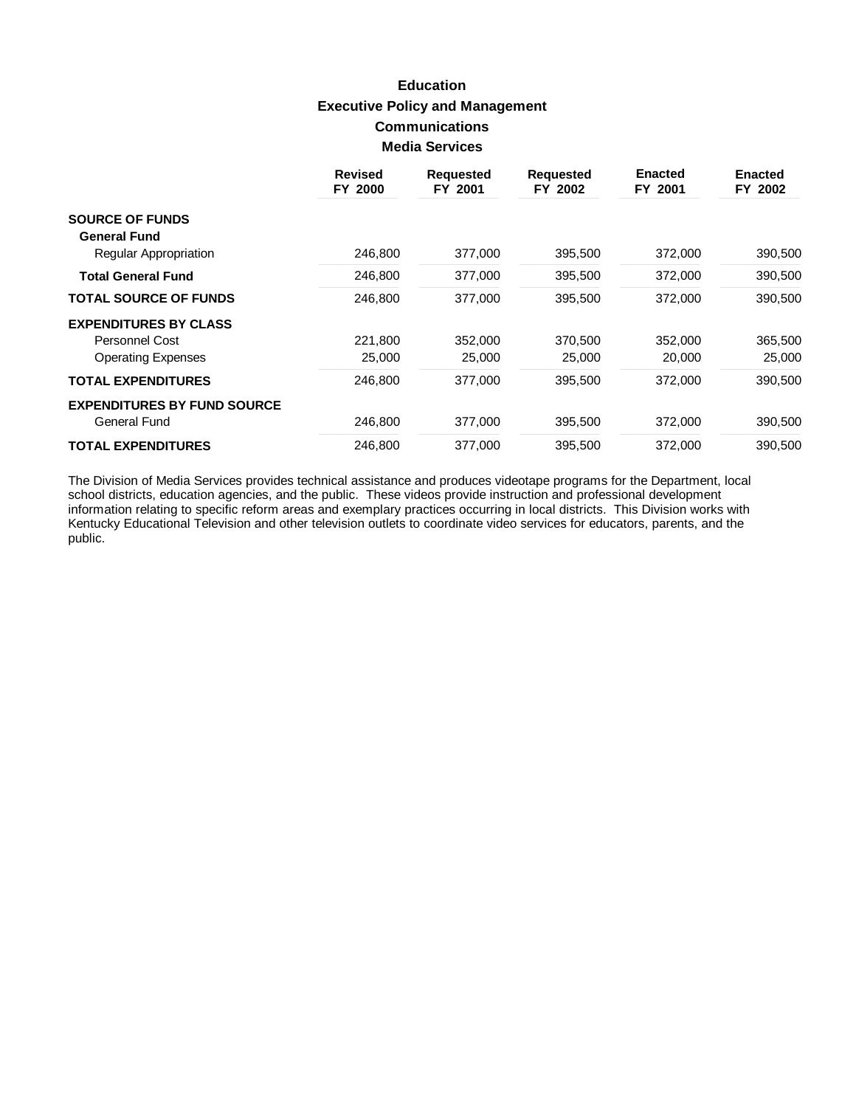# **Education Executive Policy and Management Communications Media Services**

|                                    | <b>Revised</b><br>FY 2000 | <b>Requested</b><br>FY 2001 | <b>Requested</b><br>FY 2002 | <b>Enacted</b><br>FY 2001 | <b>Enacted</b><br>FY 2002 |
|------------------------------------|---------------------------|-----------------------------|-----------------------------|---------------------------|---------------------------|
| <b>SOURCE OF FUNDS</b>             |                           |                             |                             |                           |                           |
| <b>General Fund</b>                |                           |                             |                             |                           |                           |
| Regular Appropriation              | 246,800                   | 377,000                     | 395,500                     | 372,000                   | 390,500                   |
| <b>Total General Fund</b>          | 246,800                   | 377,000                     | 395,500                     | 372,000                   | 390,500                   |
| <b>TOTAL SOURCE OF FUNDS</b>       | 246,800                   | 377,000                     | 395,500                     | 372,000                   | 390,500                   |
| <b>EXPENDITURES BY CLASS</b>       |                           |                             |                             |                           |                           |
| Personnel Cost                     | 221,800                   | 352,000                     | 370,500                     | 352,000                   | 365,500                   |
| <b>Operating Expenses</b>          | 25,000                    | 25,000                      | 25,000                      | 20,000                    | 25,000                    |
| <b>TOTAL EXPENDITURES</b>          | 246,800                   | 377.000                     | 395,500                     | 372,000                   | 390,500                   |
| <b>EXPENDITURES BY FUND SOURCE</b> |                           |                             |                             |                           |                           |
| General Fund                       | 246,800                   | 377,000                     | 395,500                     | 372,000                   | 390,500                   |
| <b>TOTAL EXPENDITURES</b>          | 246.800                   | 377.000                     | 395,500                     | 372.000                   | 390,500                   |

The Division of Media Services provides technical assistance and produces videotape programs for the Department, local school districts, education agencies, and the public. These videos provide instruction and professional Kentucky Educational Television and other television outlets to coordinate video services for educators, parents, and the public.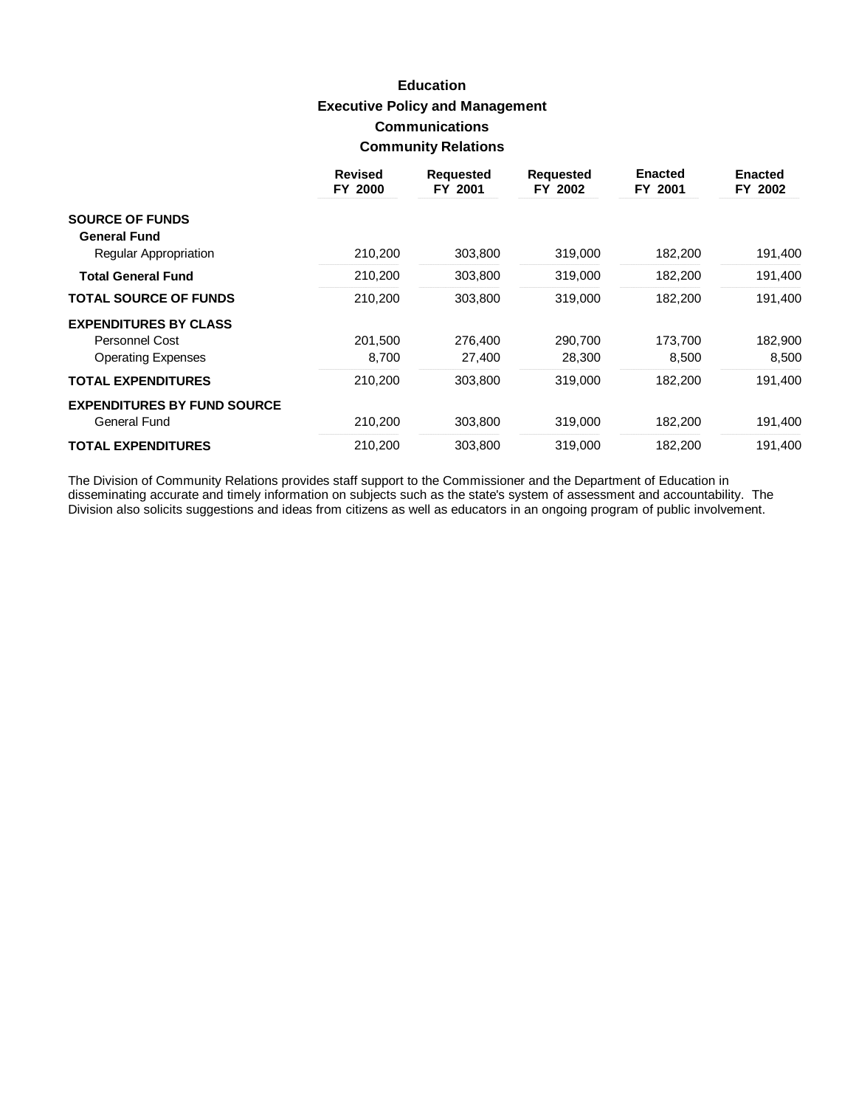# **Education Executive Policy and Management Communications Community Relations**

|                                    | <b>Revised</b><br>FY 2000 | <b>Requested</b><br>FY 2001 | <b>Requested</b><br>FY 2002 | <b>Enacted</b><br>FY 2001 | <b>Enacted</b><br>FY 2002 |
|------------------------------------|---------------------------|-----------------------------|-----------------------------|---------------------------|---------------------------|
| <b>SOURCE OF FUNDS</b>             |                           |                             |                             |                           |                           |
| <b>General Fund</b>                | 210,200                   | 303,800                     | 319,000                     | 182,200                   | 191,400                   |
| Regular Appropriation              |                           |                             |                             |                           |                           |
| <b>Total General Fund</b>          | 210,200                   | 303,800                     | 319,000                     | 182,200                   | 191,400                   |
| <b>TOTAL SOURCE OF FUNDS</b>       | 210,200                   | 303,800                     | 319,000                     | 182,200                   | 191,400                   |
| <b>EXPENDITURES BY CLASS</b>       |                           |                             |                             |                           |                           |
| Personnel Cost                     | 201,500                   | 276,400                     | 290.700                     | 173,700                   | 182,900                   |
| <b>Operating Expenses</b>          | 8,700                     | 27,400                      | 28,300                      | 8,500                     | 8,500                     |
| <b>TOTAL EXPENDITURES</b>          | 210,200                   | 303,800                     | 319,000                     | 182,200                   | 191,400                   |
| <b>EXPENDITURES BY FUND SOURCE</b> |                           |                             |                             |                           |                           |
| General Fund                       | 210,200                   | 303,800                     | 319,000                     | 182,200                   | 191,400                   |
| <b>TOTAL EXPENDITURES</b>          | 210,200                   | 303.800                     | 319.000                     | 182.200                   | 191,400                   |

The Division of Community Relations provides staff support to the Commissioner and the Department of Education in<br>disseminating accurate and timely information on subjects such as the state's system of assessment and accou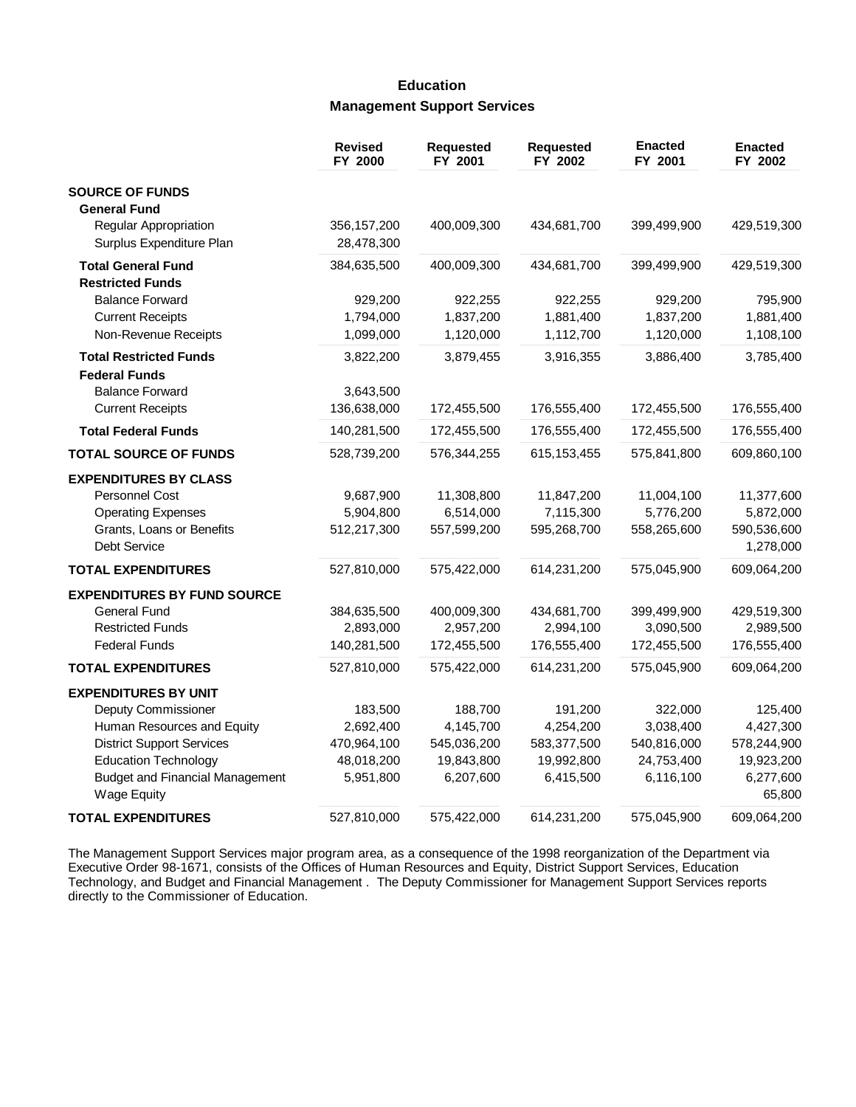## **Education Management Support Services**

|                                                                                                                                 | <b>Revised</b><br>FY 2000               | Requested<br>FY 2001                    | <b>Requested</b><br>FY 2002             | <b>Enacted</b><br>FY 2001               | <b>Enacted</b><br>FY 2002                           |
|---------------------------------------------------------------------------------------------------------------------------------|-----------------------------------------|-----------------------------------------|-----------------------------------------|-----------------------------------------|-----------------------------------------------------|
| <b>SOURCE OF FUNDS</b>                                                                                                          |                                         |                                         |                                         |                                         |                                                     |
| <b>General Fund</b><br>Regular Appropriation<br>Surplus Expenditure Plan                                                        | 356, 157, 200<br>28,478,300             | 400,009,300                             | 434,681,700                             | 399,499,900                             | 429,519,300                                         |
| <b>Total General Fund</b><br><b>Restricted Funds</b>                                                                            | 384,635,500                             | 400,009,300                             | 434,681,700                             | 399,499,900                             | 429,519,300                                         |
| <b>Balance Forward</b><br><b>Current Receipts</b><br>Non-Revenue Receipts                                                       | 929,200<br>1,794,000<br>1,099,000       | 922,255<br>1,837,200<br>1,120,000       | 922,255<br>1,881,400<br>1,112,700       | 929,200<br>1,837,200<br>1,120,000       | 795,900<br>1,881,400<br>1,108,100                   |
| <b>Total Restricted Funds</b><br><b>Federal Funds</b>                                                                           | 3,822,200                               | 3,879,455                               | 3,916,355                               | 3,886,400                               | 3,785,400                                           |
| <b>Balance Forward</b><br><b>Current Receipts</b>                                                                               | 3,643,500<br>136,638,000                | 172,455,500                             | 176,555,400                             | 172,455,500                             | 176,555,400                                         |
| <b>Total Federal Funds</b>                                                                                                      | 140,281,500                             | 172,455,500                             | 176,555,400                             | 172,455,500                             | 176,555,400                                         |
| <b>TOTAL SOURCE OF FUNDS</b>                                                                                                    | 528,739,200                             | 576,344,255                             | 615, 153, 455                           | 575,841,800                             | 609,860,100                                         |
| <b>EXPENDITURES BY CLASS</b><br><b>Personnel Cost</b><br><b>Operating Expenses</b><br>Grants, Loans or Benefits<br>Debt Service | 9,687,900<br>5,904,800<br>512,217,300   | 11,308,800<br>6,514,000<br>557,599,200  | 11,847,200<br>7,115,300<br>595,268,700  | 11,004,100<br>5,776,200<br>558,265,600  | 11,377,600<br>5,872,000<br>590,536,600<br>1,278,000 |
| <b>TOTAL EXPENDITURES</b>                                                                                                       | 527,810,000                             | 575,422,000                             | 614,231,200                             | 575,045,900                             | 609,064,200                                         |
| <b>EXPENDITURES BY FUND SOURCE</b><br>General Fund<br><b>Restricted Funds</b><br><b>Federal Funds</b>                           | 384,635,500<br>2,893,000<br>140,281,500 | 400,009,300<br>2,957,200<br>172,455,500 | 434,681,700<br>2,994,100<br>176,555,400 | 399,499,900<br>3,090,500<br>172,455,500 | 429,519,300<br>2,989,500<br>176,555,400             |
| <b>TOTAL EXPENDITURES</b>                                                                                                       | 527,810,000                             | 575,422,000                             | 614,231,200                             | 575,045,900                             | 609,064,200                                         |
| <b>EXPENDITURES BY UNIT</b><br>Deputy Commissioner<br>Human Resources and Equity                                                | 183,500<br>2,692,400                    | 188,700<br>4,145,700                    | 191,200<br>4,254,200                    | 322,000<br>3,038,400                    | 125,400<br>4,427,300                                |
| <b>District Support Services</b><br><b>Education Technology</b><br><b>Budget and Financial Management</b><br><b>Wage Equity</b> | 470,964,100<br>48,018,200<br>5,951,800  | 545,036,200<br>19,843,800<br>6,207,600  | 583,377,500<br>19,992,800<br>6,415,500  | 540,816,000<br>24,753,400<br>6,116,100  | 578,244,900<br>19,923,200<br>6,277,600<br>65,800    |
| <b>TOTAL EXPENDITURES</b>                                                                                                       | 527,810,000                             | 575,422,000                             | 614,231,200                             | 575,045,900                             | 609,064,200                                         |

The Management Support Services major program area, as a consequence of the 1998 reorganization of the Department via Executive Order 98-1671, consists of the Offices of Human Resources and Equity, District Support Services, Education Technology, and Budget and Financial Management. The Deputy Commissioner for Management Support Services reports directly to the Commissioner of Education.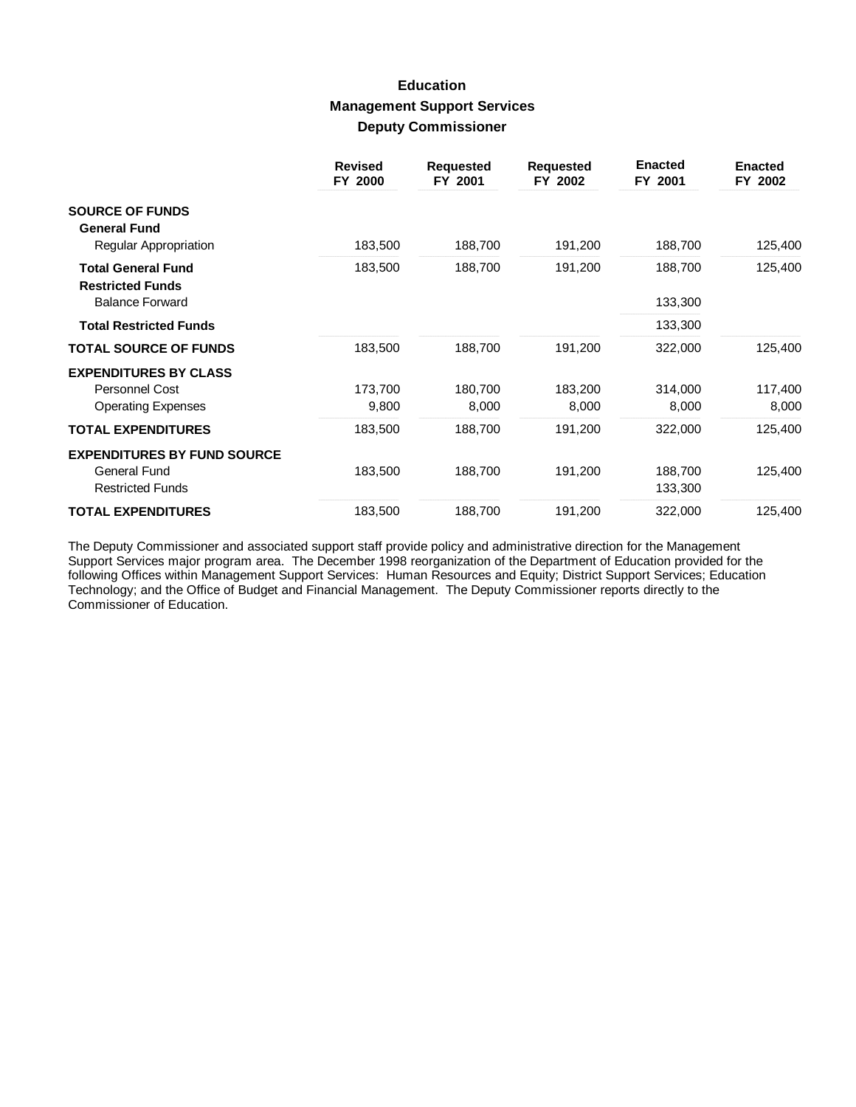### **Education Management Support Services Deputy Commissioner**

|                                                      | <b>Revised</b><br>FY 2000 | <b>Requested</b><br>FY 2001 | <b>Requested</b><br>FY 2002 | <b>Enacted</b><br>FY 2001 | <b>Enacted</b><br>FY 2002 |
|------------------------------------------------------|---------------------------|-----------------------------|-----------------------------|---------------------------|---------------------------|
| <b>SOURCE OF FUNDS</b><br><b>General Fund</b>        |                           |                             |                             |                           |                           |
| Regular Appropriation                                | 183,500                   | 188,700                     | 191,200                     | 188,700                   | 125,400                   |
| <b>Total General Fund</b><br><b>Restricted Funds</b> | 183,500                   | 188,700                     | 191,200                     | 188,700                   | 125,400                   |
| <b>Balance Forward</b>                               |                           |                             |                             | 133,300                   |                           |
| <b>Total Restricted Funds</b>                        |                           |                             |                             | 133,300                   |                           |
| <b>TOTAL SOURCE OF FUNDS</b>                         | 183,500                   | 188,700                     | 191,200                     | 322,000                   | 125,400                   |
| <b>EXPENDITURES BY CLASS</b>                         |                           |                             |                             |                           |                           |
| <b>Personnel Cost</b>                                | 173,700                   | 180,700                     | 183,200                     | 314,000                   | 117,400                   |
| <b>Operating Expenses</b>                            | 9,800                     | 8,000                       | 8,000                       | 8,000                     | 8,000                     |
| <b>TOTAL EXPENDITURES</b>                            | 183,500                   | 188,700                     | 191,200                     | 322,000                   | 125,400                   |
| <b>EXPENDITURES BY FUND SOURCE</b>                   |                           |                             |                             |                           |                           |
| General Fund                                         | 183,500                   | 188,700                     | 191,200                     | 188,700                   | 125,400                   |
| <b>Restricted Funds</b>                              |                           |                             |                             | 133,300                   |                           |
| <b>TOTAL EXPENDITURES</b>                            | 183,500                   | 188,700                     | 191,200                     | 322,000                   | 125,400                   |

The Deputy Commissioner and associated support staff provide policy and administrative direction for the Management<br>Support Services major program area. The December 1998 reorganization of the Department of Education provi Commissioner of Education.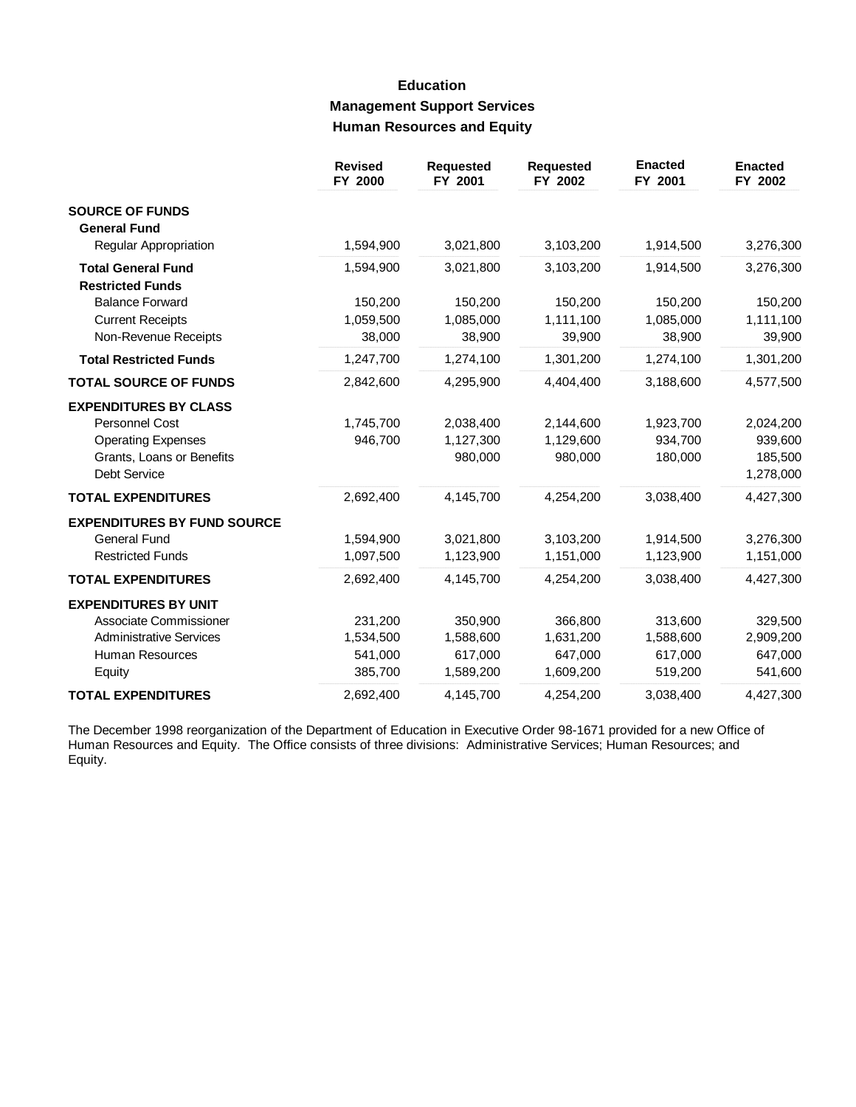# **Education Management Support Services Human Resources and Equity**

|                                    | <b>Revised</b><br>FY 2000 | <b>Requested</b><br>FY 2001 | <b>Requested</b><br>FY 2002 | <b>Enacted</b><br>FY 2001 | <b>Enacted</b><br>FY 2002 |
|------------------------------------|---------------------------|-----------------------------|-----------------------------|---------------------------|---------------------------|
| <b>SOURCE OF FUNDS</b>             |                           |                             |                             |                           |                           |
| <b>General Fund</b>                |                           |                             |                             |                           |                           |
| Regular Appropriation              | 1,594,900                 | 3,021,800                   | 3,103,200                   | 1,914,500                 | 3,276,300                 |
| <b>Total General Fund</b>          | 1,594,900                 | 3,021,800                   | 3,103,200                   | 1,914,500                 | 3,276,300                 |
| <b>Restricted Funds</b>            |                           |                             |                             |                           |                           |
| <b>Balance Forward</b>             | 150,200                   | 150,200                     | 150,200                     | 150,200                   | 150,200                   |
| <b>Current Receipts</b>            | 1,059,500                 | 1,085,000                   | 1,111,100                   | 1,085,000                 | 1,111,100                 |
| Non-Revenue Receipts               | 38,000                    | 38,900                      | 39,900                      | 38,900                    | 39,900                    |
| <b>Total Restricted Funds</b>      | 1,247,700                 | 1,274,100                   | 1,301,200                   | 1,274,100                 | 1,301,200                 |
| <b>TOTAL SOURCE OF FUNDS</b>       | 2,842,600                 | 4,295,900                   | 4,404,400                   | 3,188,600                 | 4,577,500                 |
| <b>EXPENDITURES BY CLASS</b>       |                           |                             |                             |                           |                           |
| <b>Personnel Cost</b>              | 1,745,700                 | 2,038,400                   | 2,144,600                   | 1,923,700                 | 2,024,200                 |
| <b>Operating Expenses</b>          | 946,700                   | 1,127,300                   | 1,129,600                   | 934,700                   | 939,600                   |
| Grants, Loans or Benefits          |                           | 980,000                     | 980,000                     | 180,000                   | 185,500                   |
| <b>Debt Service</b>                |                           |                             |                             |                           | 1,278,000                 |
| <b>TOTAL EXPENDITURES</b>          | 2,692,400                 | 4,145,700                   | 4,254,200                   | 3,038,400                 | 4,427,300                 |
| <b>EXPENDITURES BY FUND SOURCE</b> |                           |                             |                             |                           |                           |
| <b>General Fund</b>                | 1,594,900                 | 3,021,800                   | 3,103,200                   | 1,914,500                 | 3,276,300                 |
| <b>Restricted Funds</b>            | 1,097,500                 | 1,123,900                   | 1,151,000                   | 1,123,900                 | 1,151,000                 |
| <b>TOTAL EXPENDITURES</b>          | 2,692,400                 | 4,145,700                   | 4,254,200                   | 3,038,400                 | 4,427,300                 |
| <b>EXPENDITURES BY UNIT</b>        |                           |                             |                             |                           |                           |
| Associate Commissioner             | 231,200                   | 350,900                     | 366,800                     | 313,600                   | 329,500                   |
| <b>Administrative Services</b>     | 1,534,500                 | 1,588,600                   | 1,631,200                   | 1,588,600                 | 2,909,200                 |
| Human Resources                    | 541,000                   | 617,000                     | 647,000                     | 617,000                   | 647,000                   |
| Equity                             | 385,700                   | 1,589,200                   | 1,609,200                   | 519,200                   | 541,600                   |
| <b>TOTAL EXPENDITURES</b>          | 2,692,400                 | 4,145,700                   | 4,254,200                   | 3,038,400                 | 4,427,300                 |

The December 1998 reorganization of the Department of Education in Executive Order 98-1671 provided for a new Office of<br>Human Resources and Equity. The Office consists of three divisions: Administrative Services; Human Res Equity.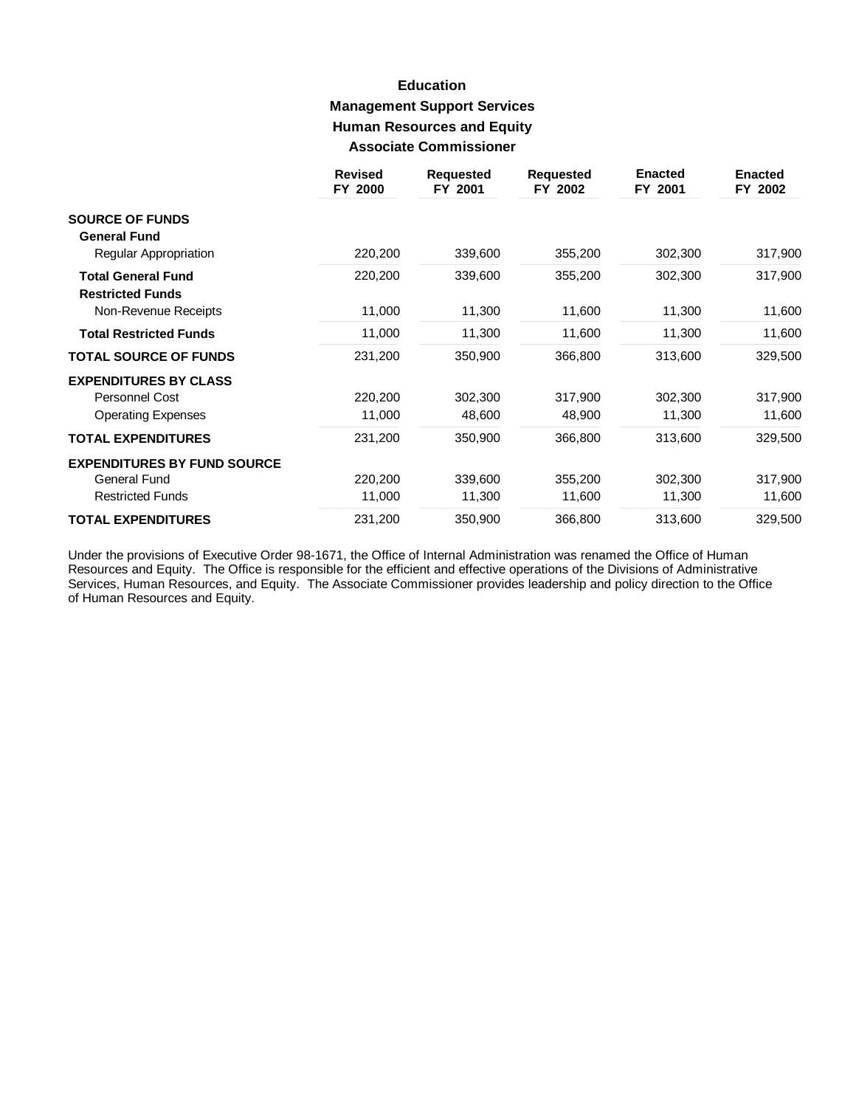# **Education Management Support Services Human Resources and Equity Associate Commissioner**

|                                                      | <b>Revised</b><br>FY 2000 | <b>Requested</b><br>FY 2001 | <b>Requested</b><br>FY 2002 | <b>Enacted</b><br>FY 2001 | <b>Enacted</b><br>FY 2002 |
|------------------------------------------------------|---------------------------|-----------------------------|-----------------------------|---------------------------|---------------------------|
| <b>SOURCE OF FUNDS</b><br><b>General Fund</b>        |                           |                             |                             |                           |                           |
| <b>Regular Appropriation</b>                         | 220,200                   | 339,600                     | 355,200                     | 302,300                   | 317,900                   |
| <b>Total General Fund</b><br><b>Restricted Funds</b> | 220,200                   | 339,600                     | 355,200                     | 302,300                   | 317,900                   |
| Non-Revenue Receipts                                 | 11,000                    | 11,300                      | 11,600                      | 11,300                    | 11,600                    |
| <b>Total Restricted Funds</b>                        | 11,000                    | 11,300                      | 11,600                      | 11,300                    | 11,600                    |
| <b>TOTAL SOURCE OF FUNDS</b>                         | 231,200                   | 350,900                     | 366,800                     | 313,600                   | 329,500                   |
| <b>EXPENDITURES BY CLASS</b>                         |                           |                             |                             |                           |                           |
| <b>Personnel Cost</b>                                | 220,200                   | 302,300                     | 317,900                     | 302,300                   | 317,900                   |
| <b>Operating Expenses</b>                            | 11,000                    | 48,600                      | 48,900                      | 11,300                    | 11,600                    |
| <b>TOTAL EXPENDITURES</b>                            | 231,200                   | 350,900                     | 366,800                     | 313,600                   | 329,500                   |
| <b>EXPENDITURES BY FUND SOURCE</b>                   |                           |                             |                             |                           |                           |
| <b>General Fund</b>                                  | 220,200                   | 339,600                     | 355,200                     | 302,300                   | 317,900                   |
| <b>Restricted Funds</b>                              | 11,000                    | 11,300                      | 11,600                      | 11,300                    | 11,600                    |
| <b>TOTAL EXPENDITURES</b>                            | 231,200                   | 350,900                     | 366,800                     | 313,600                   | 329,500                   |

Under the provisions of Executive Order 98-1671, the Office of Internal Administration was renamed the Office of Human Resources and Equity. The Office is responsible for the efficient and effective operations of the Divisions of Administrative<br>Services, Human Resources, and Equity. The Associate Commissioner provides leadership and policy of Human Resources and Equity.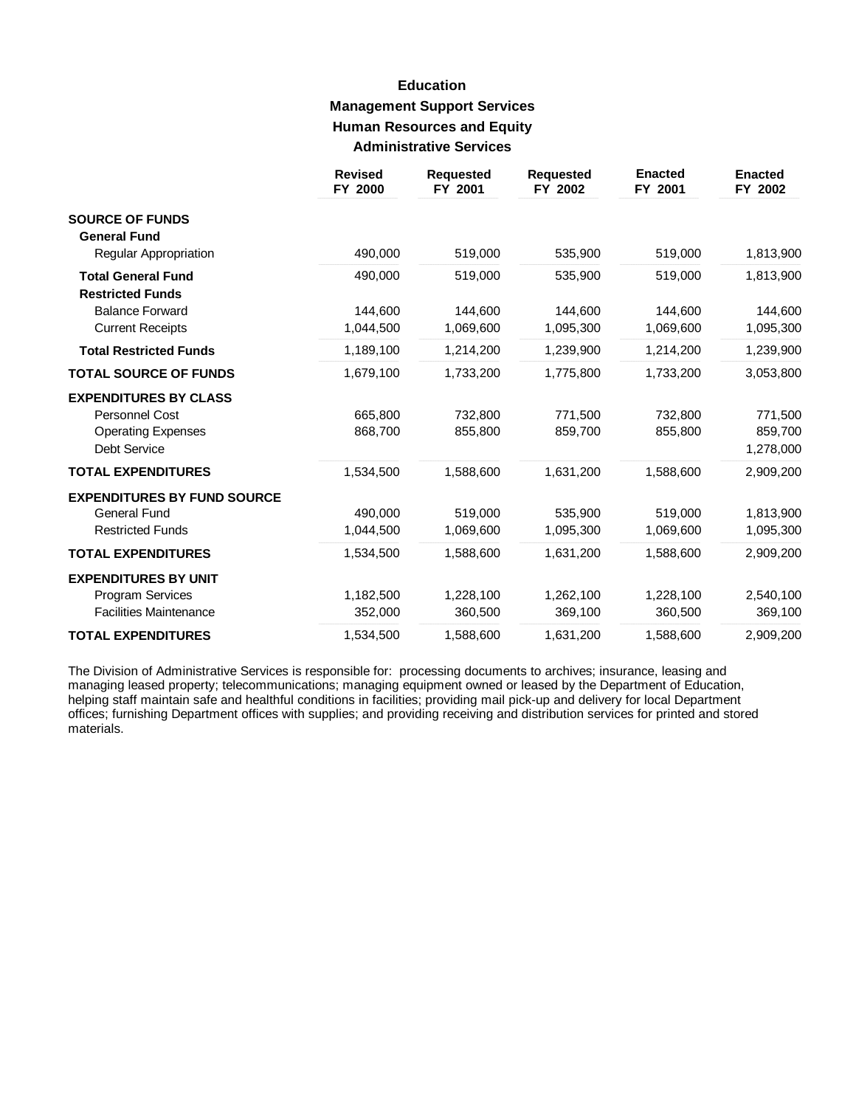# **Education Management Support Services Human Resources and Equity Administrative Services**

|                                                      | <b>Revised</b><br>FY 2000 | <b>Requested</b><br>FY 2001 | <b>Requested</b><br>FY 2002 | <b>Enacted</b><br>FY 2001 | <b>Enacted</b><br>FY 2002 |
|------------------------------------------------------|---------------------------|-----------------------------|-----------------------------|---------------------------|---------------------------|
| <b>SOURCE OF FUNDS</b><br><b>General Fund</b>        |                           |                             |                             |                           |                           |
| Regular Appropriation                                | 490,000                   | 519,000                     | 535,900                     | 519,000                   | 1,813,900                 |
| <b>Total General Fund</b><br><b>Restricted Funds</b> | 490,000                   | 519,000                     | 535,900                     | 519,000                   | 1,813,900                 |
| <b>Balance Forward</b>                               | 144,600                   | 144,600                     | 144,600                     | 144,600                   | 144,600                   |
| <b>Current Receipts</b>                              | 1,044,500                 | 1,069,600                   | 1,095,300                   | 1,069,600                 | 1,095,300                 |
| <b>Total Restricted Funds</b>                        | 1,189,100                 | 1,214,200                   | 1,239,900                   | 1,214,200                 | 1,239,900                 |
| <b>TOTAL SOURCE OF FUNDS</b>                         | 1,679,100                 | 1,733,200                   | 1,775,800                   | 1,733,200                 | 3,053,800                 |
| <b>EXPENDITURES BY CLASS</b>                         |                           |                             |                             |                           |                           |
| Personnel Cost                                       | 665,800                   | 732,800                     | 771,500                     | 732,800                   | 771,500                   |
| <b>Operating Expenses</b>                            | 868,700                   | 855,800                     | 859,700                     | 855,800                   | 859,700                   |
| <b>Debt Service</b>                                  |                           |                             |                             |                           | 1,278,000                 |
| <b>TOTAL EXPENDITURES</b>                            | 1,534,500                 | 1,588,600                   | 1,631,200                   | 1,588,600                 | 2,909,200                 |
| <b>EXPENDITURES BY FUND SOURCE</b>                   |                           |                             |                             |                           |                           |
| <b>General Fund</b>                                  | 490,000                   | 519,000                     | 535.900                     | 519,000                   | 1,813,900                 |
| <b>Restricted Funds</b>                              | 1,044,500                 | 1,069,600                   | 1,095,300                   | 1,069,600                 | 1,095,300                 |
| <b>TOTAL EXPENDITURES</b>                            | 1,534,500                 | 1,588,600                   | 1,631,200                   | 1,588,600                 | 2,909,200                 |
| <b>EXPENDITURES BY UNIT</b>                          |                           |                             |                             |                           |                           |
| <b>Program Services</b>                              | 1,182,500                 | 1,228,100                   | 1,262,100                   | 1,228,100                 | 2,540,100                 |
| <b>Facilities Maintenance</b>                        | 352,000                   | 360,500                     | 369,100                     | 360,500                   | 369,100                   |
| <b>TOTAL EXPENDITURES</b>                            | 1,534,500                 | 1,588,600                   | 1,631,200                   | 1,588,600                 | 2,909,200                 |

The Division of Administrative Services is responsible for: processing documents to archives; insurance, leasing and managing leased property; telecommunications; managing equipment owned or leased by the Department of Education, helping staff maintain safe and healthful conditions in facilities; providing mail pick-up and delivery for local Department<br>offices; furnishing Department offices with supplies; and providing receiving and distribution se materials.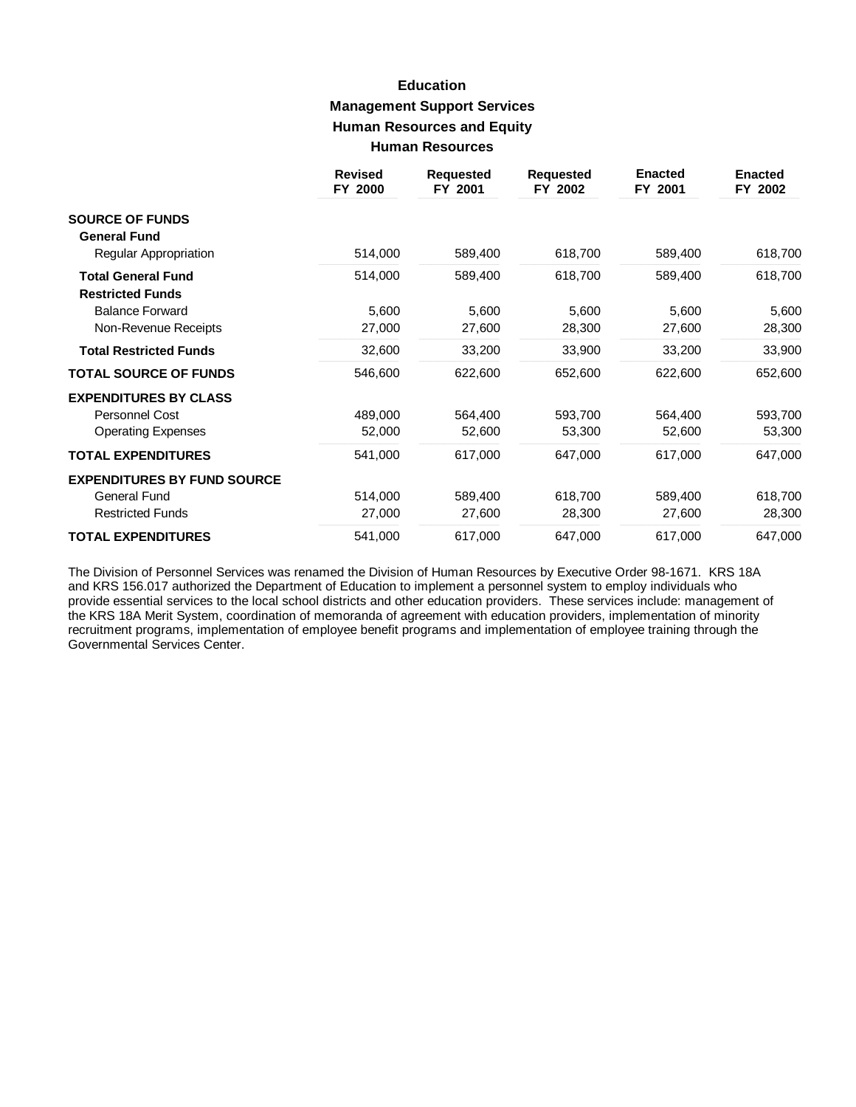# **Education Management Support Services Human Resources and Equity Human Resources**

|                                                      | <b>Revised</b><br>FY 2000 | <b>Requested</b><br>FY 2001 | <b>Requested</b><br>FY 2002 | <b>Enacted</b><br>FY 2001 | <b>Enacted</b><br>FY 2002 |
|------------------------------------------------------|---------------------------|-----------------------------|-----------------------------|---------------------------|---------------------------|
| <b>SOURCE OF FUNDS</b>                               |                           |                             |                             |                           |                           |
| <b>General Fund</b>                                  |                           |                             |                             |                           |                           |
| Regular Appropriation                                | 514,000                   | 589,400                     | 618,700                     | 589,400                   | 618,700                   |
| <b>Total General Fund</b><br><b>Restricted Funds</b> | 514,000                   | 589,400                     | 618,700                     | 589,400                   | 618,700                   |
| <b>Balance Forward</b>                               | 5,600                     | 5,600                       | 5,600                       | 5,600                     | 5,600                     |
| Non-Revenue Receipts                                 | 27,000                    | 27,600                      | 28,300                      | 27,600                    | 28,300                    |
| <b>Total Restricted Funds</b>                        | 32,600                    | 33,200                      | 33,900                      | 33,200                    | 33,900                    |
| <b>TOTAL SOURCE OF FUNDS</b>                         | 546,600                   | 622,600                     | 652,600                     | 622,600                   | 652,600                   |
| <b>EXPENDITURES BY CLASS</b>                         |                           |                             |                             |                           |                           |
| Personnel Cost                                       | 489,000                   | 564,400                     | 593,700                     | 564,400                   | 593,700                   |
| <b>Operating Expenses</b>                            | 52,000                    | 52,600                      | 53,300                      | 52,600                    | 53,300                    |
| <b>TOTAL EXPENDITURES</b>                            | 541,000                   | 617,000                     | 647,000                     | 617,000                   | 647,000                   |
| <b>EXPENDITURES BY FUND SOURCE</b>                   |                           |                             |                             |                           |                           |
| General Fund                                         | 514,000                   | 589,400                     | 618,700                     | 589,400                   | 618,700                   |
| <b>Restricted Funds</b>                              | 27,000                    | 27,600                      | 28,300                      | 27,600                    | 28,300                    |
| <b>TOTAL EXPENDITURES</b>                            | 541,000                   | 617,000                     | 647,000                     | 617,000                   | 647,000                   |

The Division of Personnel Services was renamed the Division of Human Resources by Executive Order 98-1671. KRS 18A and KRS 156.017 authorized the Department of Education to implement a personnel system to employ individuals who provide essential services to the local school districts and other education providers. These services include: management of the KRS 18A Merit System, coordination of memoranda of agreement with education providers, implementation of minority recruitment programs, implementation of employee benefit programs and implementation of employee training through the Governmental Services Center.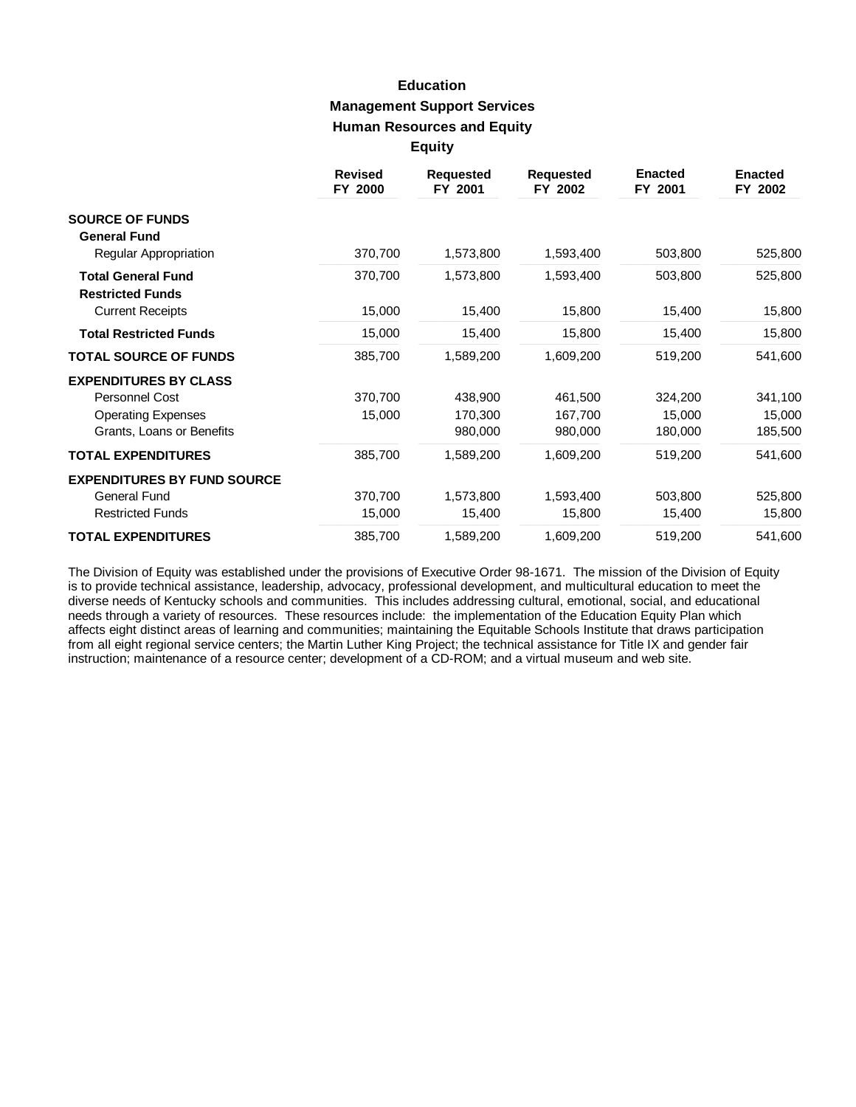### **Education Management Support Services Human Resources and Equity Equity**

|                                                      | <b>Revised</b><br>FY 2000 | <b>Requested</b><br>FY 2001 | <b>Requested</b><br>FY 2002 | <b>Enacted</b><br>FY 2001 | <b>Enacted</b><br>FY 2002 |
|------------------------------------------------------|---------------------------|-----------------------------|-----------------------------|---------------------------|---------------------------|
| <b>SOURCE OF FUNDS</b><br><b>General Fund</b>        |                           |                             |                             |                           |                           |
| Regular Appropriation                                | 370,700                   | 1,573,800                   | 1,593,400                   | 503,800                   | 525,800                   |
| <b>Total General Fund</b><br><b>Restricted Funds</b> | 370,700                   | 1,573,800                   | 1,593,400                   | 503,800                   | 525,800                   |
| <b>Current Receipts</b>                              | 15,000                    | 15,400                      | 15,800                      | 15,400                    | 15,800                    |
| <b>Total Restricted Funds</b>                        | 15,000                    | 15,400                      | 15,800                      | 15,400                    | 15,800                    |
| <b>TOTAL SOURCE OF FUNDS</b>                         | 385,700                   | 1,589,200                   | 1,609,200                   | 519,200                   | 541,600                   |
| <b>EXPENDITURES BY CLASS</b>                         |                           |                             |                             |                           |                           |
| Personnel Cost                                       | 370,700                   | 438,900                     | 461,500                     | 324,200                   | 341,100                   |
| <b>Operating Expenses</b>                            | 15,000                    | 170,300                     | 167,700                     | 15,000                    | 15,000                    |
| Grants, Loans or Benefits                            |                           | 980,000                     | 980,000                     | 180,000                   | 185,500                   |
| <b>TOTAL EXPENDITURES</b>                            | 385,700                   | 1,589,200                   | 1,609,200                   | 519,200                   | 541,600                   |
| <b>EXPENDITURES BY FUND SOURCE</b>                   |                           |                             |                             |                           |                           |
| <b>General Fund</b>                                  | 370,700                   | 1,573,800                   | 1,593,400                   | 503,800                   | 525,800                   |
| <b>Restricted Funds</b>                              | 15,000                    | 15,400                      | 15,800                      | 15,400                    | 15,800                    |
| <b>TOTAL EXPENDITURES</b>                            | 385,700                   | 1,589,200                   | 1,609,200                   | 519,200                   | 541,600                   |

The Division of Equity was established under the provisions of Executive Order 98-1671. The mission of the Division of Equity is to provide technical assistance, leadership, advocacy, professional development, and multicultural education to meet the diverse needs of Kentucky schools and communities. This includes addressing cultural, emotional, social, and educational needs through a variety of resources. These resources include: the implementation of the Education Equity Plan which affects eight distinct areas of learning and communities; maintaining the Equitable Schools Institute that draws participation from all eight regional service centers; the Martin Luther King Project; the technical assistance for Title IX and gender fair instruction; maintenance of a resource center; development of a CD-ROM; and a virtual museum and web site.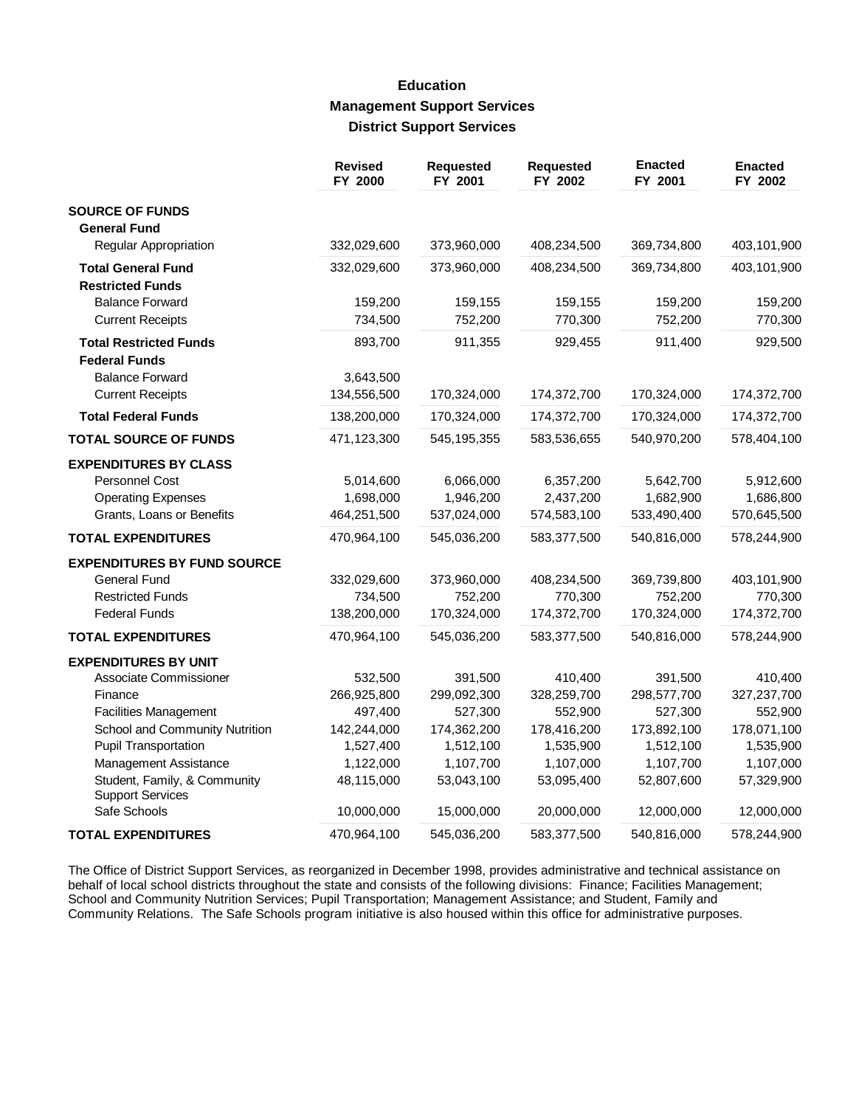#### **Education Management Support Services District Support Services**

|                                                         | <b>Revised</b><br>FY 2000 | <b>Requested</b><br>FY 2001 | <b>Requested</b><br>FY 2002 | <b>Enacted</b><br>FY 2001 | <b>Enacted</b><br>FY 2002 |
|---------------------------------------------------------|---------------------------|-----------------------------|-----------------------------|---------------------------|---------------------------|
| <b>SOURCE OF FUNDS</b>                                  |                           |                             |                             |                           |                           |
| <b>General Fund</b>                                     |                           |                             |                             |                           |                           |
| <b>Regular Appropriation</b>                            | 332,029,600               | 373,960,000                 | 408,234,500                 | 369,734,800               | 403,101,900               |
| <b>Total General Fund</b>                               | 332,029,600               | 373,960,000                 | 408,234,500                 | 369,734,800               | 403,101,900               |
| <b>Restricted Funds</b>                                 |                           |                             |                             |                           |                           |
| <b>Balance Forward</b>                                  | 159,200                   | 159,155                     | 159,155                     | 159,200                   | 159,200                   |
| <b>Current Receipts</b>                                 | 734,500                   | 752,200                     | 770,300                     | 752,200                   | 770,300                   |
| <b>Total Restricted Funds</b><br><b>Federal Funds</b>   | 893,700                   | 911,355                     | 929,455                     | 911,400                   | 929,500                   |
| <b>Balance Forward</b>                                  | 3,643,500                 |                             |                             |                           |                           |
| <b>Current Receipts</b>                                 | 134,556,500               | 170,324,000                 | 174,372,700                 | 170,324,000               | 174,372,700               |
| <b>Total Federal Funds</b>                              | 138,200,000               | 170,324,000                 | 174,372,700                 | 170,324,000               | 174,372,700               |
| <b>TOTAL SOURCE OF FUNDS</b>                            | 471,123,300               | 545, 195, 355               | 583,536,655                 | 540,970,200               | 578,404,100               |
| <b>EXPENDITURES BY CLASS</b>                            |                           |                             |                             |                           |                           |
| <b>Personnel Cost</b>                                   | 5,014,600                 | 6,066,000                   | 6,357,200                   | 5,642,700                 | 5,912,600                 |
| <b>Operating Expenses</b>                               | 1,698,000                 | 1,946,200                   | 2,437,200                   | 1,682,900                 | 1,686,800                 |
| Grants, Loans or Benefits                               | 464,251,500               | 537,024,000                 | 574,583,100                 | 533,490,400               | 570,645,500               |
| <b>TOTAL EXPENDITURES</b>                               | 470,964,100               | 545,036,200                 | 583,377,500                 | 540,816,000               | 578,244,900               |
| <b>EXPENDITURES BY FUND SOURCE</b>                      |                           |                             |                             |                           |                           |
| <b>General Fund</b>                                     | 332,029,600               | 373,960,000                 | 408,234,500                 | 369,739,800               | 403,101,900               |
| <b>Restricted Funds</b>                                 | 734,500                   | 752,200                     | 770,300                     | 752,200                   | 770,300                   |
| <b>Federal Funds</b>                                    | 138,200,000               | 170,324,000                 | 174,372,700                 | 170,324,000               | 174,372,700               |
| <b>TOTAL EXPENDITURES</b>                               | 470,964,100               | 545,036,200                 | 583,377,500                 | 540,816,000               | 578,244,900               |
| <b>EXPENDITURES BY UNIT</b>                             |                           |                             |                             |                           |                           |
| Associate Commissioner                                  | 532,500                   | 391,500                     | 410,400                     | 391,500                   | 410,400                   |
| Finance                                                 | 266,925,800               | 299,092,300                 | 328,259,700                 | 298,577,700               | 327,237,700               |
| <b>Facilities Management</b>                            | 497,400                   | 527,300                     | 552,900                     | 527,300                   | 552,900                   |
| School and Community Nutrition                          | 142,244,000               | 174,362,200                 | 178,416,200                 | 173,892,100               | 178,071,100               |
| <b>Pupil Transportation</b>                             | 1,527,400                 | 1,512,100                   | 1,535,900                   | 1,512,100                 | 1,535,900                 |
| Management Assistance                                   | 1,122,000                 | 1,107,700                   | 1,107,000                   | 1,107,700                 | 1,107,000                 |
| Student, Family, & Community<br><b>Support Services</b> | 48,115,000                | 53,043,100                  | 53,095,400                  | 52,807,600                | 57,329,900                |
| Safe Schools                                            | 10,000,000                | 15,000,000                  | 20,000,000                  | 12,000,000                | 12,000,000                |
| <b>TOTAL EXPENDITURES</b>                               | 470,964,100               | 545,036,200                 | 583,377,500                 | 540,816,000               | 578,244,900               |

The Office of District Support Services, as reorganized in December 1998, provides administrative and technical assistance on behalf of local school districts throughout the state and consists of the following divisions: F School and Community Nutrition Services; Pupil Transportation; Management Assistance; and Student, Family and Community Relations. The Safe Schools program initiative is also housed within this office for administrative purposes.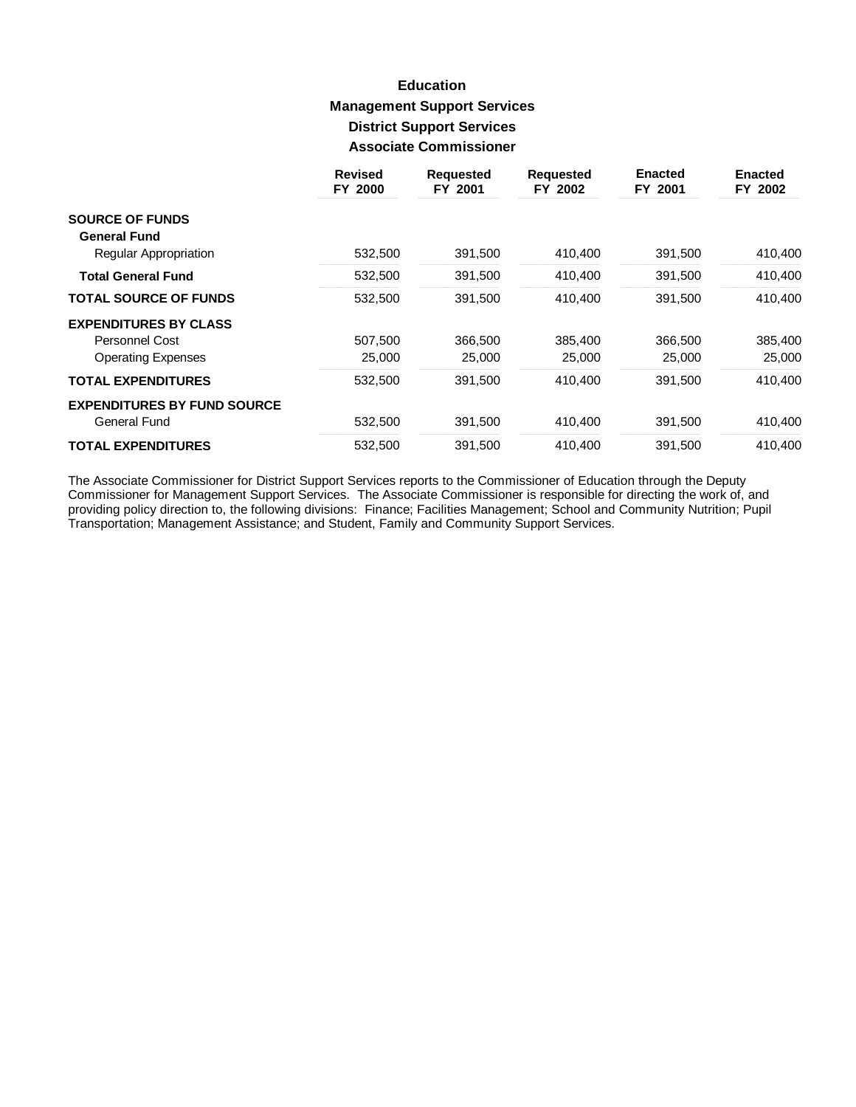# **Education Management Support Services District Support Services Associate Commissioner**

|                                    | <b>Revised</b><br>FY 2000 | <b>Requested</b><br>FY 2001 | <b>Requested</b><br>FY 2002 | <b>Enacted</b><br>FY 2001 | <b>Enacted</b><br>FY 2002 |
|------------------------------------|---------------------------|-----------------------------|-----------------------------|---------------------------|---------------------------|
| <b>SOURCE OF FUNDS</b>             |                           |                             |                             |                           |                           |
| <b>General Fund</b>                |                           |                             |                             |                           |                           |
| Regular Appropriation              | 532,500                   | 391,500                     | 410,400                     | 391,500                   | 410,400                   |
| <b>Total General Fund</b>          | 532,500                   | 391,500                     | 410,400                     | 391,500                   | 410,400                   |
| <b>TOTAL SOURCE OF FUNDS</b>       | 532,500                   | 391,500                     | 410,400                     | 391,500                   | 410,400                   |
| <b>EXPENDITURES BY CLASS</b>       |                           |                             |                             |                           |                           |
| Personnel Cost                     | 507,500                   | 366,500                     | 385,400                     | 366,500                   | 385,400                   |
| <b>Operating Expenses</b>          | 25,000                    | 25,000                      | 25,000                      | 25,000                    | 25,000                    |
| <b>TOTAL EXPENDITURES</b>          | 532,500                   | 391.500                     | 410.400                     | 391,500                   | 410,400                   |
| <b>EXPENDITURES BY FUND SOURCE</b> |                           |                             |                             |                           |                           |
| General Fund                       | 532,500                   | 391,500                     | 410,400                     | 391,500                   | 410,400                   |
| <b>TOTAL EXPENDITURES</b>          | 532,500                   | 391,500                     | 410.400                     | 391,500                   | 410.400                   |

The Associate Commissioner for District Support Services reports to the Commissioner of Education through the Deputy<br>Commissioner for Management Support Services. The Associate Commissioner is responsible for directing the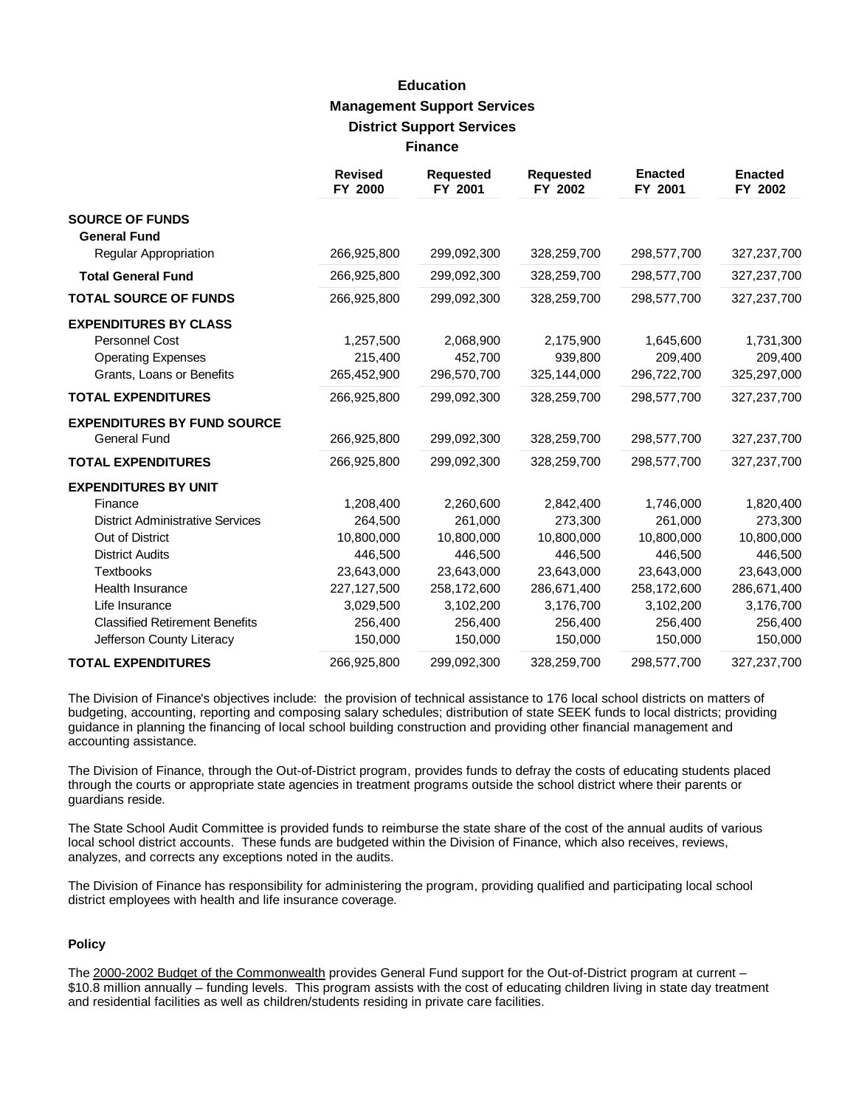# **Education Management Support Services District Support Services Finance**

|                                         | <b>Revised</b><br>FY 2000 | <b>Requested</b><br>FY 2001 | <b>Requested</b><br>FY 2002 | <b>Enacted</b><br>FY 2001 | <b>Enacted</b><br>FY 2002 |
|-----------------------------------------|---------------------------|-----------------------------|-----------------------------|---------------------------|---------------------------|
| <b>SOURCE OF FUNDS</b>                  |                           |                             |                             |                           |                           |
| <b>General Fund</b>                     |                           |                             |                             |                           |                           |
| Regular Appropriation                   | 266,925,800               | 299,092,300                 | 328,259,700                 | 298,577,700               | 327,237,700               |
| <b>Total General Fund</b>               | 266,925,800               | 299,092,300                 | 328,259,700                 | 298,577,700               | 327,237,700               |
| <b>TOTAL SOURCE OF FUNDS</b>            | 266,925,800               | 299,092,300                 | 328,259,700                 | 298,577,700               | 327,237,700               |
| <b>EXPENDITURES BY CLASS</b>            |                           |                             |                             |                           |                           |
| Personnel Cost                          | 1,257,500                 | 2,068,900                   | 2,175,900                   | 1,645,600                 | 1,731,300                 |
| <b>Operating Expenses</b>               | 215,400                   | 452.700                     | 939.800                     | 209,400                   | 209,400                   |
| Grants, Loans or Benefits               | 265,452,900               | 296,570,700                 | 325,144,000                 | 296,722,700               | 325,297,000               |
| <b>TOTAL EXPENDITURES</b>               | 266,925,800               | 299,092,300                 | 328,259,700                 | 298,577,700               | 327,237,700               |
| <b>EXPENDITURES BY FUND SOURCE</b>      |                           |                             |                             |                           |                           |
| <b>General Fund</b>                     | 266,925,800               | 299,092,300                 | 328,259,700                 | 298,577,700               | 327,237,700               |
| <b>TOTAL EXPENDITURES</b>               | 266,925,800               | 299,092,300                 | 328,259,700                 | 298,577,700               | 327,237,700               |
| <b>EXPENDITURES BY UNIT</b>             |                           |                             |                             |                           |                           |
| Finance                                 | 1,208,400                 | 2,260,600                   | 2,842,400                   | 1,746,000                 | 1,820,400                 |
| <b>District Administrative Services</b> | 264,500                   | 261,000                     | 273,300                     | 261,000                   | 273,300                   |
| Out of District                         | 10,800,000                | 10,800,000                  | 10,800,000                  | 10,800,000                | 10,800,000                |
| <b>District Audits</b>                  | 446,500                   | 446,500                     | 446,500                     | 446,500                   | 446,500                   |
| <b>Textbooks</b>                        | 23,643,000                | 23,643,000                  | 23,643,000                  | 23,643,000                | 23,643,000                |
| <b>Health Insurance</b>                 | 227,127,500               | 258,172,600                 | 286,671,400                 | 258,172,600               | 286,671,400               |
| Life Insurance                          | 3,029,500                 | 3,102,200                   | 3,176,700                   | 3,102,200                 | 3,176,700                 |
| <b>Classified Retirement Benefits</b>   | 256,400                   | 256,400                     | 256,400                     | 256,400                   | 256,400                   |
| Jefferson County Literacy               | 150,000                   | 150,000                     | 150,000                     | 150,000                   | 150,000                   |
| <b>TOTAL EXPENDITURES</b>               | 266,925,800               | 299,092,300                 | 328,259,700                 | 298,577,700               | 327,237,700               |

The Division of Finance's objectives include: the provision of technical assistance to 176 local school districts on matters of budgeting, accounting, reporting and composing salary schedules; distribution of state SEEK funds to local districts; providing guidance in planning the financing of local school building construction and providing other financial management and accounting assistance.

The Division of Finance, through the Out-of-District program, provides funds to defray the costs of educating students placed through the courts or appropriate state agencies in treatment programs outside the school district where their parents or guardians reside.

The State School Audit Committee is provided funds to reimburse the state share of the cost of the annual audits of various local school district accounts. These funds are budgeted within the Division of Finance, which also receives, reviews, analyzes, and corrects any exceptions noted in the audits.

The Division of Finance has responsibility for administering the program, providing qualified and participating local school district employees with health and life insurance coverage.

#### **Policy**

The 2000-2002 Budget of the Commonwealth provides General Fund support for the Out-of-District program at current -\$10.8 million annually – funding levels. This program assists with the cost of educating children living in state day treatment and residential facilities as well as children/students residing in private care facilities.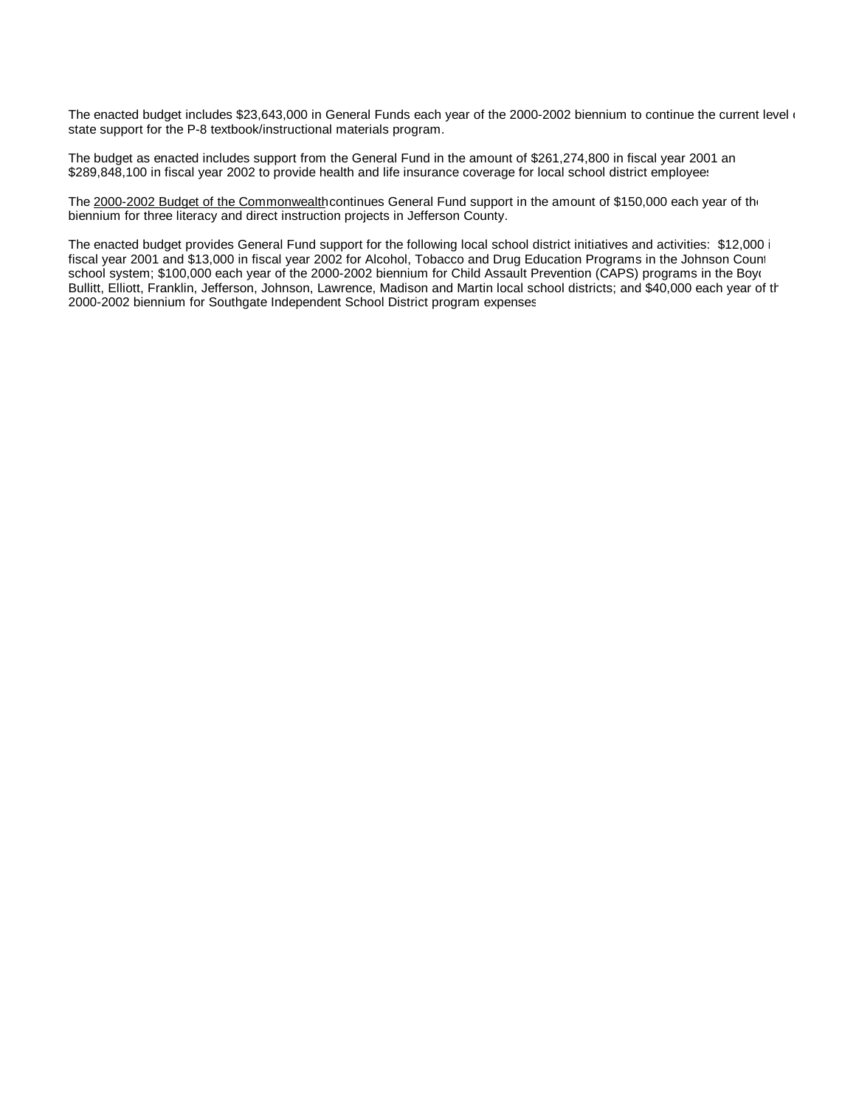The enacted budget includes \$23,643,000 in General Funds each year of the 2000-2002 biennium to continue the current level of state support for the P-8 textbook/instructional materials program.

The budget as enacted includes support from the General Fund in the amount of \$261,274,800 in fiscal year 2001 an \$289,848,100 in fiscal year 2002 to provide health and life insurance coverage for local school district employees

The 2000-2002 Budget of the Commonwealth continues General Fund support in the amount of \$150,000 each year of the biennium for three literacy and direct instruction projects in Jefferson County.

The enacted budget provides General Fund support for the following local school district initiatives and activities: \$12,000 i fiscal year 2001 and \$13,000 in fiscal year 2002 for Alcohol, Tobacco and Drug Education Programs in the Johnson Count school system; \$100,000 each year of the 2000-2002 biennium for Child Assault Prevention (CAPS) programs in the Boyd Bullitt, Elliott, Franklin, Jefferson, Johnson, Lawrence, Madison and Martin local school districts; and \$40,000 each year of the 2000-2002 biennium for Southgate Independent School District program expenses.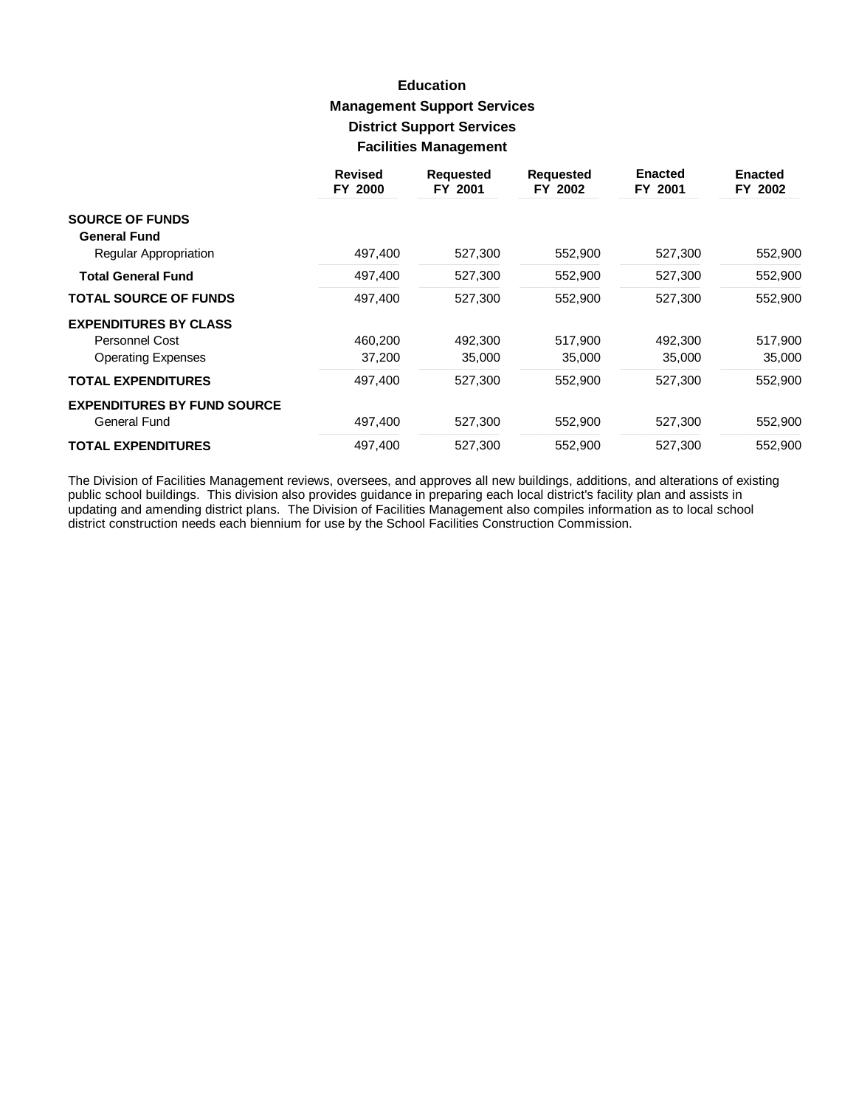# **Education Management Support Services District Support Services Facilities Management**

|                                    | <b>Revised</b><br>FY 2000 | <b>Requested</b><br>FY 2001 | <b>Requested</b><br>FY 2002 | <b>Enacted</b><br>FY 2001 | <b>Enacted</b><br>FY 2002 |
|------------------------------------|---------------------------|-----------------------------|-----------------------------|---------------------------|---------------------------|
| <b>SOURCE OF FUNDS</b>             |                           |                             |                             |                           |                           |
| <b>General Fund</b>                |                           |                             |                             |                           |                           |
| Regular Appropriation              | 497,400                   | 527,300                     | 552,900                     | 527,300                   | 552,900                   |
| <b>Total General Fund</b>          | 497,400                   | 527,300                     | 552,900                     | 527,300                   | 552,900                   |
| <b>TOTAL SOURCE OF FUNDS</b>       | 497,400                   | 527,300                     | 552,900                     | 527,300                   | 552,900                   |
| <b>EXPENDITURES BY CLASS</b>       |                           |                             |                             |                           |                           |
| Personnel Cost                     | 460,200                   | 492,300                     | 517,900                     | 492,300                   | 517,900                   |
| <b>Operating Expenses</b>          | 37,200                    | 35,000                      | 35,000                      | 35,000                    | 35,000                    |
| <b>TOTAL EXPENDITURES</b>          | 497.400                   | 527.300                     | 552,900                     | 527.300                   | 552,900                   |
| <b>EXPENDITURES BY FUND SOURCE</b> |                           |                             |                             |                           |                           |
| General Fund                       | 497,400                   | 527,300                     | 552,900                     | 527,300                   | 552,900                   |
| <b>TOTAL EXPENDITURES</b>          | 497.400                   | 527.300                     | 552.900                     | 527.300                   | 552.900                   |

The Division of Facilities Management reviews, oversees, and approves all new buildings, additions, and alterations of existing public school buildings. This division also provides guidance in preparing each local district's facility plan and assists in updating and amending district plans. The Division of Facilities Management also compiles inform district construction needs each biennium for use by the School Facilities Construction Commission.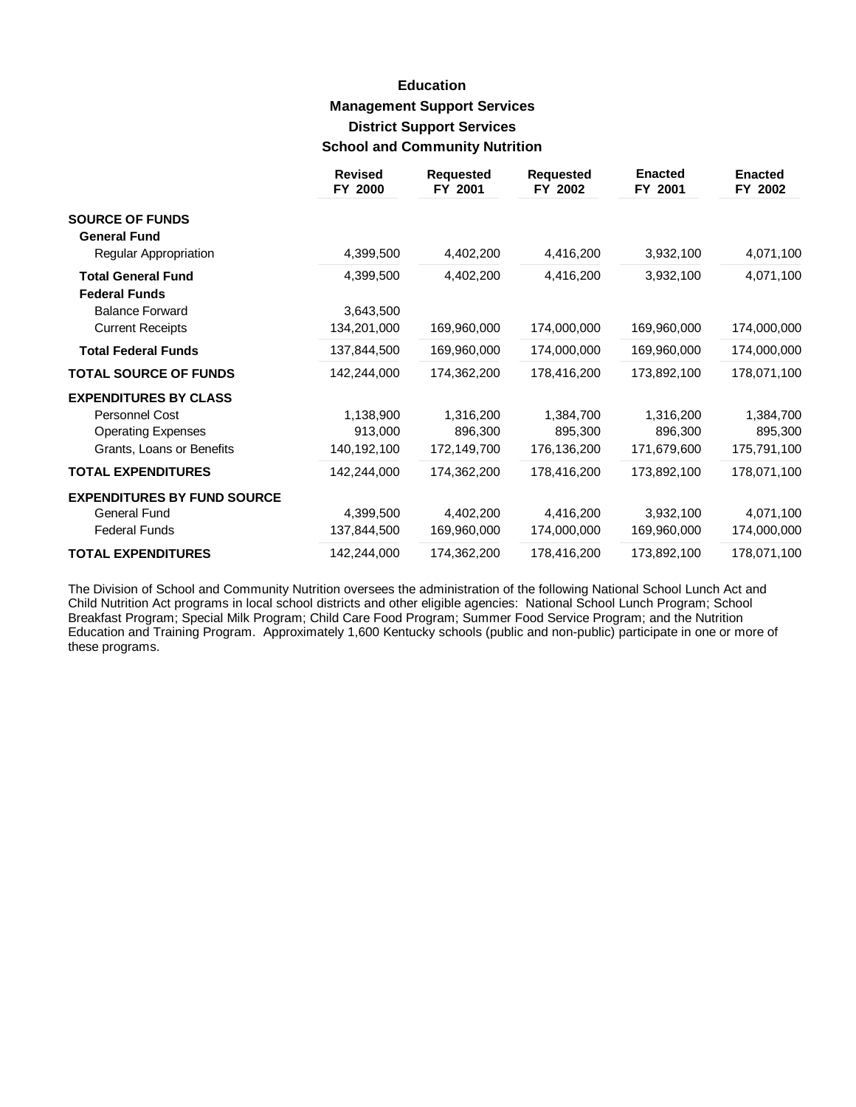# **Education Management Support Services District Support Services School and Community Nutrition**

|                                    | <b>Revised</b><br>FY 2000 | <b>Requested</b><br>FY 2001 | <b>Requested</b><br>FY 2002 | <b>Enacted</b><br>FY 2001 | <b>Enacted</b><br>FY 2002 |
|------------------------------------|---------------------------|-----------------------------|-----------------------------|---------------------------|---------------------------|
| <b>SOURCE OF FUNDS</b>             |                           |                             |                             |                           |                           |
| <b>General Fund</b>                |                           |                             |                             |                           |                           |
| Regular Appropriation              | 4,399,500                 | 4,402,200                   | 4,416,200                   | 3,932,100                 | 4,071,100                 |
| <b>Total General Fund</b>          | 4,399,500                 | 4,402,200                   | 4,416,200                   | 3,932,100                 | 4,071,100                 |
| <b>Federal Funds</b>               |                           |                             |                             |                           |                           |
| <b>Balance Forward</b>             | 3,643,500                 |                             |                             |                           |                           |
| <b>Current Receipts</b>            | 134,201,000               | 169,960,000                 | 174,000,000                 | 169,960,000               | 174,000,000               |
| <b>Total Federal Funds</b>         | 137,844,500               | 169,960,000                 | 174,000,000                 | 169,960,000               | 174,000,000               |
| <b>TOTAL SOURCE OF FUNDS</b>       | 142,244,000               | 174,362,200                 | 178,416,200                 | 173,892,100               | 178,071,100               |
| <b>EXPENDITURES BY CLASS</b>       |                           |                             |                             |                           |                           |
| Personnel Cost                     | 1,138,900                 | 1,316,200                   | 1,384,700                   | 1,316,200                 | 1,384,700                 |
| <b>Operating Expenses</b>          | 913,000                   | 896,300                     | 895,300                     | 896,300                   | 895,300                   |
| Grants, Loans or Benefits          | 140,192,100               | 172,149,700                 | 176,136,200                 | 171,679,600               | 175,791,100               |
| <b>TOTAL EXPENDITURES</b>          | 142,244,000               | 174,362,200                 | 178,416,200                 | 173,892,100               | 178,071,100               |
| <b>EXPENDITURES BY FUND SOURCE</b> |                           |                             |                             |                           |                           |
| <b>General Fund</b>                | 4,399,500                 | 4,402,200                   | 4,416,200                   | 3,932,100                 | 4,071,100                 |
| <b>Federal Funds</b>               | 137,844,500               | 169,960,000                 | 174,000,000                 | 169,960,000               | 174,000,000               |
| <b>TOTAL EXPENDITURES</b>          | 142,244,000               | 174,362,200                 | 178,416,200                 | 173,892,100               | 178,071,100               |

The Division of School and Community Nutrition oversees the administration of the following National School Lunch Act and Child Nutrition Act programs in local school districts and other eligible agencies: National School Lunch Program; School Breakfast Program; Special Milk Program; Child Care Food Program; Summer Food Service Program; and the Nutrition Education and Training Program. Approximately 1,600 Kentucky schools (public and non-public) participate in one or more of these programs.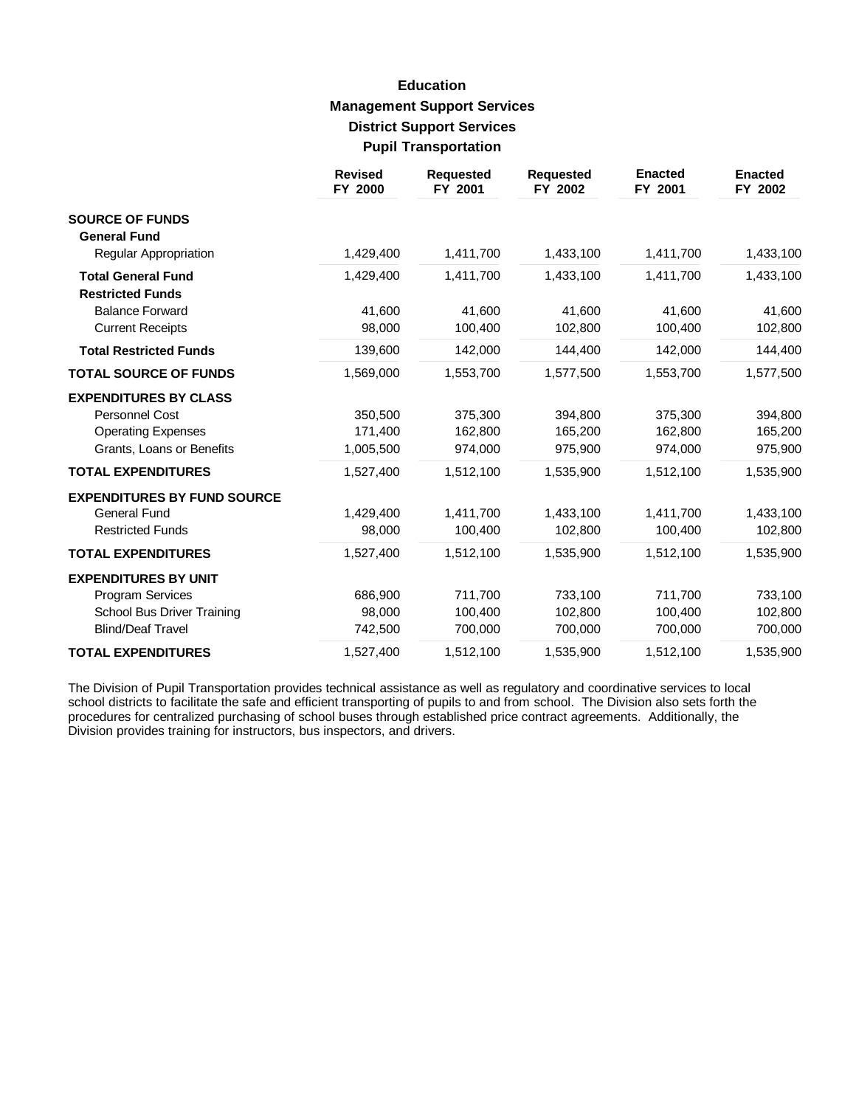# **Education Management Support Services District Support Services Pupil Transportation**

|                                    | <b>Revised</b><br>FY 2000 | <b>Requested</b><br>FY 2001 | <b>Requested</b><br>FY 2002 | <b>Enacted</b><br>FY 2001 | <b>Enacted</b><br>FY 2002 |
|------------------------------------|---------------------------|-----------------------------|-----------------------------|---------------------------|---------------------------|
| <b>SOURCE OF FUNDS</b>             |                           |                             |                             |                           |                           |
| <b>General Fund</b>                |                           |                             |                             |                           |                           |
| Regular Appropriation              | 1,429,400                 | 1,411,700                   | 1,433,100                   | 1,411,700                 | 1,433,100                 |
| <b>Total General Fund</b>          | 1,429,400                 | 1,411,700                   | 1,433,100                   | 1,411,700                 | 1,433,100                 |
| <b>Restricted Funds</b>            |                           |                             |                             |                           |                           |
| <b>Balance Forward</b>             | 41,600                    | 41,600                      | 41,600                      | 41,600                    | 41,600                    |
| <b>Current Receipts</b>            | 98,000                    | 100,400                     | 102,800                     | 100,400                   | 102,800                   |
| <b>Total Restricted Funds</b>      | 139,600                   | 142,000                     | 144,400                     | 142,000                   | 144,400                   |
| <b>TOTAL SOURCE OF FUNDS</b>       | 1,569,000                 | 1,553,700                   | 1,577,500                   | 1,553,700                 | 1,577,500                 |
| <b>EXPENDITURES BY CLASS</b>       |                           |                             |                             |                           |                           |
| <b>Personnel Cost</b>              | 350,500                   | 375,300                     | 394,800                     | 375,300                   | 394,800                   |
| <b>Operating Expenses</b>          | 171,400                   | 162,800                     | 165,200                     | 162,800                   | 165,200                   |
| Grants, Loans or Benefits          | 1,005,500                 | 974,000                     | 975,900                     | 974,000                   | 975,900                   |
| <b>TOTAL EXPENDITURES</b>          | 1,527,400                 | 1,512,100                   | 1,535,900                   | 1,512,100                 | 1,535,900                 |
| <b>EXPENDITURES BY FUND SOURCE</b> |                           |                             |                             |                           |                           |
| <b>General Fund</b>                | 1,429,400                 | 1,411,700                   | 1,433,100                   | 1,411,700                 | 1,433,100                 |
| <b>Restricted Funds</b>            | 98,000                    | 100,400                     | 102,800                     | 100,400                   | 102,800                   |
| <b>TOTAL EXPENDITURES</b>          | 1,527,400                 | 1,512,100                   | 1,535,900                   | 1,512,100                 | 1,535,900                 |
| <b>EXPENDITURES BY UNIT</b>        |                           |                             |                             |                           |                           |
| Program Services                   | 686,900                   | 711,700                     | 733,100                     | 711,700                   | 733,100                   |
| School Bus Driver Training         | 98,000                    | 100,400                     | 102,800                     | 100,400                   | 102,800                   |
| <b>Blind/Deaf Travel</b>           | 742,500                   | 700,000                     | 700,000                     | 700,000                   | 700,000                   |
| <b>TOTAL EXPENDITURES</b>          | 1,527,400                 | 1,512,100                   | 1,535,900                   | 1,512,100                 | 1,535,900                 |

The Division of Pupil Transportation provides technical assistance as well as regulatory and coordinative services to local school districts to facilitate the safe and efficient transporting of pupils to and from school. The Division also sets forth the procedures for centralized purchasing of school buses through established price contract agreements. Additionally, the Division provides training for instructors, bus inspectors, and drivers.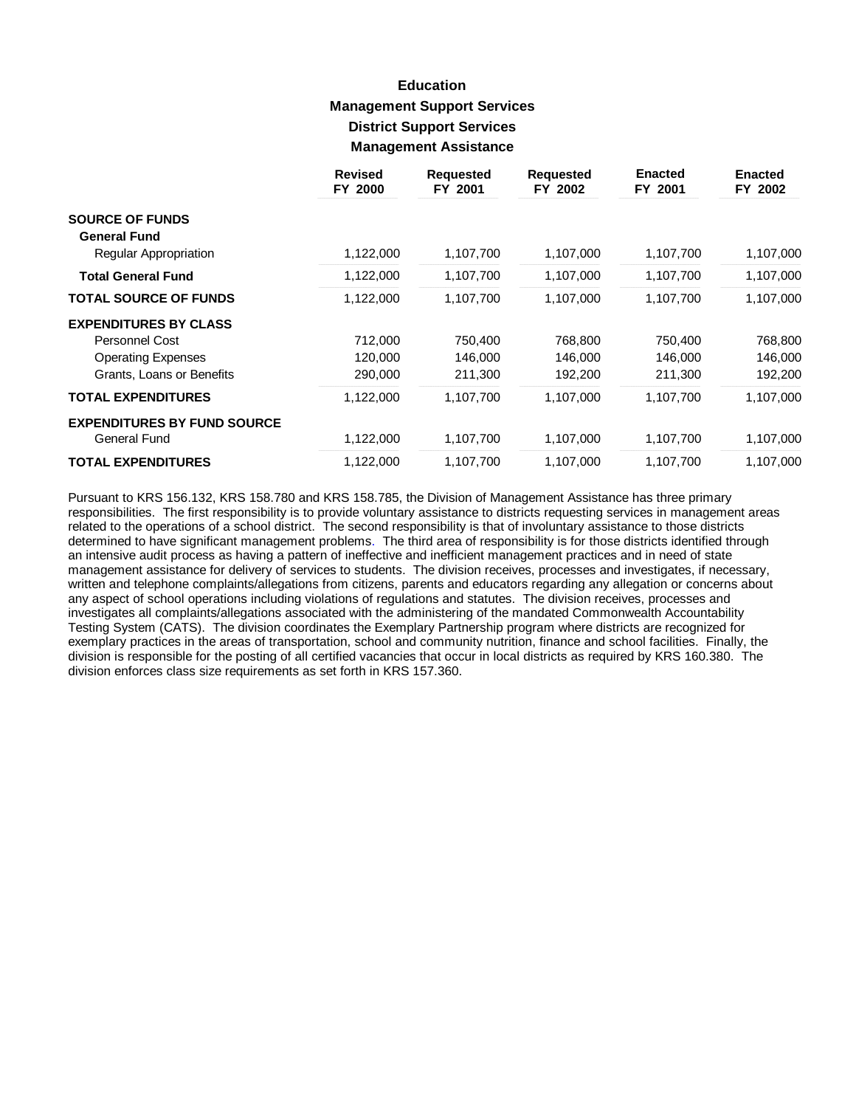# **Education Management Support Services District Support Services Management Assistance**

|                                                     | <b>Revised</b><br>FY 2000 | <b>Requested</b><br>FY 2001 | <b>Requested</b><br>FY 2002 | <b>Enacted</b><br>FY 2001 | <b>Enacted</b><br>FY 2002 |
|-----------------------------------------------------|---------------------------|-----------------------------|-----------------------------|---------------------------|---------------------------|
| <b>SOURCE OF FUNDS</b>                              |                           |                             |                             |                           |                           |
| <b>General Fund</b><br><b>Regular Appropriation</b> | 1,122,000                 | 1,107,700                   | 1,107,000                   | 1,107,700                 | 1,107,000                 |
| <b>Total General Fund</b>                           | 1,122,000                 | 1,107,700                   | 1,107,000                   | 1,107,700                 | 1,107,000                 |
| <b>TOTAL SOURCE OF FUNDS</b>                        | 1,122,000                 | 1,107,700                   | 1,107,000                   | 1,107,700                 | 1,107,000                 |
| <b>EXPENDITURES BY CLASS</b>                        |                           |                             |                             |                           |                           |
| <b>Personnel Cost</b>                               | 712,000                   | 750,400                     | 768,800                     | 750,400                   | 768,800                   |
| <b>Operating Expenses</b>                           | 120,000                   | 146,000                     | 146,000                     | 146,000                   | 146,000                   |
| Grants, Loans or Benefits                           | 290,000                   | 211,300                     | 192,200                     | 211,300                   | 192,200                   |
| <b>TOTAL EXPENDITURES</b>                           | 1,122,000                 | 1,107,700                   | 1,107,000                   | 1,107,700                 | 1,107,000                 |
| <b>EXPENDITURES BY FUND SOURCE</b>                  |                           |                             |                             |                           |                           |
| General Fund                                        | 1,122,000                 | 1,107,700                   | 1,107,000                   | 1,107,700                 | 1,107,000                 |
| <b>TOTAL EXPENDITURES</b>                           | 1,122,000                 | 1,107,700                   | 1,107,000                   | 1,107,700                 | 1,107,000                 |

Pursuant to KRS 156.132, KRS 158.780 and KRS 158.785, the Division of Management Assistance has three primary responsibilities. The first responsibility is to provide voluntary assistance to districts requesting services in management areas related to the operations of a school district. The second responsibility is that of involuntary assistance to those districts determined to have significant management problems. The third area of responsibility is for those districts identified through an intensive audit process as having a pattern of ineffective and inefficient management practices and in need of state management assistance for delivery of services to students. The division receives, processes and investigates, if necessary, written and telephone complaints/allegations from citizens, parents and educators regarding any allegation or concerns about any aspect of school operations including violations of regulations and statutes. The division receives, processes and investigates all complaints/allegations associated with the administering of the mandated Commonwealth Accountability Testing System (CATS). The division coordinates the Exemplary Partnership program where districts are recognized for exemplary practices in the areas of transportation, school and community nutrition, finance and school facilities. Finally, the division is responsible for the posting of all certified vacancies that occur in local districts as required by KRS 160.380. The division enforces class size requirements as set forth in KRS 157.360.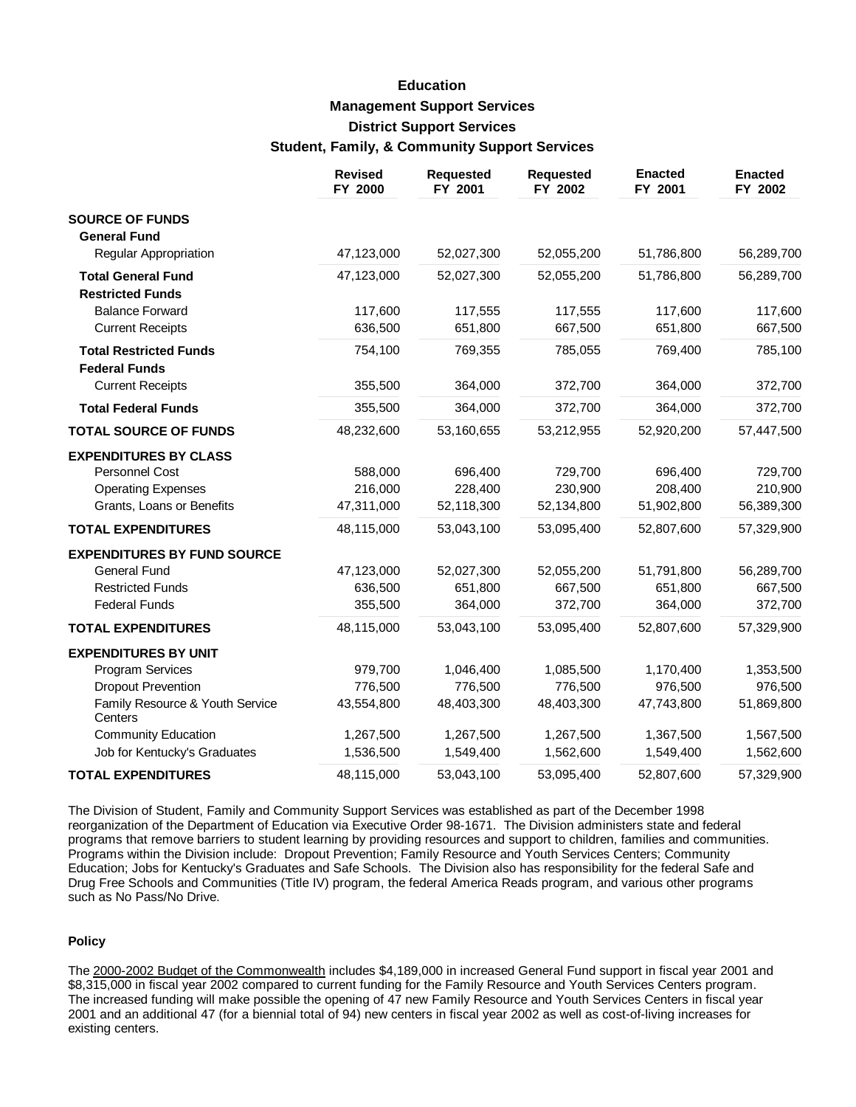# **Education Management Support Services District Support Services Student, Family, & Community Support Services**

|                                                       | <b>Revised</b><br>FY 2000 | <b>Requested</b><br>FY 2001 | <b>Requested</b><br>FY 2002 | <b>Enacted</b><br>FY 2001 | <b>Enacted</b><br>FY 2002 |
|-------------------------------------------------------|---------------------------|-----------------------------|-----------------------------|---------------------------|---------------------------|
| <b>SOURCE OF FUNDS</b>                                |                           |                             |                             |                           |                           |
| <b>General Fund</b>                                   |                           |                             |                             |                           |                           |
| <b>Regular Appropriation</b>                          | 47,123,000                | 52,027,300                  | 52,055,200                  | 51,786,800                | 56,289,700                |
| <b>Total General Fund</b><br><b>Restricted Funds</b>  | 47,123,000                | 52,027,300                  | 52,055,200                  | 51,786,800                | 56,289,700                |
| <b>Balance Forward</b>                                | 117,600                   | 117,555                     | 117,555                     | 117,600                   | 117,600                   |
| <b>Current Receipts</b>                               | 636,500                   | 651,800                     | 667,500                     | 651,800                   | 667,500                   |
| <b>Total Restricted Funds</b><br><b>Federal Funds</b> | 754,100                   | 769,355                     | 785,055                     | 769,400                   | 785,100                   |
| <b>Current Receipts</b>                               | 355,500                   | 364,000                     | 372,700                     | 364,000                   | 372,700                   |
| <b>Total Federal Funds</b>                            | 355,500                   | 364,000                     | 372,700                     | 364,000                   | 372,700                   |
| <b>TOTAL SOURCE OF FUNDS</b>                          | 48,232,600                | 53,160,655                  | 53,212,955                  | 52,920,200                | 57,447,500                |
| <b>EXPENDITURES BY CLASS</b>                          |                           |                             |                             |                           |                           |
| Personnel Cost                                        | 588,000                   | 696,400                     | 729,700                     | 696,400                   | 729,700                   |
| <b>Operating Expenses</b>                             | 216,000                   | 228,400                     | 230,900                     | 208,400                   | 210,900                   |
| Grants, Loans or Benefits                             | 47,311,000                | 52,118,300                  | 52,134,800                  | 51,902,800                | 56,389,300                |
| <b>TOTAL EXPENDITURES</b>                             | 48,115,000                | 53,043,100                  | 53,095,400                  | 52,807,600                | 57,329,900                |
| <b>EXPENDITURES BY FUND SOURCE</b>                    |                           |                             |                             |                           |                           |
| <b>General Fund</b>                                   | 47,123,000                | 52,027,300                  | 52,055,200                  | 51,791,800                | 56,289,700                |
| <b>Restricted Funds</b>                               | 636,500                   | 651,800                     | 667,500                     | 651,800                   | 667,500                   |
| <b>Federal Funds</b>                                  | 355,500                   | 364,000                     | 372,700                     | 364,000                   | 372,700                   |
| <b>TOTAL EXPENDITURES</b>                             | 48,115,000                | 53,043,100                  | 53,095,400                  | 52,807,600                | 57,329,900                |
| <b>EXPENDITURES BY UNIT</b>                           |                           |                             |                             |                           |                           |
| Program Services                                      | 979,700                   | 1,046,400                   | 1,085,500                   | 1,170,400                 | 1,353,500                 |
| <b>Dropout Prevention</b>                             | 776,500                   | 776,500                     | 776,500                     | 976,500                   | 976,500                   |
| Family Resource & Youth Service<br>Centers            | 43,554,800                | 48,403,300                  | 48,403,300                  | 47,743,800                | 51,869,800                |
| <b>Community Education</b>                            | 1,267,500                 | 1,267,500                   | 1,267,500                   | 1,367,500                 | 1,567,500                 |
| Job for Kentucky's Graduates                          | 1,536,500                 | 1,549,400                   | 1,562,600                   | 1,549,400                 | 1,562,600                 |
| <b>TOTAL EXPENDITURES</b>                             | 48,115,000                | 53,043,100                  | 53,095,400                  | 52,807,600                | 57,329,900                |

The Division of Student, Family and Community Support Services was established as part of the December 1998 reorganization of the Department of Education via Executive Order 98-1671. The Division administers state and federal programs that remove barriers to student learning by providing resources and support to children, families and communities. Programs within the Division include: Dropout Prevention; Family Resource and Youth Services Centers; Community Education; Jobs for Kentucky's Graduates and Safe Schools. The Division also has responsibility for the federal Safe and Drug Free Schools and Communities (Title IV) program, the federal America Reads program, and various other programs such as No Pass/No Drive.

#### **Policy**

The 2000-2002 Budget of the Commonwealth includes \$4,189,000 in increased General Fund support in fiscal year 2001 and \$8,315,000 in fiscal year 2002 compared to current funding for the Family Resource and Youth Services Centers program. The increased funding will make possible the opening of 47 new Family Resource and Youth Services Centers in fiscal year 2001 and an additional 47 (for a biennial total of 94) new centers in fiscal year 2002 as well as cost-of-living increases for existing centers.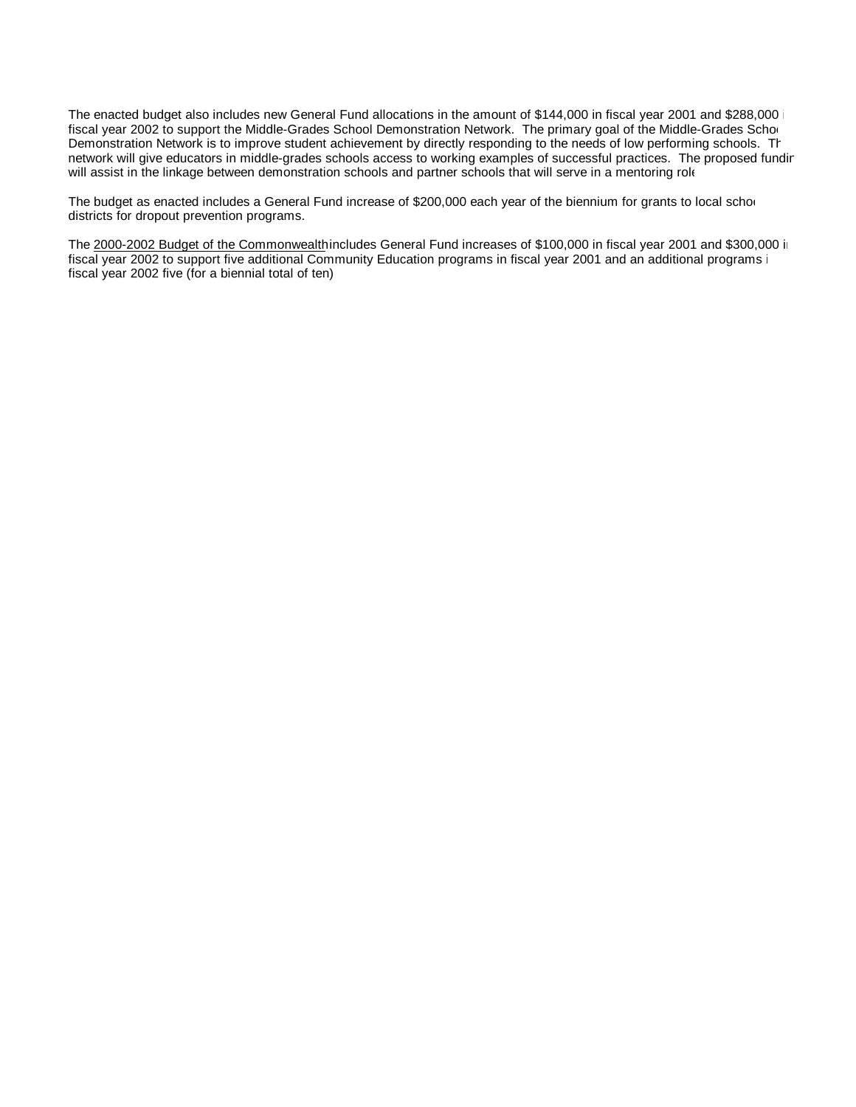The enacted budget also includes new General Fund allocations in the amount of \$144,000 in fiscal year 2001 and \$288,000 i fiscal year 2002 to support the Middle-Grades School Demonstration Network. The primary goal of the Middle-Grades Scho Demonstration Network is to improve student achievement by directly responding to the needs of low performing schools. The network will give educators in middle-grades schools access to working examples of successful practices. The proposed fundir will assist in the linkage between demonstration schools and partner schools that will serve in a mentoring role

The budget as enacted includes a General Fund increase of \$200,000 each year of the biennium for grants to local schor districts for dropout prevention programs.

The 2000-2002 Budget of the Commonwealth includes General Fund increases of \$100,000 in fiscal year 2001 and \$300,000 in fiscal year 2002 to support five additional Community Education programs in fiscal year 2001 and an additional programs i fiscal year 2002 five (for a biennial total of ten).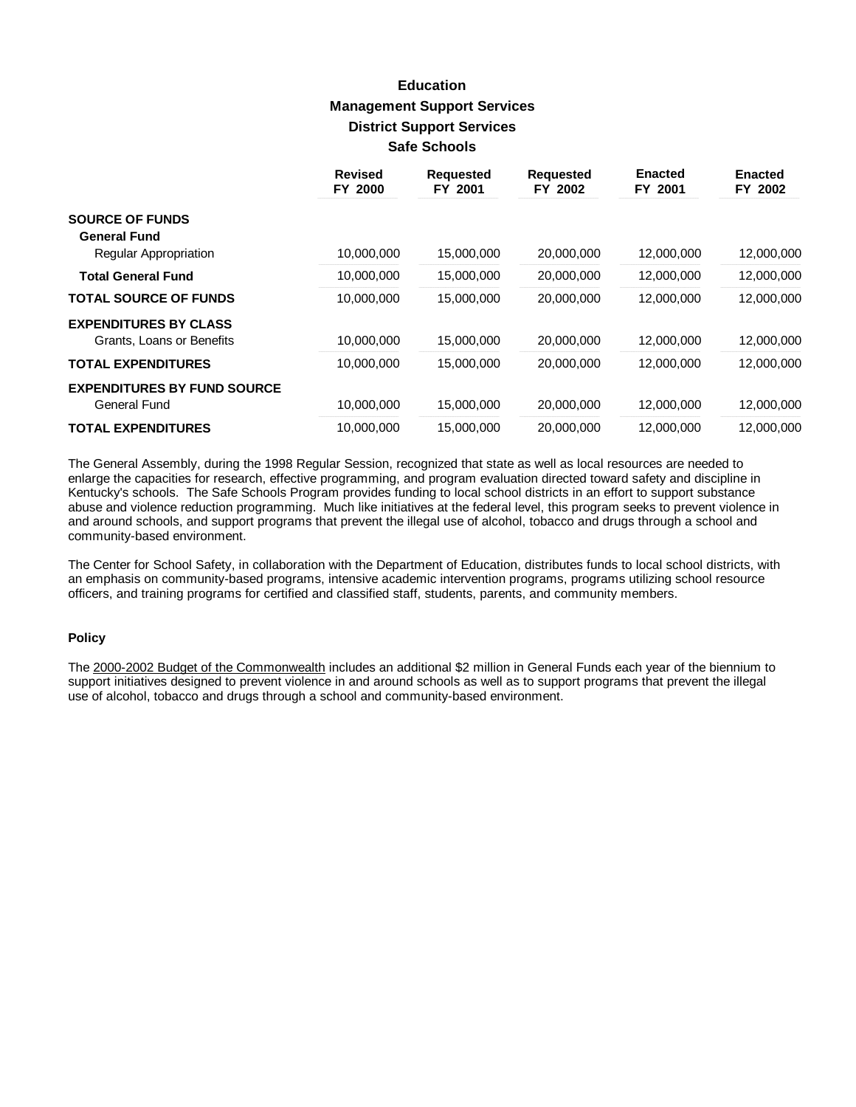# **Education Management Support Services District Support Services Safe Schools**

|                                    | <b>Revised</b><br>FY 2000 | <b>Requested</b><br>FY 2001 | <b>Requested</b><br>FY 2002 | <b>Enacted</b><br>FY 2001 | <b>Enacted</b><br>FY 2002 |
|------------------------------------|---------------------------|-----------------------------|-----------------------------|---------------------------|---------------------------|
| <b>SOURCE OF FUNDS</b>             |                           |                             |                             |                           |                           |
| <b>General Fund</b>                |                           |                             |                             |                           |                           |
| Regular Appropriation              | 10,000,000                | 15,000,000                  | 20,000,000                  | 12,000,000                | 12,000,000                |
| <b>Total General Fund</b>          | 10,000,000                | 15,000,000                  | 20,000,000                  | 12,000,000                | 12,000,000                |
| <b>TOTAL SOURCE OF FUNDS</b>       | 10,000,000                | 15,000,000                  | 20,000,000                  | 12,000,000                | 12,000,000                |
| <b>EXPENDITURES BY CLASS</b>       |                           |                             |                             |                           |                           |
| Grants, Loans or Benefits          | 10,000,000                | 15,000,000                  | 20,000,000                  | 12,000,000                | 12,000,000                |
| <b>TOTAL EXPENDITURES</b>          | 10,000,000                | 15,000,000                  | 20,000,000                  | 12,000,000                | 12,000,000                |
| <b>EXPENDITURES BY FUND SOURCE</b> |                           |                             |                             |                           |                           |
| <b>General Fund</b>                | 10,000,000                | 15,000,000                  | 20,000,000                  | 12,000,000                | 12,000,000                |
| <b>TOTAL EXPENDITURES</b>          | 10,000,000                | 15,000,000                  | 20,000,000                  | 12,000,000                | 12,000,000                |

The General Assembly, during the 1998 Regular Session, recognized that state as well as local resources are needed to enlarge the capacities for research, effective programming, and program evaluation directed toward safety and discipline in Kentucky's schools. The Safe Schools Program provides funding to local school districts in an effort to support substance abuse and violence reduction programming. Much like initiatives at the federal level, this program seeks to prevent violence in and around schools, and support programs that prevent the illegal use of alcohol, tobacco and drugs through a school and community-based environment.

The Center for School Safety, in collaboration with the Department of Education, distributes funds to local school districts, with an emphasis on community-based programs, intensive academic intervention programs, programs utilizing school resource officers, and training programs for certified and classified staff, students, parents, and community members.

#### **Policy**

The 2000-2002 Budget of the Commonwealth includes an additional \$2 million in General Funds each year of the biennium to support initiatives designed to prevent violence in and around schools as well as to support programs that prevent the illegal use of alcohol, tobacco and drugs through a school and community-based environment.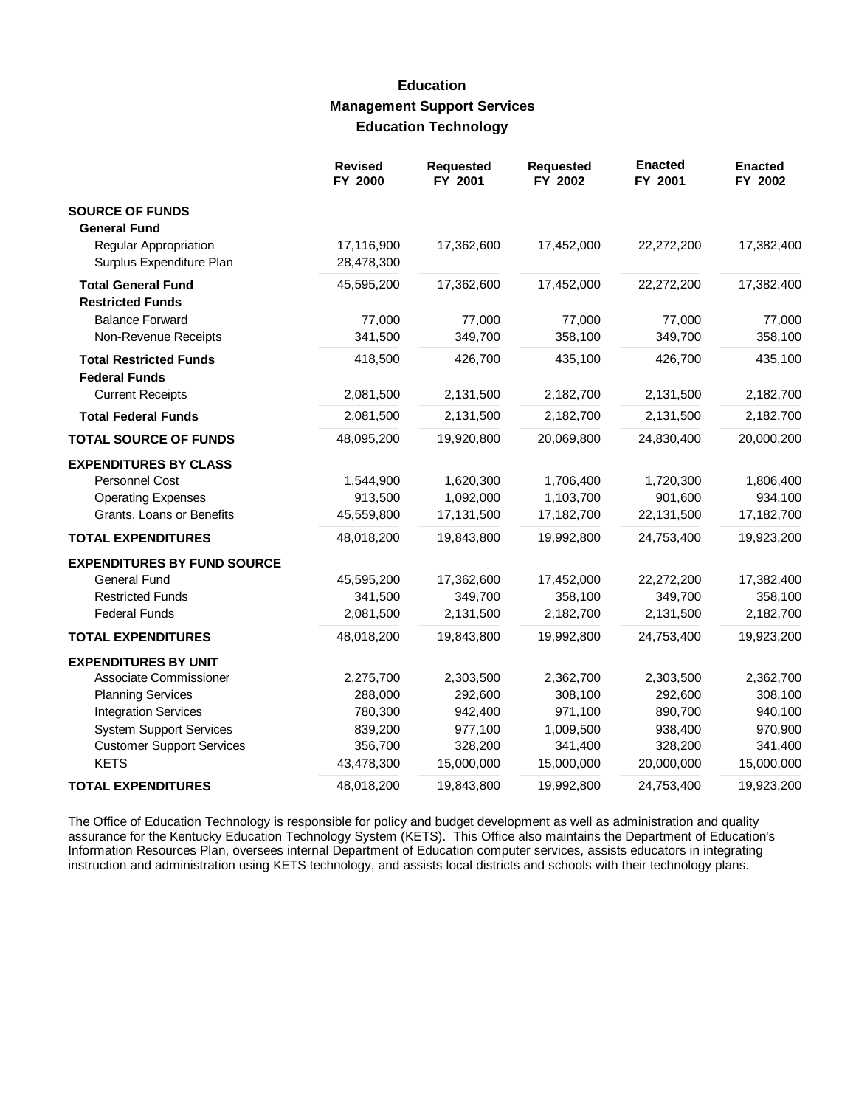### **Education Management Support Services Education Technology**

|                                                                                                                                                                        | <b>Revised</b><br>FY 2000                                           | <b>Requested</b><br>FY 2001                                         | Requested<br>FY 2002                                                  | <b>Enacted</b><br>FY 2001                                           | <b>Enacted</b><br>FY 2002                                           |
|------------------------------------------------------------------------------------------------------------------------------------------------------------------------|---------------------------------------------------------------------|---------------------------------------------------------------------|-----------------------------------------------------------------------|---------------------------------------------------------------------|---------------------------------------------------------------------|
| <b>SOURCE OF FUNDS</b>                                                                                                                                                 |                                                                     |                                                                     |                                                                       |                                                                     |                                                                     |
| <b>General Fund</b><br>Regular Appropriation<br>Surplus Expenditure Plan                                                                                               | 17,116,900<br>28,478,300                                            | 17,362,600                                                          | 17,452,000                                                            | 22,272,200                                                          | 17,382,400                                                          |
| <b>Total General Fund</b><br><b>Restricted Funds</b>                                                                                                                   | 45,595,200                                                          | 17,362,600                                                          | 17,452,000                                                            | 22,272,200                                                          | 17,382,400                                                          |
| <b>Balance Forward</b><br>Non-Revenue Receipts                                                                                                                         | 77,000<br>341,500                                                   | 77,000<br>349,700                                                   | 77,000<br>358,100                                                     | 77,000<br>349,700                                                   | 77,000<br>358,100                                                   |
| <b>Total Restricted Funds</b><br><b>Federal Funds</b>                                                                                                                  | 418,500                                                             | 426,700                                                             | 435,100                                                               | 426,700                                                             | 435,100                                                             |
| <b>Current Receipts</b>                                                                                                                                                | 2,081,500                                                           | 2,131,500                                                           | 2,182,700                                                             | 2,131,500                                                           | 2,182,700                                                           |
| <b>Total Federal Funds</b>                                                                                                                                             | 2,081,500                                                           | 2,131,500                                                           | 2,182,700                                                             | 2,131,500                                                           | 2,182,700                                                           |
| <b>TOTAL SOURCE OF FUNDS</b>                                                                                                                                           | 48,095,200                                                          | 19,920,800                                                          | 20,069,800                                                            | 24,830,400                                                          | 20,000,200                                                          |
| <b>EXPENDITURES BY CLASS</b><br><b>Personnel Cost</b><br><b>Operating Expenses</b>                                                                                     | 1,544,900<br>913,500                                                | 1,620,300<br>1,092,000                                              | 1,706,400<br>1,103,700                                                | 1,720,300<br>901,600                                                | 1,806,400<br>934,100                                                |
| Grants, Loans or Benefits<br><b>TOTAL EXPENDITURES</b>                                                                                                                 | 45,559,800<br>48,018,200                                            | 17,131,500<br>19,843,800                                            | 17,182,700<br>19,992,800                                              | 22,131,500<br>24,753,400                                            | 17,182,700<br>19,923,200                                            |
| <b>EXPENDITURES BY FUND SOURCE</b>                                                                                                                                     |                                                                     |                                                                     |                                                                       |                                                                     |                                                                     |
| <b>General Fund</b><br><b>Restricted Funds</b><br><b>Federal Funds</b>                                                                                                 | 45,595,200<br>341,500<br>2,081,500                                  | 17,362,600<br>349,700<br>2,131,500                                  | 17,452,000<br>358,100<br>2,182,700                                    | 22,272,200<br>349,700<br>2,131,500                                  | 17,382,400<br>358,100<br>2,182,700                                  |
| <b>TOTAL EXPENDITURES</b>                                                                                                                                              | 48,018,200                                                          | 19,843,800                                                          | 19,992,800                                                            | 24,753,400                                                          | 19,923,200                                                          |
| <b>EXPENDITURES BY UNIT</b>                                                                                                                                            |                                                                     |                                                                     |                                                                       |                                                                     |                                                                     |
| Associate Commissioner<br><b>Planning Services</b><br><b>Integration Services</b><br><b>System Support Services</b><br><b>Customer Support Services</b><br><b>KETS</b> | 2,275,700<br>288,000<br>780,300<br>839,200<br>356,700<br>43,478,300 | 2,303,500<br>292,600<br>942,400<br>977,100<br>328,200<br>15,000,000 | 2,362,700<br>308,100<br>971,100<br>1,009,500<br>341,400<br>15,000,000 | 2,303,500<br>292,600<br>890,700<br>938,400<br>328,200<br>20,000,000 | 2,362,700<br>308,100<br>940,100<br>970,900<br>341,400<br>15,000,000 |
| <b>TOTAL EXPENDITURES</b>                                                                                                                                              | 48,018,200                                                          | 19,843,800                                                          | 19,992,800                                                            | 24,753,400                                                          | 19,923,200                                                          |

The Office of Education Technology is responsible for policy and budget development as well as administration and quality assurance for the Kentucky Education Technology System (KETS). This Office also maintains the Department of Education's Information Resources Plan, oversees internal Department of Education computer services, assists educators in integrating instruction and administration using KETS technology, and assists local districts and schools with their technology plans.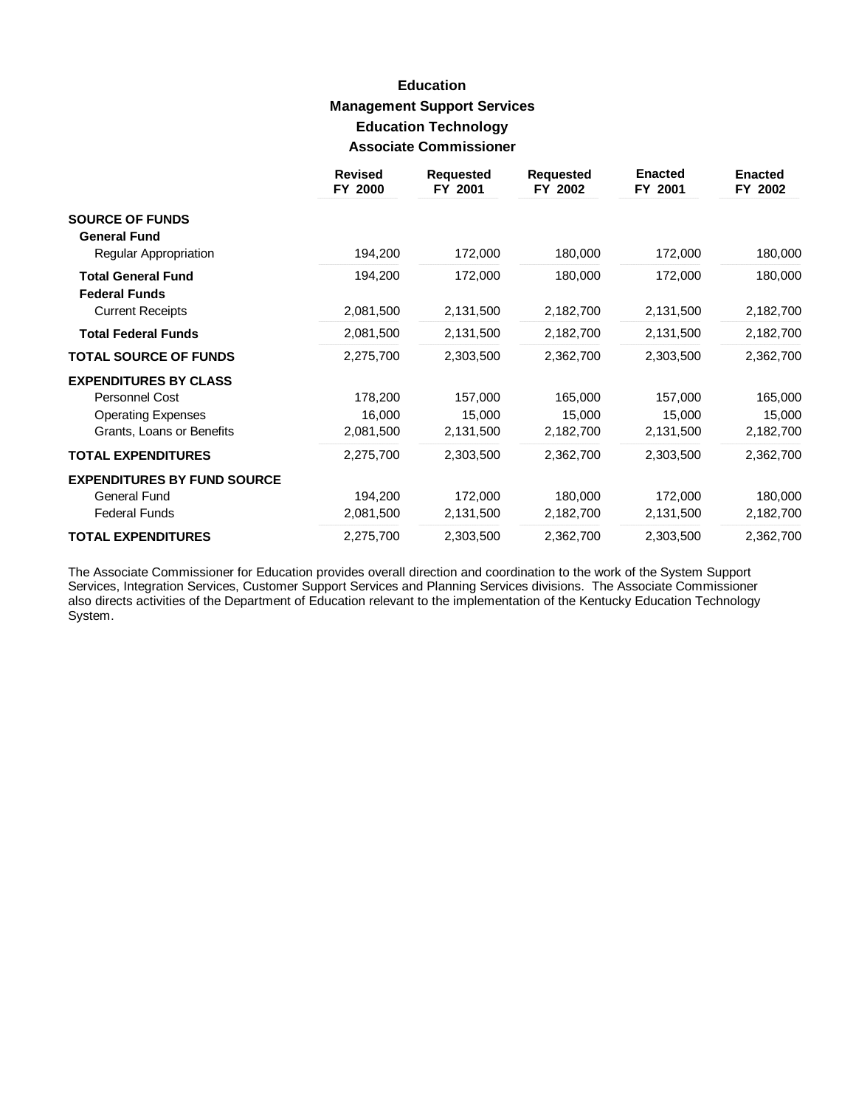# **Education Management Support Services Education Technology Associate Commissioner**

|                                                   | <b>Revised</b><br>FY 2000 | <b>Requested</b><br>FY 2001 | <b>Requested</b><br>FY 2002 | <b>Enacted</b><br>FY 2001 | <b>Enacted</b><br>FY 2002 |
|---------------------------------------------------|---------------------------|-----------------------------|-----------------------------|---------------------------|---------------------------|
| <b>SOURCE OF FUNDS</b>                            |                           |                             |                             |                           |                           |
| <b>General Fund</b>                               |                           |                             |                             |                           |                           |
| Regular Appropriation                             | 194,200                   | 172,000                     | 180,000                     | 172,000                   | 180,000                   |
| <b>Total General Fund</b><br><b>Federal Funds</b> | 194,200                   | 172,000                     | 180,000                     | 172,000                   | 180,000                   |
| <b>Current Receipts</b>                           | 2,081,500                 | 2,131,500                   | 2,182,700                   | 2,131,500                 | 2,182,700                 |
| <b>Total Federal Funds</b>                        | 2,081,500                 | 2,131,500                   | 2,182,700                   | 2,131,500                 | 2,182,700                 |
| <b>TOTAL SOURCE OF FUNDS</b>                      | 2,275,700                 | 2,303,500                   | 2,362,700                   | 2,303,500                 | 2,362,700                 |
| <b>EXPENDITURES BY CLASS</b>                      |                           |                             |                             |                           |                           |
| Personnel Cost                                    | 178,200                   | 157,000                     | 165,000                     | 157,000                   | 165,000                   |
| <b>Operating Expenses</b>                         | 16,000                    | 15,000                      | 15,000                      | 15,000                    | 15,000                    |
| Grants, Loans or Benefits                         | 2,081,500                 | 2,131,500                   | 2,182,700                   | 2,131,500                 | 2,182,700                 |
| <b>TOTAL EXPENDITURES</b>                         | 2,275,700                 | 2,303,500                   | 2,362,700                   | 2,303,500                 | 2,362,700                 |
| <b>EXPENDITURES BY FUND SOURCE</b>                |                           |                             |                             |                           |                           |
| General Fund                                      | 194,200                   | 172,000                     | 180,000                     | 172,000                   | 180,000                   |
| <b>Federal Funds</b>                              | 2,081,500                 | 2,131,500                   | 2,182,700                   | 2,131,500                 | 2,182,700                 |
| <b>TOTAL EXPENDITURES</b>                         | 2,275,700                 | 2,303,500                   | 2,362,700                   | 2,303,500                 | 2,362,700                 |

The Associate Commissioner for Education provides overall direction and coordination to the work of the System Support Services, Integration Services, Customer Support Services and Planning Services divisions. The Associate Commissioner also directs activities of the Department of Education relevant to the implementation of the Kentucky Education Technology System.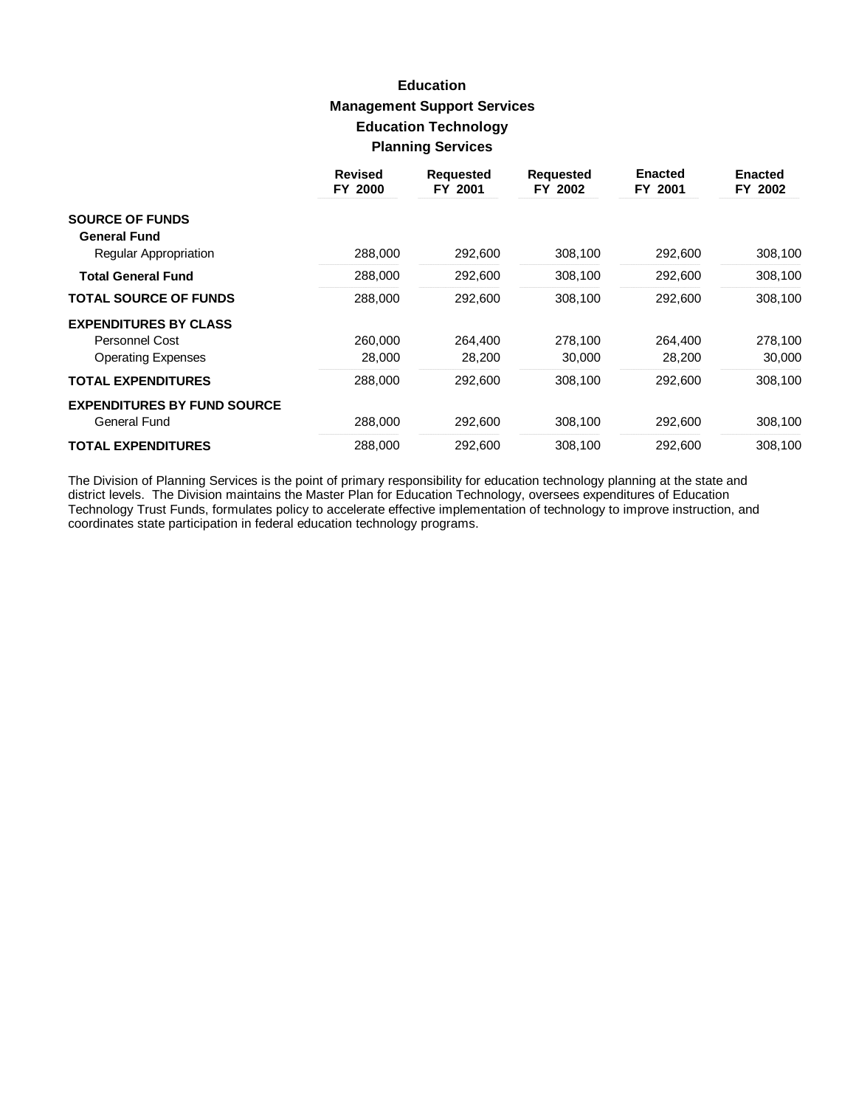# **Education Management Support Services Education Technology Planning Services**

|                                    | <b>Revised</b><br>FY 2000 | <b>Requested</b><br>FY 2001 | <b>Requested</b><br>FY 2002 | <b>Enacted</b><br>FY 2001 | <b>Enacted</b><br>FY 2002 |
|------------------------------------|---------------------------|-----------------------------|-----------------------------|---------------------------|---------------------------|
| <b>SOURCE OF FUNDS</b>             |                           |                             |                             |                           |                           |
| <b>General Fund</b>                |                           |                             |                             |                           |                           |
| Regular Appropriation              | 288,000                   | 292,600                     | 308,100                     | 292,600                   | 308,100                   |
| <b>Total General Fund</b>          | 288,000                   | 292,600                     | 308,100                     | 292,600                   | 308,100                   |
| <b>TOTAL SOURCE OF FUNDS</b>       | 288,000                   | 292,600                     | 308,100                     | 292,600                   | 308,100                   |
| <b>EXPENDITURES BY CLASS</b>       |                           |                             |                             |                           |                           |
| <b>Personnel Cost</b>              | 260,000                   | 264,400                     | 278,100                     | 264,400                   | 278,100                   |
| <b>Operating Expenses</b>          | 28,000                    | 28,200                      | 30,000                      | 28,200                    | 30,000                    |
| <b>TOTAL EXPENDITURES</b>          | 288,000                   | 292,600                     | 308,100                     | 292,600                   | 308,100                   |
| <b>EXPENDITURES BY FUND SOURCE</b> |                           |                             |                             |                           |                           |
| General Fund                       | 288,000                   | 292,600                     | 308,100                     | 292,600                   | 308,100                   |
| <b>TOTAL EXPENDITURES</b>          | 288,000                   | 292,600                     | 308,100                     | 292,600                   | 308,100                   |

The Division of Planning Services is the point of primary responsibility for education technology planning at the state and district levels. The Division maintains the Master Plan for Education Technology, oversees expendi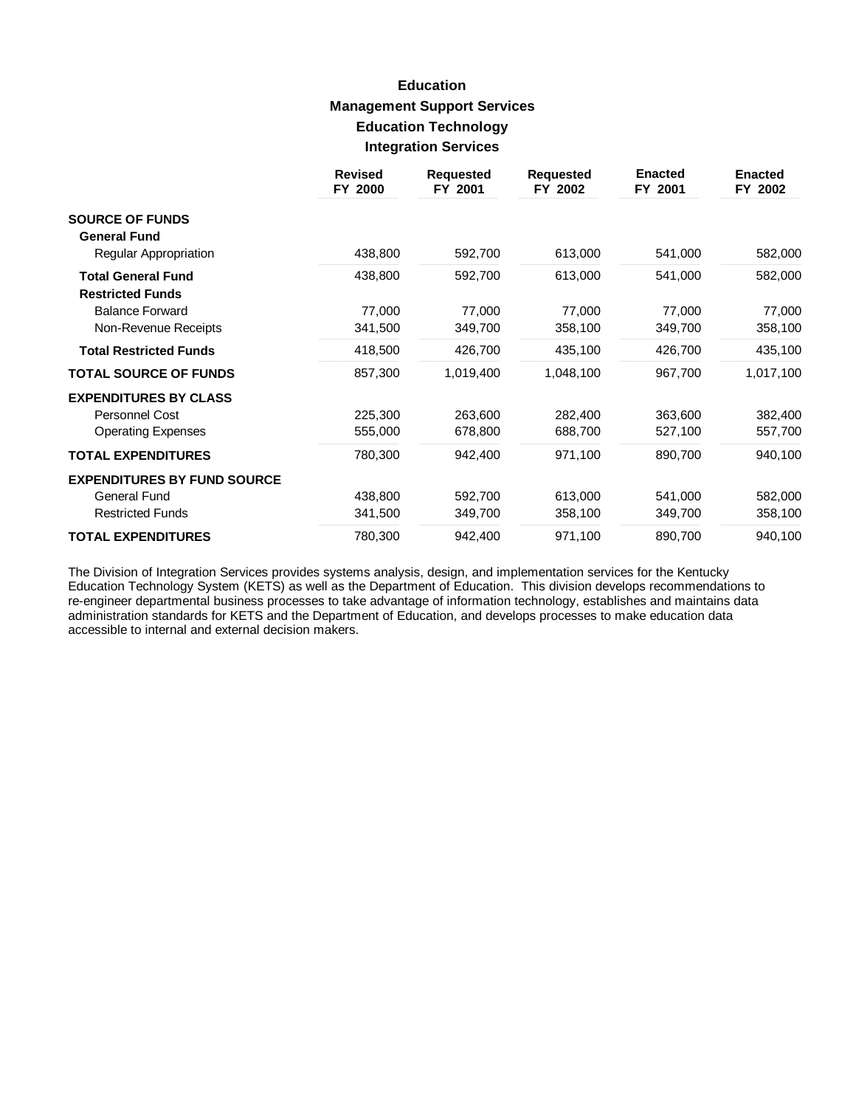# **Education Management Support Services Education Technology Integration Services**

|                                                      | <b>Revised</b><br>FY 2000 | <b>Requested</b><br>FY 2001 | <b>Requested</b><br>FY 2002 | <b>Enacted</b><br>FY 2001 | <b>Enacted</b><br>FY 2002 |
|------------------------------------------------------|---------------------------|-----------------------------|-----------------------------|---------------------------|---------------------------|
| <b>SOURCE OF FUNDS</b>                               |                           |                             |                             |                           |                           |
| <b>General Fund</b>                                  |                           |                             |                             |                           |                           |
| Regular Appropriation                                | 438,800                   | 592,700                     | 613,000                     | 541,000                   | 582,000                   |
| <b>Total General Fund</b><br><b>Restricted Funds</b> | 438,800                   | 592,700                     | 613,000                     | 541,000                   | 582,000                   |
| <b>Balance Forward</b>                               | 77,000                    | 77,000                      | 77,000                      | 77,000                    | 77,000                    |
| Non-Revenue Receipts                                 | 341,500                   | 349,700                     | 358,100                     | 349,700                   | 358,100                   |
| <b>Total Restricted Funds</b>                        | 418,500                   | 426,700                     | 435,100                     | 426,700                   | 435,100                   |
| <b>TOTAL SOURCE OF FUNDS</b>                         | 857,300                   | 1,019,400                   | 1,048,100                   | 967,700                   | 1,017,100                 |
| <b>EXPENDITURES BY CLASS</b>                         |                           |                             |                             |                           |                           |
| Personnel Cost                                       | 225,300                   | 263,600                     | 282,400                     | 363,600                   | 382,400                   |
| <b>Operating Expenses</b>                            | 555,000                   | 678,800                     | 688,700                     | 527,100                   | 557,700                   |
| <b>TOTAL EXPENDITURES</b>                            | 780,300                   | 942,400                     | 971,100                     | 890,700                   | 940,100                   |
| <b>EXPENDITURES BY FUND SOURCE</b>                   |                           |                             |                             |                           |                           |
| General Fund                                         | 438,800                   | 592,700                     | 613,000                     | 541,000                   | 582,000                   |
| <b>Restricted Funds</b>                              | 341,500                   | 349,700                     | 358,100                     | 349,700                   | 358,100                   |
| <b>TOTAL EXPENDITURES</b>                            | 780,300                   | 942,400                     | 971,100                     | 890,700                   | 940,100                   |

The Division of Integration Services provides systems analysis, design, and implementation services for the Kentucky Education Technology System (KETS) as well as the Department of Education. This division develops recommendations to re-engineer departmental business processes to take advantage of information technology, establishes and maintains data administration standards for KETS and the Department of Education, and develops processes to make education data accessible to internal and external decision makers.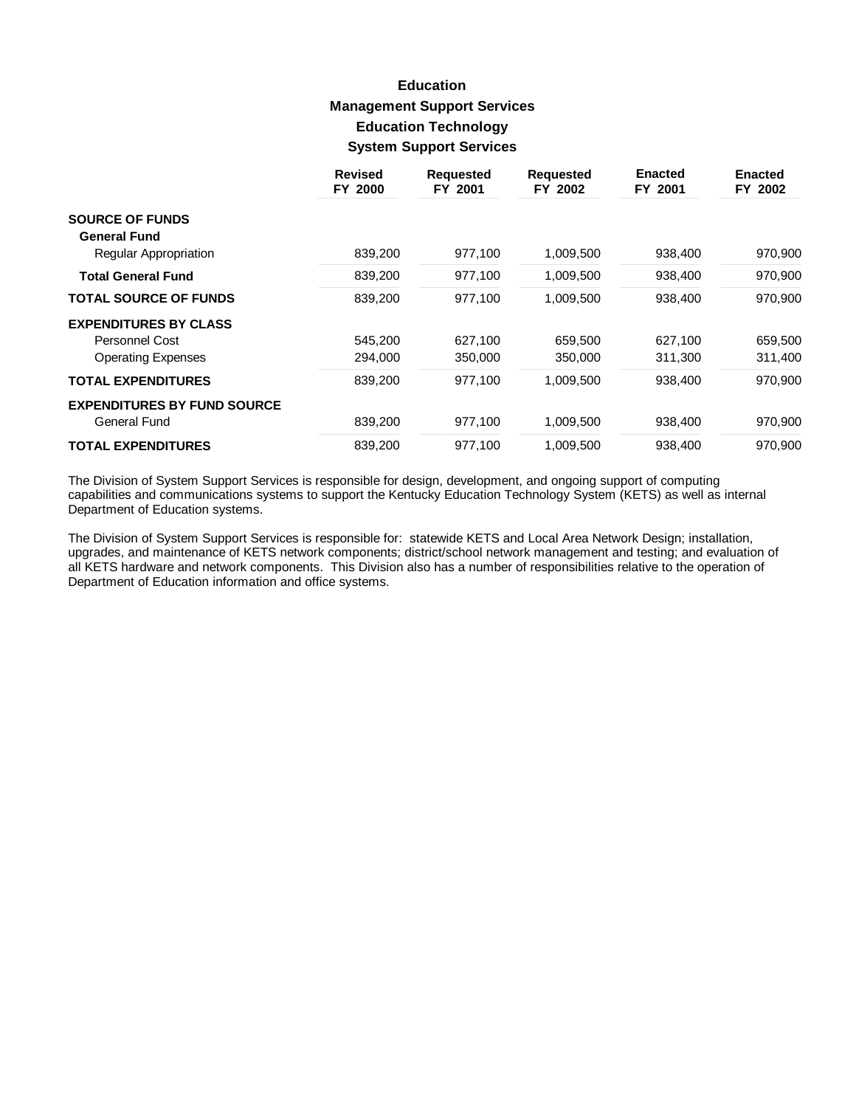# **Education Management Support Services Education Technology System Support Services**

|                                    | <b>Revised</b><br>FY 2000 | <b>Requested</b><br>FY 2001 | <b>Requested</b><br>FY 2002 | <b>Enacted</b><br>FY 2001 | <b>Enacted</b><br>FY 2002 |
|------------------------------------|---------------------------|-----------------------------|-----------------------------|---------------------------|---------------------------|
| <b>SOURCE OF FUNDS</b>             |                           |                             |                             |                           |                           |
| <b>General Fund</b>                |                           |                             |                             |                           |                           |
| Regular Appropriation              | 839,200                   | 977,100                     | 1,009,500                   | 938,400                   | 970,900                   |
| <b>Total General Fund</b>          | 839,200                   | 977,100                     | 1,009,500                   | 938,400                   | 970,900                   |
| <b>TOTAL SOURCE OF FUNDS</b>       | 839,200                   | 977,100                     | 1,009,500                   | 938,400                   | 970,900                   |
| <b>EXPENDITURES BY CLASS</b>       |                           |                             |                             |                           |                           |
| Personnel Cost                     | 545,200                   | 627,100                     | 659,500                     | 627,100                   | 659,500                   |
| <b>Operating Expenses</b>          | 294,000                   | 350,000                     | 350,000                     | 311,300                   | 311,400                   |
| <b>TOTAL EXPENDITURES</b>          | 839,200                   | 977,100                     | 1,009,500                   | 938,400                   | 970,900                   |
| <b>EXPENDITURES BY FUND SOURCE</b> |                           |                             |                             |                           |                           |
| General Fund                       | 839,200                   | 977.100                     | 1,009,500                   | 938,400                   | 970,900                   |
| <b>TOTAL EXPENDITURES</b>          | 839,200                   | 977,100                     | 1,009,500                   | 938,400                   | 970,900                   |

The Division of System Support Services is responsible for design, development, and ongoing support of computing capabilities and communications systems to support the Kentucky Education Technology System (KETS) as well as internal Department of Education systems.

The Division of System Support Services is responsible for: statewide KETS and Local Area Network Design; installation, upgrades, and maintenance of KETS network components; district/school network management and testing; and evaluation of all KETS hardware and network components. This Division also has a number of responsibilities relative to the operation of Department of Education information and office systems.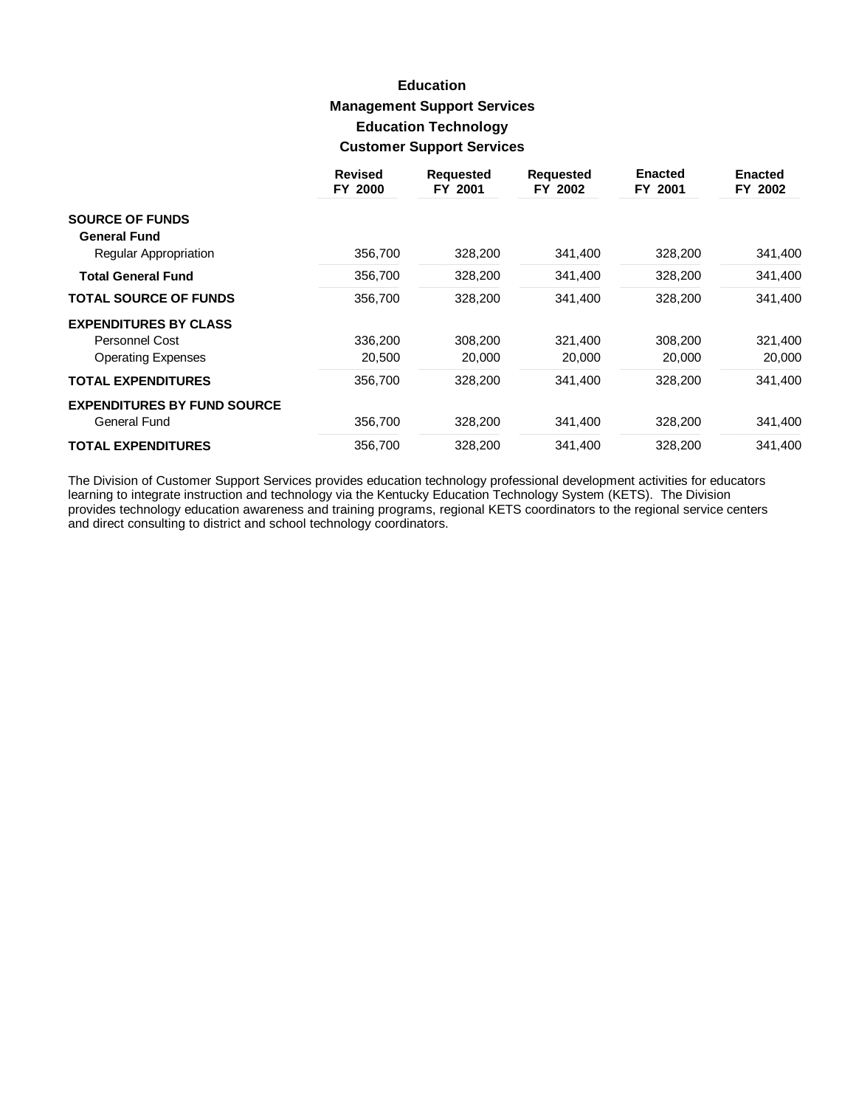# **Education Management Support Services Education Technology Customer Support Services**

|                                    | <b>Revised</b><br>FY 2000 | <b>Requested</b><br>FY 2001 | <b>Requested</b><br>FY 2002 | <b>Enacted</b><br>FY 2001 | <b>Enacted</b><br>FY 2002 |
|------------------------------------|---------------------------|-----------------------------|-----------------------------|---------------------------|---------------------------|
| <b>SOURCE OF FUNDS</b>             |                           |                             |                             |                           |                           |
| <b>General Fund</b>                |                           |                             |                             |                           |                           |
| Regular Appropriation              | 356,700                   | 328,200                     | 341,400                     | 328,200                   | 341,400                   |
| <b>Total General Fund</b>          | 356,700                   | 328,200                     | 341,400                     | 328,200                   | 341,400                   |
| <b>TOTAL SOURCE OF FUNDS</b>       | 356,700                   | 328,200                     | 341,400                     | 328,200                   | 341,400                   |
| <b>EXPENDITURES BY CLASS</b>       |                           |                             |                             |                           |                           |
| Personnel Cost                     | 336,200                   | 308,200                     | 321,400                     | 308,200                   | 321,400                   |
| <b>Operating Expenses</b>          | 20,500                    | 20,000                      | 20,000                      | 20,000                    | 20,000                    |
| <b>TOTAL EXPENDITURES</b>          | 356.700                   | 328,200                     | 341,400                     | 328,200                   | 341,400                   |
| <b>EXPENDITURES BY FUND SOURCE</b> |                           |                             |                             |                           |                           |
| General Fund                       | 356,700                   | 328,200                     | 341,400                     | 328,200                   | 341,400                   |
| <b>TOTAL EXPENDITURES</b>          | 356.700                   | 328,200                     | 341,400                     | 328.200                   | 341,400                   |

The Division of Customer Support Services provides education technology professional development activities for educators learning to integrate instruction and technology via the Kentucky Education Technology System (KETS) and direct consulting to district and school technology coordinators.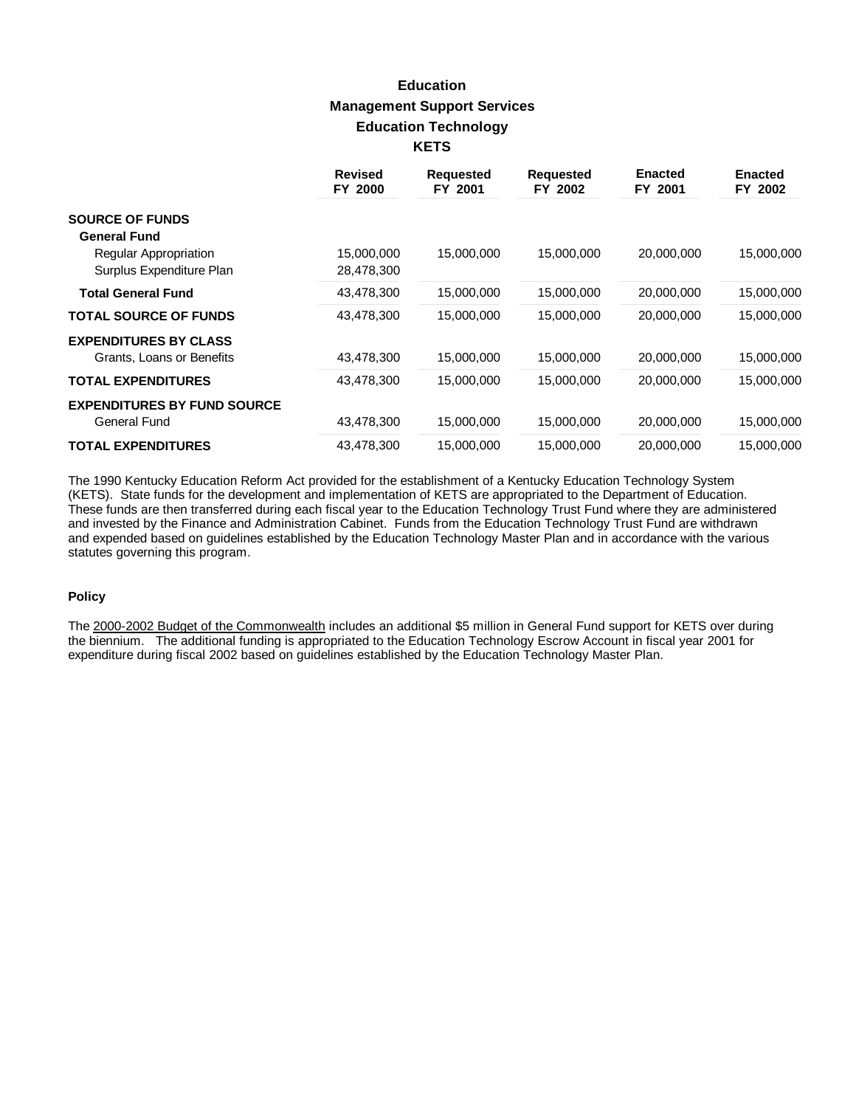# **Education Management Support Services Education Technology KETS**

|                                    | <b>Revised</b><br>FY 2000 | <b>Requested</b><br>FY 2001 | <b>Requested</b><br>FY 2002 | <b>Enacted</b><br>FY 2001 | <b>Enacted</b><br>FY 2002 |
|------------------------------------|---------------------------|-----------------------------|-----------------------------|---------------------------|---------------------------|
| <b>SOURCE OF FUNDS</b>             |                           |                             |                             |                           |                           |
| <b>General Fund</b>                |                           |                             |                             |                           |                           |
| <b>Regular Appropriation</b>       | 15,000,000                | 15,000,000                  | 15,000,000                  | 20,000,000                | 15,000,000                |
| Surplus Expenditure Plan           | 28,478,300                |                             |                             |                           |                           |
| <b>Total General Fund</b>          | 43,478,300                | 15,000,000                  | 15,000,000                  | 20,000,000                | 15,000,000                |
| <b>TOTAL SOURCE OF FUNDS</b>       | 43,478,300                | 15,000,000                  | 15,000,000                  | 20,000,000                | 15,000,000                |
| <b>EXPENDITURES BY CLASS</b>       |                           |                             |                             |                           |                           |
| Grants, Loans or Benefits          | 43,478,300                | 15,000,000                  | 15,000,000                  | 20,000,000                | 15,000,000                |
| <b>TOTAL EXPENDITURES</b>          | 43,478,300                | 15,000,000                  | 15,000,000                  | 20,000,000                | 15,000,000                |
| <b>EXPENDITURES BY FUND SOURCE</b> |                           |                             |                             |                           |                           |
| General Fund                       | 43,478,300                | 15,000,000                  | 15,000,000                  | 20,000,000                | 15,000,000                |
| <b>TOTAL EXPENDITURES</b>          | 43,478,300                | 15,000,000                  | 15,000,000                  | 20,000,000                | 15,000,000                |

The 1990 Kentucky Education Reform Act provided for the establishment of a Kentucky Education Technology System (KETS). State funds for the development and implementation of KETS are appropriated to the Department of Education. These funds are then transferred during each fiscal year to the Education Technology Trust Fund where they are administered and invested by the Finance and Administration Cabinet. Funds from the Education Technology Trust Fund are withdrawn and expended based on guidelines established by the Education Technology Master Plan and in accordance with the various statutes governing this program.

#### **Policy**

The 2000-2002 Budget of the Commonwealth includes an additional \$5 million in General Fund support for KETS over during the biennium. The additional funding is appropriated to the Education Technology Escrow Account in fiscal year 2001 for expenditure during fiscal 2002 based on guidelines established by the Education Technology Master Plan.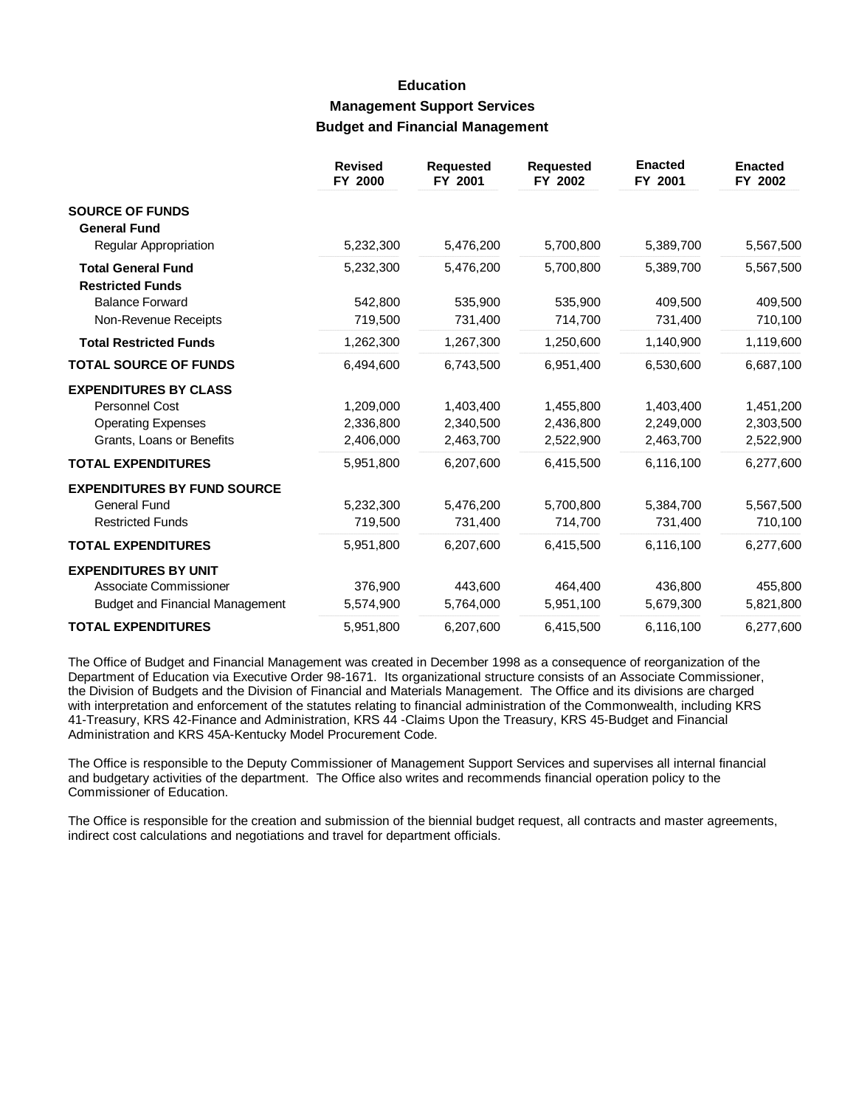### **Education Management Support Services Budget and Financial Management**

|                                                      | <b>Revised</b><br>FY 2000 | <b>Requested</b><br>FY 2001 | <b>Requested</b><br>FY 2002 | <b>Enacted</b><br>FY 2001 | <b>Enacted</b><br>FY 2002 |
|------------------------------------------------------|---------------------------|-----------------------------|-----------------------------|---------------------------|---------------------------|
| <b>SOURCE OF FUNDS</b><br><b>General Fund</b>        |                           |                             |                             |                           |                           |
| Regular Appropriation                                | 5,232,300                 | 5,476,200                   | 5,700,800                   | 5,389,700                 | 5,567,500                 |
| <b>Total General Fund</b><br><b>Restricted Funds</b> | 5,232,300                 | 5,476,200                   | 5,700,800                   | 5,389,700                 | 5,567,500                 |
| <b>Balance Forward</b>                               | 542,800                   | 535,900                     | 535,900                     | 409.500                   | 409,500                   |
| Non-Revenue Receipts                                 | 719,500                   | 731,400                     | 714,700                     | 731,400                   | 710,100                   |
| <b>Total Restricted Funds</b>                        | 1,262,300                 | 1,267,300                   | 1,250,600                   | 1,140,900                 | 1,119,600                 |
| <b>TOTAL SOURCE OF FUNDS</b>                         | 6,494,600                 | 6,743,500                   | 6,951,400                   | 6,530,600                 | 6,687,100                 |
| <b>EXPENDITURES BY CLASS</b>                         |                           |                             |                             |                           |                           |
| <b>Personnel Cost</b>                                | 1,209,000                 | 1,403,400                   | 1,455,800                   | 1,403,400                 | 1,451,200                 |
| <b>Operating Expenses</b>                            | 2,336,800                 | 2,340,500                   | 2,436,800                   | 2,249,000                 | 2,303,500                 |
| Grants, Loans or Benefits                            | 2,406,000                 | 2,463,700                   | 2,522,900                   | 2,463,700                 | 2,522,900                 |
| <b>TOTAL EXPENDITURES</b>                            | 5,951,800                 | 6,207,600                   | 6,415,500                   | 6,116,100                 | 6,277,600                 |
| <b>EXPENDITURES BY FUND SOURCE</b>                   |                           |                             |                             |                           |                           |
| <b>General Fund</b>                                  | 5,232,300                 | 5,476,200                   | 5,700,800                   | 5,384,700                 | 5,567,500                 |
| <b>Restricted Funds</b>                              | 719,500                   | 731,400                     | 714,700                     | 731,400                   | 710,100                   |
| <b>TOTAL EXPENDITURES</b>                            | 5,951,800                 | 6,207,600                   | 6,415,500                   | 6,116,100                 | 6,277,600                 |
| <b>EXPENDITURES BY UNIT</b>                          |                           |                             |                             |                           |                           |
| Associate Commissioner                               | 376,900                   | 443,600                     | 464,400                     | 436,800                   | 455,800                   |
| <b>Budget and Financial Management</b>               | 5,574,900                 | 5,764,000                   | 5,951,100                   | 5,679,300                 | 5,821,800                 |
| <b>TOTAL EXPENDITURES</b>                            | 5,951,800                 | 6,207,600                   | 6,415,500                   | 6,116,100                 | 6,277,600                 |

The Office of Budget and Financial Management was created in December 1998 as a consequence of reorganization of the Department of Education via Executive Order 98-1671. Its organizational structure consists of an Associate Commissioner, the Division of Budgets and the Division of Financial and Materials Management. The Office and its divisions are charged with interpretation and enforcement of the statutes relating to financial administration of the Commonwealth, including KRS 41-Treasury, KRS 42-Finance and Administration, KRS 44 -Claims Upon the Treasury, KRS 45-Budget and Financial Administration and KRS 45A-Kentucky Model Procurement Code.

The Office is responsible to the Deputy Commissioner of Management Support Services and supervises all internal financial and budgetary activities of the department. The Office also writes and recommends financial operation policy to the Commissioner of Education.

The Office is responsible for the creation and submission of the biennial budget request, all contracts and master agreements, indirect cost calculations and negotiations and travel for department officials.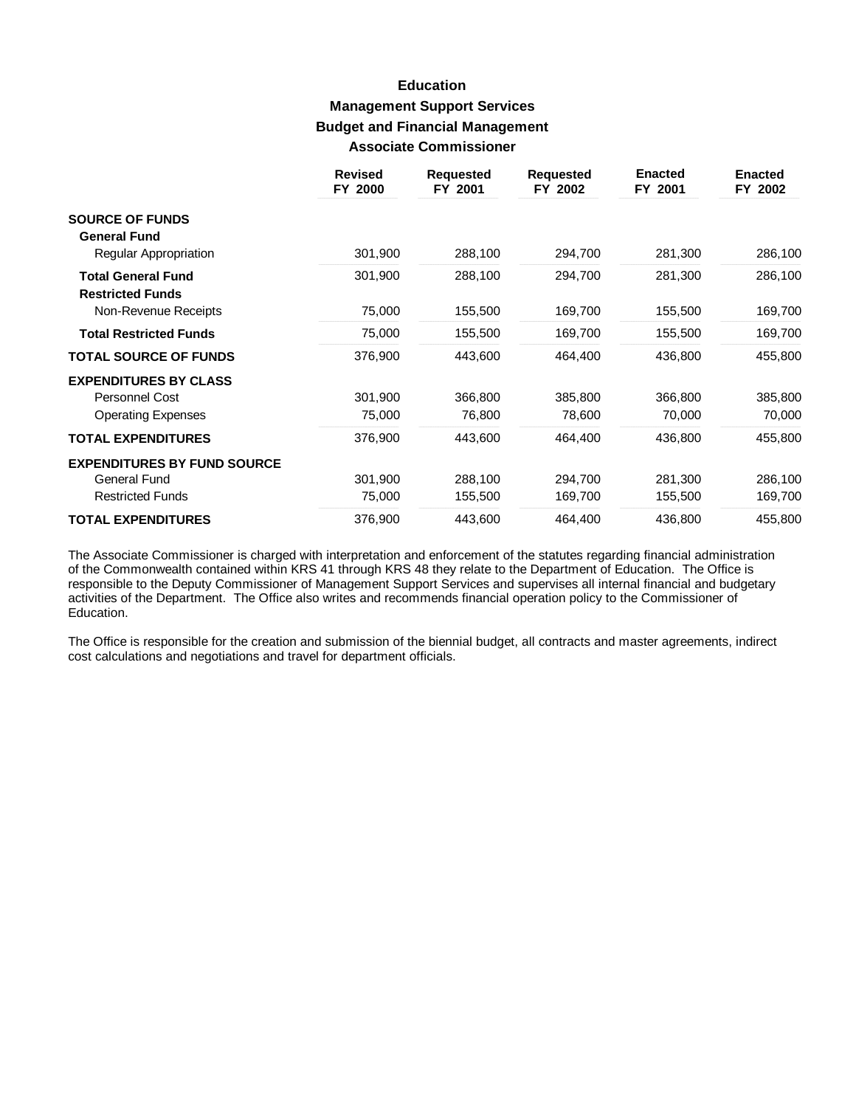### **Education Management Support Services Budget and Financial Management Associate Commissioner**

|                                                      | <b>Revised</b><br>FY 2000 | <b>Requested</b><br>FY 2001 | <b>Requested</b><br>FY 2002 | <b>Enacted</b><br>FY 2001 | <b>Enacted</b><br>FY 2002 |
|------------------------------------------------------|---------------------------|-----------------------------|-----------------------------|---------------------------|---------------------------|
| <b>SOURCE OF FUNDS</b><br><b>General Fund</b>        |                           |                             |                             |                           |                           |
| Regular Appropriation                                | 301,900                   | 288,100                     | 294,700                     | 281,300                   | 286,100                   |
| <b>Total General Fund</b><br><b>Restricted Funds</b> | 301,900                   | 288,100                     | 294,700                     | 281,300                   | 286,100                   |
| Non-Revenue Receipts                                 | 75,000                    | 155,500                     | 169,700                     | 155,500                   | 169,700                   |
| <b>Total Restricted Funds</b>                        | 75,000                    | 155,500                     | 169,700                     | 155,500                   | 169,700                   |
| <b>TOTAL SOURCE OF FUNDS</b>                         | 376,900                   | 443,600                     | 464,400                     | 436,800                   | 455,800                   |
| <b>EXPENDITURES BY CLASS</b>                         |                           |                             |                             |                           |                           |
| <b>Personnel Cost</b>                                | 301,900                   | 366,800                     | 385,800                     | 366,800                   | 385,800                   |
| <b>Operating Expenses</b>                            | 75,000                    | 76,800                      | 78,600                      | 70,000                    | 70,000                    |
| <b>TOTAL EXPENDITURES</b>                            | 376,900                   | 443,600                     | 464,400                     | 436,800                   | 455,800                   |
| <b>EXPENDITURES BY FUND SOURCE</b>                   |                           |                             |                             |                           |                           |
| General Fund                                         | 301,900                   | 288,100                     | 294,700                     | 281,300                   | 286,100                   |
| <b>Restricted Funds</b>                              | 75,000                    | 155,500                     | 169,700                     | 155,500                   | 169,700                   |
| <b>TOTAL EXPENDITURES</b>                            | 376,900                   | 443,600                     | 464,400                     | 436,800                   | 455,800                   |

The Associate Commissioner is charged with interpretation and enforcement of the statutes regarding financial administration of the Commonwealth contained within KRS 41 through KRS 48 they relate to the Department of Education. The Office is responsible to the Deputy Commissioner of Management Support Services and supervises all internal financial and budgetary activities of the Department. The Office also writes and recommends financial operation policy to the Commissioner of Education.

The Office is responsible for the creation and submission of the biennial budget, all contracts and master agreements, indirect cost calculations and negotiations and travel for department officials.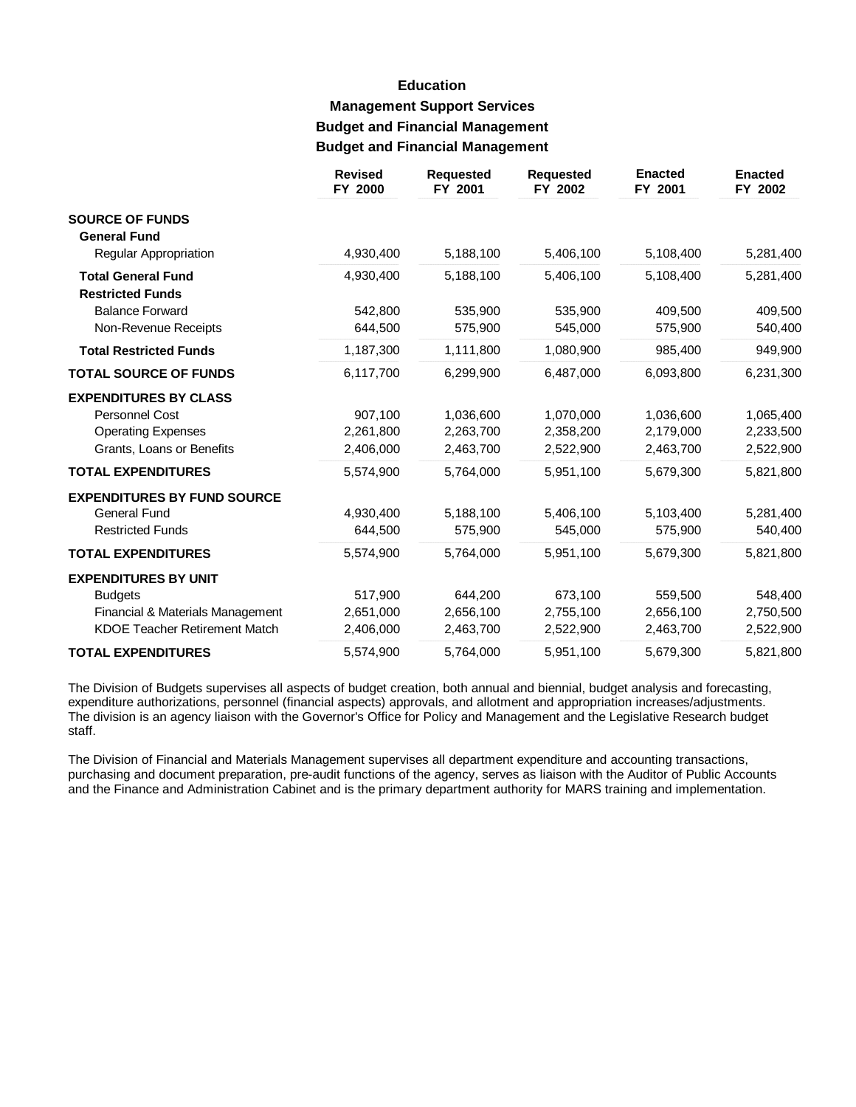# **Education Management Support Services Budget and Financial Management Budget and Financial Management**

|                                                                                                          | <b>Revised</b><br>FY 2000         | <b>Requested</b><br>FY 2001         | <b>Requested</b><br>FY 2002         | <b>Enacted</b><br>FY 2001           | <b>Enacted</b><br>FY 2002           |
|----------------------------------------------------------------------------------------------------------|-----------------------------------|-------------------------------------|-------------------------------------|-------------------------------------|-------------------------------------|
| <b>SOURCE OF FUNDS</b><br><b>General Fund</b>                                                            |                                   |                                     |                                     |                                     |                                     |
| Regular Appropriation                                                                                    | 4,930,400                         | 5,188,100                           | 5,406,100                           | 5,108,400                           | 5,281,400                           |
| <b>Total General Fund</b><br><b>Restricted Funds</b>                                                     | 4,930,400                         | 5,188,100                           | 5,406,100                           | 5,108,400                           | 5,281,400                           |
| <b>Balance Forward</b><br>Non-Revenue Receipts                                                           | 542,800<br>644,500                | 535,900<br>575,900                  | 535,900<br>545,000                  | 409,500<br>575,900                  | 409,500<br>540,400                  |
| <b>Total Restricted Funds</b>                                                                            | 1,187,300                         | 1,111,800                           | 1,080,900                           | 985,400                             | 949,900                             |
| <b>TOTAL SOURCE OF FUNDS</b>                                                                             | 6,117,700                         | 6,299,900                           | 6,487,000                           | 6,093,800                           | 6,231,300                           |
| <b>EXPENDITURES BY CLASS</b><br>Personnel Cost<br><b>Operating Expenses</b><br>Grants, Loans or Benefits | 907,100<br>2,261,800<br>2,406,000 | 1,036,600<br>2,263,700<br>2,463,700 | 1,070,000<br>2,358,200<br>2,522,900 | 1,036,600<br>2,179,000<br>2,463,700 | 1,065,400<br>2,233,500<br>2,522,900 |
| <b>TOTAL EXPENDITURES</b>                                                                                | 5,574,900                         | 5,764,000                           | 5,951,100                           | 5,679,300                           | 5,821,800                           |
| <b>EXPENDITURES BY FUND SOURCE</b><br><b>General Fund</b><br><b>Restricted Funds</b>                     | 4,930,400<br>644,500              | 5,188,100<br>575,900                | 5,406,100<br>545,000                | 5,103,400<br>575,900                | 5,281,400<br>540,400                |
| <b>TOTAL EXPENDITURES</b>                                                                                | 5,574,900                         | 5,764,000                           | 5,951,100                           | 5,679,300                           | 5,821,800                           |
| <b>EXPENDITURES BY UNIT</b><br><b>Budgets</b><br>Financial & Materials Management                        | 517,900<br>2,651,000              | 644,200<br>2,656,100                | 673,100<br>2,755,100                | 559,500<br>2,656,100                | 548,400<br>2,750,500                |
| <b>KDOE Teacher Retirement Match</b>                                                                     | 2,406,000                         | 2,463,700                           | 2,522,900                           | 2,463,700                           | 2,522,900                           |
| <b>TOTAL EXPENDITURES</b>                                                                                | 5,574,900                         | 5,764,000                           | 5,951,100                           | 5,679,300                           | 5,821,800                           |

The Division of Budgets supervises all aspects of budget creation, both annual and biennial, budget analysis and forecasting, expenditure authorizations, personnel (financial aspects) approvals, and allotment and appropriation increases/adjustments. The division is an agency liaison with the Governor's Office for Policy and Management and the Legislative Research budget staff.

The Division of Financial and Materials Management supervises all department expenditure and accounting transactions, purchasing and document preparation, pre-audit functions of the agency, serves as liaison with the Auditor of Public Accounts and the Finance and Administration Cabinet and is the primary department authority for MARS training and implementation.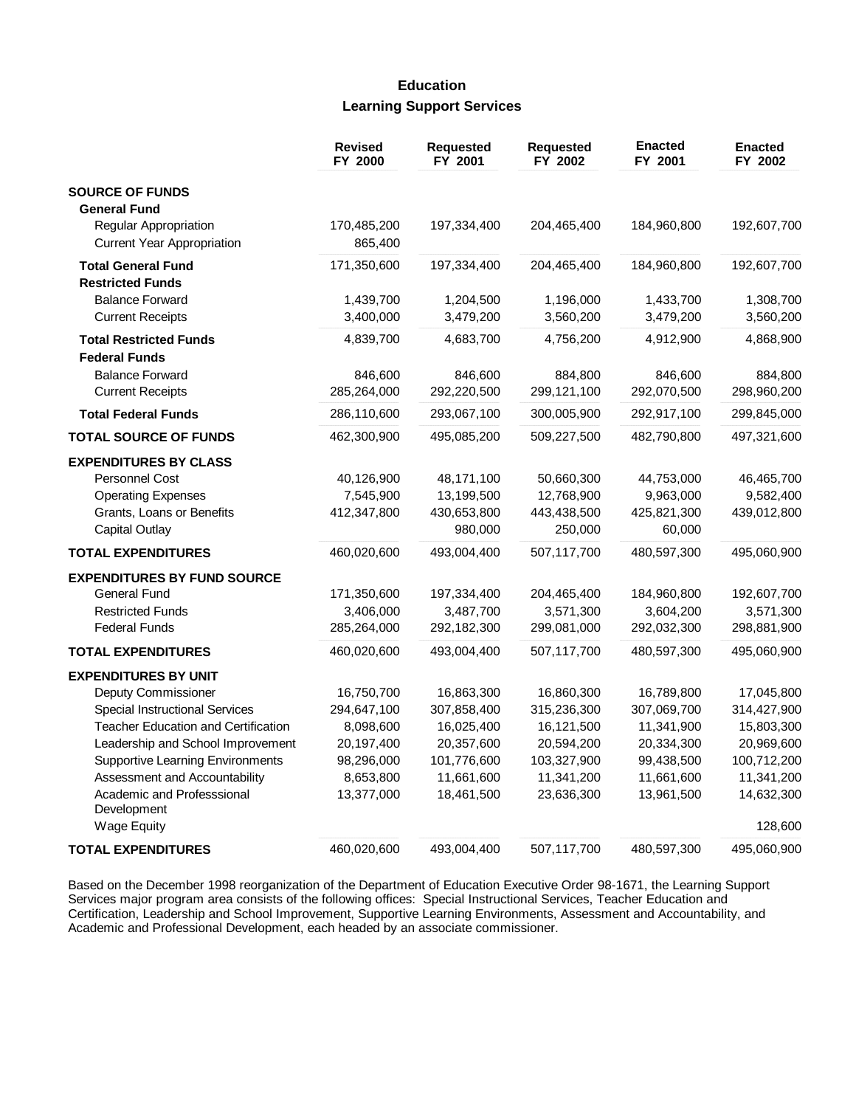## **Education Learning Support Services**

|                                           | <b>Revised</b><br>FY 2000 | <b>Requested</b><br>FY 2001 | <b>Requested</b><br>FY 2002 | <b>Enacted</b><br>FY 2001 | <b>Enacted</b><br>FY 2002 |
|-------------------------------------------|---------------------------|-----------------------------|-----------------------------|---------------------------|---------------------------|
| <b>SOURCE OF FUNDS</b>                    |                           |                             |                             |                           |                           |
| <b>General Fund</b>                       |                           |                             |                             |                           |                           |
| Regular Appropriation                     | 170,485,200               | 197,334,400                 | 204,465,400                 | 184,960,800               | 192,607,700               |
| <b>Current Year Appropriation</b>         | 865,400                   |                             |                             |                           |                           |
| <b>Total General Fund</b>                 | 171,350,600               | 197,334,400                 | 204,465,400                 | 184,960,800               | 192,607,700               |
| <b>Restricted Funds</b>                   |                           |                             |                             |                           |                           |
| <b>Balance Forward</b>                    | 1,439,700                 | 1,204,500                   | 1,196,000                   | 1,433,700                 | 1,308,700                 |
| <b>Current Receipts</b>                   | 3,400,000                 | 3,479,200                   | 3,560,200                   | 3,479,200                 | 3,560,200                 |
| <b>Total Restricted Funds</b>             | 4,839,700                 | 4,683,700                   | 4,756,200                   | 4,912,900                 | 4,868,900                 |
| <b>Federal Funds</b>                      |                           |                             |                             |                           |                           |
| <b>Balance Forward</b>                    | 846,600                   | 846,600                     | 884,800                     | 846,600                   | 884,800                   |
| <b>Current Receipts</b>                   | 285,264,000               | 292,220,500                 | 299,121,100                 | 292,070,500               | 298,960,200               |
| <b>Total Federal Funds</b>                | 286,110,600               | 293,067,100                 | 300,005,900                 | 292,917,100               | 299,845,000               |
| <b>TOTAL SOURCE OF FUNDS</b>              | 462,300,900               | 495,085,200                 | 509,227,500                 | 482,790,800               | 497,321,600               |
| <b>EXPENDITURES BY CLASS</b>              |                           |                             |                             |                           |                           |
| <b>Personnel Cost</b>                     | 40,126,900                | 48,171,100                  | 50,660,300                  | 44,753,000                | 46,465,700                |
| <b>Operating Expenses</b>                 | 7,545,900                 | 13,199,500                  | 12,768,900                  | 9,963,000                 | 9,582,400                 |
| Grants, Loans or Benefits                 | 412,347,800               | 430,653,800                 | 443,438,500                 | 425,821,300               | 439,012,800               |
| <b>Capital Outlay</b>                     |                           | 980,000                     | 250,000                     | 60,000                    |                           |
| <b>TOTAL EXPENDITURES</b>                 | 460,020,600               | 493,004,400                 | 507,117,700                 | 480,597,300               | 495,060,900               |
| <b>EXPENDITURES BY FUND SOURCE</b>        |                           |                             |                             |                           |                           |
| <b>General Fund</b>                       | 171,350,600               | 197,334,400                 | 204,465,400                 | 184,960,800               | 192,607,700               |
| <b>Restricted Funds</b>                   | 3,406,000                 | 3,487,700                   | 3,571,300                   | 3,604,200                 | 3,571,300                 |
| <b>Federal Funds</b>                      | 285,264,000               | 292,182,300                 | 299,081,000                 | 292,032,300               | 298,881,900               |
| <b>TOTAL EXPENDITURES</b>                 | 460,020,600               | 493,004,400                 | 507,117,700                 | 480,597,300               | 495,060,900               |
| <b>EXPENDITURES BY UNIT</b>               |                           |                             |                             |                           |                           |
| Deputy Commissioner                       | 16,750,700                | 16,863,300                  | 16,860,300                  | 16,789,800                | 17,045,800                |
| <b>Special Instructional Services</b>     | 294,647,100               | 307,858,400                 | 315,236,300                 | 307,069,700               | 314,427,900               |
| Teacher Education and Certification       | 8,098,600                 | 16,025,400                  | 16,121,500                  | 11,341,900                | 15,803,300                |
| Leadership and School Improvement         | 20,197,400                | 20,357,600                  | 20,594,200                  | 20,334,300                | 20,969,600                |
| <b>Supportive Learning Environments</b>   | 98,296,000                | 101,776,600                 | 103,327,900                 | 99,438,500                | 100,712,200               |
| Assessment and Accountability             | 8,653,800                 | 11,661,600                  | 11,341,200                  | 11,661,600                | 11,341,200                |
| Academic and Professsional<br>Development | 13,377,000                | 18,461,500                  | 23,636,300                  | 13,961,500                | 14,632,300                |
| <b>Wage Equity</b>                        |                           |                             |                             |                           | 128,600                   |
| <b>TOTAL EXPENDITURES</b>                 | 460,020,600               | 493,004,400                 | 507,117,700                 | 480,597,300               | 495,060,900               |

Based on the December 1998 reorganization of the Department of Education Executive Order 98-1671, the Learning Support Services major program area consists of the following offices: Special Instructional Services, Teacher Education and Certification, Leadership and School Improvement, Supportive Learning Environments, Assessment and Accountability, and Academic and Professional Development, each headed by an associate commissioner.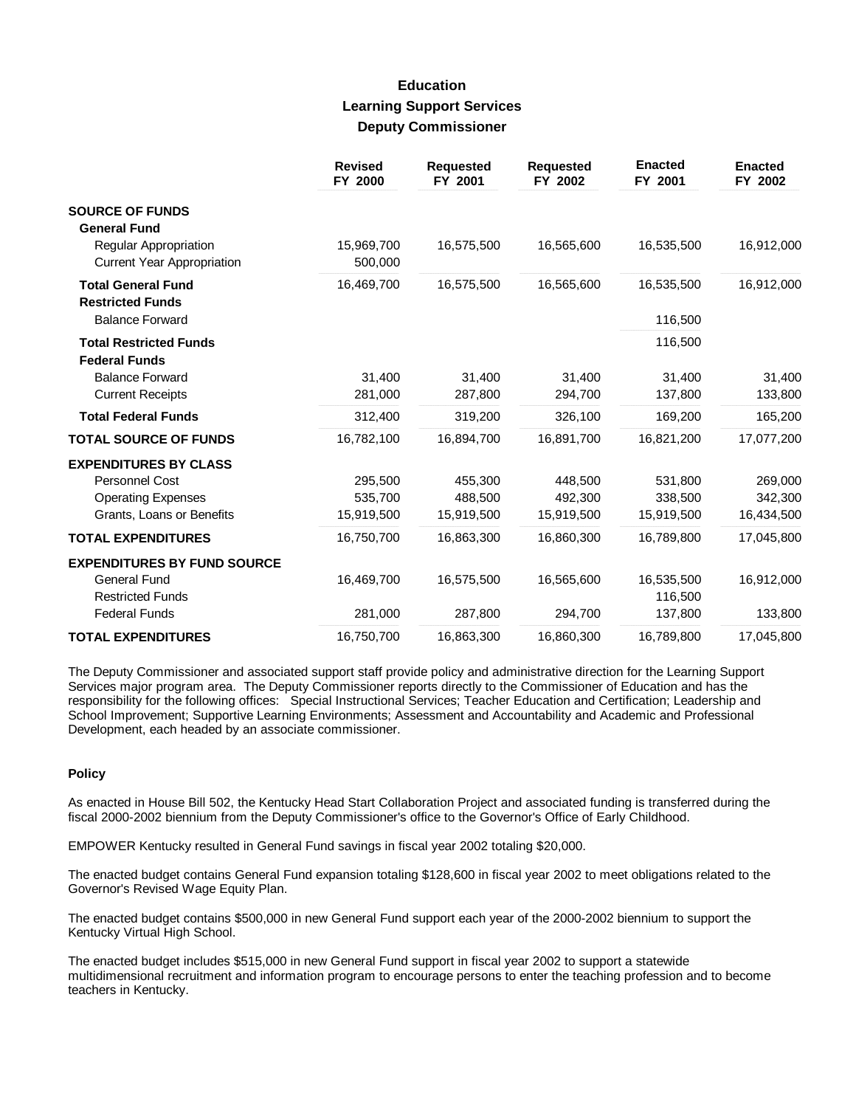#### **Education Learning Support Services Deputy Commissioner**

|                                                            | <b>Revised</b><br>FY 2000 | <b>Requested</b><br>FY 2001 | <b>Requested</b><br>FY 2002 | <b>Enacted</b><br>FY 2001 | <b>Enacted</b><br>FY 2002 |
|------------------------------------------------------------|---------------------------|-----------------------------|-----------------------------|---------------------------|---------------------------|
| <b>SOURCE OF FUNDS</b><br><b>General Fund</b>              |                           |                             |                             |                           |                           |
| Regular Appropriation<br><b>Current Year Appropriation</b> | 15,969,700<br>500,000     | 16,575,500                  | 16,565,600                  | 16,535,500                | 16,912,000                |
| <b>Total General Fund</b><br><b>Restricted Funds</b>       | 16,469,700                | 16,575,500                  | 16,565,600                  | 16,535,500                | 16,912,000                |
| <b>Balance Forward</b>                                     |                           |                             |                             | 116,500                   |                           |
| <b>Total Restricted Funds</b><br><b>Federal Funds</b>      |                           |                             |                             | 116,500                   |                           |
| <b>Balance Forward</b>                                     | 31,400                    | 31,400                      | 31.400                      | 31.400                    | 31,400                    |
| <b>Current Receipts</b>                                    | 281,000                   | 287,800                     | 294,700                     | 137,800                   | 133,800                   |
| <b>Total Federal Funds</b>                                 | 312,400                   | 319,200                     | 326,100                     | 169,200                   | 165,200                   |
| <b>TOTAL SOURCE OF FUNDS</b>                               | 16,782,100                | 16,894,700                  | 16,891,700                  | 16,821,200                | 17,077,200                |
| <b>EXPENDITURES BY CLASS</b>                               |                           |                             |                             |                           |                           |
| <b>Personnel Cost</b>                                      | 295,500                   | 455,300                     | 448,500                     | 531,800                   | 269,000                   |
| <b>Operating Expenses</b>                                  | 535,700                   | 488,500                     | 492.300                     | 338,500                   | 342,300                   |
| Grants, Loans or Benefits                                  | 15,919,500                | 15,919,500                  | 15,919,500                  | 15,919,500                | 16,434,500                |
| <b>TOTAL EXPENDITURES</b>                                  | 16,750,700                | 16,863,300                  | 16,860,300                  | 16,789,800                | 17,045,800                |
| <b>EXPENDITURES BY FUND SOURCE</b>                         |                           |                             |                             |                           |                           |
| <b>General Fund</b><br><b>Restricted Funds</b>             | 16,469,700                | 16,575,500                  | 16,565,600                  | 16,535,500<br>116,500     | 16,912,000                |
| <b>Federal Funds</b>                                       | 281,000                   | 287,800                     | 294,700                     | 137,800                   | 133,800                   |
| <b>TOTAL EXPENDITURES</b>                                  | 16,750,700                | 16,863,300                  | 16,860,300                  | 16,789,800                | 17,045,800                |

The Deputy Commissioner and associated support staff provide policy and administrative direction for the Learning Support Services major program area. The Deputy Commissioner reports directly to the Commissioner of Education and has the responsibility for the following offices: Special Instructional Services; Teacher Education and Certification; Leadership and School Improvement; Supportive Learning Environments; Assessment and Accountability and Academic and Professional Development, each headed by an associate commissioner.

#### **Policy**

As enacted in House Bill 502, the Kentucky Head Start Collaboration Project and associated funding is transferred during the fiscal 2000-2002 biennium from the Deputy Commissioner's office to the Governor's Office of Early Childhood.

EMPOWER Kentucky resulted in General Fund savings in fiscal year 2002 totaling \$20,000.

The enacted budget contains General Fund expansion totaling \$128,600 in fiscal year 2002 to meet obligations related to the Governor's Revised Wage Equity Plan.

The enacted budget contains \$500,000 in new General Fund support each year of the 2000-2002 biennium to support the Kentucky Virtual High School.

The enacted budget includes \$515,000 in new General Fund support in fiscal year 2002 to support a statewide multidimensional recruitment and information program to encourage persons to enter the teaching profession and to become teachers in Kentucky.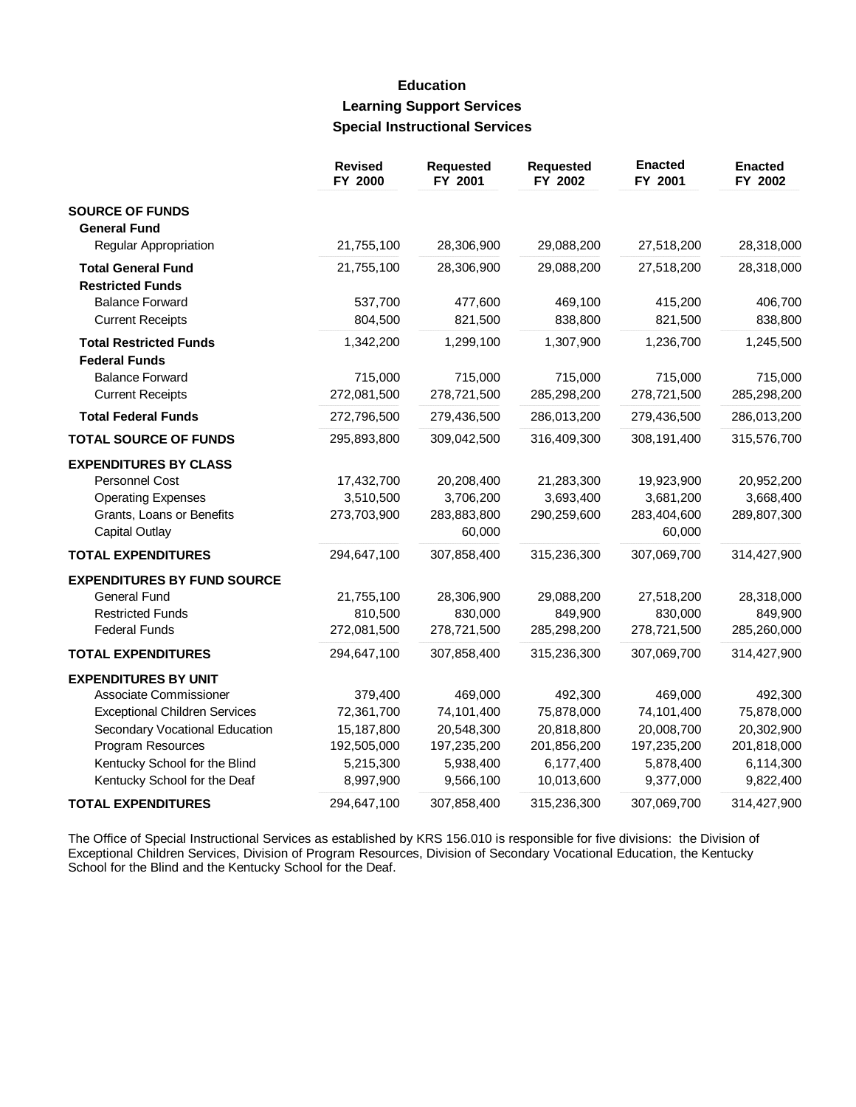# **Education Learning Support Services Special Instructional Services**

|                                      | <b>Revised</b><br>FY 2000 | <b>Requested</b><br>FY 2001 | <b>Requested</b><br>FY 2002 | <b>Enacted</b><br>FY 2001 | <b>Enacted</b><br>FY 2002 |
|--------------------------------------|---------------------------|-----------------------------|-----------------------------|---------------------------|---------------------------|
| <b>SOURCE OF FUNDS</b>               |                           |                             |                             |                           |                           |
| <b>General Fund</b>                  |                           |                             |                             |                           |                           |
| Regular Appropriation                | 21,755,100                | 28,306,900                  | 29,088,200                  | 27,518,200                | 28,318,000                |
| <b>Total General Fund</b>            | 21,755,100                | 28,306,900                  | 29,088,200                  | 27,518,200                | 28,318,000                |
| <b>Restricted Funds</b>              |                           |                             |                             |                           |                           |
| <b>Balance Forward</b>               | 537,700                   | 477,600                     | 469,100                     | 415,200                   | 406,700                   |
| <b>Current Receipts</b>              | 804,500                   | 821,500                     | 838,800                     | 821,500                   | 838,800                   |
| <b>Total Restricted Funds</b>        | 1,342,200                 | 1,299,100                   | 1,307,900                   | 1,236,700                 | 1,245,500                 |
| <b>Federal Funds</b>                 |                           |                             |                             |                           |                           |
| <b>Balance Forward</b>               | 715,000                   | 715,000                     | 715,000                     | 715,000                   | 715,000                   |
| <b>Current Receipts</b>              | 272,081,500               | 278,721,500                 | 285,298,200                 | 278,721,500               | 285,298,200               |
| <b>Total Federal Funds</b>           | 272,796,500               | 279,436,500                 | 286,013,200                 | 279,436,500               | 286,013,200               |
| <b>TOTAL SOURCE OF FUNDS</b>         | 295,893,800               | 309,042,500                 | 316,409,300                 | 308,191,400               | 315,576,700               |
| <b>EXPENDITURES BY CLASS</b>         |                           |                             |                             |                           |                           |
| Personnel Cost                       | 17,432,700                | 20,208,400                  | 21,283,300                  | 19,923,900                | 20,952,200                |
| <b>Operating Expenses</b>            | 3,510,500                 | 3,706,200                   | 3,693,400                   | 3,681,200                 | 3,668,400                 |
| Grants, Loans or Benefits            | 273,703,900               | 283,883,800                 | 290,259,600                 | 283,404,600               | 289,807,300               |
| <b>Capital Outlay</b>                |                           | 60,000                      |                             | 60,000                    |                           |
| <b>TOTAL EXPENDITURES</b>            | 294,647,100               | 307,858,400                 | 315,236,300                 | 307,069,700               | 314,427,900               |
| <b>EXPENDITURES BY FUND SOURCE</b>   |                           |                             |                             |                           |                           |
| <b>General Fund</b>                  | 21,755,100                | 28,306,900                  | 29,088,200                  | 27,518,200                | 28,318,000                |
| <b>Restricted Funds</b>              | 810,500                   | 830,000                     | 849,900                     | 830,000                   | 849,900                   |
| <b>Federal Funds</b>                 | 272,081,500               | 278,721,500                 | 285,298,200                 | 278,721,500               | 285,260,000               |
| <b>TOTAL EXPENDITURES</b>            | 294,647,100               | 307,858,400                 | 315,236,300                 | 307,069,700               | 314,427,900               |
| <b>EXPENDITURES BY UNIT</b>          |                           |                             |                             |                           |                           |
| Associate Commissioner               | 379,400                   | 469,000                     | 492,300                     | 469,000                   | 492,300                   |
| <b>Exceptional Children Services</b> | 72,361,700                | 74,101,400                  | 75,878,000                  | 74,101,400                | 75,878,000                |
| Secondary Vocational Education       | 15,187,800                | 20,548,300                  | 20,818,800                  | 20,008,700                | 20,302,900                |
| Program Resources                    | 192,505,000               | 197,235,200                 | 201,856,200                 | 197,235,200               | 201,818,000               |
| Kentucky School for the Blind        | 5,215,300                 | 5,938,400                   | 6,177,400                   | 5,878,400                 | 6,114,300                 |
| Kentucky School for the Deaf         | 8,997,900                 | 9,566,100                   | 10,013,600                  | 9,377,000                 | 9,822,400                 |
| <b>TOTAL EXPENDITURES</b>            | 294,647,100               | 307,858,400                 | 315,236,300                 | 307,069,700               | 314,427,900               |

The Office of Special Instructional Services as established by KRS 156.010 is responsible for five divisions: the Division of Exceptional Children Services, Division of Program Resources, Division of Secondary Vocational Education, the Kentucky School for the Blind and the Kentucky School for the Deaf.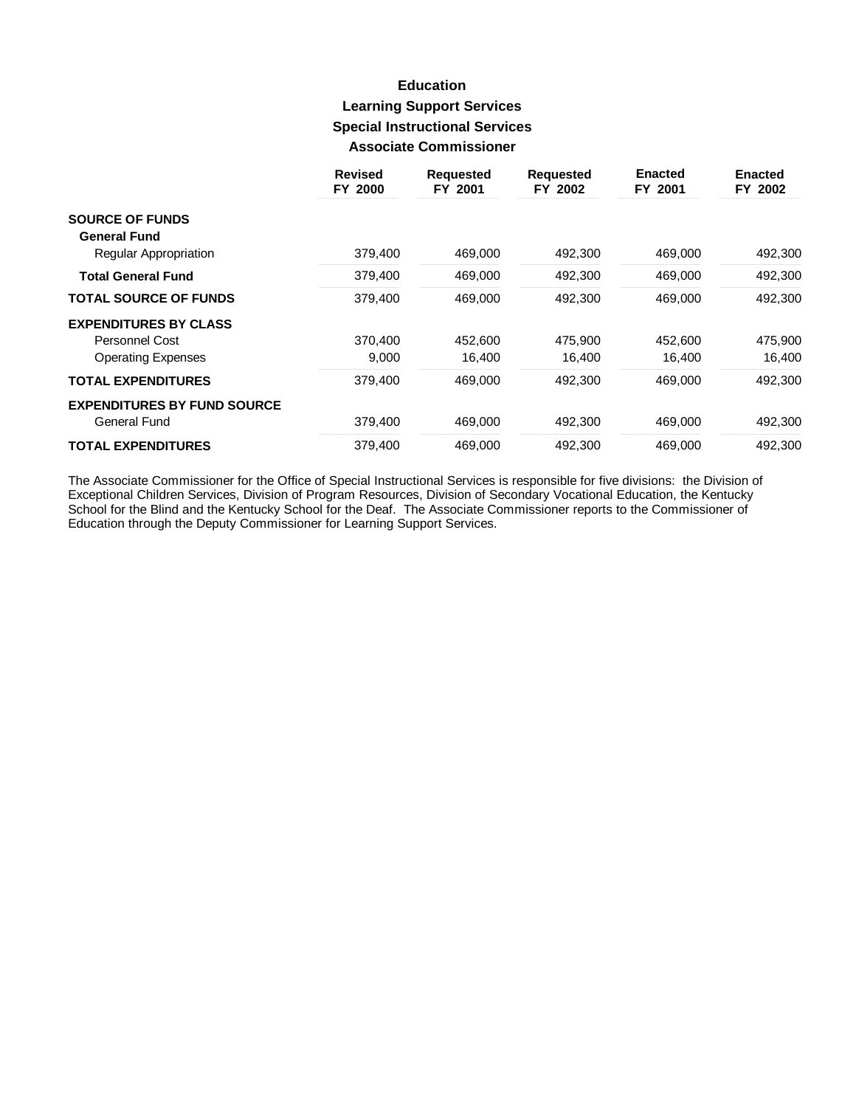### **Education Learning Support Services Special Instructional Services Associate Commissioner**

|                                    | <b>Revised</b><br>FY 2000 | <b>Requested</b><br>FY 2001 | <b>Requested</b><br>FY 2002 | <b>Enacted</b><br>FY 2001 | <b>Enacted</b><br>FY 2002 |
|------------------------------------|---------------------------|-----------------------------|-----------------------------|---------------------------|---------------------------|
| <b>SOURCE OF FUNDS</b>             |                           |                             |                             |                           |                           |
| <b>General Fund</b>                |                           |                             |                             |                           |                           |
| Regular Appropriation              | 379,400                   | 469,000                     | 492,300                     | 469,000                   | 492,300                   |
| <b>Total General Fund</b>          | 379,400                   | 469,000                     | 492,300                     | 469,000                   | 492,300                   |
| <b>TOTAL SOURCE OF FUNDS</b>       | 379,400                   | 469,000                     | 492,300                     | 469,000                   | 492,300                   |
| <b>EXPENDITURES BY CLASS</b>       |                           |                             |                             |                           |                           |
| Personnel Cost                     | 370,400                   | 452,600                     | 475.900                     | 452,600                   | 475,900                   |
| <b>Operating Expenses</b>          | 9,000                     | 16,400                      | 16,400                      | 16,400                    | 16,400                    |
| <b>TOTAL EXPENDITURES</b>          | 379,400                   | 469,000                     | 492,300                     | 469,000                   | 492,300                   |
| <b>EXPENDITURES BY FUND SOURCE</b> |                           |                             |                             |                           |                           |
| General Fund                       | 379,400                   | 469,000                     | 492,300                     | 469,000                   | 492,300                   |
| <b>TOTAL EXPENDITURES</b>          | 379.400                   | 469.000                     | 492.300                     | 469,000                   | 492,300                   |

The Associate Commissioner for the Office of Special Instructional Services is responsible for five divisions: the Division of Exceptional Children Services, Division of Program Resources, Division of Secondary Vocational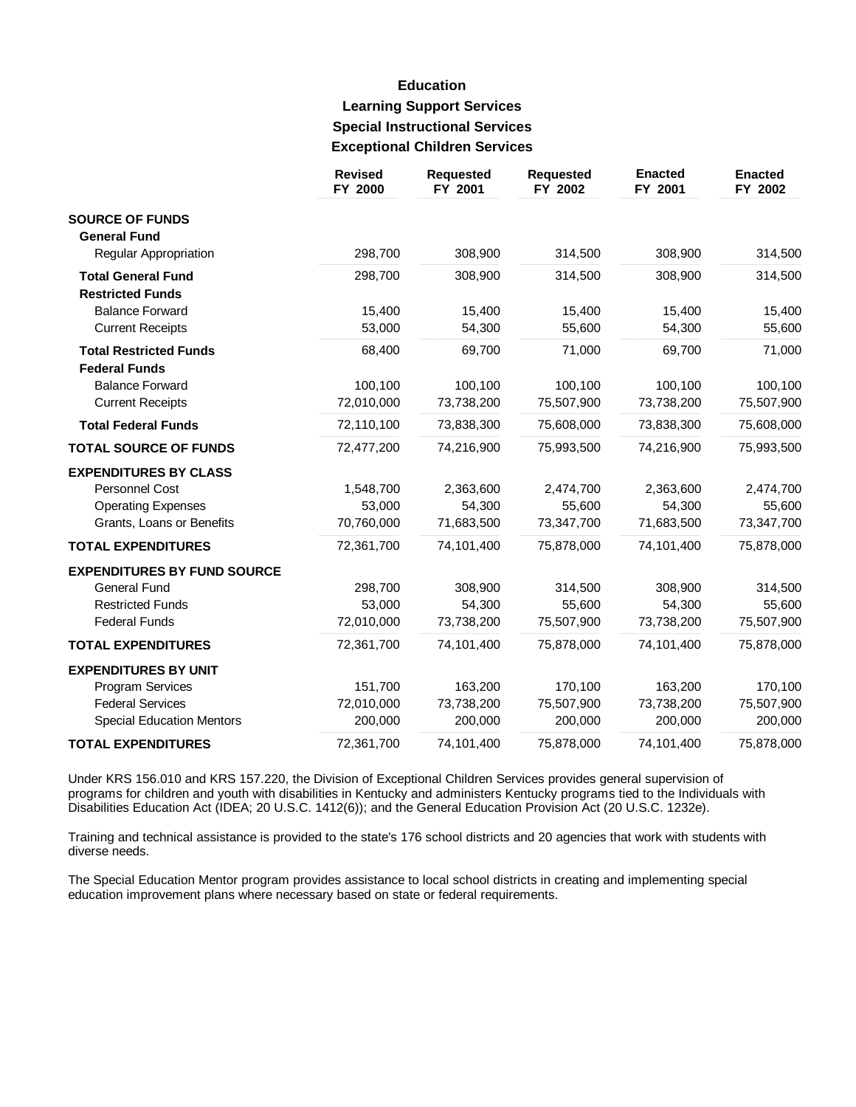# **Education Learning Support Services Special Instructional Services Exceptional Children Services**

|                                    | <b>Revised</b><br>FY 2000 | <b>Requested</b><br>FY 2001 | <b>Requested</b><br>FY 2002 | <b>Enacted</b><br>FY 2001 | <b>Enacted</b><br>FY 2002 |
|------------------------------------|---------------------------|-----------------------------|-----------------------------|---------------------------|---------------------------|
| <b>SOURCE OF FUNDS</b>             |                           |                             |                             |                           |                           |
| <b>General Fund</b>                |                           |                             |                             |                           |                           |
| Regular Appropriation              | 298,700                   | 308,900                     | 314,500                     | 308,900                   | 314,500                   |
| <b>Total General Fund</b>          | 298,700                   | 308,900                     | 314,500                     | 308,900                   | 314,500                   |
| <b>Restricted Funds</b>            |                           |                             |                             |                           |                           |
| <b>Balance Forward</b>             | 15,400                    | 15,400                      | 15,400                      | 15,400                    | 15,400                    |
| <b>Current Receipts</b>            | 53,000                    | 54,300                      | 55,600                      | 54,300                    | 55,600                    |
| <b>Total Restricted Funds</b>      | 68,400                    | 69,700                      | 71,000                      | 69,700                    | 71,000                    |
| <b>Federal Funds</b>               |                           |                             |                             |                           |                           |
| <b>Balance Forward</b>             | 100,100                   | 100,100                     | 100,100                     | 100,100                   | 100,100                   |
| <b>Current Receipts</b>            | 72,010,000                | 73,738,200                  | 75,507,900                  | 73,738,200                | 75,507,900                |
| <b>Total Federal Funds</b>         | 72,110,100                | 73,838,300                  | 75,608,000                  | 73,838,300                | 75,608,000                |
| <b>TOTAL SOURCE OF FUNDS</b>       | 72,477,200                | 74,216,900                  | 75,993,500                  | 74,216,900                | 75,993,500                |
| <b>EXPENDITURES BY CLASS</b>       |                           |                             |                             |                           |                           |
| Personnel Cost                     | 1,548,700                 | 2,363,600                   | 2,474,700                   | 2,363,600                 | 2,474,700                 |
| <b>Operating Expenses</b>          | 53,000                    | 54,300                      | 55,600                      | 54,300                    | 55,600                    |
| Grants, Loans or Benefits          | 70,760,000                | 71,683,500                  | 73,347,700                  | 71,683,500                | 73,347,700                |
| <b>TOTAL EXPENDITURES</b>          | 72,361,700                | 74,101,400                  | 75,878,000                  | 74,101,400                | 75,878,000                |
| <b>EXPENDITURES BY FUND SOURCE</b> |                           |                             |                             |                           |                           |
| <b>General Fund</b>                | 298,700                   | 308,900                     | 314,500                     | 308,900                   | 314,500                   |
| <b>Restricted Funds</b>            | 53,000                    | 54,300                      | 55,600                      | 54,300                    | 55,600                    |
| <b>Federal Funds</b>               | 72,010,000                | 73,738,200                  | 75,507,900                  | 73,738,200                | 75,507,900                |
| <b>TOTAL EXPENDITURES</b>          | 72,361,700                | 74,101,400                  | 75,878,000                  | 74,101,400                | 75,878,000                |
| <b>EXPENDITURES BY UNIT</b>        |                           |                             |                             |                           |                           |
| Program Services                   | 151,700                   | 163,200                     | 170,100                     | 163,200                   | 170,100                   |
| <b>Federal Services</b>            | 72,010,000                | 73,738,200                  | 75,507,900                  | 73,738,200                | 75,507,900                |
| <b>Special Education Mentors</b>   | 200,000                   | 200,000                     | 200,000                     | 200,000                   | 200,000                   |
| <b>TOTAL EXPENDITURES</b>          | 72,361,700                | 74,101,400                  | 75,878,000                  | 74,101,400                | 75,878,000                |

Under KRS 156.010 and KRS 157.220, the Division of Exceptional Children Services provides general supervision of programs for children and youth with disabilities in Kentucky and administers Kentucky programs tied to the Individuals with Disabilities Education Act (IDEA; 20 U.S.C. 1412(6)); and the General Education Provision Act (20 U.S.C. 1232e).

Training and technical assistance is provided to the state's 176 school districts and 20 agencies that work with students with diverse needs.

The Special Education Mentor program provides assistance to local school districts in creating and implementing special education improvement plans where necessary based on state or federal requirements.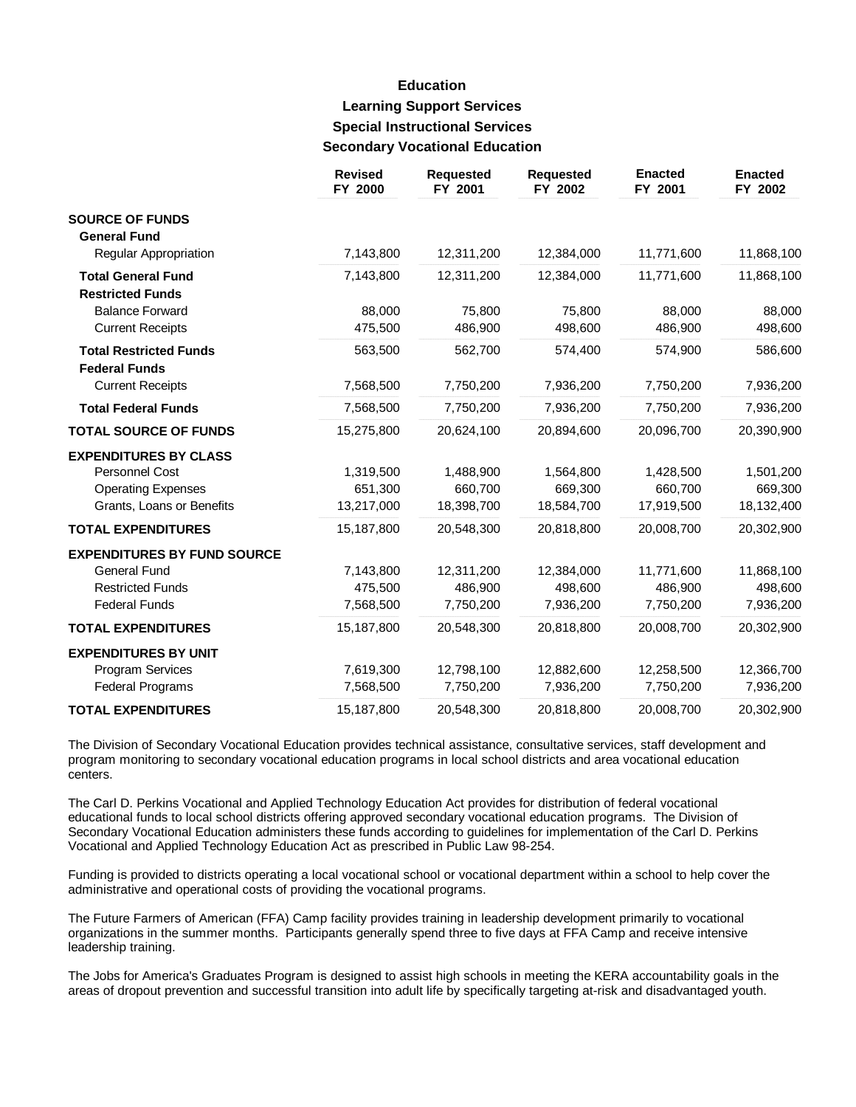## **Education Learning Support Services Special Instructional Services Secondary Vocational Education**

|                                    | <b>Revised</b><br>FY 2000 | <b>Requested</b><br>FY 2001 | <b>Requested</b><br>FY 2002 | <b>Enacted</b><br>FY 2001 | <b>Enacted</b><br>FY 2002 |
|------------------------------------|---------------------------|-----------------------------|-----------------------------|---------------------------|---------------------------|
| <b>SOURCE OF FUNDS</b>             |                           |                             |                             |                           |                           |
| <b>General Fund</b>                |                           |                             |                             |                           |                           |
| <b>Regular Appropriation</b>       | 7,143,800                 | 12,311,200                  | 12,384,000                  | 11,771,600                | 11,868,100                |
| <b>Total General Fund</b>          | 7,143,800                 | 12,311,200                  | 12,384,000                  | 11,771,600                | 11,868,100                |
| <b>Restricted Funds</b>            |                           |                             |                             |                           |                           |
| <b>Balance Forward</b>             | 88,000                    | 75,800                      | 75,800                      | 88,000                    | 88,000                    |
| <b>Current Receipts</b>            | 475,500                   | 486,900                     | 498,600                     | 486,900                   | 498,600                   |
| <b>Total Restricted Funds</b>      | 563,500                   | 562,700                     | 574,400                     | 574,900                   | 586,600                   |
| <b>Federal Funds</b>               |                           |                             |                             |                           |                           |
| <b>Current Receipts</b>            | 7,568,500                 | 7,750,200                   | 7,936,200                   | 7,750,200                 | 7,936,200                 |
| <b>Total Federal Funds</b>         | 7,568,500                 | 7,750,200                   | 7,936,200                   | 7,750,200                 | 7,936,200                 |
| <b>TOTAL SOURCE OF FUNDS</b>       | 15,275,800                | 20,624,100                  | 20,894,600                  | 20,096,700                | 20,390,900                |
| <b>EXPENDITURES BY CLASS</b>       |                           |                             |                             |                           |                           |
| Personnel Cost                     | 1,319,500                 | 1,488,900                   | 1,564,800                   | 1,428,500                 | 1,501,200                 |
| <b>Operating Expenses</b>          | 651,300                   | 660,700                     | 669,300                     | 660,700                   | 669,300                   |
| Grants, Loans or Benefits          | 13,217,000                | 18,398,700                  | 18,584,700                  | 17,919,500                | 18,132,400                |
| <b>TOTAL EXPENDITURES</b>          | 15,187,800                | 20,548,300                  | 20,818,800                  | 20,008,700                | 20,302,900                |
| <b>EXPENDITURES BY FUND SOURCE</b> |                           |                             |                             |                           |                           |
| <b>General Fund</b>                | 7,143,800                 | 12,311,200                  | 12,384,000                  | 11,771,600                | 11,868,100                |
| <b>Restricted Funds</b>            | 475,500                   | 486,900                     | 498,600                     | 486,900                   | 498,600                   |
| <b>Federal Funds</b>               | 7,568,500                 | 7,750,200                   | 7,936,200                   | 7,750,200                 | 7,936,200                 |
| <b>TOTAL EXPENDITURES</b>          | 15,187,800                | 20,548,300                  | 20,818,800                  | 20,008,700                | 20,302,900                |
| <b>EXPENDITURES BY UNIT</b>        |                           |                             |                             |                           |                           |
| Program Services                   | 7,619,300                 | 12,798,100                  | 12,882,600                  | 12,258,500                | 12,366,700                |
| <b>Federal Programs</b>            | 7,568,500                 | 7,750,200                   | 7,936,200                   | 7,750,200                 | 7,936,200                 |
| <b>TOTAL EXPENDITURES</b>          | 15,187,800                | 20,548,300                  | 20,818,800                  | 20,008,700                | 20,302,900                |

The Division of Secondary Vocational Education provides technical assistance, consultative services, staff development and program monitoring to secondary vocational education programs in local school districts and area vocational education centers.

The Carl D. Perkins Vocational and Applied Technology Education Act provides for distribution of federal vocational educational funds to local school districts offering approved secondary vocational education programs. The Division of Secondary Vocational Education administers these funds according to guidelines for implementation of the Carl D. Perkins Vocational and Applied Technology Education Act as prescribed in Public Law 98-254.

Funding is provided to districts operating a local vocational school or vocational department within a school to help cover the administrative and operational costs of providing the vocational programs.

The Future Farmers of American (FFA) Camp facility provides training in leadership development primarily to vocational organizations in the summer months. Participants generally spend three to five days at FFA Camp and receive intensive leadership training.

The Jobs for America's Graduates Program is designed to assist high schools in meeting the KERA accountability goals in the areas of dropout prevention and successful transition into adult life by specifically targeting at-risk and disadvantaged youth.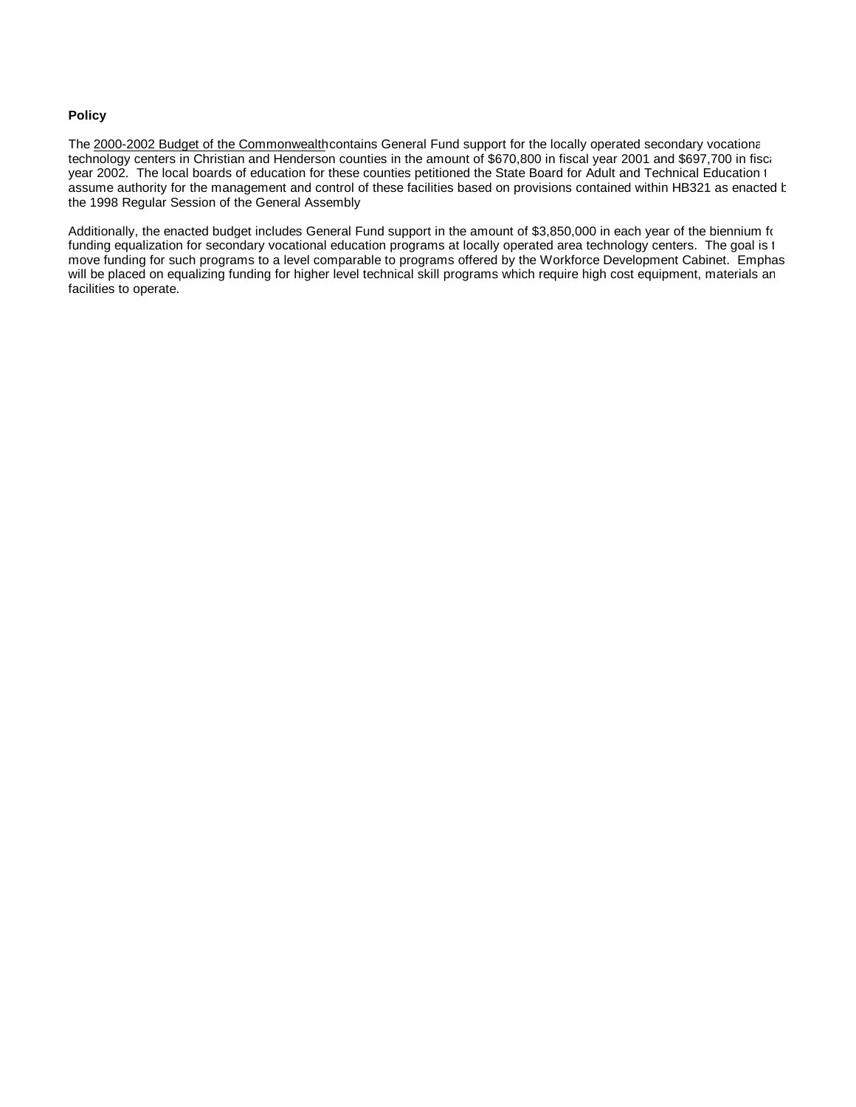#### **Policy**

The 2000-2002 Budget of the Commonwealth contains General Fund support for the locally operated secondary vocational technology centers in Christian and Henderson counties in the amount of \$670,800 in fiscal year 2001 and \$697,700 in fiscal year 2002. The local boards of education for these counties petitioned the State Board for Adult and Technical Education t assume authority for the management and control of these facilities based on provisions contained within HB321 as enacted by the 1998 Regular Session of the General Assembly.

Additionally, the enacted budget includes General Fund support in the amount of \$3,850,000 in each year of the biennium for funding equalization for secondary vocational education programs at locally operated area technology centers. The goal is t move funding for such programs to a level comparable to programs offered by the Workforce Development Cabinet. Emphas will be placed on equalizing funding for higher level technical skill programs which require high cost equipment, materials an facilities to operate.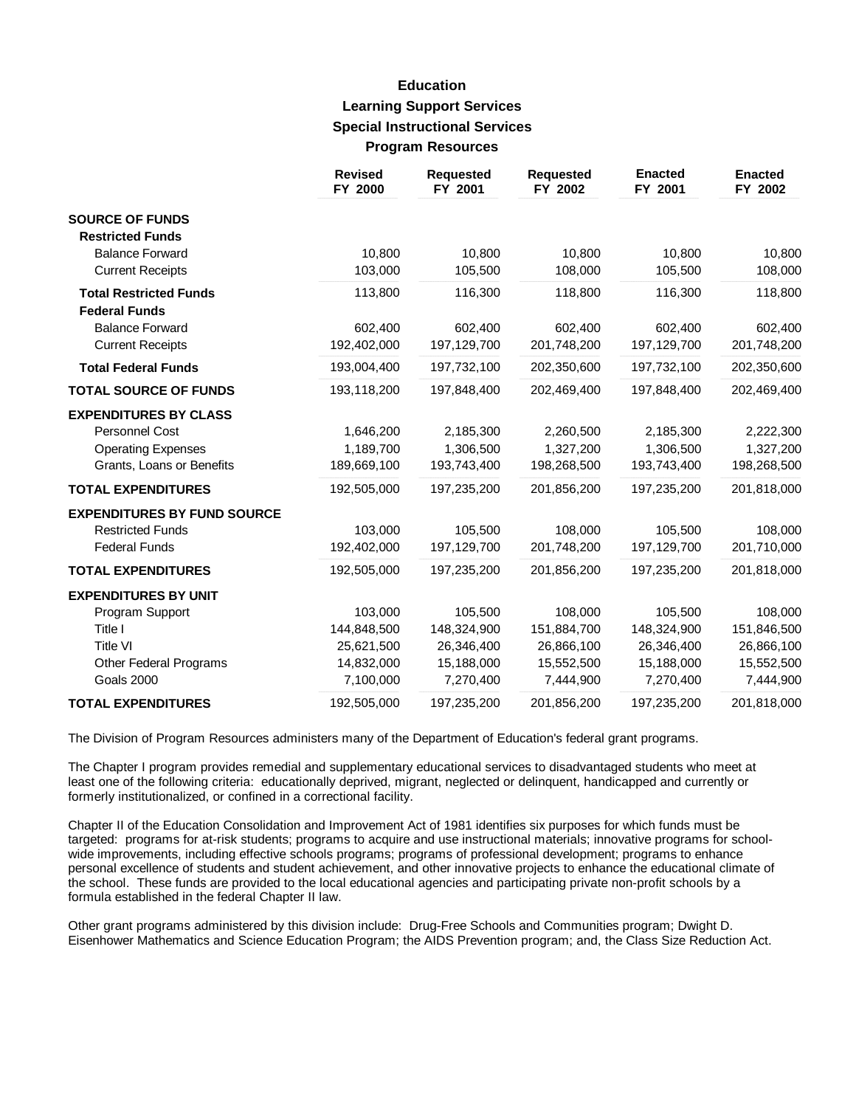#### **Education Learning Support Services Special Instructional Services Program Resources**

|                                    | <b>Revised</b><br>FY 2000 | <b>Requested</b><br>FY 2001 | <b>Requested</b><br>FY 2002 | <b>Enacted</b><br>FY 2001 | <b>Enacted</b><br>FY 2002 |
|------------------------------------|---------------------------|-----------------------------|-----------------------------|---------------------------|---------------------------|
| <b>SOURCE OF FUNDS</b>             |                           |                             |                             |                           |                           |
| <b>Restricted Funds</b>            |                           |                             |                             |                           |                           |
| <b>Balance Forward</b>             | 10,800                    | 10,800                      | 10,800                      | 10,800                    | 10,800                    |
| <b>Current Receipts</b>            | 103,000                   | 105,500                     | 108,000                     | 105,500                   | 108,000                   |
| <b>Total Restricted Funds</b>      | 113,800                   | 116,300                     | 118,800                     | 116,300                   | 118,800                   |
| <b>Federal Funds</b>               |                           |                             |                             |                           |                           |
| <b>Balance Forward</b>             | 602,400                   | 602,400                     | 602,400                     | 602,400                   | 602,400                   |
| <b>Current Receipts</b>            | 192,402,000               | 197,129,700                 | 201,748,200                 | 197,129,700               | 201,748,200               |
| <b>Total Federal Funds</b>         | 193,004,400               | 197,732,100                 | 202,350,600                 | 197,732,100               | 202,350,600               |
| <b>TOTAL SOURCE OF FUNDS</b>       | 193,118,200               | 197,848,400                 | 202,469,400                 | 197,848,400               | 202,469,400               |
| <b>EXPENDITURES BY CLASS</b>       |                           |                             |                             |                           |                           |
| Personnel Cost                     | 1,646,200                 | 2,185,300                   | 2,260,500                   | 2,185,300                 | 2,222,300                 |
| <b>Operating Expenses</b>          | 1,189,700                 | 1,306,500                   | 1,327,200                   | 1,306,500                 | 1,327,200                 |
| Grants, Loans or Benefits          | 189,669,100               | 193,743,400                 | 198,268,500                 | 193,743,400               | 198,268,500               |
| <b>TOTAL EXPENDITURES</b>          | 192,505,000               | 197,235,200                 | 201,856,200                 | 197,235,200               | 201,818,000               |
| <b>EXPENDITURES BY FUND SOURCE</b> |                           |                             |                             |                           |                           |
| <b>Restricted Funds</b>            | 103,000                   | 105,500                     | 108,000                     | 105,500                   | 108,000                   |
| <b>Federal Funds</b>               | 192,402,000               | 197,129,700                 | 201,748,200                 | 197,129,700               | 201,710,000               |
| <b>TOTAL EXPENDITURES</b>          | 192,505,000               | 197,235,200                 | 201,856,200                 | 197,235,200               | 201,818,000               |
| <b>EXPENDITURES BY UNIT</b>        |                           |                             |                             |                           |                           |
| Program Support                    | 103,000                   | 105,500                     | 108,000                     | 105,500                   | 108,000                   |
| Title I                            | 144,848,500               | 148,324,900                 | 151,884,700                 | 148,324,900               | 151,846,500               |
| <b>Title VI</b>                    | 25,621,500                | 26,346,400                  | 26,866,100                  | 26,346,400                | 26,866,100                |
| Other Federal Programs             | 14,832,000                | 15,188,000                  | 15,552,500                  | 15,188,000                | 15,552,500                |
| <b>Goals 2000</b>                  | 7,100,000                 | 7,270,400                   | 7,444,900                   | 7,270,400                 | 7,444,900                 |
| <b>TOTAL EXPENDITURES</b>          | 192,505,000               | 197,235,200                 | 201,856,200                 | 197,235,200               | 201,818,000               |

The Division of Program Resources administers many of the Department of Education's federal grant programs.

The Chapter I program provides remedial and supplementary educational services to disadvantaged students who meet at least one of the following criteria: educationally deprived, migrant, neglected or delinquent, handicapped and currently or formerly institutionalized, or confined in a correctional facility.

Chapter II of the Education Consolidation and Improvement Act of 1981 identifies six purposes for which funds must be targeted: programs for at-risk students; programs to acquire and use instructional materials; innovative programs for schoolwide improvements, including effective schools programs; programs of professional development; programs to enhance personal excellence of students and student achievement, and other innovative projects to enhance the educational climate of the school. These funds are provided to the local educational agencies and participating private non-profit schools by a formula established in the federal Chapter II law.

Other grant programs administered by this division include: Drug-Free Schools and Communities program; Dwight D. Eisenhower Mathematics and Science Education Program; the AIDS Prevention program; and, the Class Size Reduction Act.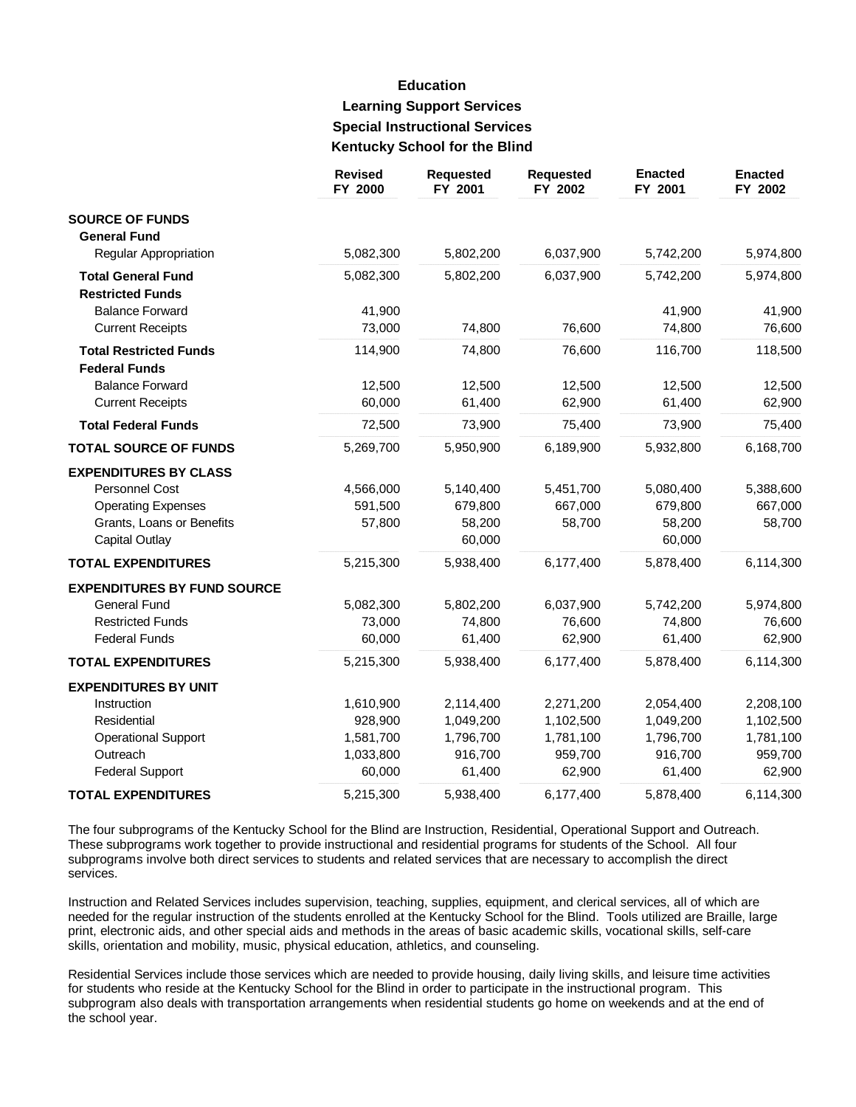## **Education Learning Support Services Special Instructional Services Kentucky School for the Blind**

|                                    | <b>Revised</b><br>FY 2000 | <b>Requested</b><br>FY 2001 | <b>Requested</b><br>FY 2002 | <b>Enacted</b><br>FY 2001 | <b>Enacted</b><br>FY 2002 |
|------------------------------------|---------------------------|-----------------------------|-----------------------------|---------------------------|---------------------------|
| <b>SOURCE OF FUNDS</b>             |                           |                             |                             |                           |                           |
| <b>General Fund</b>                |                           |                             |                             |                           |                           |
| <b>Regular Appropriation</b>       | 5,082,300                 | 5,802,200                   | 6,037,900                   | 5,742,200                 | 5,974,800                 |
| <b>Total General Fund</b>          | 5,082,300                 | 5,802,200                   | 6,037,900                   | 5,742,200                 | 5,974,800                 |
| <b>Restricted Funds</b>            |                           |                             |                             |                           |                           |
| <b>Balance Forward</b>             | 41,900                    |                             |                             | 41,900                    | 41,900                    |
| <b>Current Receipts</b>            | 73,000                    | 74,800                      | 76,600                      | 74,800                    | 76,600                    |
| <b>Total Restricted Funds</b>      | 114,900                   | 74,800                      | 76,600                      | 116,700                   | 118,500                   |
| <b>Federal Funds</b>               |                           |                             |                             |                           |                           |
| <b>Balance Forward</b>             | 12,500                    | 12,500                      | 12,500                      | 12,500                    | 12,500                    |
| <b>Current Receipts</b>            | 60,000                    | 61,400                      | 62,900                      | 61,400                    | 62,900                    |
| <b>Total Federal Funds</b>         | 72,500                    | 73,900                      | 75,400                      | 73,900                    | 75,400                    |
| <b>TOTAL SOURCE OF FUNDS</b>       | 5,269,700                 | 5,950,900                   | 6,189,900                   | 5,932,800                 | 6,168,700                 |
| <b>EXPENDITURES BY CLASS</b>       |                           |                             |                             |                           |                           |
| <b>Personnel Cost</b>              | 4,566,000                 | 5,140,400                   | 5,451,700                   | 5,080,400                 | 5,388,600                 |
| <b>Operating Expenses</b>          | 591,500                   | 679,800                     | 667,000                     | 679,800                   | 667,000                   |
| Grants, Loans or Benefits          | 57,800                    | 58,200                      | 58,700                      | 58,200                    | 58,700                    |
| <b>Capital Outlay</b>              |                           | 60,000                      |                             | 60,000                    |                           |
| <b>TOTAL EXPENDITURES</b>          | 5,215,300                 | 5,938,400                   | 6,177,400                   | 5,878,400                 | 6,114,300                 |
| <b>EXPENDITURES BY FUND SOURCE</b> |                           |                             |                             |                           |                           |
| <b>General Fund</b>                | 5,082,300                 | 5,802,200                   | 6,037,900                   | 5,742,200                 | 5,974,800                 |
| <b>Restricted Funds</b>            | 73,000                    | 74,800                      | 76,600                      | 74,800                    | 76,600                    |
| <b>Federal Funds</b>               | 60,000                    | 61,400                      | 62,900                      | 61,400                    | 62,900                    |
| <b>TOTAL EXPENDITURES</b>          | 5,215,300                 | 5,938,400                   | 6,177,400                   | 5,878,400                 | 6,114,300                 |
| <b>EXPENDITURES BY UNIT</b>        |                           |                             |                             |                           |                           |
| Instruction                        | 1,610,900                 | 2,114,400                   | 2,271,200                   | 2,054,400                 | 2,208,100                 |
| Residential                        | 928,900                   | 1,049,200                   | 1,102,500                   | 1,049,200                 | 1,102,500                 |
| <b>Operational Support</b>         | 1,581,700                 | 1,796,700                   | 1,781,100                   | 1,796,700                 | 1,781,100                 |
| Outreach                           | 1,033,800                 | 916,700                     | 959,700                     | 916,700                   | 959,700                   |
| <b>Federal Support</b>             | 60,000                    | 61,400                      | 62,900                      | 61,400                    | 62,900                    |
| <b>TOTAL EXPENDITURES</b>          | 5,215,300                 | 5,938,400                   | 6,177,400                   | 5,878,400                 | 6,114,300                 |

The four subprograms of the Kentucky School for the Blind are Instruction, Residential, Operational Support and Outreach. These subprograms work together to provide instructional and residential programs for students of the School. All four subprograms involve both direct services to students and related services that are necessary to accomplish the direct services.

Instruction and Related Services includes supervision, teaching, supplies, equipment, and clerical services, all of which are needed for the regular instruction of the students enrolled at the Kentucky School for the Blind. Tools utilized are Braille, large print, electronic aids, and other special aids and methods in the areas of basic academic skills, vocational skills, self-care skills, orientation and mobility, music, physical education, athletics, and counseling.

Residential Services include those services which are needed to provide housing, daily living skills, and leisure time activities for students who reside at the Kentucky School for the Blind in order to participate in the instructional program. This subprogram also deals with transportation arrangements when residential students go home on weekends and at the end of the school year.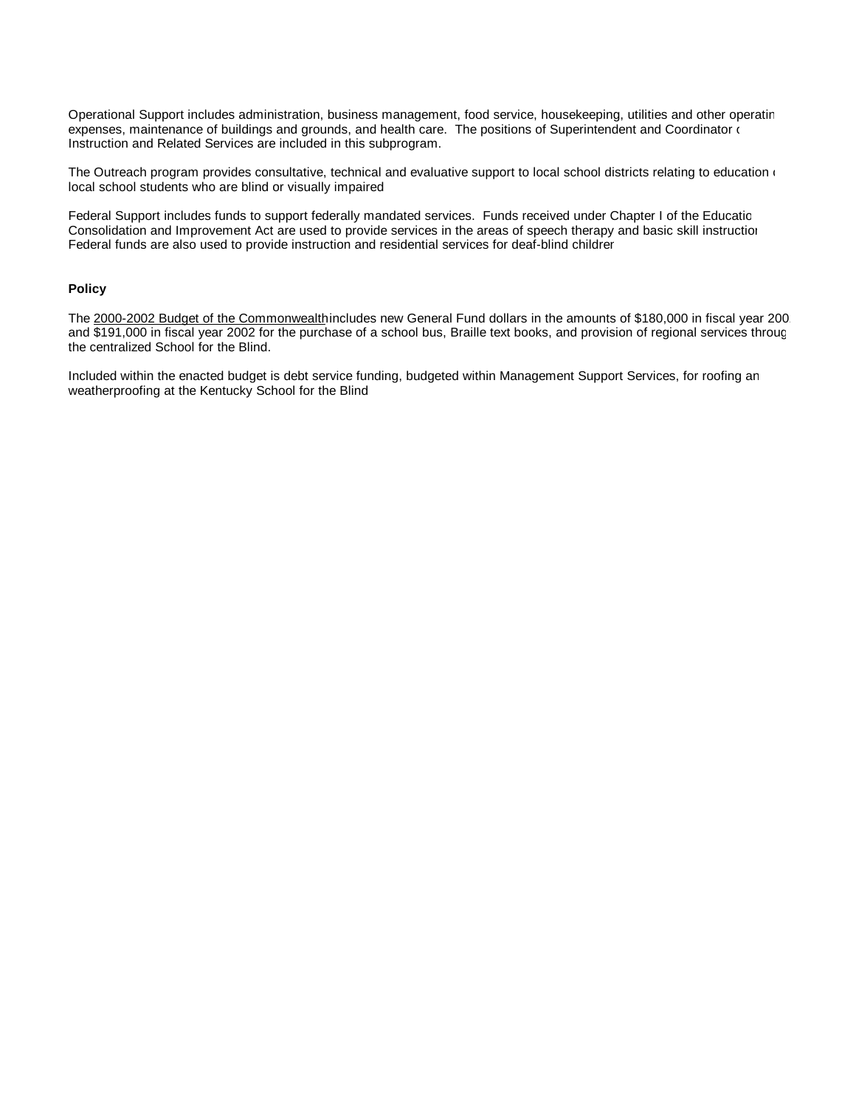Operational Support includes administration, business management, food service, housekeeping, utilities and other operating expenses, maintenance of buildings and grounds, and health care. The positions of Superintendent and Coordinator of Instruction and Related Services are included in this subprogram.

The Outreach program provides consultative, technical and evaluative support to local school districts relating to education  $($ local school students who are blind or visually impaired.

Federal Support includes funds to support federally mandated services. Funds received under Chapter I of the Educatic Consolidation and Improvement Act are used to provide services in the areas of speech therapy and basic skill instruction. Federal funds are also used to provide instruction and residential services for deaf-blind childrer

#### **Policy**

The 2000-2002 Budget of the Commonwealth includes new General Fund dollars in the amounts of \$180,000 in fiscal year 200 and \$191,000 in fiscal year 2002 for the purchase of a school bus, Braille text books, and provision of regional services through the centralized School for the Blind.

Included within the enacted budget is debt service funding, budgeted within Management Support Services, for roofing an weatherproofing at the Kentucky School for the Blind.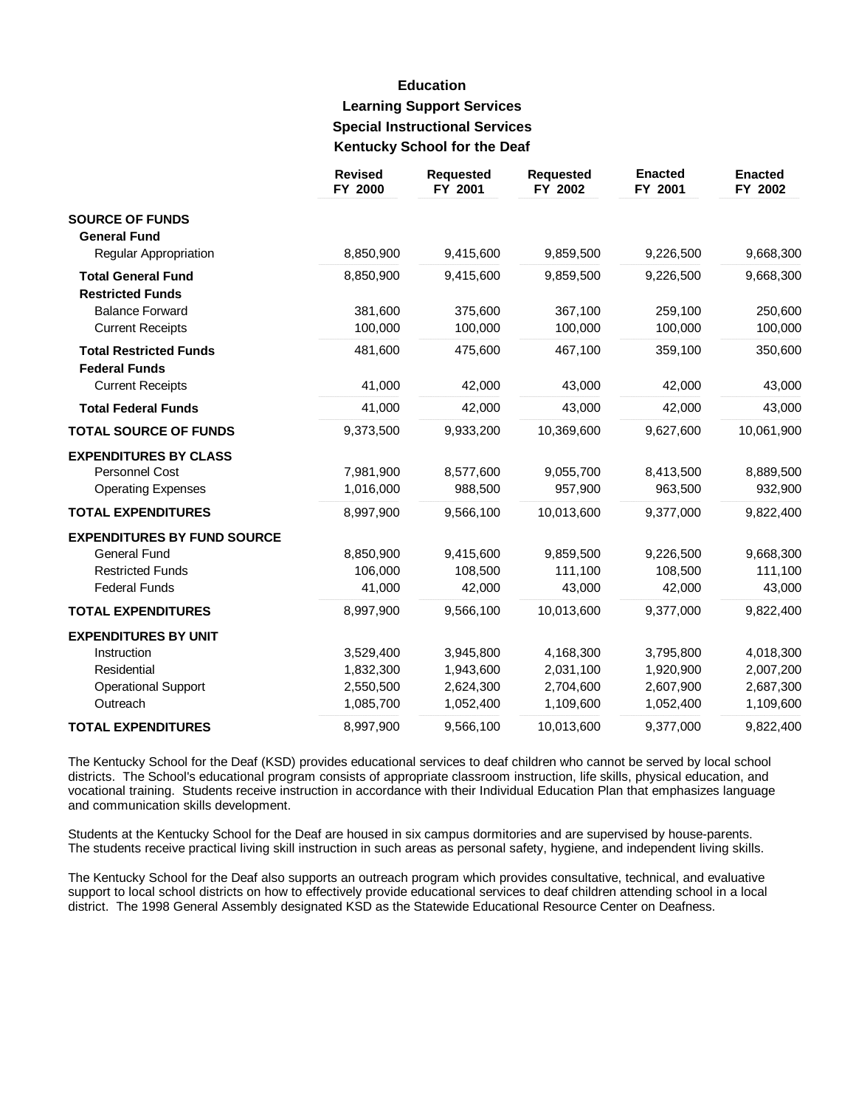# **Education Learning Support Services Special Instructional Services** Kentucky School for the Deaf

|                                                                              | <b>Revised</b><br>FY 2000 | <b>Requested</b><br>FY 2001 | <b>Requested</b><br>FY 2002 | <b>Enacted</b><br>FY 2001 | <b>Enacted</b><br>FY 2002 |
|------------------------------------------------------------------------------|---------------------------|-----------------------------|-----------------------------|---------------------------|---------------------------|
| <b>SOURCE OF FUNDS</b><br><b>General Fund</b>                                |                           |                             |                             |                           |                           |
| Regular Appropriation                                                        | 8,850,900                 | 9,415,600                   | 9,859,500                   | 9,226,500                 | 9,668,300                 |
| <b>Total General Fund</b>                                                    | 8,850,900                 | 9,415,600                   | 9,859,500                   | 9,226,500                 | 9,668,300                 |
| <b>Restricted Funds</b><br><b>Balance Forward</b><br><b>Current Receipts</b> | 381,600<br>100,000        | 375,600<br>100,000          | 367,100<br>100,000          | 259,100<br>100,000        | 250,600<br>100,000        |
| <b>Total Restricted Funds</b><br><b>Federal Funds</b>                        | 481,600                   | 475,600                     | 467,100                     | 359,100                   | 350,600                   |
| <b>Current Receipts</b>                                                      | 41,000                    | 42,000                      | 43,000                      | 42,000                    | 43,000                    |
| <b>Total Federal Funds</b>                                                   | 41,000                    | 42,000                      | 43,000                      | 42,000                    | 43,000                    |
| <b>TOTAL SOURCE OF FUNDS</b>                                                 | 9,373,500                 | 9,933,200                   | 10,369,600                  | 9,627,600                 | 10,061,900                |
| <b>EXPENDITURES BY CLASS</b>                                                 |                           |                             |                             |                           |                           |
| Personnel Cost<br><b>Operating Expenses</b>                                  | 7,981,900<br>1,016,000    | 8,577,600<br>988,500        | 9,055,700<br>957,900        | 8,413,500<br>963,500      | 8,889,500<br>932,900      |
| <b>TOTAL EXPENDITURES</b>                                                    | 8,997,900                 | 9,566,100                   | 10,013,600                  | 9,377,000                 | 9,822,400                 |
| <b>EXPENDITURES BY FUND SOURCE</b>                                           |                           |                             |                             |                           |                           |
| <b>General Fund</b>                                                          | 8,850,900                 | 9,415,600                   | 9,859,500                   | 9,226,500                 | 9,668,300                 |
| <b>Restricted Funds</b>                                                      | 106,000                   | 108,500                     | 111,100                     | 108,500                   | 111,100                   |
| <b>Federal Funds</b>                                                         | 41,000                    | 42,000                      | 43,000                      | 42,000                    | 43,000                    |
| <b>TOTAL EXPENDITURES</b>                                                    | 8,997,900                 | 9,566,100                   | 10,013,600                  | 9,377,000                 | 9,822,400                 |
| <b>EXPENDITURES BY UNIT</b>                                                  |                           |                             |                             |                           |                           |
| Instruction                                                                  | 3,529,400                 | 3,945,800                   | 4,168,300                   | 3,795,800                 | 4,018,300                 |
| Residential                                                                  | 1,832,300                 | 1,943,600                   | 2,031,100                   | 1,920,900                 | 2,007,200                 |
| <b>Operational Support</b>                                                   | 2,550,500                 | 2,624,300                   | 2,704,600                   | 2,607,900                 | 2,687,300                 |
| Outreach                                                                     | 1,085,700                 | 1,052,400                   | 1,109,600                   | 1,052,400                 | 1,109,600                 |
| <b>TOTAL EXPENDITURES</b>                                                    | 8,997,900                 | 9,566,100                   | 10,013,600                  | 9,377,000                 | 9,822,400                 |

The Kentucky School for the Deaf (KSD) provides educational services to deaf children who cannot be served by local school districts. The School's educational program consists of appropriate classroom instruction, life skills, physical education, and vocational training. Students receive instruction in accordance with their Individual Education Plan that emphasizes language and communication skills development.

Students at the Kentucky School for the Deaf are housed in six campus dormitories and are supervised by house-parents. The students receive practical living skill instruction in such areas as personal safety, hygiene, and independent living skills.

The Kentucky School for the Deaf also supports an outreach program which provides consultative, technical, and evaluative support to local school districts on how to effectively provide educational services to deaf children attending school in a local district. The 1998 General Assembly designated KSD as the Statewide Educational Resource Center on Deafness.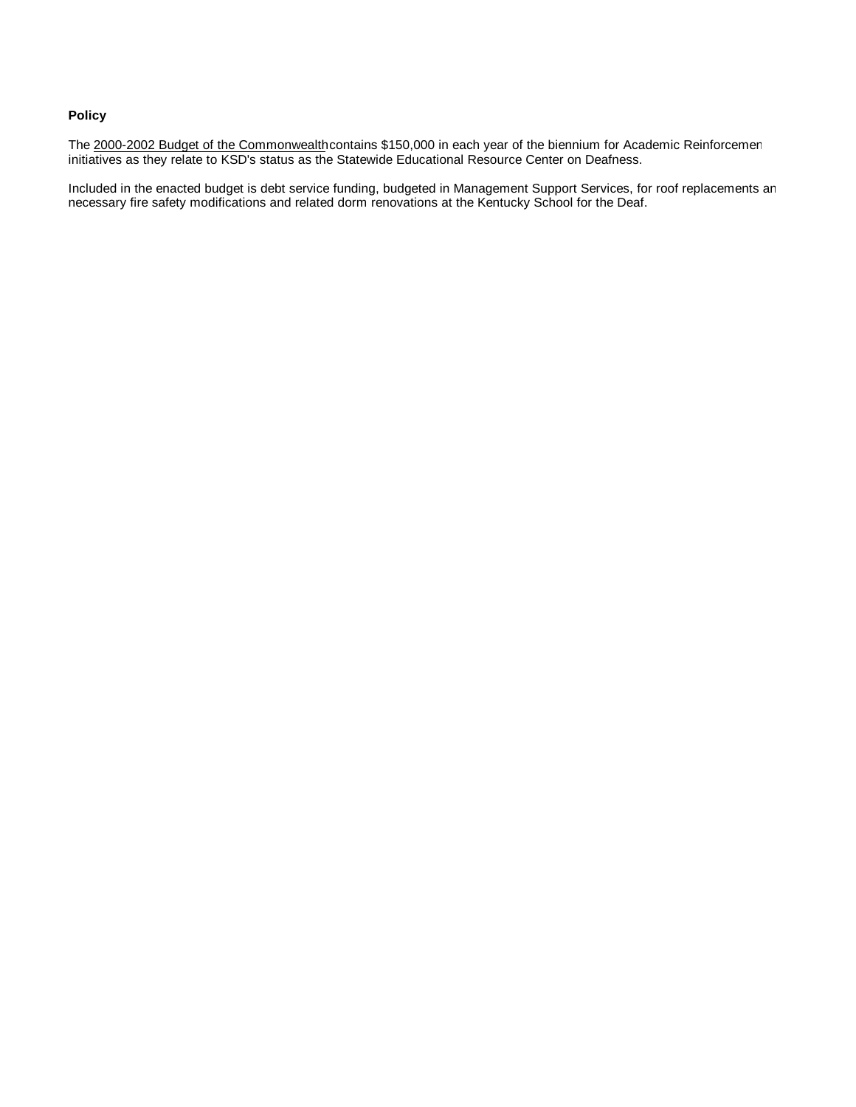### **Policy**

The 2000-2002 Budget of the Commonwealth contains \$150,000 in each year of the biennium for Academic Reinforcemen initiatives as they relate to KSD's status as the Statewide Educational Resource Center on Deafness.

Included in the enacted budget is debt service funding, budgeted in Management Support Services, for roof replacements an necessary fire safety modifications and related dorm renovations at the Kentucky School for the Deaf.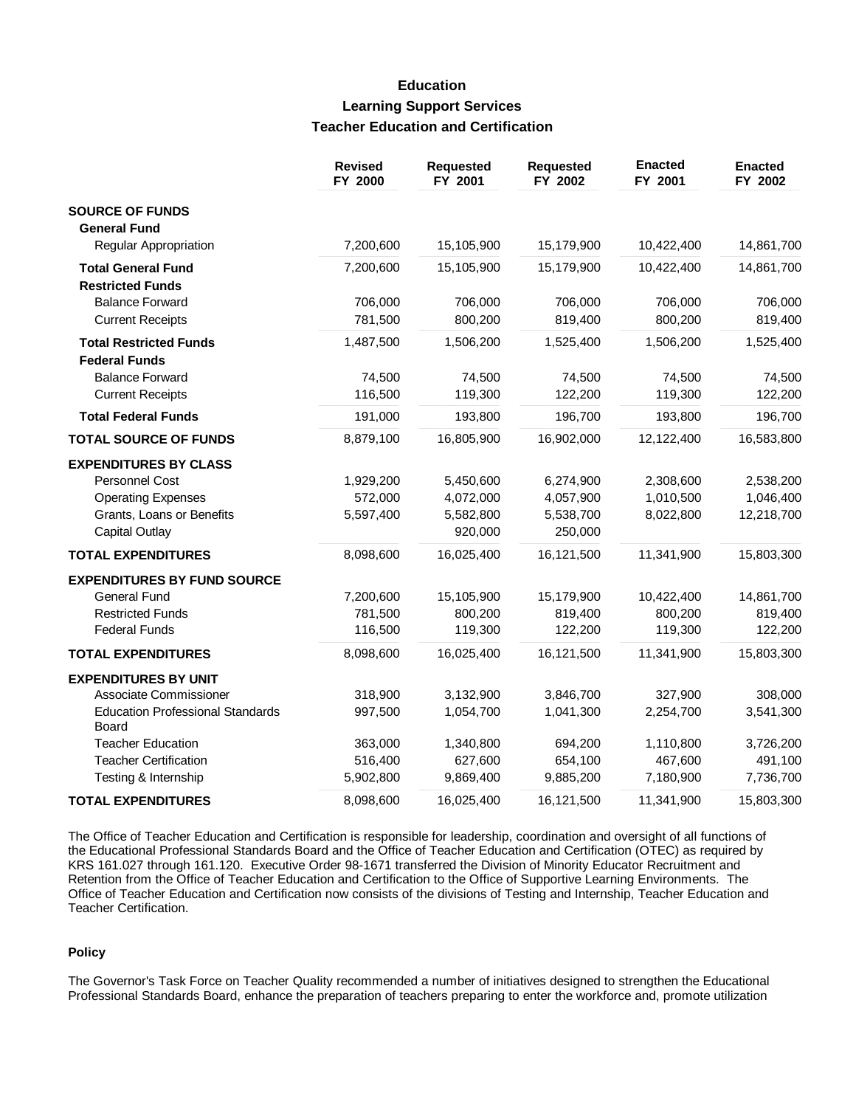## **Education Learning Support Services Teacher Education and Certification**

|                                                  | <b>Revised</b><br>FY 2000 | <b>Requested</b><br>FY 2001 | <b>Requested</b><br>FY 2002 | <b>Enacted</b><br>FY 2001 | <b>Enacted</b><br>FY 2002 |
|--------------------------------------------------|---------------------------|-----------------------------|-----------------------------|---------------------------|---------------------------|
| <b>SOURCE OF FUNDS</b>                           |                           |                             |                             |                           |                           |
| <b>General Fund</b>                              |                           |                             |                             |                           |                           |
| Regular Appropriation                            | 7,200,600                 | 15,105,900                  | 15,179,900                  | 10,422,400                | 14,861,700                |
| <b>Total General Fund</b>                        | 7,200,600                 | 15,105,900                  | 15,179,900                  | 10,422,400                | 14,861,700                |
| <b>Restricted Funds</b>                          |                           |                             |                             |                           |                           |
| <b>Balance Forward</b>                           | 706,000                   | 706,000                     | 706,000                     | 706,000                   | 706,000                   |
| <b>Current Receipts</b>                          | 781,500                   | 800,200                     | 819,400                     | 800,200                   | 819,400                   |
| <b>Total Restricted Funds</b>                    | 1,487,500                 | 1,506,200                   | 1,525,400                   | 1,506,200                 | 1,525,400                 |
| <b>Federal Funds</b>                             |                           |                             |                             |                           |                           |
| <b>Balance Forward</b>                           | 74,500                    | 74,500                      | 74,500                      | 74,500                    | 74,500                    |
| <b>Current Receipts</b>                          | 116,500                   | 119,300                     | 122,200                     | 119,300                   | 122,200                   |
| <b>Total Federal Funds</b>                       | 191,000                   | 193,800                     | 196,700                     | 193,800                   | 196,700                   |
| <b>TOTAL SOURCE OF FUNDS</b>                     | 8,879,100                 | 16,805,900                  | 16,902,000                  | 12,122,400                | 16,583,800                |
| <b>EXPENDITURES BY CLASS</b>                     |                           |                             |                             |                           |                           |
| Personnel Cost                                   | 1,929,200                 | 5,450,600                   | 6,274,900                   | 2,308,600                 | 2,538,200                 |
| <b>Operating Expenses</b>                        | 572,000                   | 4,072,000                   | 4,057,900                   | 1,010,500                 | 1,046,400                 |
| Grants, Loans or Benefits                        | 5,597,400                 | 5,582,800                   | 5,538,700                   | 8,022,800                 | 12,218,700                |
| <b>Capital Outlay</b>                            |                           | 920,000                     | 250,000                     |                           |                           |
| <b>TOTAL EXPENDITURES</b>                        | 8,098,600                 | 16,025,400                  | 16,121,500                  | 11,341,900                | 15,803,300                |
| <b>EXPENDITURES BY FUND SOURCE</b>               |                           |                             |                             |                           |                           |
| <b>General Fund</b>                              | 7,200,600                 | 15,105,900                  | 15,179,900                  | 10,422,400                | 14,861,700                |
| <b>Restricted Funds</b>                          | 781,500                   | 800,200                     | 819,400                     | 800,200                   | 819,400                   |
| <b>Federal Funds</b>                             | 116,500                   | 119,300                     | 122,200                     | 119,300                   | 122,200                   |
| <b>TOTAL EXPENDITURES</b>                        | 8,098,600                 | 16,025,400                  | 16,121,500                  | 11,341,900                | 15,803,300                |
| <b>EXPENDITURES BY UNIT</b>                      |                           |                             |                             |                           |                           |
| Associate Commissioner                           | 318,900                   | 3,132,900                   | 3,846,700                   | 327,900                   | 308,000                   |
| <b>Education Professional Standards</b><br>Board | 997,500                   | 1,054,700                   | 1,041,300                   | 2,254,700                 | 3,541,300                 |
| <b>Teacher Education</b>                         | 363,000                   | 1,340,800                   | 694,200                     | 1,110,800                 | 3,726,200                 |
| <b>Teacher Certification</b>                     | 516,400                   | 627,600                     | 654,100                     | 467,600                   | 491,100                   |
| Testing & Internship                             | 5,902,800                 | 9,869,400                   | 9,885,200                   | 7,180,900                 | 7,736,700                 |
| <b>TOTAL EXPENDITURES</b>                        | 8,098,600                 | 16,025,400                  | 16,121,500                  | 11,341,900                | 15,803,300                |

The Office of Teacher Education and Certification is responsible for leadership, coordination and oversight of all functions of the Educational Professional Standards Board and the Office of Teacher Education and Certification (OTEC) as required by KRS 161.027 through 161.120. Executive Order 98-1671 transferred the Division of Minority Educator Recruitment and Retention from the Office of Teacher Education and Certification to the Office of Supportive Learning Environments. The Office of Teacher Education and Certification now consists of the divisions of Testing and Internship, Teacher Education and Teacher Certification.

### **Policy**

The Governor's Task Force on Teacher Quality recommended a number of initiatives designed to strengthen the Educational Professional Standards Board, enhance the preparation of teachers preparing to enter the workforce and, promote utilization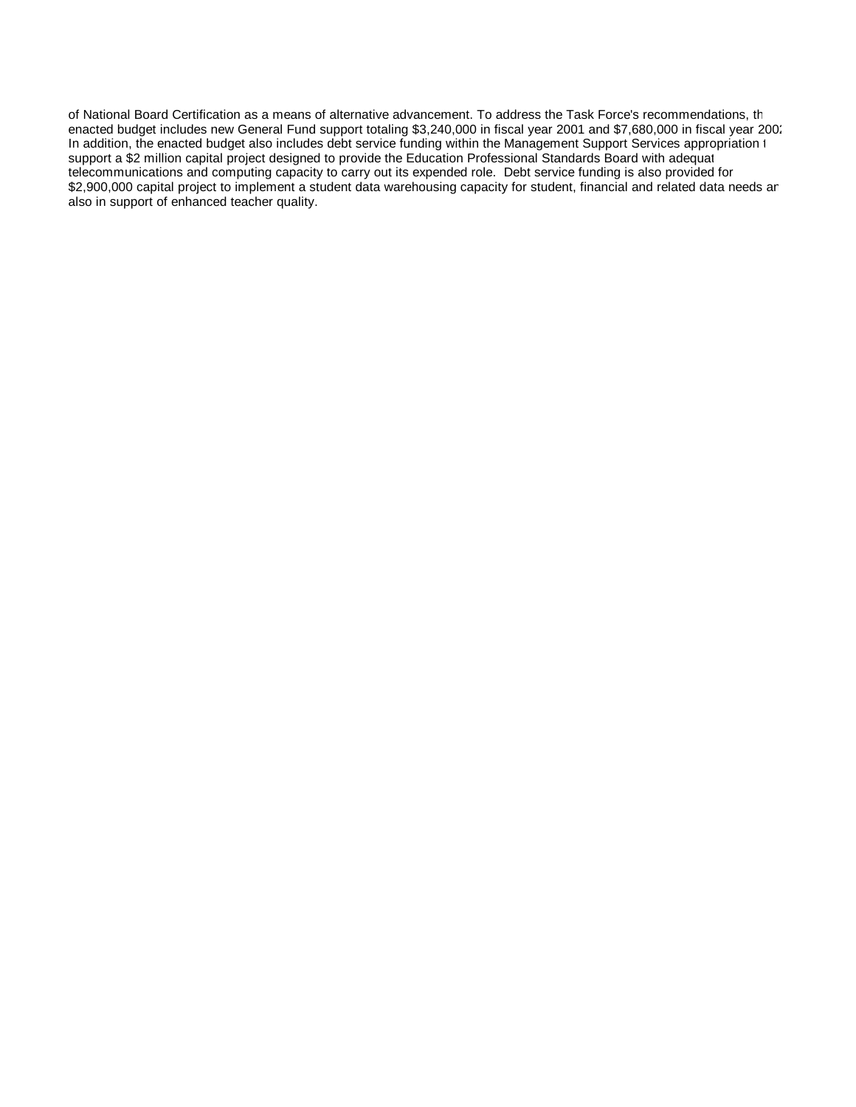of National Board Certification as a means of alternative advancement. To address the Task Force's recommendations, th enacted budget includes new General Fund support totaling \$3,240,000 in fiscal year 2001 and \$7,680,000 in fiscal year 2002. In addition, the enacted budget also includes debt service funding within the Management Support Services appropriation t support a \$2 million capital project designed to provide the Education Professional Standards Board with adequat telecommunications and computing capacity to carry out its expended role. Debt service funding is also provided for a \$2,900,000 capital project to implement a student data warehousing capacity for student, financial and related data needs an also in support of enhanced teacher quality.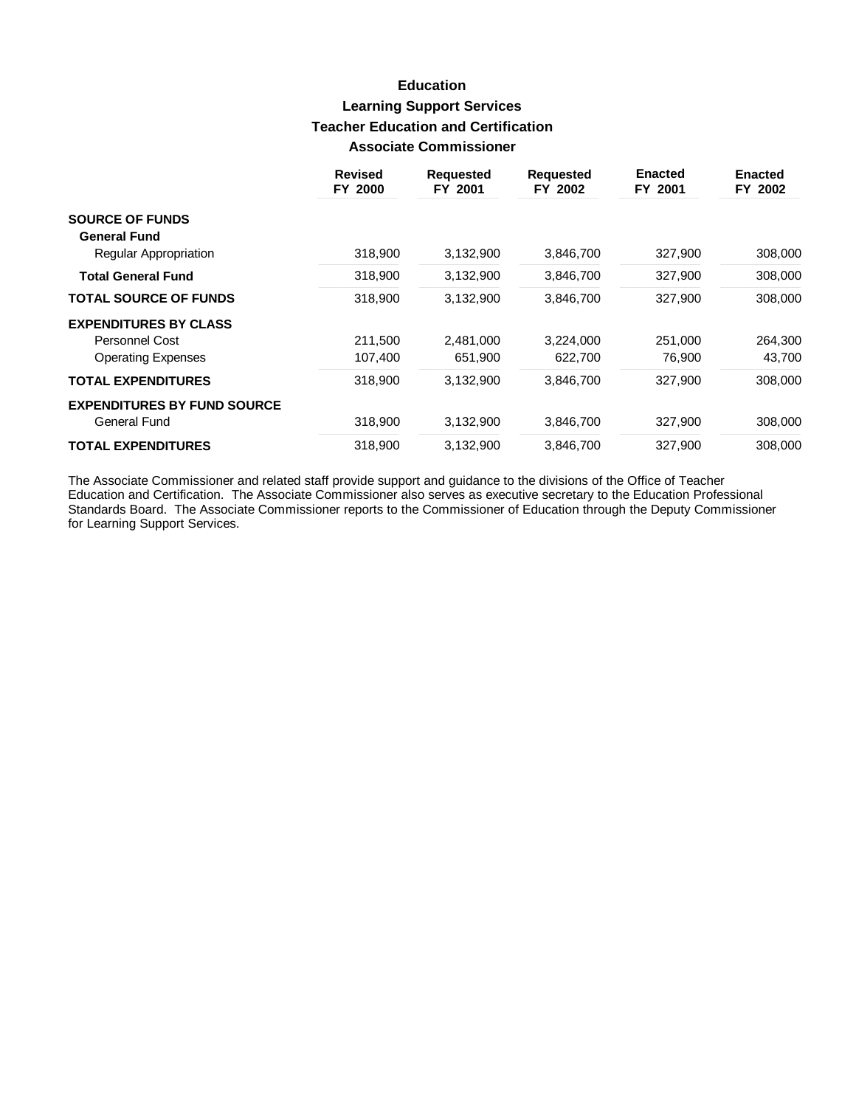## **Education Learning Support Services Teacher Education and Certification Associate Commissioner**

|                                              | <b>Revised</b><br>FY 2000 | <b>Requested</b><br>FY 2001 | <b>Requested</b><br>FY 2002 | <b>Enacted</b><br>FY 2001 | <b>Enacted</b><br>FY 2002 |
|----------------------------------------------|---------------------------|-----------------------------|-----------------------------|---------------------------|---------------------------|
| <b>SOURCE OF FUNDS</b>                       |                           |                             |                             |                           |                           |
| <b>General Fund</b><br>Regular Appropriation | 318,900                   | 3,132,900                   | 3,846,700                   | 327,900                   | 308,000                   |
| <b>Total General Fund</b>                    | 318,900                   | 3,132,900                   | 3,846,700                   | 327,900                   | 308,000                   |
| <b>TOTAL SOURCE OF FUNDS</b>                 | 318,900                   | 3,132,900                   | 3,846,700                   | 327,900                   | 308,000                   |
| <b>EXPENDITURES BY CLASS</b>                 |                           |                             |                             |                           |                           |
| Personnel Cost                               | 211,500                   | 2,481,000                   | 3,224,000                   | 251,000                   | 264,300                   |
| <b>Operating Expenses</b>                    | 107,400                   | 651,900                     | 622,700                     | 76,900                    | 43,700                    |
| <b>TOTAL EXPENDITURES</b>                    | 318,900                   | 3,132,900                   | 3.846.700                   | 327.900                   | 308,000                   |
| <b>EXPENDITURES BY FUND SOURCE</b>           |                           |                             |                             |                           |                           |
| General Fund                                 | 318,900                   | 3,132,900                   | 3,846,700                   | 327,900                   | 308,000                   |
| <b>TOTAL EXPENDITURES</b>                    | 318,900                   | 3,132,900                   | 3,846,700                   | 327,900                   | 308,000                   |

The Associate Commissioner and related staff provide support and guidance to the divisions of the Office of Teacher<br>Education and Certification. The Associate Commissioner also serves as executive secretary to the Educatio for Learning Support Services.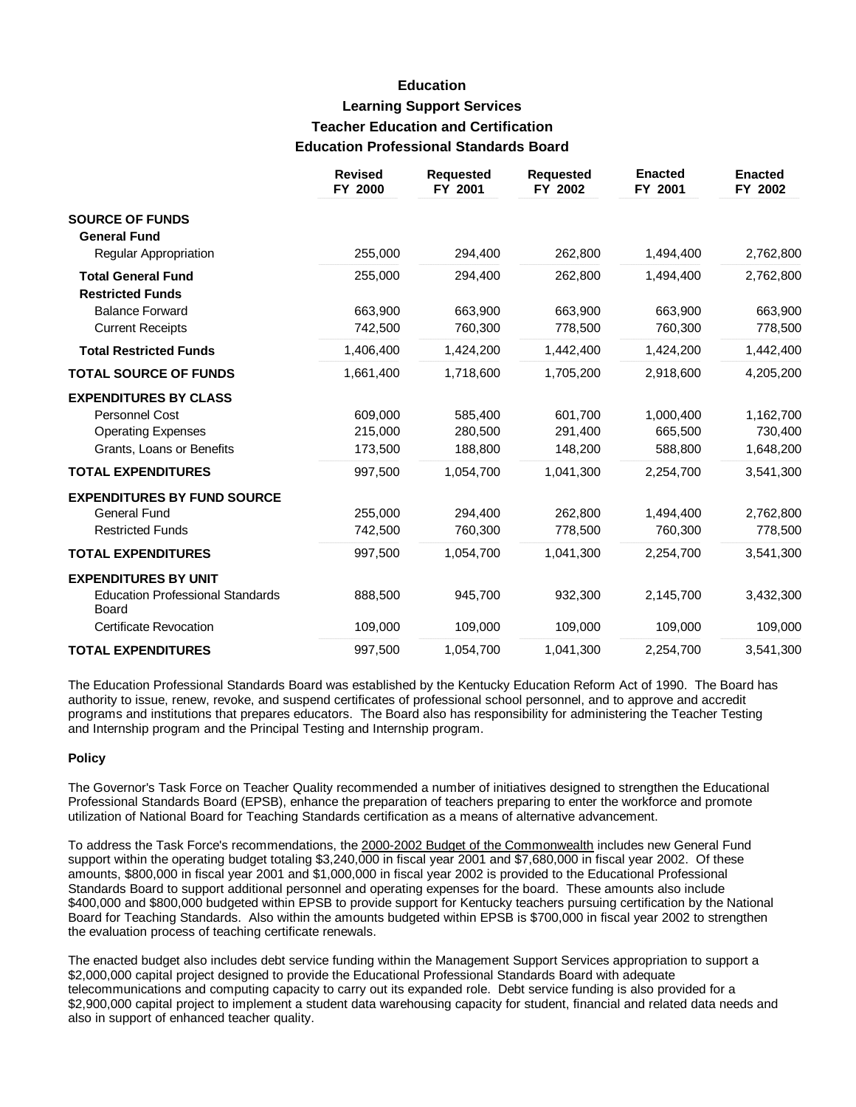## **Education Learning Support Services Teacher Education and Certification Education Professional Standards Board**

|                                                  | <b>Revised</b><br>FY 2000 | <b>Requested</b><br>FY 2001 | <b>Requested</b><br>FY 2002 | <b>Enacted</b><br>FY 2001 | <b>Enacted</b><br>FY 2002 |
|--------------------------------------------------|---------------------------|-----------------------------|-----------------------------|---------------------------|---------------------------|
| <b>SOURCE OF FUNDS</b>                           |                           |                             |                             |                           |                           |
| <b>General Fund</b>                              |                           |                             |                             |                           |                           |
| Regular Appropriation                            | 255,000                   | 294,400                     | 262,800                     | 1,494,400                 | 2,762,800                 |
| <b>Total General Fund</b>                        | 255,000                   | 294,400                     | 262,800                     | 1,494,400                 | 2,762,800                 |
| <b>Restricted Funds</b>                          |                           |                             |                             |                           |                           |
| <b>Balance Forward</b>                           | 663.900                   | 663,900                     | 663.900                     | 663.900                   | 663,900                   |
| <b>Current Receipts</b>                          | 742,500                   | 760,300                     | 778,500                     | 760,300                   | 778,500                   |
| <b>Total Restricted Funds</b>                    | 1,406,400                 | 1,424,200                   | 1,442,400                   | 1,424,200                 | 1,442,400                 |
| <b>TOTAL SOURCE OF FUNDS</b>                     | 1,661,400                 | 1,718,600                   | 1,705,200                   | 2,918,600                 | 4,205,200                 |
| <b>EXPENDITURES BY CLASS</b>                     |                           |                             |                             |                           |                           |
| Personnel Cost                                   | 609,000                   | 585,400                     | 601,700                     | 1,000,400                 | 1,162,700                 |
| <b>Operating Expenses</b>                        | 215,000                   | 280,500                     | 291,400                     | 665,500                   | 730,400                   |
| Grants, Loans or Benefits                        | 173,500                   | 188,800                     | 148,200                     | 588,800                   | 1,648,200                 |
| <b>TOTAL EXPENDITURES</b>                        | 997,500                   | 1,054,700                   | 1,041,300                   | 2,254,700                 | 3,541,300                 |
| <b>EXPENDITURES BY FUND SOURCE</b>               |                           |                             |                             |                           |                           |
| <b>General Fund</b>                              | 255,000                   | 294.400                     | 262,800                     | 1,494,400                 | 2,762,800                 |
| <b>Restricted Funds</b>                          | 742,500                   | 760,300                     | 778,500                     | 760,300                   | 778,500                   |
| <b>TOTAL EXPENDITURES</b>                        | 997,500                   | 1,054,700                   | 1,041,300                   | 2,254,700                 | 3,541,300                 |
| <b>EXPENDITURES BY UNIT</b>                      |                           |                             |                             |                           |                           |
| <b>Education Professional Standards</b><br>Board | 888,500                   | 945,700                     | 932,300                     | 2,145,700                 | 3,432,300                 |
| Certificate Revocation                           | 109,000                   | 109,000                     | 109,000                     | 109,000                   | 109,000                   |
| <b>TOTAL EXPENDITURES</b>                        | 997,500                   | 1,054,700                   | 1,041,300                   | 2,254,700                 | 3,541,300                 |

The Education Professional Standards Board was established by the Kentucky Education Reform Act of 1990. The Board has authority to issue, renew, revoke, and suspend certificates of professional school personnel, and to approve and accredit programs and institutions that prepares educators. The Board also has responsibility for administering the Teacher Testing and Internship program and the Principal Testing and Internship program.

#### **Policy**

The Governor's Task Force on Teacher Quality recommended a number of initiatives designed to strengthen the Educational Professional Standards Board (EPSB), enhance the preparation of teachers preparing to enter the workforce and promote utilization of National Board for Teaching Standards certification as a means of alternative advancement.

To address the Task Force's recommendations, the 2000-2002 Budget of the Commonwealth includes new General Fund support within the operating budget totaling \$3,240,000 in fiscal year 2001 and \$7,680,000 in fiscal year 2002. Of these amounts, \$800,000 in fiscal year 2001 and \$1,000,000 in fiscal year 2002 is provided to the Educational Professional Standards Board to support additional personnel and operating expenses for the board. These amounts also include \$400,000 and \$800,000 budgeted within EPSB to provide support for Kentucky teachers pursuing certification by the National Board for Teaching Standards. Also within the amounts budgeted within EPSB is \$700,000 in fiscal year 2002 to strengthen the evaluation process of teaching certificate renewals.

The enacted budget also includes debt service funding within the Management Support Services appropriation to support a \$2,000,000 capital project designed to provide the Educational Professional Standards Board with adequate telecommunications and computing capacity to carry out its expanded role. Debt service funding is also provided for a \$2,900,000 capital project to implement a student data warehousing capacity for student, financial and related data needs and also in support of enhanced teacher quality.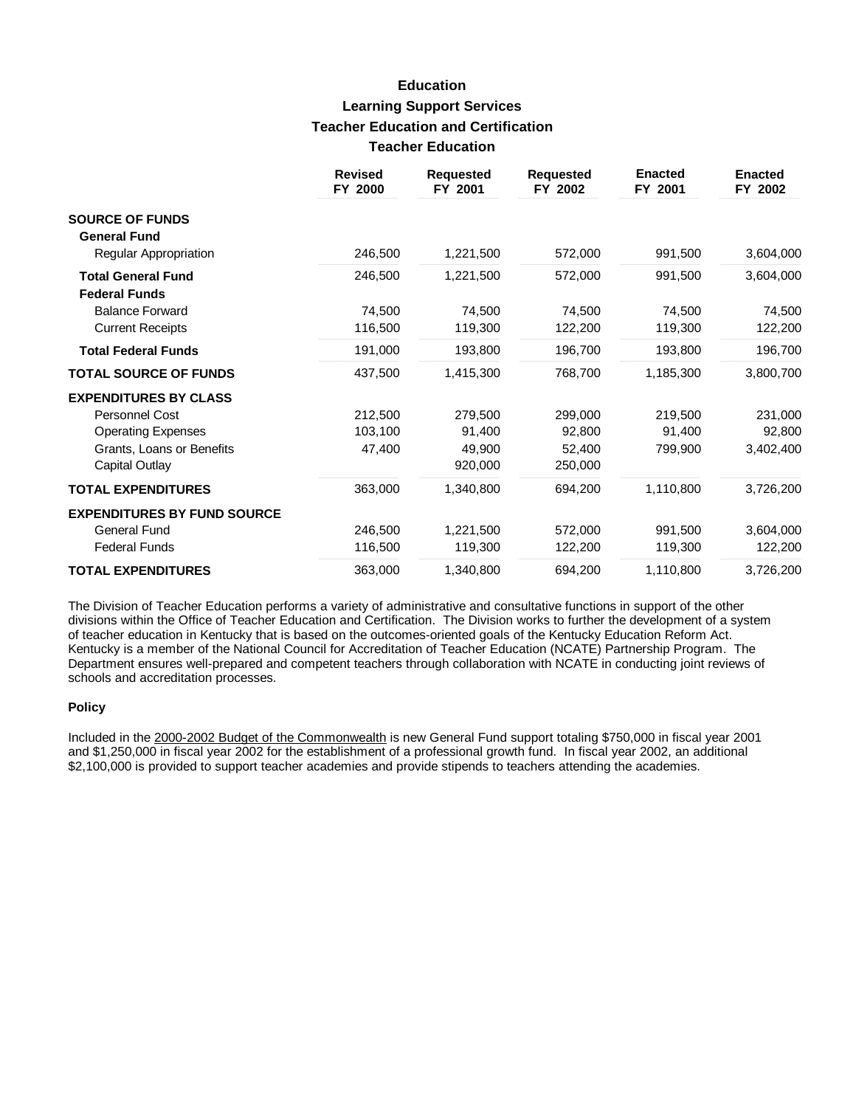## **Education Learning Support Services Teacher Education and Certification Teacher Education**

|                                    | <b>Revised</b><br>FY 2000 | <b>Requested</b><br>FY 2001 | <b>Requested</b><br>FY 2002 | <b>Enacted</b><br>FY 2001 | <b>Enacted</b><br>FY 2002 |
|------------------------------------|---------------------------|-----------------------------|-----------------------------|---------------------------|---------------------------|
| <b>SOURCE OF FUNDS</b>             |                           |                             |                             |                           |                           |
| <b>General Fund</b>                |                           |                             |                             |                           |                           |
| Regular Appropriation              | 246,500                   | 1,221,500                   | 572,000                     | 991,500                   | 3,604,000                 |
| <b>Total General Fund</b>          | 246,500                   | 1,221,500                   | 572,000                     | 991,500                   | 3,604,000                 |
| <b>Federal Funds</b>               |                           |                             |                             |                           |                           |
| <b>Balance Forward</b>             | 74,500                    | 74.500                      | 74,500                      | 74,500                    | 74,500                    |
| <b>Current Receipts</b>            | 116,500                   | 119,300                     | 122,200                     | 119,300                   | 122,200                   |
| <b>Total Federal Funds</b>         | 191,000                   | 193,800                     | 196,700                     | 193,800                   | 196,700                   |
| <b>TOTAL SOURCE OF FUNDS</b>       | 437,500                   | 1,415,300                   | 768,700                     | 1,185,300                 | 3,800,700                 |
| <b>EXPENDITURES BY CLASS</b>       |                           |                             |                             |                           |                           |
| Personnel Cost                     | 212,500                   | 279,500                     | 299,000                     | 219,500                   | 231,000                   |
| <b>Operating Expenses</b>          | 103,100                   | 91,400                      | 92,800                      | 91,400                    | 92,800                    |
| Grants, Loans or Benefits          | 47,400                    | 49,900                      | 52,400                      | 799,900                   | 3,402,400                 |
| Capital Outlay                     |                           | 920,000                     | 250,000                     |                           |                           |
| <b>TOTAL EXPENDITURES</b>          | 363,000                   | 1,340,800                   | 694,200                     | 1,110,800                 | 3,726,200                 |
| <b>EXPENDITURES BY FUND SOURCE</b> |                           |                             |                             |                           |                           |
| General Fund                       | 246,500                   | 1,221,500                   | 572,000                     | 991,500                   | 3,604,000                 |
| <b>Federal Funds</b>               | 116,500                   | 119,300                     | 122,200                     | 119,300                   | 122,200                   |
| <b>TOTAL EXPENDITURES</b>          | 363,000                   | 1,340,800                   | 694,200                     | 1,110,800                 | 3,726,200                 |

The Division of Teacher Education performs a variety of administrative and consultative functions in support of the other divisions within the Office of Teacher Education and Certification. The Division works to further the development of a system of teacher education in Kentucky that is based on the outcomes-oriented goals of the Kentucky Education Reform Act. Kentucky is a member of the National Council for Accreditation of Teacher Education (NCATE) Partnership Program. The Department ensures well-prepared and competent teachers through collaboration with NCATE in conducting joint reviews of schools and accreditation processes.

#### **Policy**

Included in the 2000-2002 Budget of the Commonwealth is new General Fund support totaling \$750,000 in fiscal year 2001 and \$1,250,000 in fiscal year 2002 for the establishment of a professional growth fund. In fiscal year 2002, an additional \$2,100,000 is provided to support teacher academies and provide stipends to teachers attending the academies.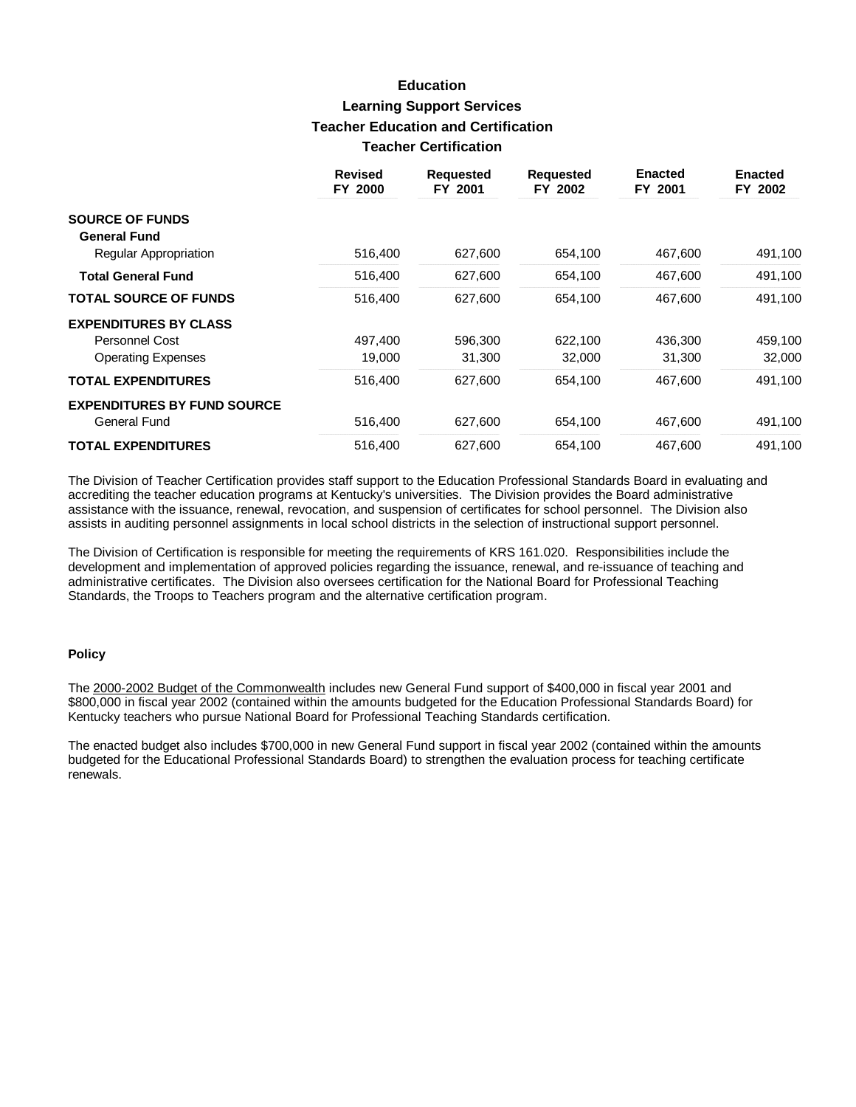## **Education Learning Support Services Teacher Education and Certification Teacher Certification**

|                                    | <b>Revised</b><br>FY 2000 | <b>Requested</b><br>FY 2001 | <b>Requested</b><br>FY 2002 | <b>Enacted</b><br>FY 2001 | <b>Enacted</b><br>FY 2002 |
|------------------------------------|---------------------------|-----------------------------|-----------------------------|---------------------------|---------------------------|
| <b>SOURCE OF FUNDS</b>             |                           |                             |                             |                           |                           |
| <b>General Fund</b>                |                           |                             |                             |                           |                           |
| Regular Appropriation              | 516,400                   | 627,600                     | 654,100                     | 467,600                   | 491,100                   |
| <b>Total General Fund</b>          | 516,400                   | 627,600                     | 654,100                     | 467,600                   | 491,100                   |
| <b>TOTAL SOURCE OF FUNDS</b>       | 516,400                   | 627,600                     | 654,100                     | 467,600                   | 491,100                   |
| <b>EXPENDITURES BY CLASS</b>       |                           |                             |                             |                           |                           |
| Personnel Cost                     | 497,400                   | 596,300                     | 622,100                     | 436,300                   | 459,100                   |
| <b>Operating Expenses</b>          | 19,000                    | 31,300                      | 32,000                      | 31,300                    | 32,000                    |
| <b>TOTAL EXPENDITURES</b>          | 516,400                   | 627.600                     | 654.100                     | 467.600                   | 491,100                   |
| <b>EXPENDITURES BY FUND SOURCE</b> |                           |                             |                             |                           |                           |
| General Fund                       | 516,400                   | 627,600                     | 654,100                     | 467,600                   | 491,100                   |
| <b>TOTAL EXPENDITURES</b>          | 516.400                   | 627,600                     | 654,100                     | 467.600                   | 491.100                   |

The Division of Teacher Certification provides staff support to the Education Professional Standards Board in evaluating and accrediting the teacher education programs at Kentucky's universities. The Division provides the Board administrative assistance with the issuance, renewal, revocation, and suspension of certificates for school personnel. The Division also assists in auditing personnel assignments in local school districts in the selection of instructional support personnel.

The Division of Certification is responsible for meeting the requirements of KRS 161.020. Responsibilities include the development and implementation of approved policies regarding the issuance, renewal, and re-issuance of teaching and administrative certificates. The Division also oversees certification for the National Board for Professional Teaching Standards, the Troops to Teachers program and the alternative certification program.

### **Policy**

The 2000-2002 Budget of the Commonwealth includes new General Fund support of \$400,000 in fiscal year 2001 and \$800,000 in fiscal year 2002 (contained within the amounts budgeted for the Education Professional Standards Board) for Kentucky teachers who pursue National Board for Professional Teaching Standards certification.

The enacted budget also includes \$700,000 in new General Fund support in fiscal year 2002 (contained within the amounts budgeted for the Educational Professional Standards Board) to strengthen the evaluation process for teaching certificate renewals.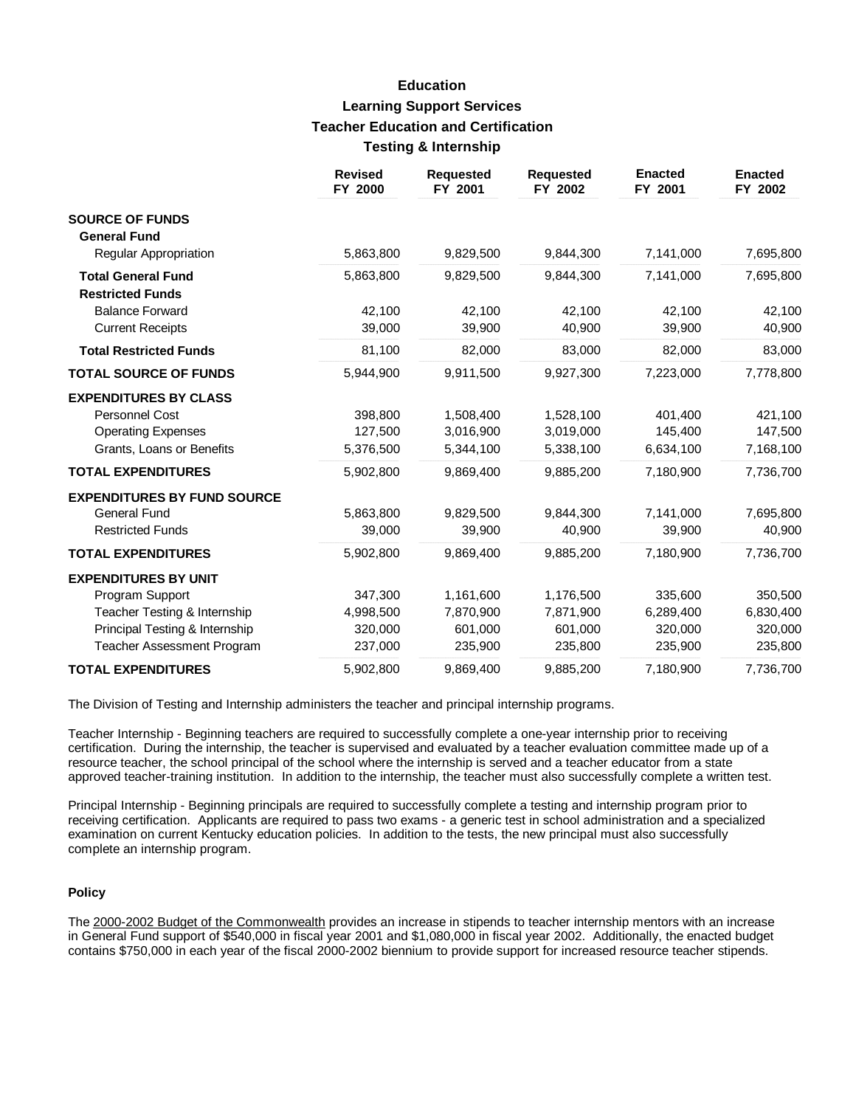## **Education Learning Support Services Teacher Education and Certification Testing & Internship**

|                                                      | <b>Revised</b><br>FY 2000 | <b>Requested</b><br>FY 2001 | <b>Requested</b><br>FY 2002 | <b>Enacted</b><br>FY 2001 | <b>Enacted</b><br>FY 2002 |
|------------------------------------------------------|---------------------------|-----------------------------|-----------------------------|---------------------------|---------------------------|
| <b>SOURCE OF FUNDS</b><br><b>General Fund</b>        |                           |                             |                             |                           |                           |
| Regular Appropriation                                | 5,863,800                 | 9,829,500                   | 9,844,300                   | 7,141,000                 | 7,695,800                 |
| <b>Total General Fund</b><br><b>Restricted Funds</b> | 5,863,800                 | 9,829,500                   | 9,844,300                   | 7,141,000                 | 7,695,800                 |
| <b>Balance Forward</b>                               | 42.100                    | 42,100                      | 42,100                      | 42,100                    | 42,100                    |
| <b>Current Receipts</b>                              | 39,000                    | 39,900                      | 40,900                      | 39,900                    | 40,900                    |
| <b>Total Restricted Funds</b>                        | 81,100                    | 82.000                      | 83,000                      | 82,000                    | 83,000                    |
| <b>TOTAL SOURCE OF FUNDS</b>                         | 5,944,900                 | 9,911,500                   | 9,927,300                   | 7,223,000                 | 7,778,800                 |
| <b>EXPENDITURES BY CLASS</b>                         |                           |                             |                             |                           |                           |
| Personnel Cost                                       | 398,800                   | 1,508,400                   | 1,528,100                   | 401,400                   | 421,100                   |
| <b>Operating Expenses</b>                            | 127,500                   | 3,016,900                   | 3,019,000                   | 145,400                   | 147,500                   |
| Grants, Loans or Benefits                            | 5,376,500                 | 5,344,100                   | 5,338,100                   | 6,634,100                 | 7,168,100                 |
| <b>TOTAL EXPENDITURES</b>                            | 5,902,800                 | 9,869,400                   | 9,885,200                   | 7,180,900                 | 7,736,700                 |
| <b>EXPENDITURES BY FUND SOURCE</b>                   |                           |                             |                             |                           |                           |
| <b>General Fund</b>                                  | 5,863,800                 | 9,829,500                   | 9,844,300                   | 7,141,000                 | 7,695,800                 |
| <b>Restricted Funds</b>                              | 39,000                    | 39,900                      | 40,900                      | 39,900                    | 40,900                    |
| <b>TOTAL EXPENDITURES</b>                            | 5,902,800                 | 9,869,400                   | 9,885,200                   | 7,180,900                 | 7,736,700                 |
| <b>EXPENDITURES BY UNIT</b>                          |                           |                             |                             |                           |                           |
| Program Support                                      | 347,300                   | 1,161,600                   | 1,176,500                   | 335,600                   | 350,500                   |
| Teacher Testing & Internship                         | 4,998,500                 | 7,870,900                   | 7,871,900                   | 6,289,400                 | 6,830,400                 |
| Principal Testing & Internship                       | 320,000                   | 601,000                     | 601,000                     | 320,000                   | 320,000                   |
| <b>Teacher Assessment Program</b>                    | 237,000                   | 235,900                     | 235,800                     | 235,900                   | 235,800                   |
| <b>TOTAL EXPENDITURES</b>                            | 5,902,800                 | 9,869,400                   | 9,885,200                   | 7,180,900                 | 7,736,700                 |

The Division of Testing and Internship administers the teacher and principal internship programs.

Teacher Internship - Beginning teachers are required to successfully complete a one-year internship prior to receiving certification. During the internship, the teacher is supervised and evaluated by a teacher evaluation committee made up of a resource teacher, the school principal of the school where the internship is served and a teacher educator from a state approved teacher-training institution. In addition to the internship, the teacher must also successfully complete a written test.

Principal Internship - Beginning principals are required to successfully complete a testing and internship program prior to receiving certification. Applicants are required to pass two exams - a generic test in school administration and a specialized examination on current Kentucky education policies. In addition to the tests, the new principal must also successfully complete an internship program.

### **Policy**

The 2000-2002 Budget of the Commonwealth provides an increase in stipends to teacher internship mentors with an increase in General Fund support of \$540,000 in fiscal year 2001 and \$1,080,000 in fiscal year 2002. Additionally, the enacted budget contains \$750,000 in each year of the fiscal 2000-2002 biennium to provide support for increased resource teacher stipends.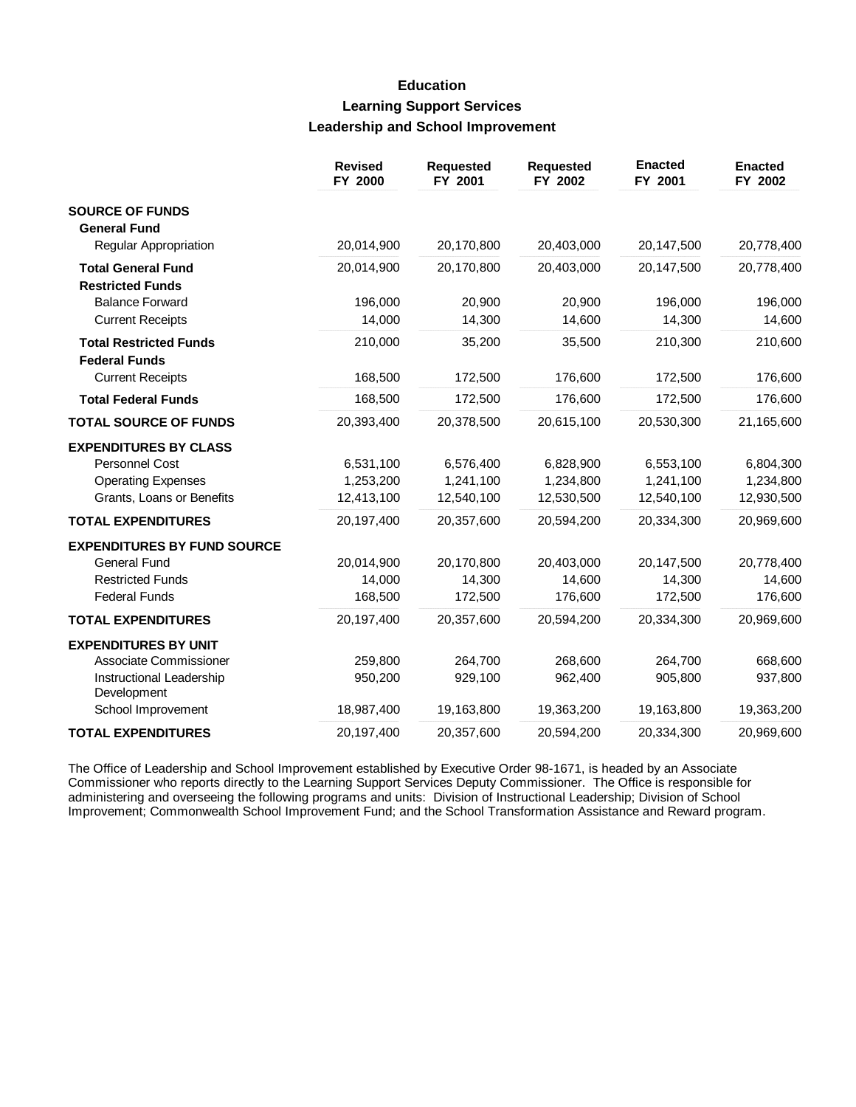## **Education Learning Support Services Leadership and School Improvement**

|                                                       | <b>Revised</b><br>FY 2000 | <b>Requested</b><br>FY 2001 | <b>Requested</b><br>FY 2002 | <b>Enacted</b><br>FY 2001 | <b>Enacted</b><br>FY 2002 |
|-------------------------------------------------------|---------------------------|-----------------------------|-----------------------------|---------------------------|---------------------------|
| <b>SOURCE OF FUNDS</b>                                |                           |                             |                             |                           |                           |
| <b>General Fund</b><br>Regular Appropriation          | 20,014,900                | 20,170,800                  | 20,403,000                  | 20,147,500                | 20,778,400                |
| <b>Total General Fund</b>                             | 20,014,900                | 20,170,800                  | 20,403,000                  | 20,147,500                | 20,778,400                |
| <b>Restricted Funds</b>                               |                           |                             |                             |                           |                           |
| <b>Balance Forward</b>                                | 196,000                   | 20,900                      | 20,900                      | 196,000                   | 196,000                   |
| <b>Current Receipts</b>                               | 14,000                    | 14,300                      | 14,600                      | 14,300                    | 14,600                    |
| <b>Total Restricted Funds</b><br><b>Federal Funds</b> | 210,000                   | 35,200                      | 35,500                      | 210,300                   | 210,600                   |
| <b>Current Receipts</b>                               | 168,500                   | 172,500                     | 176,600                     | 172,500                   | 176,600                   |
| <b>Total Federal Funds</b>                            | 168,500                   | 172,500                     | 176,600                     | 172,500                   | 176,600                   |
| <b>TOTAL SOURCE OF FUNDS</b>                          | 20,393,400                | 20,378,500                  | 20,615,100                  | 20,530,300                | 21,165,600                |
| <b>EXPENDITURES BY CLASS</b>                          |                           |                             |                             |                           |                           |
| Personnel Cost                                        | 6,531,100                 | 6,576,400                   | 6,828,900                   | 6,553,100                 | 6,804,300                 |
| <b>Operating Expenses</b>                             | 1,253,200                 | 1,241,100                   | 1,234,800                   | 1,241,100                 | 1,234,800                 |
| Grants, Loans or Benefits                             | 12,413,100                | 12,540,100                  | 12,530,500                  | 12,540,100                | 12,930,500                |
| <b>TOTAL EXPENDITURES</b>                             | 20,197,400                | 20,357,600                  | 20,594,200                  | 20,334,300                | 20,969,600                |
| <b>EXPENDITURES BY FUND SOURCE</b>                    |                           |                             |                             |                           |                           |
| <b>General Fund</b>                                   | 20,014,900                | 20,170,800                  | 20,403,000                  | 20,147,500                | 20,778,400                |
| <b>Restricted Funds</b>                               | 14,000                    | 14,300                      | 14,600                      | 14,300                    | 14,600                    |
| <b>Federal Funds</b>                                  | 168,500                   | 172,500                     | 176,600                     | 172,500                   | 176,600                   |
| <b>TOTAL EXPENDITURES</b>                             | 20,197,400                | 20,357,600                  | 20,594,200                  | 20,334,300                | 20,969,600                |
| <b>EXPENDITURES BY UNIT</b>                           |                           |                             |                             |                           |                           |
| Associate Commissioner                                | 259,800                   | 264,700                     | 268,600                     | 264,700                   | 668,600                   |
| Instructional Leadership<br>Development               | 950,200                   | 929,100                     | 962,400                     | 905,800                   | 937,800                   |
| School Improvement                                    | 18,987,400                | 19,163,800                  | 19,363,200                  | 19,163,800                | 19,363,200                |
| <b>TOTAL EXPENDITURES</b>                             | 20,197,400                | 20,357,600                  | 20,594,200                  | 20,334,300                | 20,969,600                |

The Office of Leadership and School Improvement established by Executive Order 98-1671, is headed by an Associate Commissioner who reports directly to the Learning Support Services Deputy Commissioner. The Office is responsible for administering and overseeing the following programs and units: Division of Instructional Leadership; Division of School Improvement; Commonwealth School Improvement Fund; and the School Transformation Assistance and Reward program.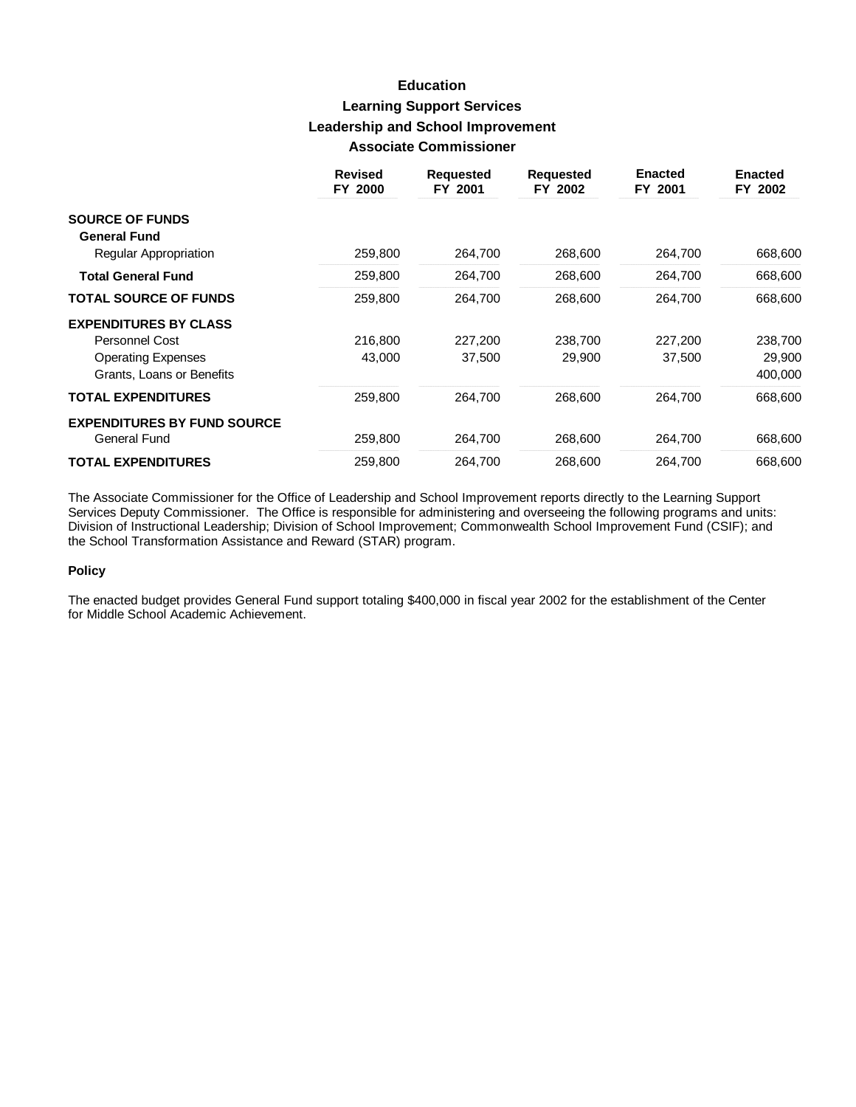## **Education Learning Support Services Leadership and School Improvement Associate Commissioner**

|                                                        | <b>Revised</b><br>FY 2000 | <b>Requested</b><br>FY 2001 | <b>Requested</b><br>FY 2002 | <b>Enacted</b><br>FY 2001 | <b>Enacted</b><br>FY 2002 |
|--------------------------------------------------------|---------------------------|-----------------------------|-----------------------------|---------------------------|---------------------------|
| <b>SOURCE OF FUNDS</b>                                 |                           |                             |                             |                           |                           |
| <b>General Fund</b><br>Regular Appropriation           | 259,800                   | 264,700                     | 268,600                     | 264,700                   | 668,600                   |
| <b>Total General Fund</b>                              | 259,800                   | 264,700                     | 268,600                     | 264,700                   | 668,600                   |
| <b>TOTAL SOURCE OF FUNDS</b>                           | 259,800                   | 264,700                     | 268,600                     | 264,700                   | 668,600                   |
| <b>EXPENDITURES BY CLASS</b>                           |                           |                             |                             |                           |                           |
| Personnel Cost                                         | 216,800                   | 227,200                     | 238.700                     | 227,200                   | 238,700                   |
| <b>Operating Expenses</b><br>Grants, Loans or Benefits | 43,000                    | 37,500                      | 29,900                      | 37,500                    | 29,900<br>400,000         |
| <b>TOTAL EXPENDITURES</b>                              | 259,800                   | 264,700                     | 268,600                     | 264,700                   | 668,600                   |
| <b>EXPENDITURES BY FUND SOURCE</b><br>General Fund     | 259,800                   | 264,700                     | 268,600                     | 264,700                   | 668,600                   |
| <b>TOTAL EXPENDITURES</b>                              | 259,800                   | 264,700                     | 268,600                     | 264,700                   | 668,600                   |

The Associate Commissioner for the Office of Leadership and School Improvement reports directly to the Learning Support Services Deputy Commissioner. The Office is responsible for administering and overseeing the following programs and units: Division of Instructional Leadership; Division of School Improvement; Commonwealth School Improvement Fund (CSIF); and the School Transformation Assistance and Reward (STAR) program.

### **Policy**

The enacted budget provides General Fund support totaling \$400,000 in fiscal year 2002 for the establishment of the Center for Middle School Academic Achievement.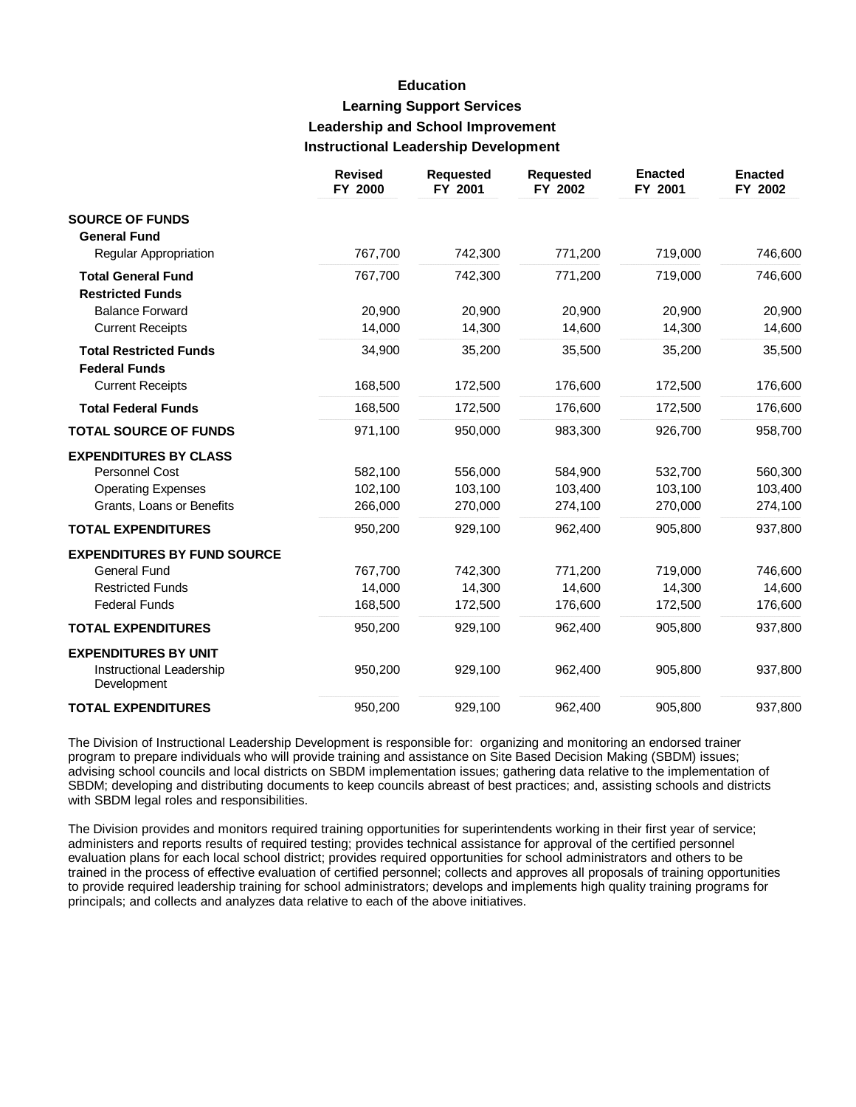## **Education Learning Support Services Leadership and School Improvement Instructional Leadership Development**

|                                                       | <b>Revised</b><br>FY 2000 | <b>Requested</b><br>FY 2001 | <b>Requested</b><br>FY 2002 | <b>Enacted</b><br>FY 2001 | <b>Enacted</b><br>FY 2002 |
|-------------------------------------------------------|---------------------------|-----------------------------|-----------------------------|---------------------------|---------------------------|
| <b>SOURCE OF FUNDS</b><br><b>General Fund</b>         |                           |                             |                             |                           |                           |
| Regular Appropriation                                 | 767,700                   | 742,300                     | 771,200                     | 719,000                   | 746,600                   |
| <b>Total General Fund</b><br><b>Restricted Funds</b>  | 767,700                   | 742,300                     | 771,200                     | 719,000                   | 746,600                   |
| <b>Balance Forward</b>                                | 20,900                    | 20,900                      | 20,900                      | 20,900                    | 20,900                    |
| <b>Current Receipts</b>                               | 14,000                    | 14,300                      | 14,600                      | 14,300                    | 14,600                    |
| <b>Total Restricted Funds</b><br><b>Federal Funds</b> | 34,900                    | 35,200                      | 35,500                      | 35,200                    | 35,500                    |
| <b>Current Receipts</b>                               | 168,500                   | 172,500                     | 176,600                     | 172,500                   | 176,600                   |
| <b>Total Federal Funds</b>                            | 168,500                   | 172,500                     | 176,600                     | 172,500                   | 176,600                   |
| <b>TOTAL SOURCE OF FUNDS</b>                          | 971,100                   | 950,000                     | 983,300                     | 926,700                   | 958,700                   |
| <b>EXPENDITURES BY CLASS</b>                          |                           |                             |                             |                           |                           |
| Personnel Cost                                        | 582,100                   | 556,000                     | 584,900                     | 532,700                   | 560,300                   |
| <b>Operating Expenses</b>                             | 102,100                   | 103,100                     | 103,400                     | 103,100                   | 103,400                   |
| Grants, Loans or Benefits                             | 266,000                   | 270,000                     | 274,100                     | 270,000                   | 274,100                   |
| <b>TOTAL EXPENDITURES</b>                             | 950,200                   | 929,100                     | 962,400                     | 905,800                   | 937,800                   |
| <b>EXPENDITURES BY FUND SOURCE</b>                    |                           |                             |                             |                           |                           |
| <b>General Fund</b>                                   | 767,700                   | 742,300                     | 771,200                     | 719,000                   | 746,600                   |
| <b>Restricted Funds</b>                               | 14,000                    | 14,300                      | 14,600                      | 14,300                    | 14,600                    |
| <b>Federal Funds</b>                                  | 168,500                   | 172,500                     | 176,600                     | 172,500                   | 176,600                   |
| <b>TOTAL EXPENDITURES</b>                             | 950,200                   | 929,100                     | 962,400                     | 905,800                   | 937,800                   |
| <b>EXPENDITURES BY UNIT</b>                           |                           |                             |                             |                           |                           |
| Instructional Leadership<br>Development               | 950,200                   | 929,100                     | 962,400                     | 905,800                   | 937,800                   |
| <b>TOTAL EXPENDITURES</b>                             | 950,200                   | 929,100                     | 962,400                     | 905,800                   | 937,800                   |

The Division of Instructional Leadership Development is responsible for: organizing and monitoring an endorsed trainer program to prepare individuals who will provide training and assistance on Site Based Decision Making (SBDM) issues; advising school councils and local districts on SBDM implementation issues; gathering data relative to the implementation of SBDM; developing and distributing documents to keep councils abreast of best practices; and, assisting schools and districts with SBDM legal roles and responsibilities.

The Division provides and monitors required training opportunities for superintendents working in their first year of service; administers and reports results of required testing; provides technical assistance for approval of the certified personnel evaluation plans for each local school district; provides required opportunities for school administrators and others to be trained in the process of effective evaluation of certified personnel; collects and approves all proposals of training opportunities to provide required leadership training for school administrators; develops and implements high quality training programs for principals; and collects and analyzes data relative to each of the above initiatives.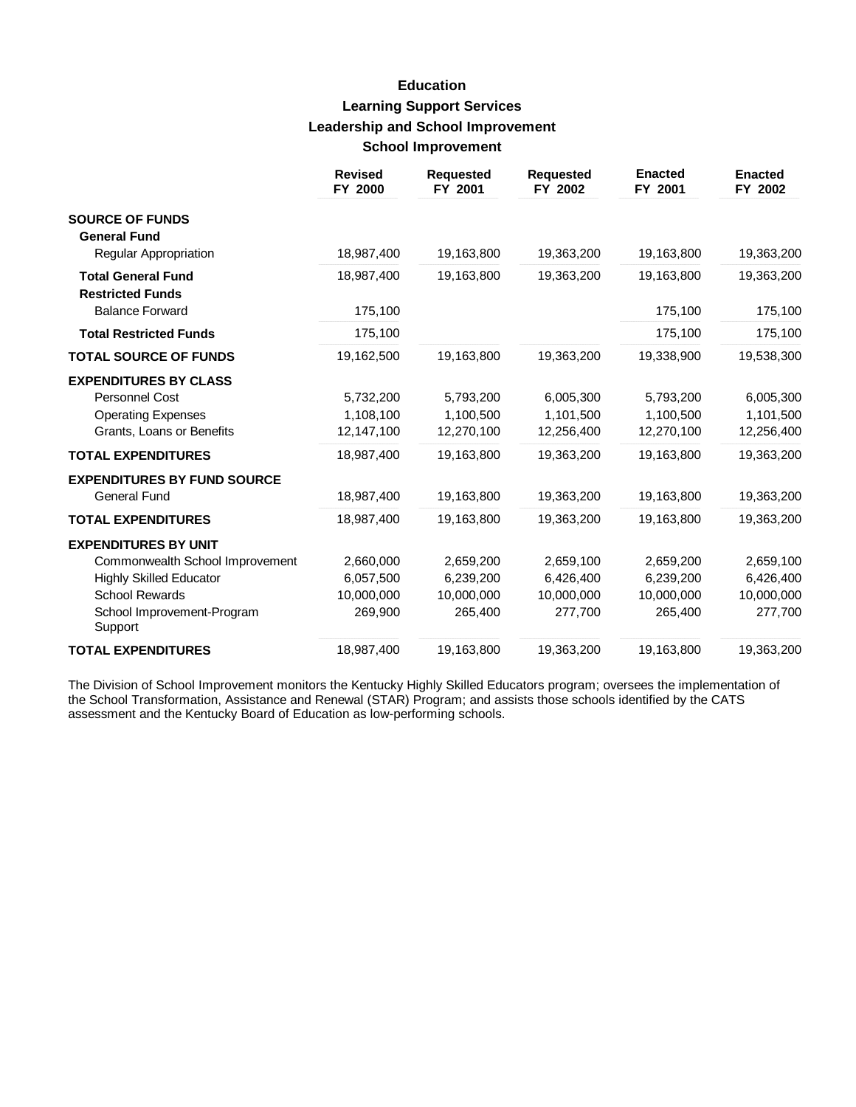# **Education Learning Support Services Leadership and School Improvement School Improvement**

|                                                                                                          | <b>Revised</b><br>FY 2000            | <b>Requested</b><br>FY 2001          | <b>Requested</b><br>FY 2002          | <b>Enacted</b><br>FY 2001            | <b>Enacted</b><br>FY 2002            |
|----------------------------------------------------------------------------------------------------------|--------------------------------------|--------------------------------------|--------------------------------------|--------------------------------------|--------------------------------------|
| <b>SOURCE OF FUNDS</b><br><b>General Fund</b>                                                            |                                      |                                      |                                      |                                      |                                      |
| Regular Appropriation                                                                                    | 18,987,400                           | 19,163,800                           | 19,363,200                           | 19,163,800                           | 19,363,200                           |
| <b>Total General Fund</b><br><b>Restricted Funds</b>                                                     | 18,987,400                           | 19,163,800                           | 19,363,200                           | 19,163,800                           | 19,363,200                           |
| <b>Balance Forward</b>                                                                                   | 175,100                              |                                      |                                      | 175,100                              | 175,100                              |
| <b>Total Restricted Funds</b>                                                                            | 175,100                              |                                      |                                      | 175,100                              | 175,100                              |
| <b>TOTAL SOURCE OF FUNDS</b>                                                                             | 19,162,500                           | 19,163,800                           | 19,363,200                           | 19,338,900                           | 19,538,300                           |
| <b>EXPENDITURES BY CLASS</b><br>Personnel Cost<br><b>Operating Expenses</b><br>Grants, Loans or Benefits | 5,732,200<br>1,108,100<br>12,147,100 | 5,793,200<br>1,100,500<br>12,270,100 | 6,005,300<br>1,101,500<br>12,256,400 | 5,793,200<br>1,100,500<br>12,270,100 | 6,005,300<br>1,101,500<br>12,256,400 |
| <b>TOTAL EXPENDITURES</b>                                                                                | 18,987,400                           | 19,163,800                           | 19,363,200                           | 19,163,800                           | 19,363,200                           |
| <b>EXPENDITURES BY FUND SOURCE</b><br><b>General Fund</b>                                                | 18,987,400                           | 19,163,800                           | 19,363,200                           | 19,163,800                           | 19,363,200                           |
| <b>TOTAL EXPENDITURES</b>                                                                                | 18,987,400                           | 19,163,800                           | 19,363,200                           | 19,163,800                           | 19,363,200                           |
| <b>EXPENDITURES BY UNIT</b><br>Commonwealth School Improvement<br><b>Highly Skilled Educator</b>         | 2,660,000<br>6,057,500               | 2,659,200<br>6,239,200               | 2,659,100<br>6,426,400               | 2,659,200<br>6.239.200               | 2,659,100<br>6,426,400               |
| <b>School Rewards</b><br>School Improvement-Program<br>Support                                           | 10,000,000<br>269,900                | 10,000,000<br>265,400                | 10,000,000<br>277,700                | 10,000,000<br>265,400                | 10,000,000<br>277,700                |
| <b>TOTAL EXPENDITURES</b>                                                                                | 18,987,400                           | 19,163,800                           | 19,363,200                           | 19,163,800                           | 19,363,200                           |

The Division of School Improvement monitors the Kentucky Highly Skilled Educators program; oversees the implementation of the School Transformation, Assistance and Renewal (STAR) Program; and assists those schools identified by the CATS assessment and the Kentucky Board of Education as low-performing schools.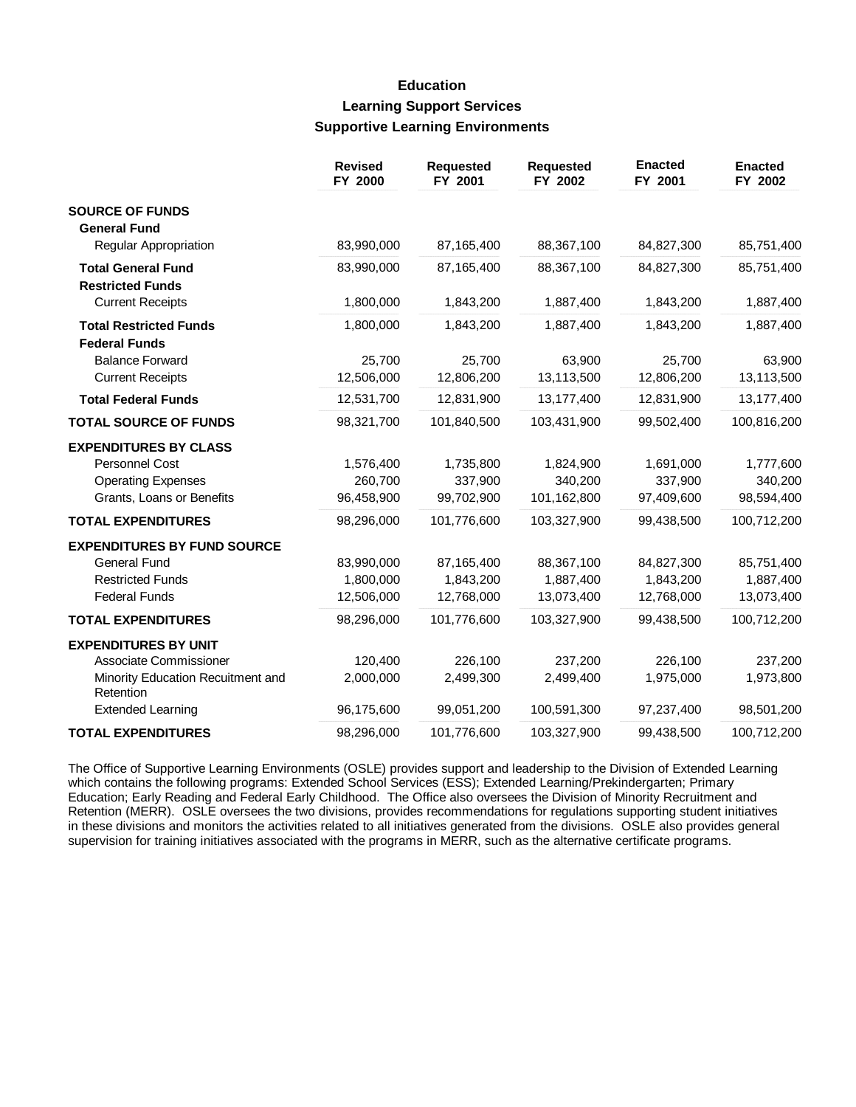## **Education Learning Support Services Supportive Learning Environments**

|                                                | <b>Revised</b><br>FY 2000 | <b>Requested</b><br>FY 2001 | <b>Requested</b><br>FY 2002 | <b>Enacted</b><br>FY 2001 | <b>Enacted</b><br>FY 2002 |
|------------------------------------------------|---------------------------|-----------------------------|-----------------------------|---------------------------|---------------------------|
| <b>SOURCE OF FUNDS</b>                         |                           |                             |                             |                           |                           |
| <b>General Fund</b>                            |                           |                             |                             |                           |                           |
| <b>Regular Appropriation</b>                   | 83,990,000                | 87,165,400                  | 88,367,100                  | 84,827,300                | 85,751,400                |
| <b>Total General Fund</b>                      | 83,990,000                | 87,165,400                  | 88,367,100                  | 84,827,300                | 85,751,400                |
| <b>Restricted Funds</b>                        |                           |                             |                             |                           |                           |
| <b>Current Receipts</b>                        | 1,800,000                 | 1,843,200                   | 1,887,400                   | 1,843,200                 | 1,887,400                 |
| <b>Total Restricted Funds</b>                  | 1,800,000                 | 1,843,200                   | 1,887,400                   | 1,843,200                 | 1,887,400                 |
| <b>Federal Funds</b>                           |                           |                             |                             |                           |                           |
| <b>Balance Forward</b>                         | 25,700                    | 25,700                      | 63,900                      | 25,700                    | 63,900                    |
| <b>Current Receipts</b>                        | 12,506,000                | 12,806,200                  | 13,113,500                  | 12,806,200                | 13,113,500                |
| <b>Total Federal Funds</b>                     | 12,531,700                | 12,831,900                  | 13,177,400                  | 12,831,900                | 13,177,400                |
| <b>TOTAL SOURCE OF FUNDS</b>                   | 98,321,700                | 101,840,500                 | 103,431,900                 | 99,502,400                | 100,816,200               |
| <b>EXPENDITURES BY CLASS</b>                   |                           |                             |                             |                           |                           |
| <b>Personnel Cost</b>                          | 1,576,400                 | 1,735,800                   | 1,824,900                   | 1,691,000                 | 1,777,600                 |
| <b>Operating Expenses</b>                      | 260,700                   | 337,900                     | 340,200                     | 337,900                   | 340,200                   |
| Grants, Loans or Benefits                      | 96,458,900                | 99,702,900                  | 101,162,800                 | 97,409,600                | 98,594,400                |
| <b>TOTAL EXPENDITURES</b>                      | 98,296,000                | 101,776,600                 | 103,327,900                 | 99,438,500                | 100,712,200               |
| <b>EXPENDITURES BY FUND SOURCE</b>             |                           |                             |                             |                           |                           |
| General Fund                                   | 83,990,000                | 87,165,400                  | 88,367,100                  | 84,827,300                | 85,751,400                |
| <b>Restricted Funds</b>                        | 1,800,000                 | 1,843,200                   | 1,887,400                   | 1,843,200                 | 1,887,400                 |
| <b>Federal Funds</b>                           | 12,506,000                | 12,768,000                  | 13,073,400                  | 12,768,000                | 13,073,400                |
| <b>TOTAL EXPENDITURES</b>                      | 98,296,000                | 101,776,600                 | 103,327,900                 | 99,438,500                | 100,712,200               |
| <b>EXPENDITURES BY UNIT</b>                    |                           |                             |                             |                           |                           |
| Associate Commissioner                         | 120,400                   | 226,100                     | 237,200                     | 226,100                   | 237,200                   |
| Minority Education Recuitment and<br>Retention | 2,000,000                 | 2,499,300                   | 2,499,400                   | 1,975,000                 | 1,973,800                 |
| <b>Extended Learning</b>                       | 96,175,600                | 99,051,200                  | 100,591,300                 | 97,237,400                | 98,501,200                |
| <b>TOTAL EXPENDITURES</b>                      | 98,296,000                | 101,776,600                 | 103,327,900                 | 99,438,500                | 100,712,200               |

The Office of Supportive Learning Environments (OSLE) provides support and leadership to the Division of Extended Learning which contains the following programs: Extended School Services (ESS); Extended Learning/Prekindergarten; Primary Education; Early Reading and Federal Early Childhood. The Office also oversees the Division of Minority Recruitment and Retention (MERR). OSLE oversees the two divisions, provides recommendations for regulations supporting student initiatives in these divisions and monitors the activities related to all initiatives generated from the divisions. OSLE also provides general supervision for training initiatives associated with the programs in MERR, such as the alternative certificate programs.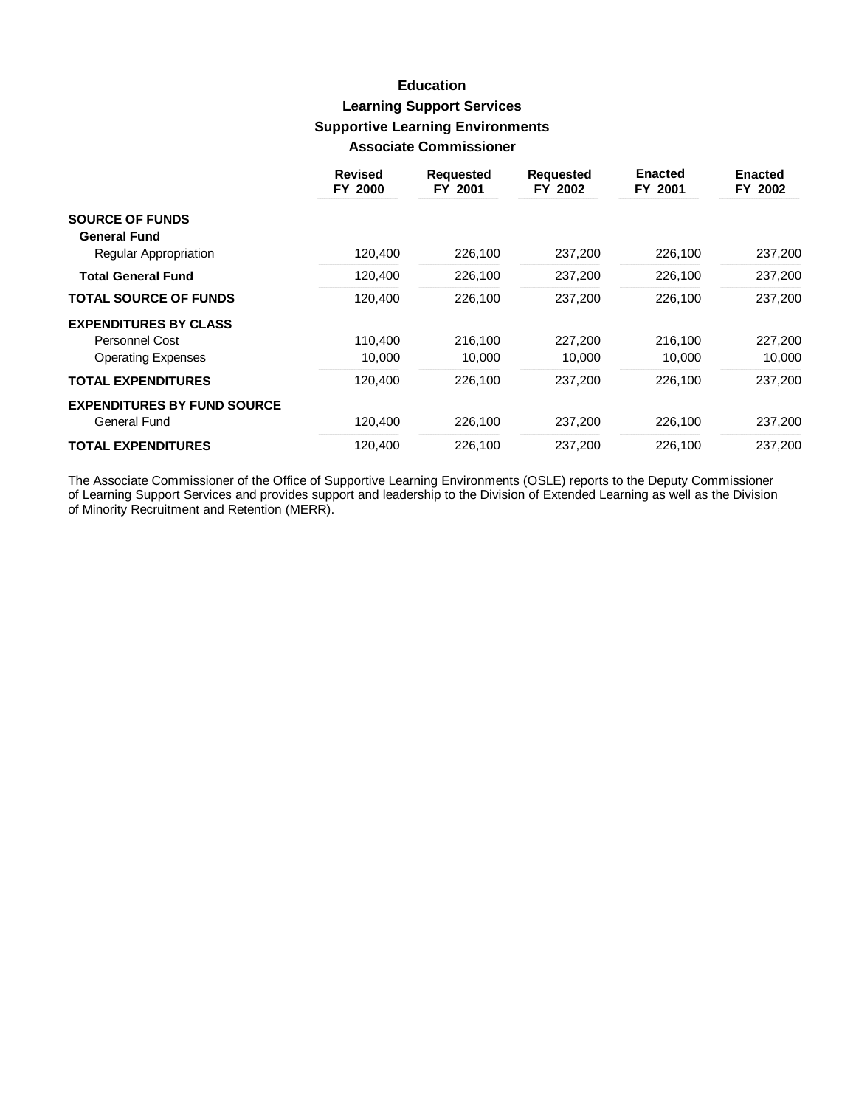## **Education Learning Support Services Supportive Learning Environments Associate Commissioner**

|                                    | <b>Revised</b><br>FY 2000 | <b>Requested</b><br>FY 2001 | <b>Requested</b><br>FY 2002 | <b>Enacted</b><br>FY 2001 | <b>Enacted</b><br>FY 2002 |
|------------------------------------|---------------------------|-----------------------------|-----------------------------|---------------------------|---------------------------|
| <b>SOURCE OF FUNDS</b>             |                           |                             |                             |                           |                           |
| <b>General Fund</b>                |                           |                             | 237,200                     | 226,100                   | 237,200                   |
| Regular Appropriation              | 120,400                   | 226,100                     |                             |                           |                           |
| <b>Total General Fund</b>          | 120,400                   | 226,100                     | 237,200                     | 226,100                   | 237,200                   |
| <b>TOTAL SOURCE OF FUNDS</b>       | 120,400                   | 226,100                     | 237,200                     | 226,100                   | 237,200                   |
| <b>EXPENDITURES BY CLASS</b>       |                           |                             |                             |                           |                           |
| <b>Personnel Cost</b>              | 110,400                   | 216,100                     | 227.200                     | 216,100                   | 227,200                   |
| <b>Operating Expenses</b>          | 10,000                    | 10,000                      | 10,000                      | 10,000                    | 10,000                    |
| <b>TOTAL EXPENDITURES</b>          | 120,400                   | 226,100                     | 237.200                     | 226,100                   | 237,200                   |
| <b>EXPENDITURES BY FUND SOURCE</b> |                           |                             |                             |                           |                           |
| General Fund                       | 120,400                   | 226,100                     | 237,200                     | 226,100                   | 237,200                   |
| <b>TOTAL EXPENDITURES</b>          | 120.400                   | 226,100                     | 237.200                     | 226,100                   | 237.200                   |

The Associate Commissioner of the Office of Supportive Learning Environments (OSLE) reports to the Deputy Commissioner of Learning Support Services and provides support and leadership to the Division of Extended Learning a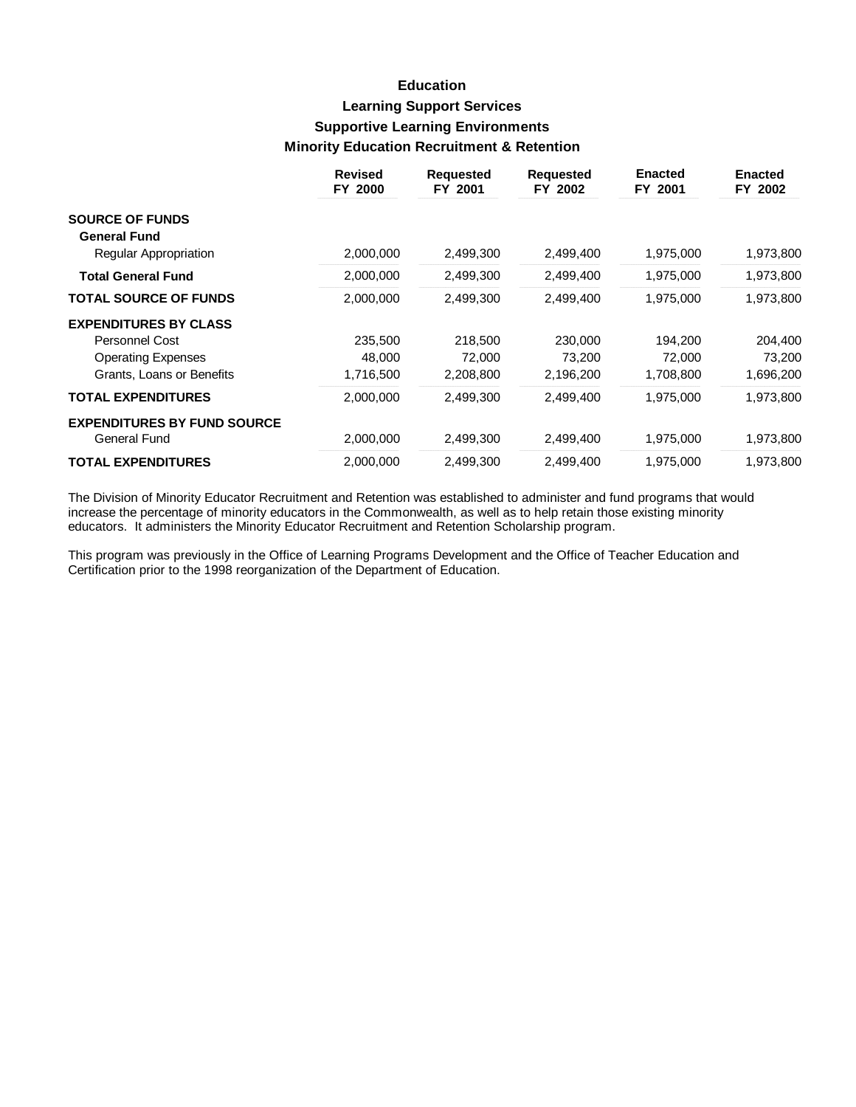# **Education Learning Support Services Supportive Learning Environments Minority Education Recruitment & Retention**

|                                                     | <b>Revised</b><br>FY 2000 | <b>Requested</b><br>FY 2001 | <b>Requested</b><br>FY 2002 | <b>Enacted</b><br>FY 2001 | <b>Enacted</b><br>FY 2002 |
|-----------------------------------------------------|---------------------------|-----------------------------|-----------------------------|---------------------------|---------------------------|
| <b>SOURCE OF FUNDS</b>                              |                           |                             |                             |                           |                           |
| <b>General Fund</b><br><b>Regular Appropriation</b> | 2,000,000                 | 2,499,300                   | 2,499,400                   | 1,975,000                 | 1,973,800                 |
| <b>Total General Fund</b>                           | 2,000,000                 | 2,499,300                   | 2,499,400                   | 1,975,000                 | 1,973,800                 |
| <b>TOTAL SOURCE OF FUNDS</b>                        | 2,000,000                 | 2,499,300                   | 2,499,400                   | 1,975,000                 | 1,973,800                 |
| <b>EXPENDITURES BY CLASS</b>                        |                           |                             |                             |                           |                           |
| Personnel Cost                                      | 235,500                   | 218,500                     | 230,000                     | 194,200                   | 204,400                   |
| <b>Operating Expenses</b>                           | 48,000                    | 72,000                      | 73,200                      | 72,000                    | 73,200                    |
| Grants, Loans or Benefits                           | 1,716,500                 | 2,208,800                   | 2,196,200                   | 1,708,800                 | 1,696,200                 |
| <b>TOTAL EXPENDITURES</b>                           | 2,000,000                 | 2,499,300                   | 2,499,400                   | 1,975,000                 | 1,973,800                 |
| <b>EXPENDITURES BY FUND SOURCE</b>                  |                           |                             |                             |                           |                           |
| General Fund                                        | 2,000,000                 | 2,499,300                   | 2,499,400                   | 1,975,000                 | 1,973,800                 |
| <b>TOTAL EXPENDITURES</b>                           | 2,000,000                 | 2,499,300                   | 2,499,400                   | 1,975,000                 | 1,973,800                 |

The Division of Minority Educator Recruitment and Retention was established to administer and fund programs that would increase the percentage of minority educators in the Commonwealth, as well as to help retain those existing minority educators. It administers the Minority Educator Recruitment and Retention Scholarship program.

This program was previously in the Office of Learning Programs Development and the Office of Teacher Education and Certification prior to the 1998 reorganization of the Department of Education.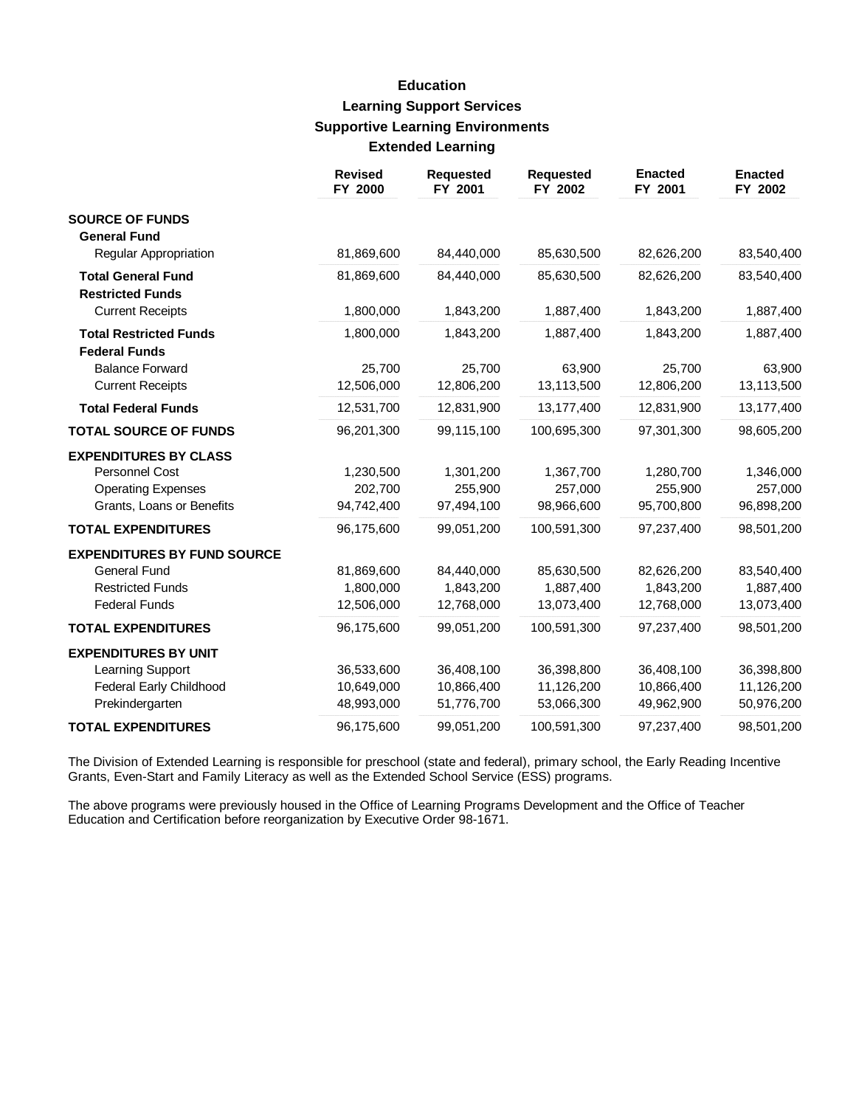# **Education Learning Support Services Supportive Learning Environments Extended Learning**

|                                                                                                              | <b>Revised</b><br>FY 2000              | <b>Requested</b><br>FY 2001            | <b>Requested</b><br>FY 2002            | <b>Enacted</b><br>FY 2001              | <b>Enacted</b><br>FY 2002              |
|--------------------------------------------------------------------------------------------------------------|----------------------------------------|----------------------------------------|----------------------------------------|----------------------------------------|----------------------------------------|
| <b>SOURCE OF FUNDS</b><br><b>General Fund</b>                                                                |                                        |                                        |                                        |                                        |                                        |
| Regular Appropriation                                                                                        | 81,869,600                             | 84,440,000                             | 85,630,500                             | 82,626,200                             | 83,540,400                             |
| <b>Total General Fund</b><br><b>Restricted Funds</b>                                                         | 81,869,600                             | 84,440,000                             | 85,630,500                             | 82,626,200                             | 83,540,400                             |
| <b>Current Receipts</b>                                                                                      | 1,800,000                              | 1,843,200                              | 1,887,400                              | 1,843,200                              | 1,887,400                              |
| <b>Total Restricted Funds</b><br><b>Federal Funds</b>                                                        | 1,800,000                              | 1,843,200                              | 1,887,400                              | 1,843,200                              | 1,887,400                              |
| <b>Balance Forward</b><br><b>Current Receipts</b>                                                            | 25,700<br>12,506,000                   | 25,700<br>12,806,200                   | 63,900<br>13,113,500                   | 25,700<br>12,806,200                   | 63,900<br>13,113,500                   |
| <b>Total Federal Funds</b>                                                                                   | 12,531,700                             | 12,831,900                             | 13,177,400                             | 12,831,900                             | 13,177,400                             |
| <b>TOTAL SOURCE OF FUNDS</b>                                                                                 | 96,201,300                             | 99,115,100                             | 100,695,300                            | 97,301,300                             | 98,605,200                             |
| <b>EXPENDITURES BY CLASS</b><br>Personnel Cost<br><b>Operating Expenses</b><br>Grants, Loans or Benefits     | 1,230,500<br>202,700<br>94,742,400     | 1,301,200<br>255,900<br>97,494,100     | 1,367,700<br>257,000<br>98,966,600     | 1,280,700<br>255,900<br>95,700,800     | 1,346,000<br>257,000<br>96,898,200     |
| <b>TOTAL EXPENDITURES</b>                                                                                    | 96,175,600                             | 99,051,200                             | 100,591,300                            | 97,237,400                             | 98,501,200                             |
| <b>EXPENDITURES BY FUND SOURCE</b><br><b>General Fund</b><br><b>Restricted Funds</b><br><b>Federal Funds</b> | 81,869,600<br>1,800,000<br>12,506,000  | 84,440,000<br>1,843,200<br>12,768,000  | 85,630,500<br>1,887,400<br>13,073,400  | 82,626,200<br>1,843,200<br>12,768,000  | 83,540,400<br>1,887,400<br>13,073,400  |
| <b>TOTAL EXPENDITURES</b>                                                                                    | 96,175,600                             | 99,051,200                             | 100,591,300                            | 97,237,400                             | 98,501,200                             |
| <b>EXPENDITURES BY UNIT</b><br>Learning Support<br><b>Federal Early Childhood</b><br>Prekindergarten         | 36,533,600<br>10,649,000<br>48,993,000 | 36,408,100<br>10,866,400<br>51,776,700 | 36,398,800<br>11,126,200<br>53,066,300 | 36,408,100<br>10,866,400<br>49,962,900 | 36,398,800<br>11,126,200<br>50,976,200 |
| <b>TOTAL EXPENDITURES</b>                                                                                    | 96,175,600                             | 99,051,200                             | 100,591,300                            | 97,237,400                             | 98,501,200                             |

The Division of Extended Learning is responsible for preschool (state and federal), primary school, the Early Reading Incentive Grants, Even-Start and Family Literacy as well as the Extended School Service (ESS) programs.

The above programs were previously housed in the Office of Learning Programs Development and the Office of Teacher Education and Certification before reorganization by Executive Order 98-1671.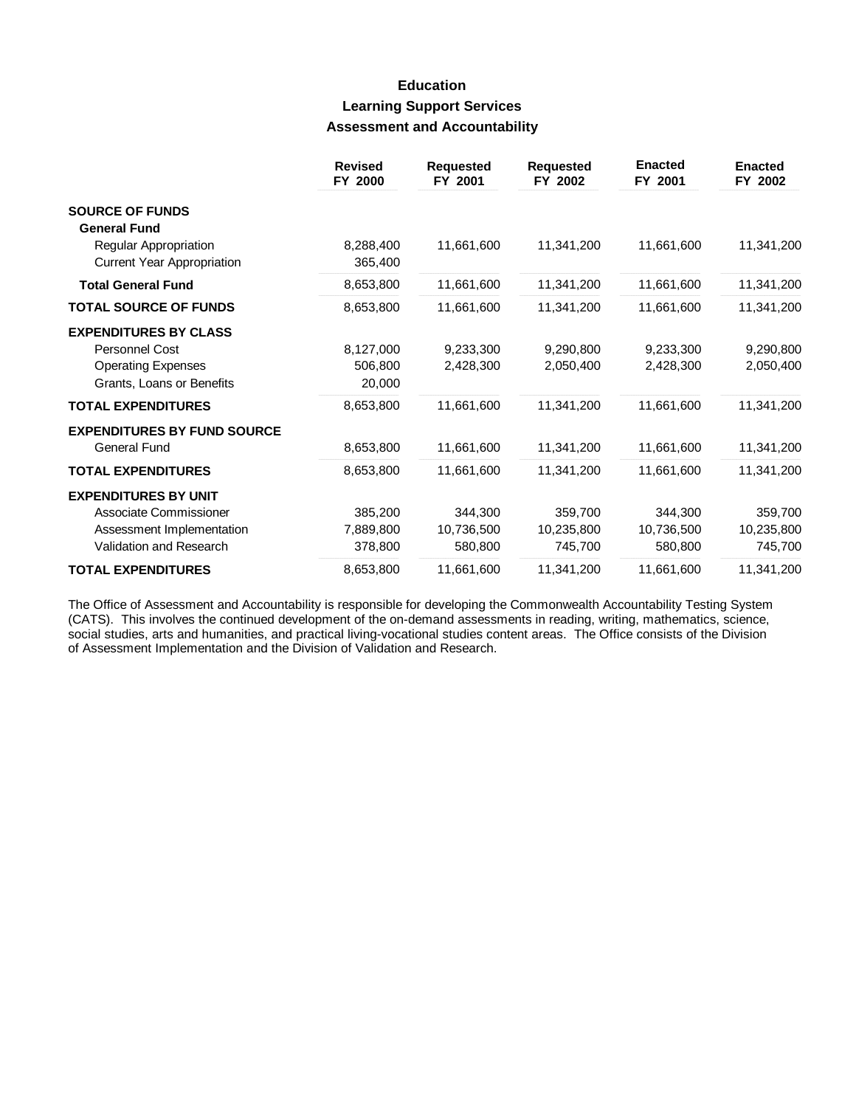## **Education Learning Support Services Assessment and Accountability**

|                                                                                                               | <b>Revised</b><br>FY 2000       | <b>Requested</b><br>FY 2001      | <b>Requested</b><br>FY 2002      | <b>Enacted</b><br>FY 2001        | <b>Enacted</b><br>FY 2002        |
|---------------------------------------------------------------------------------------------------------------|---------------------------------|----------------------------------|----------------------------------|----------------------------------|----------------------------------|
| <b>SOURCE OF FUNDS</b><br><b>General Fund</b>                                                                 |                                 |                                  |                                  |                                  |                                  |
| Regular Appropriation<br><b>Current Year Appropriation</b>                                                    | 8,288,400<br>365,400            | 11,661,600                       | 11,341,200                       | 11,661,600                       | 11,341,200                       |
| <b>Total General Fund</b>                                                                                     | 8,653,800                       | 11,661,600                       | 11,341,200                       | 11,661,600                       | 11,341,200                       |
| <b>TOTAL SOURCE OF FUNDS</b>                                                                                  | 8,653,800                       | 11,661,600                       | 11,341,200                       | 11,661,600                       | 11,341,200                       |
| <b>EXPENDITURES BY CLASS</b><br><b>Personnel Cost</b><br><b>Operating Expenses</b>                            | 8,127,000<br>506,800            | 9.233.300<br>2,428,300           | 9.290.800<br>2,050,400           | 9.233.300<br>2,428,300           | 9,290,800<br>2,050,400           |
| Grants, Loans or Benefits<br><b>TOTAL EXPENDITURES</b>                                                        | 20,000<br>8,653,800             | 11,661,600                       | 11,341,200                       | 11,661,600                       | 11,341,200                       |
| <b>EXPENDITURES BY FUND SOURCE</b><br><b>General Fund</b>                                                     | 8,653,800                       | 11,661,600                       | 11,341,200                       | 11,661,600                       | 11,341,200                       |
| <b>TOTAL EXPENDITURES</b>                                                                                     | 8,653,800                       | 11,661,600                       | 11,341,200                       | 11,661,600                       | 11,341,200                       |
| <b>EXPENDITURES BY UNIT</b><br>Associate Commissioner<br>Assessment Implementation<br>Validation and Research | 385,200<br>7,889,800<br>378,800 | 344,300<br>10,736,500<br>580,800 | 359,700<br>10,235,800<br>745,700 | 344,300<br>10,736,500<br>580,800 | 359,700<br>10,235,800<br>745,700 |
| <b>TOTAL EXPENDITURES</b>                                                                                     | 8,653,800                       | 11,661,600                       | 11,341,200                       | 11,661,600                       | 11,341,200                       |

The Office of Assessment and Accountability is responsible for developing the Commonwealth Accountability Testing System (CATS). This involves the continued development of the on-demand assessments in reading, writing, mathematics, science, social studies, arts and humanities, and practical living-vocational studies content areas. The Office consists of the Division of Assessment Implementation and the Division of Validation and Research.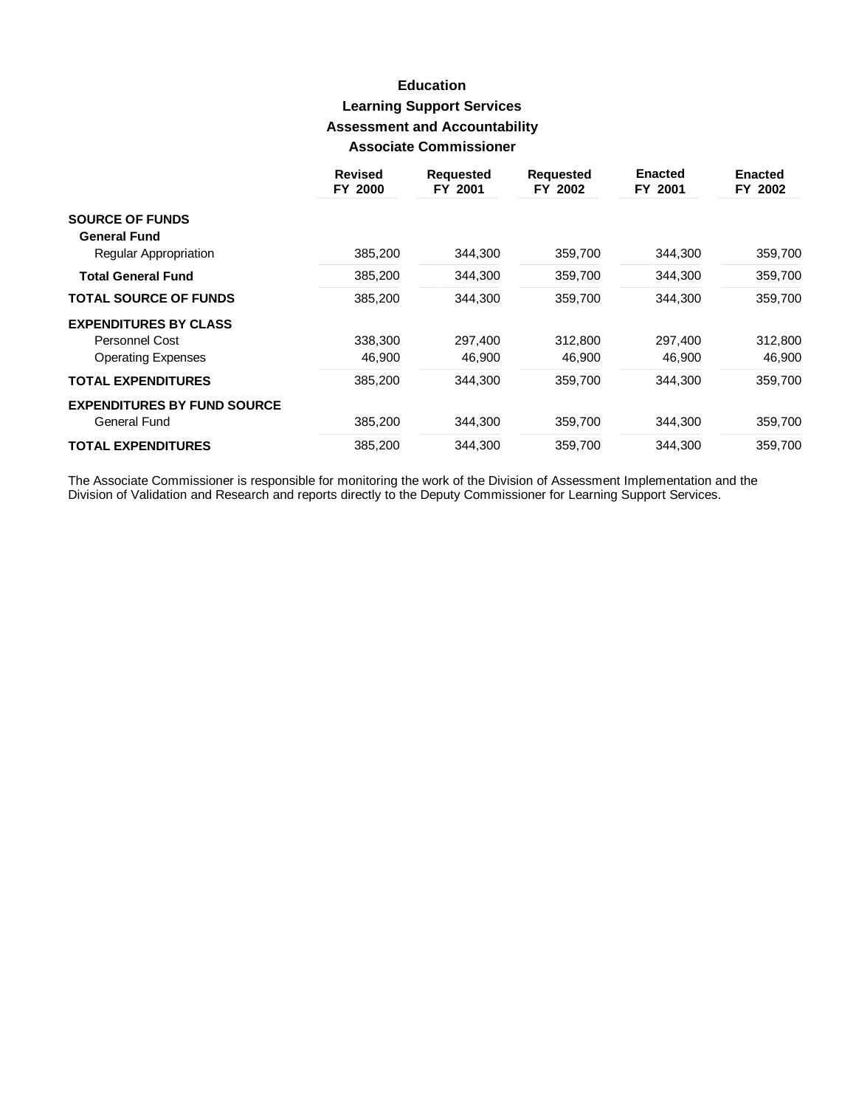# **Education Learning Support Services Assessment and Accountability Associate Commissioner**

|                                    | <b>Revised</b><br>FY 2000 | <b>Requested</b><br>FY 2001 | <b>Requested</b><br>FY 2002 | <b>Enacted</b><br>FY 2001 | <b>Enacted</b><br>FY 2002 |
|------------------------------------|---------------------------|-----------------------------|-----------------------------|---------------------------|---------------------------|
| <b>SOURCE OF FUNDS</b>             |                           |                             |                             |                           |                           |
| <b>General Fund</b>                |                           |                             |                             |                           |                           |
| <b>Regular Appropriation</b>       | 385,200                   | 344,300                     | 359,700                     | 344,300                   | 359,700                   |
| <b>Total General Fund</b>          | 385,200                   | 344,300                     | 359,700                     | 344.300                   | 359,700                   |
| <b>TOTAL SOURCE OF FUNDS</b>       | 385,200                   | 344,300                     | 359,700                     | 344.300                   | 359,700                   |
| <b>EXPENDITURES BY CLASS</b>       |                           |                             |                             |                           |                           |
| Personnel Cost                     | 338,300                   | 297.400                     | 312,800                     | 297,400                   | 312,800                   |
| <b>Operating Expenses</b>          | 46,900                    | 46,900                      | 46,900                      | 46.900                    | 46,900                    |
| <b>TOTAL EXPENDITURES</b>          | 385,200                   | 344,300                     | 359,700                     | 344.300                   | 359,700                   |
| <b>EXPENDITURES BY FUND SOURCE</b> |                           |                             |                             |                           |                           |
| General Fund                       | 385,200                   | 344.300                     | 359,700                     | 344.300                   | 359,700                   |
| <b>TOTAL EXPENDITURES</b>          | 385,200                   | 344,300                     | 359.700                     | 344.300                   | 359.700                   |

The Associate Commissioner is responsible for monitoring the work of the Division of Assessment Implementation and the<br>Division of Validation and Research and reports directly to the Deputy Commissioner for Learning Suppor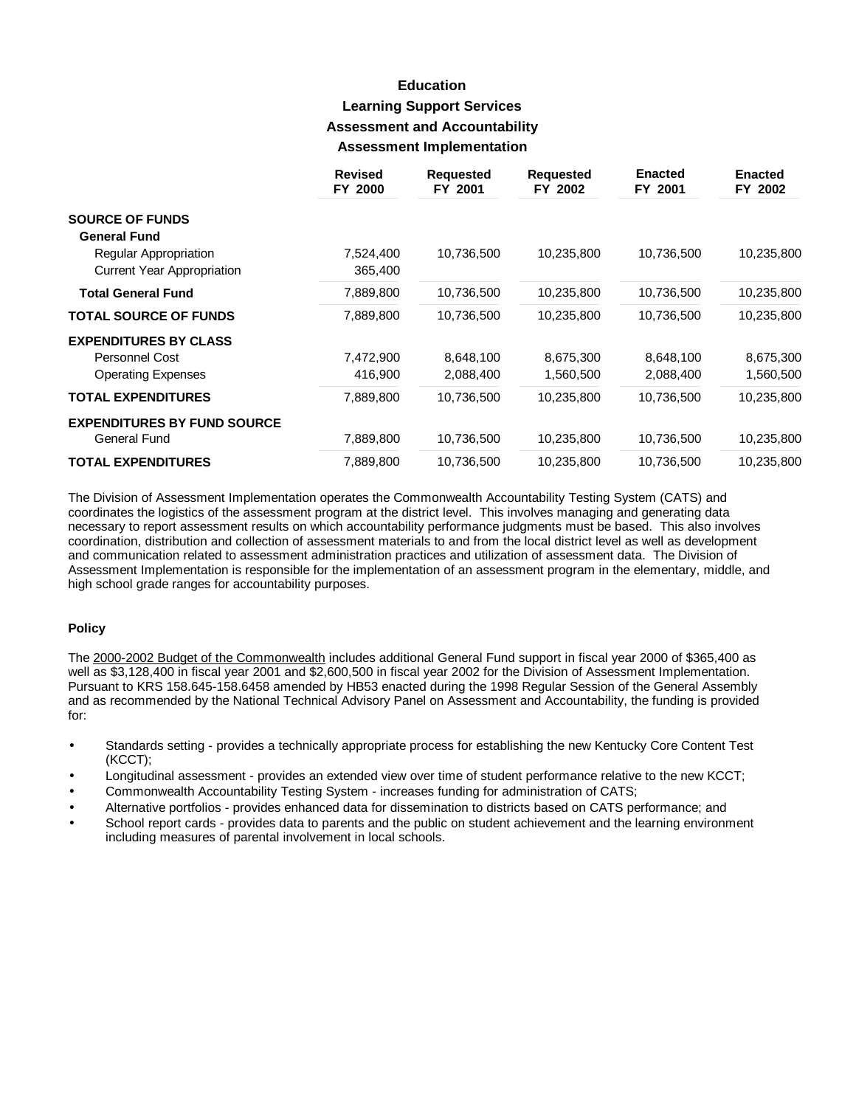## **Education Learning Support Services Assessment and Accountability Assessment Implementation**

|                                    | <b>Revised</b><br>FY 2000 | <b>Requested</b><br>FY 2001 | <b>Requested</b><br>FY 2002 | <b>Enacted</b><br>FY 2001 | <b>Enacted</b><br>FY 2002 |
|------------------------------------|---------------------------|-----------------------------|-----------------------------|---------------------------|---------------------------|
| <b>SOURCE OF FUNDS</b>             |                           |                             |                             |                           |                           |
| <b>General Fund</b>                |                           |                             |                             |                           |                           |
| Regular Appropriation              | 7,524,400                 | 10,736,500                  | 10,235,800                  | 10,736,500                | 10,235,800                |
| <b>Current Year Appropriation</b>  | 365,400                   |                             |                             |                           |                           |
| <b>Total General Fund</b>          | 7,889,800                 | 10,736,500                  | 10,235,800                  | 10,736,500                | 10,235,800                |
| <b>TOTAL SOURCE OF FUNDS</b>       | 7,889,800                 | 10,736,500                  | 10,235,800                  | 10,736,500                | 10,235,800                |
| <b>EXPENDITURES BY CLASS</b>       |                           |                             |                             |                           |                           |
| Personnel Cost                     | 7,472,900                 | 8,648,100                   | 8,675,300                   | 8,648,100                 | 8,675,300                 |
| <b>Operating Expenses</b>          | 416,900                   | 2,088,400                   | 1,560,500                   | 2,088,400                 | 1,560,500                 |
| <b>TOTAL EXPENDITURES</b>          | 7,889,800                 | 10,736,500                  | 10,235,800                  | 10,736,500                | 10,235,800                |
| <b>EXPENDITURES BY FUND SOURCE</b> |                           |                             |                             |                           |                           |
| <b>General Fund</b>                | 7,889,800                 | 10,736,500                  | 10,235,800                  | 10,736,500                | 10,235,800                |
| <b>TOTAL EXPENDITURES</b>          | 7,889,800                 | 10,736,500                  | 10,235,800                  | 10,736,500                | 10,235,800                |

The Division of Assessment Implementation operates the Commonwealth Accountability Testing System (CATS) and coordinates the logistics of the assessment program at the district level. This involves managing and generating data necessary to report assessment results on which accountability performance judgments must be based. This also involves coordination, distribution and collection of assessment materials to and from the local district level as well as development and communication related to assessment administration practices and utilization of assessment data. The Division of Assessment Implementation is responsible for the implementation of an assessment program in the elementary, middle, and high school grade ranges for accountability purposes.

#### **Policy**

The 2000-2002 Budget of the Commonwealth includes additional General Fund support in fiscal year 2000 of \$365,400 as well as \$3,128,400 in fiscal year 2001 and \$2,600,500 in fiscal year 2002 for the Division of Assessment Implementation. Pursuant to KRS 158.645-158.6458 amended by HB53 enacted during the 1998 Regular Session of the General Assembly and as recommended by the National Technical Advisory Panel on Assessment and Accountability, the funding is provided for:

- Standards setting provides a technically appropriate process for establishing the new Kentucky Core Content Test (KCCT);
- Longitudinal assessment provides an extended view over time of student performance relative to the new KCCT;
- Commonwealth Accountability Testing System increases funding for administration of CATS;
- Alternative portfolios provides enhanced data for dissemination to districts based on CATS performance; and
- School report cards provides data to parents and the public on student achievement and the learning environment including measures of parental involvement in local schools.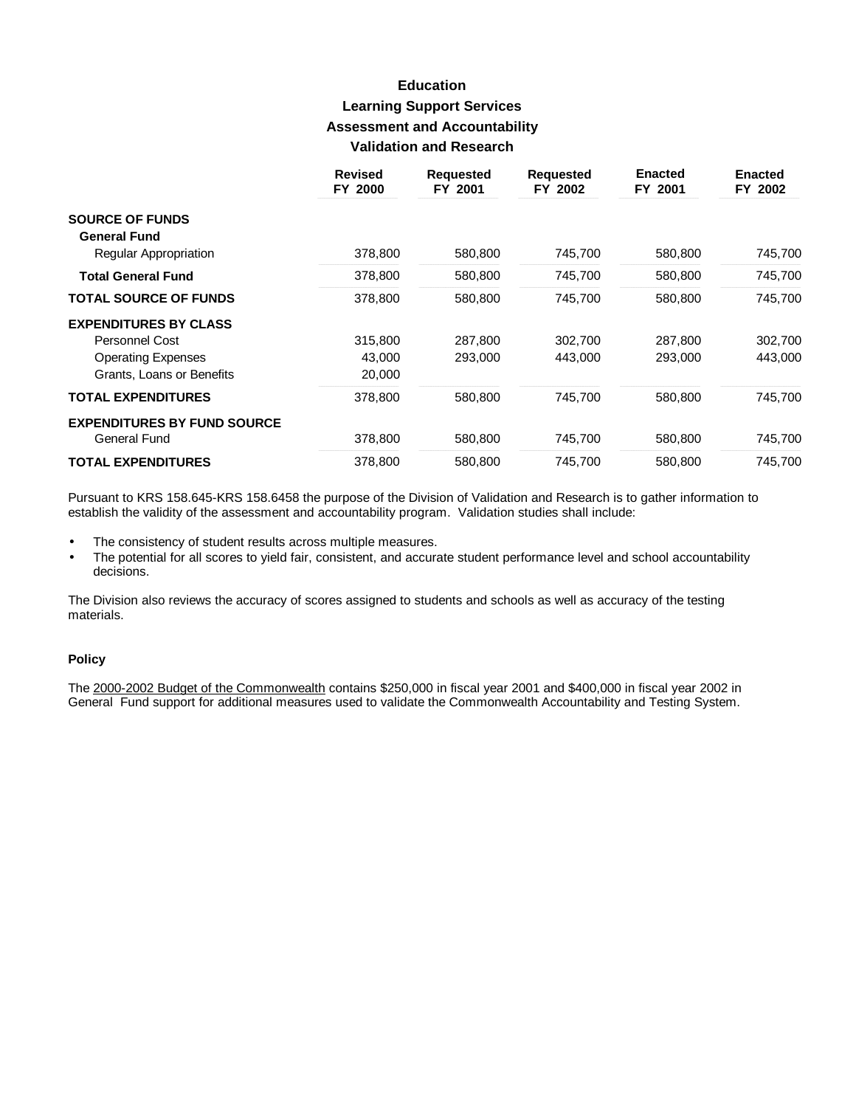## **Education Learning Support Services Assessment and Accountability Validation and Research**

|                                    | <b>Revised</b><br>FY 2000 | <b>Requested</b><br>FY 2001 | <b>Requested</b><br>FY 2002 | <b>Enacted</b><br>FY 2001 | <b>Enacted</b><br>FY 2002 |
|------------------------------------|---------------------------|-----------------------------|-----------------------------|---------------------------|---------------------------|
| <b>SOURCE OF FUNDS</b>             |                           |                             |                             |                           |                           |
| <b>General Fund</b>                |                           |                             |                             |                           |                           |
| Regular Appropriation              | 378,800                   | 580,800                     | 745,700                     | 580,800                   | 745,700                   |
| <b>Total General Fund</b>          | 378,800                   | 580,800                     | 745,700                     | 580,800                   | 745,700                   |
| <b>TOTAL SOURCE OF FUNDS</b>       | 378,800                   | 580,800                     | 745,700                     | 580,800                   | 745,700                   |
| <b>EXPENDITURES BY CLASS</b>       |                           |                             |                             |                           |                           |
| Personnel Cost                     | 315,800                   | 287,800                     | 302,700                     | 287,800                   | 302,700                   |
| <b>Operating Expenses</b>          | 43,000                    | 293,000                     | 443,000                     | 293,000                   | 443,000                   |
| Grants, Loans or Benefits          | 20,000                    |                             |                             |                           |                           |
| <b>TOTAL EXPENDITURES</b>          | 378,800                   | 580,800                     | 745,700                     | 580,800                   | 745,700                   |
| <b>EXPENDITURES BY FUND SOURCE</b> |                           |                             |                             |                           |                           |
| General Fund                       | 378,800                   | 580,800                     | 745,700                     | 580,800                   | 745,700                   |
| <b>TOTAL EXPENDITURES</b>          | 378,800                   | 580,800                     | 745,700                     | 580,800                   | 745,700                   |

Pursuant to KRS 158.645-KRS 158.6458 the purpose of the Division of Validation and Research is to gather information to establish the validity of the assessment and accountability program. Validation studies shall include:

- The consistency of student results across multiple measures.  $\bullet$
- The potential for all scores to yield fair, consistent, and accurate student performance level and school accountability decisions.

The Division also reviews the accuracy of scores assigned to students and schools as well as accuracy of the testing materials.

### **Policy**

The 2000-2002 Budget of the Commonwealth contains \$250,000 in fiscal year 2001 and \$400,000 in fiscal year 2002 in General Fund support for additional measures used to validate the Commonwealth Accountability and Testing System.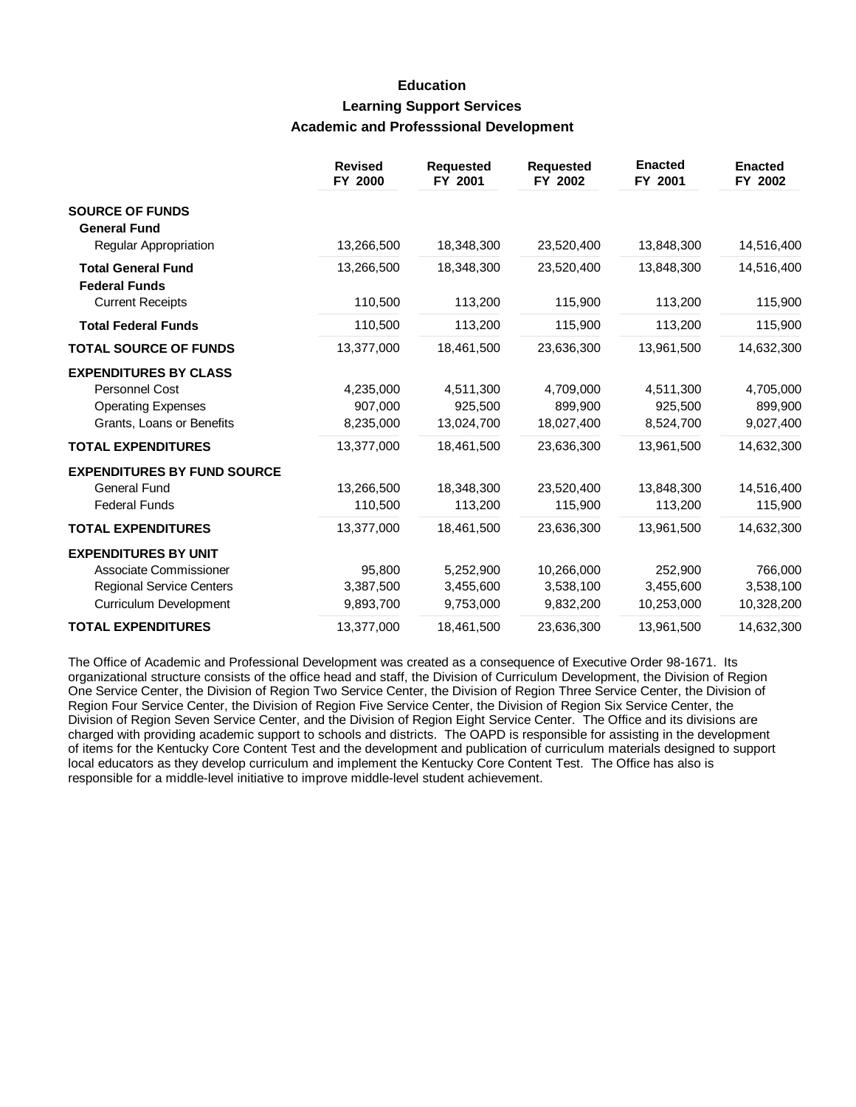## **Education Learning Support Services Academic and Professsional Development**

|                                                                                                                    | <b>Revised</b><br>FY 2000         | <b>Requested</b><br>FY 2001         | <b>Requested</b><br>FY 2002          | <b>Enacted</b><br>FY 2001          | <b>Enacted</b><br>FY 2002          |
|--------------------------------------------------------------------------------------------------------------------|-----------------------------------|-------------------------------------|--------------------------------------|------------------------------------|------------------------------------|
| <b>SOURCE OF FUNDS</b><br><b>General Fund</b>                                                                      |                                   |                                     |                                      |                                    |                                    |
| Regular Appropriation                                                                                              | 13,266,500                        | 18,348,300                          | 23,520,400                           | 13,848,300                         | 14,516,400                         |
| <b>Total General Fund</b><br><b>Federal Funds</b>                                                                  | 13,266,500                        | 18,348,300                          | 23,520,400                           | 13,848,300                         | 14,516,400                         |
| <b>Current Receipts</b>                                                                                            | 110,500                           | 113,200                             | 115,900                              | 113,200                            | 115,900                            |
| <b>Total Federal Funds</b>                                                                                         | 110,500                           | 113,200                             | 115,900                              | 113,200                            | 115,900                            |
| <b>TOTAL SOURCE OF FUNDS</b>                                                                                       | 13,377,000                        | 18,461,500                          | 23,636,300                           | 13,961,500                         | 14,632,300                         |
| <b>EXPENDITURES BY CLASS</b><br><b>Personnel Cost</b><br><b>Operating Expenses</b><br>Grants, Loans or Benefits    | 4,235,000<br>907.000<br>8,235,000 | 4,511,300<br>925,500<br>13,024,700  | 4,709,000<br>899,900<br>18,027,400   | 4,511,300<br>925.500<br>8,524,700  | 4,705,000<br>899,900<br>9,027,400  |
| <b>TOTAL EXPENDITURES</b>                                                                                          | 13,377,000                        | 18,461,500                          | 23,636,300                           | 13,961,500                         | 14,632,300                         |
| <b>EXPENDITURES BY FUND SOURCE</b><br><b>General Fund</b><br><b>Federal Funds</b>                                  | 13,266,500<br>110,500             | 18,348,300<br>113,200               | 23,520,400<br>115,900                | 13,848,300<br>113,200              | 14,516,400<br>115,900              |
| <b>TOTAL EXPENDITURES</b>                                                                                          | 13,377,000                        | 18,461,500                          | 23,636,300                           | 13,961,500                         | 14,632,300                         |
| <b>EXPENDITURES BY UNIT</b><br>Associate Commissioner<br><b>Regional Service Centers</b><br>Curriculum Development | 95,800<br>3,387,500<br>9,893,700  | 5,252,900<br>3,455,600<br>9,753,000 | 10,266,000<br>3,538,100<br>9,832,200 | 252,900<br>3,455,600<br>10,253,000 | 766,000<br>3,538,100<br>10,328,200 |
| <b>TOTAL EXPENDITURES</b>                                                                                          | 13,377,000                        | 18,461,500                          | 23,636,300                           | 13,961,500                         | 14,632,300                         |

The Office of Academic and Professional Development was created as a consequence of Executive Order 98-1671. Its organizational structure consists of the office head and staff, the Division of Curriculum Development, the Division of Region One Service Center, the Division of Region Two Service Center, the Division of Region Three Service Center, the Division of Region Four Service Center, the Division of Region Five Service Center, the Division of Region Six Service Center, the Division of Region Seven Service Center, and the Division of Region Eight Service Center. The Office and its divisions are charged with providing academic support to schools and districts. The OAPD is responsible for assisting in the development of items for the Kentucky Core Content Test and the development and publication of curriculum materials designed to support local educators as they develop curriculum and implement the Kentucky Core Content Test. The Office has also is responsible for a middle-level initiative to improve middle-level student achievement.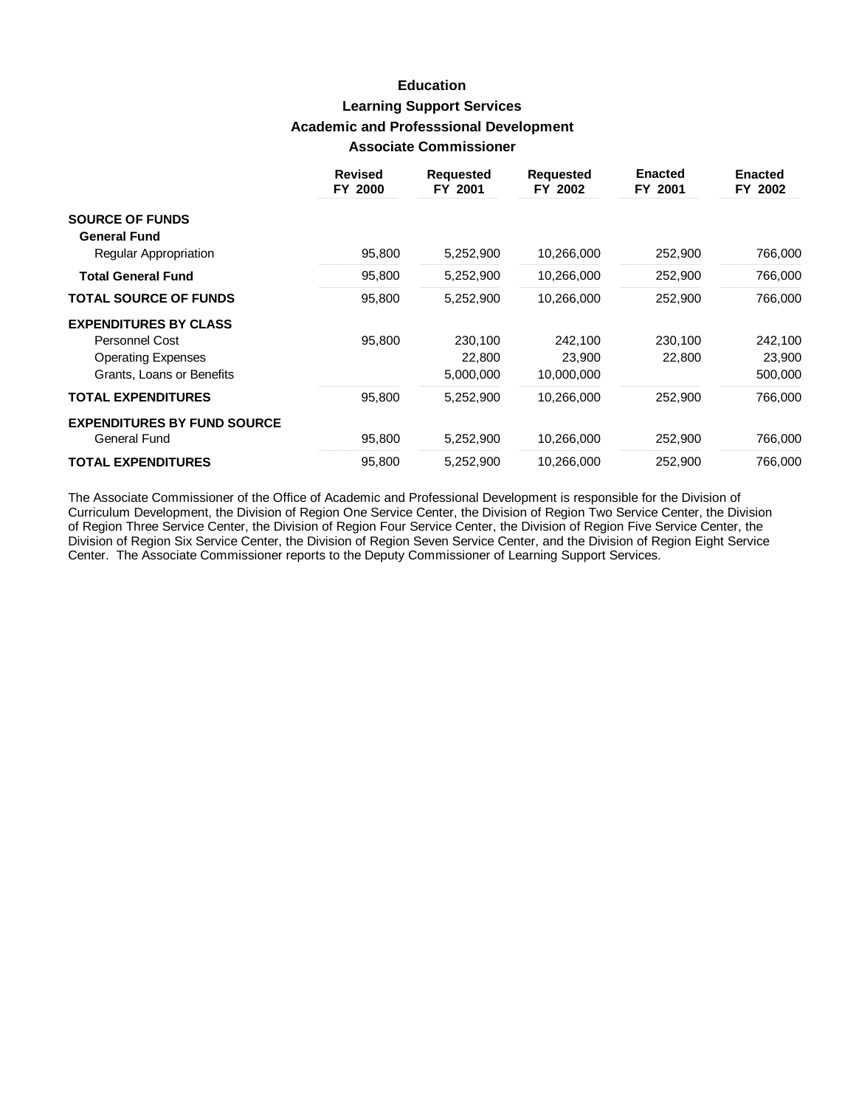## **Education Learning Support Services Academic and Professsional Development Associate Commissioner**

|                                               | <b>Revised</b><br>FY 2000 | Requested<br>FY 2001 | <b>Requested</b><br>FY 2002 | <b>Enacted</b><br>FY 2001 | <b>Enacted</b><br>FY 2002 |
|-----------------------------------------------|---------------------------|----------------------|-----------------------------|---------------------------|---------------------------|
| <b>SOURCE OF FUNDS</b><br><b>General Fund</b> |                           |                      |                             |                           |                           |
| Regular Appropriation                         | 95,800                    | 5,252,900            | 10,266,000                  | 252,900                   | 766,000                   |
| <b>Total General Fund</b>                     | 95,800                    | 5,252,900            | 10,266,000                  | 252,900                   | 766,000                   |
| <b>TOTAL SOURCE OF FUNDS</b>                  | 95,800                    | 5,252,900            | 10,266,000                  | 252,900                   | 766,000                   |
| <b>EXPENDITURES BY CLASS</b>                  |                           |                      |                             |                           |                           |
| Personnel Cost                                | 95,800                    | 230,100              | 242.100                     | 230,100                   | 242,100                   |
| <b>Operating Expenses</b>                     |                           | 22,800               | 23,900                      | 22,800                    | 23,900                    |
| Grants, Loans or Benefits                     |                           | 5,000,000            | 10,000,000                  |                           | 500,000                   |
| <b>TOTAL EXPENDITURES</b>                     | 95,800                    | 5,252,900            | 10,266,000                  | 252,900                   | 766,000                   |
| <b>EXPENDITURES BY FUND SOURCE</b>            |                           |                      |                             |                           |                           |
| <b>General Fund</b>                           | 95,800                    | 5,252,900            | 10,266,000                  | 252,900                   | 766,000                   |
| <b>TOTAL EXPENDITURES</b>                     | 95,800                    | 5,252,900            | 10,266,000                  | 252,900                   | 766,000                   |

The Associate Commissioner of the Office of Academic and Professional Development is responsible for the Division of Curriculum Development, the Division of Region One Service Center, the Division of Region Two Service Center, the Division of Region Three Service Center, the Division of Region Four Service Center, the Division of Region Five Service Center, the Division of Region Six Service Center, the Division of Region Seven Service Center, and the Division of Region Eight Service Center. The Associate Commissioner reports to the Deputy Commissioner of Learning Support Services.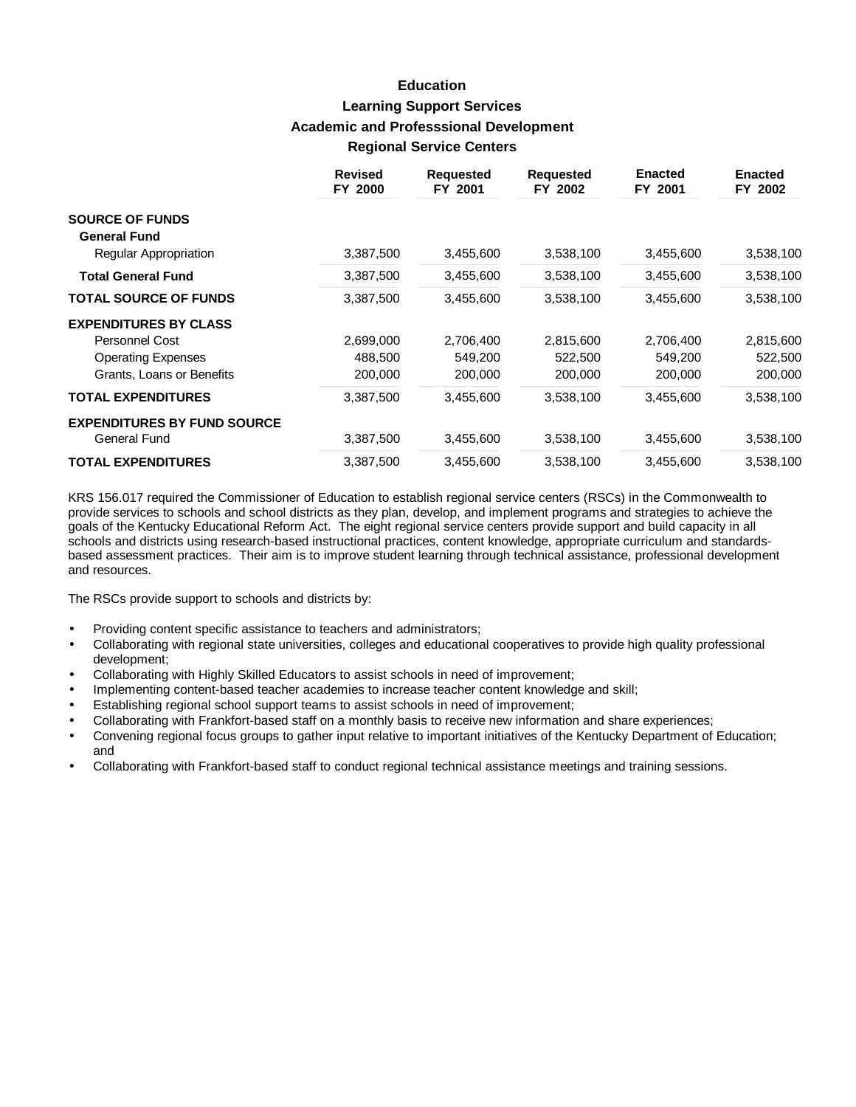## **Education Learning Support Services Academic and Professsional Development Regional Service Centers**

|                                    | <b>Revised</b><br>FY 2000 | <b>Requested</b><br>FY 2001 | <b>Requested</b><br>FY 2002 | <b>Enacted</b><br>FY 2001 | <b>Enacted</b><br>FY 2002 |
|------------------------------------|---------------------------|-----------------------------|-----------------------------|---------------------------|---------------------------|
| <b>SOURCE OF FUNDS</b>             |                           |                             |                             |                           |                           |
| <b>General Fund</b>                |                           |                             |                             |                           |                           |
| <b>Regular Appropriation</b>       | 3,387,500                 | 3,455,600                   | 3,538,100                   | 3,455,600                 | 3,538,100                 |
| <b>Total General Fund</b>          | 3,387,500                 | 3,455,600                   | 3,538,100                   | 3,455,600                 | 3,538,100                 |
| <b>TOTAL SOURCE OF FUNDS</b>       | 3,387,500                 | 3,455,600                   | 3,538,100                   | 3,455,600                 | 3,538,100                 |
| <b>EXPENDITURES BY CLASS</b>       |                           |                             |                             |                           |                           |
| Personnel Cost                     | 2,699,000                 | 2,706,400                   | 2,815,600                   | 2,706,400                 | 2,815,600                 |
| <b>Operating Expenses</b>          | 488,500                   | 549,200                     | 522,500                     | 549,200                   | 522,500                   |
| Grants, Loans or Benefits          | 200,000                   | 200,000                     | 200,000                     | 200,000                   | 200,000                   |
| <b>TOTAL EXPENDITURES</b>          | 3,387,500                 | 3,455,600                   | 3,538,100                   | 3,455,600                 | 3,538,100                 |
| <b>EXPENDITURES BY FUND SOURCE</b> |                           |                             |                             |                           |                           |
| <b>General Fund</b>                | 3,387,500                 | 3,455,600                   | 3,538,100                   | 3,455,600                 | 3,538,100                 |
| <b>TOTAL EXPENDITURES</b>          | 3,387,500                 | 3,455,600                   | 3,538,100                   | 3,455,600                 | 3,538,100                 |

KRS 156.017 required the Commissioner of Education to establish regional service centers (RSCs) in the Commonwealth to provide services to schools and school districts as they plan, develop, and implement programs and strategies to achieve the goals of the Kentucky Educational Reform Act. The eight regional service centers provide support and build capacity in all schools and districts using research-based instructional practices, content knowledge, appropriate curriculum and standardsbased assessment practices. Their aim is to improve student learning through technical assistance, professional development and resources.

The RSCs provide support to schools and districts by:

- Providing content specific assistance to teachers and administrators;
- Collaborating with regional state universities, colleges and educational cooperatives to provide high quality professional development;
- Collaborating with Highly Skilled Educators to assist schools in need of improvement;
- Implementing content-based teacher academies to increase teacher content knowledge and skill;
- Establishing regional school support teams to assist schools in need of improvement;
- Collaborating with Frankfort-based staff on a monthly basis to receive new information and share experiences;
- **·** Convening regional focus groups to gather input relative to important initiatives of the Kentucky Department of Education; and
- **·** Collaborating with Frankfort-based staff to conduct regional technical assistance meetings and training sessions.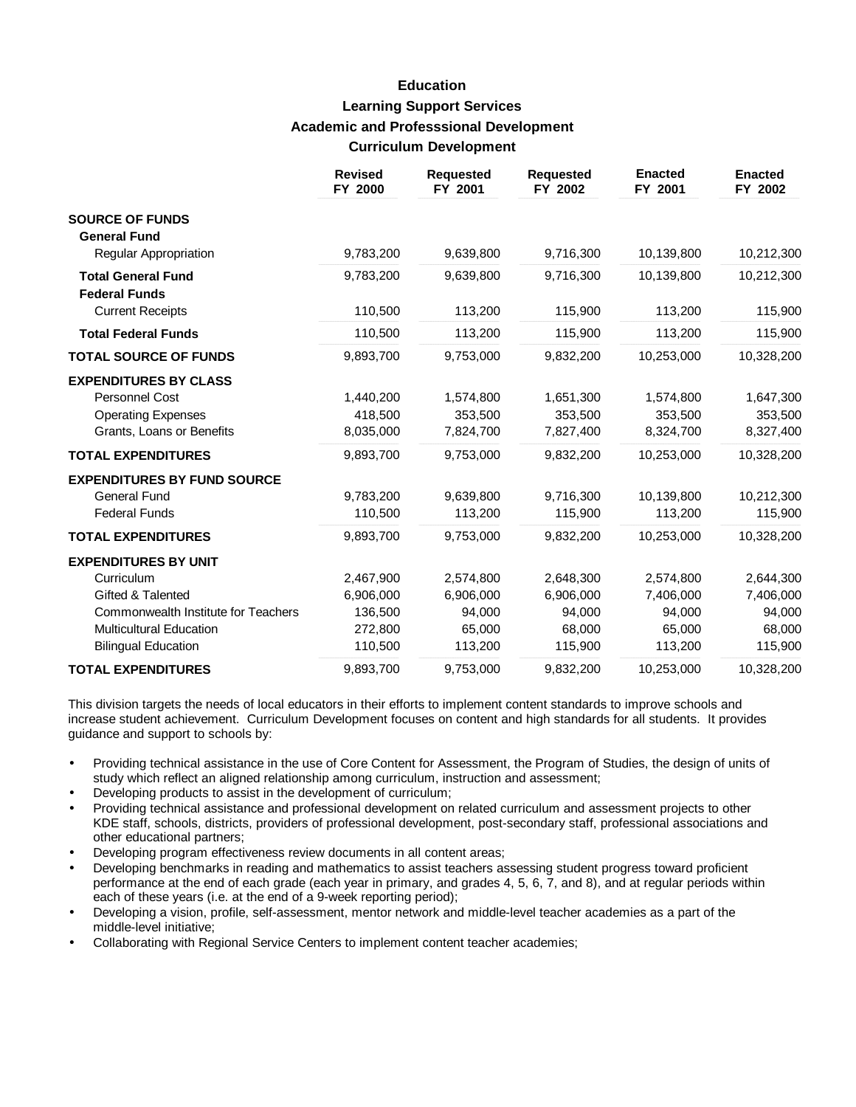## **Education Learning Support Services Academic and Professsional Development Curriculum Development**

|                                                   | <b>Revised</b><br>FY 2000 | <b>Requested</b><br>FY 2001 | <b>Requested</b><br>FY 2002 | <b>Enacted</b><br>FY 2001 | <b>Enacted</b><br>FY 2002 |
|---------------------------------------------------|---------------------------|-----------------------------|-----------------------------|---------------------------|---------------------------|
| <b>SOURCE OF FUNDS</b><br><b>General Fund</b>     |                           |                             |                             |                           |                           |
| Regular Appropriation                             | 9,783,200                 | 9,639,800                   | 9,716,300                   | 10,139,800                | 10,212,300                |
| <b>Total General Fund</b><br><b>Federal Funds</b> | 9,783,200                 | 9,639,800                   | 9,716,300                   | 10,139,800                | 10,212,300                |
| <b>Current Receipts</b>                           | 110,500                   | 113,200                     | 115,900                     | 113,200                   | 115,900                   |
| <b>Total Federal Funds</b>                        | 110,500                   | 113,200                     | 115,900                     | 113,200                   | 115,900                   |
| <b>TOTAL SOURCE OF FUNDS</b>                      | 9,893,700                 | 9,753,000                   | 9,832,200                   | 10,253,000                | 10,328,200                |
| <b>EXPENDITURES BY CLASS</b>                      |                           |                             |                             |                           |                           |
| <b>Personnel Cost</b>                             | 1,440,200                 | 1,574,800                   | 1,651,300                   | 1,574,800                 | 1,647,300                 |
| <b>Operating Expenses</b>                         | 418,500                   | 353,500                     | 353,500                     | 353,500                   | 353,500                   |
| Grants, Loans or Benefits                         | 8,035,000                 | 7,824,700                   | 7,827,400                   | 8,324,700                 | 8,327,400                 |
| <b>TOTAL EXPENDITURES</b>                         | 9,893,700                 | 9,753,000                   | 9,832,200                   | 10,253,000                | 10,328,200                |
| <b>EXPENDITURES BY FUND SOURCE</b>                |                           |                             |                             |                           |                           |
| <b>General Fund</b>                               | 9,783,200                 | 9,639,800                   | 9,716,300                   | 10,139,800                | 10,212,300                |
| <b>Federal Funds</b>                              | 110,500                   | 113,200                     | 115,900                     | 113,200                   | 115,900                   |
| <b>TOTAL EXPENDITURES</b>                         | 9,893,700                 | 9,753,000                   | 9,832,200                   | 10,253,000                | 10,328,200                |
| <b>EXPENDITURES BY UNIT</b>                       |                           |                             |                             |                           |                           |
| Curriculum                                        | 2,467,900                 | 2,574,800                   | 2,648,300                   | 2,574,800                 | 2,644,300                 |
| Gifted & Talented                                 | 6,906,000                 | 6,906,000                   | 6,906,000                   | 7,406,000                 | 7,406,000                 |
| Commonwealth Institute for Teachers               | 136,500                   | 94,000                      | 94,000                      | 94,000                    | 94,000                    |
| <b>Multicultural Education</b>                    | 272,800                   | 65,000                      | 68.000                      | 65,000                    | 68,000                    |
| <b>Bilingual Education</b>                        | 110,500                   | 113,200                     | 115,900                     | 113,200                   | 115,900                   |
| <b>TOTAL EXPENDITURES</b>                         | 9,893,700                 | 9,753,000                   | 9,832,200                   | 10,253,000                | 10,328,200                |

This division targets the needs of local educators in their efforts to implement content standards to improve schools and increase student achievement. Curriculum Development focuses on content and high standards for all students. It provides guidance and support to schools by:

- Providing technical assistance in the use of Core Content for Assessment, the Program of Studies, the design of units of study which reflect an aligned relationship among curriculum, instruction and assessment;
- Developing products to assist in the development of curriculum;
- Providing technical assistance and professional development on related curriculum and assessment projects to other KDE staff, schools, districts, providers of professional development, post-secondary staff, professional associations and other educational partners;
- Developing program effectiveness review documents in all content areas;
- Developing benchmarks in reading and mathematics to assist teachers assessing student progress toward proficient performance at the end of each grade (each year in primary, and grades 4, 5, 6, 7, and 8), and at regular periods within each of these years (i.e. at the end of a 9-week reporting period);
- Developing a vision, profile, self-assessment, mentor network and middle-level teacher academies as a part of the middle-level initiative;
- Collaborating with Regional Service Centers to implement content teacher academies;